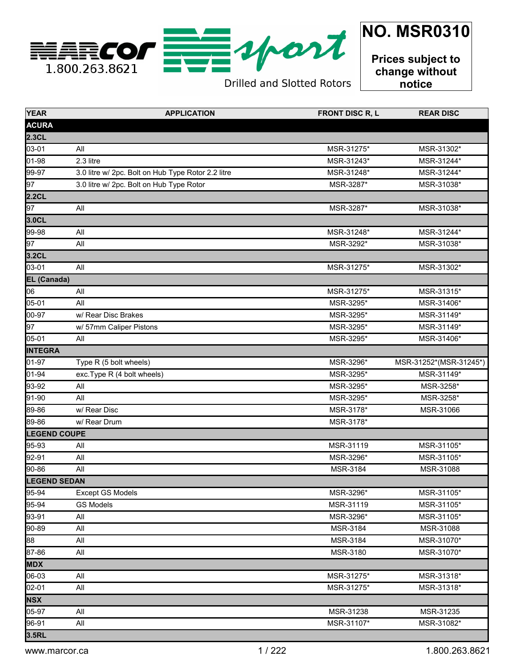

**Drilled and Slotted Rotors** 

**Prices subject to change without notice**

| <b>YEAR</b>         | <b>APPLICATION</b>                                 | <b>FRONT DISC R, L</b> | <b>REAR DISC</b>       |
|---------------------|----------------------------------------------------|------------------------|------------------------|
| <b>ACURA</b>        |                                                    |                        |                        |
| 2.3CL               |                                                    |                        |                        |
| 03-01               | All                                                | MSR-31275*             | MSR-31302*             |
| 01-98               | 2.3 litre                                          | MSR-31243*             | MSR-31244*             |
| 99-97               | 3.0 litre w/ 2pc. Bolt on Hub Type Rotor 2.2 litre | MSR-31248*             | MSR-31244*             |
| 97                  | 3.0 litre w/ 2pc. Bolt on Hub Type Rotor           | MSR-3287*              | MSR-31038*             |
| 2.2CL               |                                                    |                        |                        |
| 97                  | All                                                | MSR-3287*              | MSR-31038*             |
| 3.0CL               |                                                    |                        |                        |
| 99-98               | All                                                | MSR-31248*             | MSR-31244*             |
| 97                  | All                                                | MSR-3292*              | MSR-31038*             |
| 3.2CL               |                                                    |                        |                        |
| 03-01               | All                                                | MSR-31275*             | MSR-31302*             |
| <b>EL (Canada)</b>  |                                                    |                        |                        |
| 06                  | All                                                | MSR-31275*             | MSR-31315*             |
| 05-01               | All                                                | MSR-3295*              | MSR-31406*             |
| 00-97               | w/ Rear Disc Brakes                                | MSR-3295*              | MSR-31149*             |
| 97                  | w/ 57mm Caliper Pistons                            | MSR-3295*              | MSR-31149*             |
| $05 - 01$           | All                                                | MSR-3295*              | MSR-31406*             |
| <b>INTEGRA</b>      |                                                    |                        |                        |
| 01-97               | Type R (5 bolt wheels)                             | MSR-3296*              | MSR-31252*(MSR-31245*) |
| 01-94               | exc.Type R (4 bolt wheels)                         | MSR-3295*              | MSR-31149*             |
| 93-92               | All                                                | MSR-3295*              | MSR-3258*              |
| 91-90               | All                                                | MSR-3295*              | MSR-3258*              |
| 89-86               | w/ Rear Disc                                       | MSR-3178*              | MSR-31066              |
| 89-86               | w/ Rear Drum                                       | MSR-3178*              |                        |
| <b>LEGEND COUPE</b> |                                                    |                        |                        |
| 95-93               | All                                                | MSR-31119              | MSR-31105*             |
| 92-91               | All                                                | MSR-3296*              | MSR-31105*             |
| 90-86               | All                                                | MSR-3184               | MSR-31088              |
| <b>LEGEND SEDAN</b> |                                                    |                        |                        |
| 95-94               | <b>Except GS Models</b>                            | MSR-3296*              | MSR-31105*             |
| 95-94               | <b>GS Models</b>                                   | MSR-31119              | MSR-31105*             |
| 93-91               | All                                                | MSR-3296*              | MSR-31105*             |
| 90-89               | All                                                | MSR-3184               | MSR-31088              |
| 88                  | All                                                | MSR-3184               | MSR-31070*             |
| 87-86               | All                                                | MSR-3180               | MSR-31070*             |
| <b>MDX</b>          |                                                    |                        |                        |
| 06-03               | All                                                | MSR-31275*             | MSR-31318*             |
| 02-01               | All                                                | MSR-31275*             | MSR-31318*             |
| <b>NSX</b>          |                                                    |                        |                        |
| 05-97               | All                                                | MSR-31238              | MSR-31235              |
| 96-91               | All                                                | MSR-31107*             | MSR-31082*             |
| 3.5RL               |                                                    |                        |                        |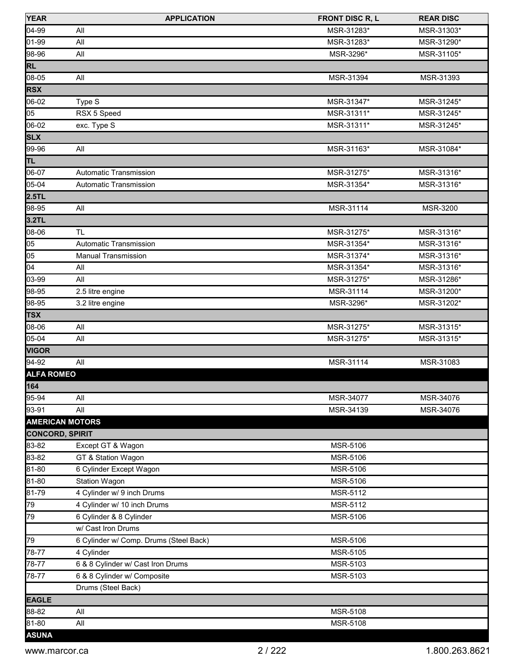| <b>YEAR</b>            | <b>APPLICATION</b>                     | <b>FRONT DISC R, L</b> | <b>REAR DISC</b> |
|------------------------|----------------------------------------|------------------------|------------------|
| 04-99                  | All                                    | MSR-31283*             | MSR-31303*       |
| 01-99                  | All                                    | MSR-31283*             | MSR-31290*       |
| 98-96                  | All                                    | MSR-3296*              | MSR-31105*       |
| <b>RL</b>              |                                        |                        |                  |
| 08-05                  | All                                    | MSR-31394              | MSR-31393        |
| <b>RSX</b>             |                                        |                        |                  |
| 06-02                  | Type S                                 | MSR-31347*             | MSR-31245*       |
| 05                     | RSX 5 Speed                            | MSR-31311*             | MSR-31245*       |
| 06-02                  | exc. Type S                            | MSR-31311*             | MSR-31245*       |
| <b>SLX</b>             |                                        |                        |                  |
| 99-96                  | All                                    | MSR-31163*             | MSR-31084*       |
| TL                     |                                        |                        |                  |
| 06-07                  | Automatic Transmission                 | MSR-31275*             | MSR-31316*       |
| 05-04                  | Automatic Transmission                 | MSR-31354*             | MSR-31316*       |
| 2.5TL                  |                                        |                        |                  |
| 98-95                  | All                                    | MSR-31114              | MSR-3200         |
| 3.2TL                  |                                        |                        |                  |
| 08-06                  | <b>TL</b>                              | MSR-31275*             | MSR-31316*       |
| 05                     | <b>Automatic Transmission</b>          | MSR-31354*             | MSR-31316*       |
| 05                     | <b>Manual Transmission</b>             | MSR-31374*             | MSR-31316*       |
| 04                     | All                                    | MSR-31354*             | MSR-31316*       |
| 03-99                  | All                                    | MSR-31275*             | MSR-31286*       |
| 98-95                  | 2.5 litre engine                       | MSR-31114              | MSR-31200*       |
| 98-95                  | 3.2 litre engine                       | MSR-3296*              | MSR-31202*       |
| <b>TSX</b>             |                                        |                        |                  |
| 08-06                  | All                                    | MSR-31275*             | MSR-31315*       |
| 05-04                  | All                                    | MSR-31275*             | MSR-31315*       |
| <b>VIGOR</b>           |                                        |                        |                  |
| 94-92                  | All                                    | MSR-31114              | MSR-31083        |
| <b>ALFA ROMEO</b>      |                                        |                        |                  |
| 164                    |                                        |                        |                  |
| 95-94                  | All                                    | MSR-34077              | MSR-34076        |
| 93-91                  | All                                    | MSR-34139              | MSR-34076        |
| <b>AMERICAN MOTORS</b> |                                        |                        |                  |
| <b>CONCORD, SPIRIT</b> |                                        |                        |                  |
| 83-82                  | Except GT & Wagon                      | MSR-5106               |                  |
| 83-82                  | GT & Station Wagon                     | MSR-5106               |                  |
| 81-80                  | 6 Cylinder Except Wagon                | MSR-5106               |                  |
| 81-80                  | <b>Station Wagon</b>                   | MSR-5106               |                  |
| 81-79                  | 4 Cylinder w/ 9 inch Drums             | MSR-5112               |                  |
| 79                     | 4 Cylinder w/ 10 inch Drums            | MSR-5112               |                  |
| 79                     | 6 Cylinder & 8 Cylinder                | MSR-5106               |                  |
|                        | w/ Cast Iron Drums                     |                        |                  |
| 79                     | 6 Cylinder w/ Comp. Drums (Steel Back) | MSR-5106               |                  |
| 78-77                  | 4 Cylinder                             | MSR-5105               |                  |
| 78-77                  | 6 & 8 Cylinder w/ Cast Iron Drums      | MSR-5103               |                  |
| 78-77                  | 6 & 8 Cylinder w/ Composite            | MSR-5103               |                  |
|                        | Drums (Steel Back)                     |                        |                  |
| <b>EAGLE</b>           |                                        |                        |                  |
| 88-82                  | All                                    | MSR-5108               |                  |
| 81-80                  | All                                    | MSR-5108               |                  |
| <b>ASUNA</b>           |                                        |                        |                  |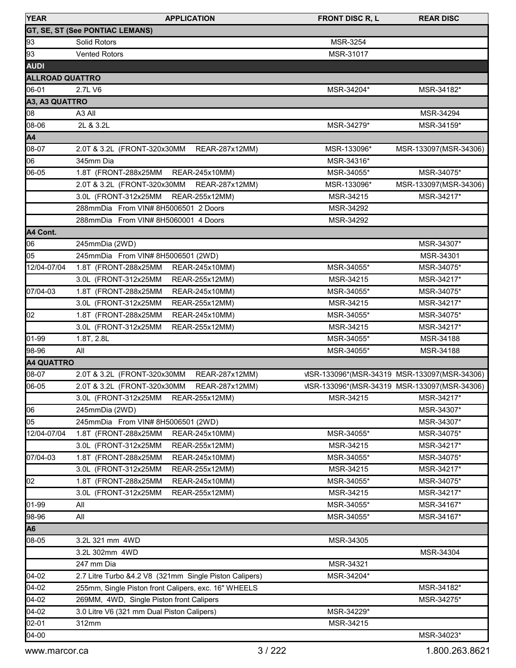| <b>YEAR</b>            | <b>APPLICATION</b>                                       | <b>FRONT DISC R, L</b> | <b>REAR DISC</b>                             |
|------------------------|----------------------------------------------------------|------------------------|----------------------------------------------|
|                        | GT, SE, ST (See PONTIAC LEMANS)                          |                        |                                              |
| 93                     | Solid Rotors                                             | MSR-3254               |                                              |
| 93                     | <b>Vented Rotors</b>                                     | MSR-31017              |                                              |
| <b>AUDI</b>            |                                                          |                        |                                              |
| <b>ALLROAD QUATTRO</b> |                                                          |                        |                                              |
| 06-01                  | 2.7L V6                                                  | MSR-34204*             | MSR-34182*                                   |
| A3, A3 QUATTRO         |                                                          |                        |                                              |
| lo8                    | A <sub>3</sub> All                                       |                        | MSR-34294                                    |
| 08-06                  | 2L & 3.2L                                                | MSR-34279*             | MSR-34159*                                   |
| A4                     |                                                          |                        |                                              |
| 08-07                  | REAR-287x12MM)<br>2.0T & 3.2L (FRONT-320x30MM            | MSR-133096*            | MSR-133097(MSR-34306)                        |
| 06                     | 345mm Dia                                                | MSR-34316*             |                                              |
| 06-05                  | 1.8T (FRONT-288x25MM<br>REAR-245x10MM)                   | MSR-34055*             | MSR-34075*                                   |
|                        | 2.0T & 3.2L (FRONT-320x30MM REAR-287x12MM)               | MSR-133096*            | MSR-133097(MSR-34306)                        |
|                        | REAR-255x12MM)<br>3.0L (FRONT-312x25MM                   | MSR-34215              | MSR-34217*                                   |
|                        | 288mmDia From VIN# 8H5006501 2 Doors                     | MSR-34292              |                                              |
|                        | 288mmDia From VIN# 8H5060001 4 Doors                     | MSR-34292              |                                              |
| A4 Cont.               |                                                          |                        |                                              |
| 06                     | 245mmDia (2WD)                                           |                        | MSR-34307*                                   |
| 05                     | 245mmDia From VIN# 8H5006501 (2WD)                       |                        | MSR-34301                                    |
| 12/04-07/04            | 1.8T (FRONT-288x25MM<br>REAR-245x10MM)                   | MSR-34055*             | MSR-34075*                                   |
|                        | 3.0L (FRONT-312x25MM<br>REAR-255x12MM)                   | MSR-34215              | MSR-34217*                                   |
| 07/04-03               | 1.8T (FRONT-288x25MM                                     | MSR-34055*             | MSR-34075*                                   |
|                        | REAR-245x10MM)<br>3.0L (FRONT-312x25MM                   | MSR-34215              |                                              |
| 02                     | REAR-255x12MM)<br>1.8T (FRONT-288x25MM                   | MSR-34055*             | MSR-34217*                                   |
|                        | REAR-245x10MM)<br>3.0L (FRONT-312x25MM<br>REAR-255x12MM) | MSR-34215              | MSR-34075*<br>MSR-34217*                     |
| 01-99                  | 1.8T, 2.8L                                               | MSR-34055*             | MSR-34188                                    |
| 98-96                  | All                                                      | MSR-34055*             | MSR-34188                                    |
| <b>A4 QUATTRO</b>      |                                                          |                        |                                              |
| 08-07                  | 2.0T & 3.2L (FRONT-320x30MM<br>REAR-287x12MM)            |                        | VISR-133096*(MSR-34319 MSR-133097(MSR-34306) |
| 06-05                  | 2.0T & 3.2L (FRONT-320x30MM<br>REAR-287x12MM)            |                        | MSR-133096*(MSR-34319 MSR-133097(MSR-34306)  |
|                        | 3.0L (FRONT-312x25MM                                     |                        |                                              |
|                        | REAR-255x12MM)                                           | MSR-34215              | MSR-34217*                                   |
| 06                     | 245mmDia (2WD)                                           |                        | MSR-34307*                                   |
| 05<br>12/04-07/04      | 245mmDia From VIN# 8H5006501 (2WD)                       |                        | MSR-34307*                                   |
|                        | 1.8T (FRONT-288x25MM<br>REAR-245x10MM)                   | MSR-34055*             | MSR-34075*                                   |
|                        | 3.0L (FRONT-312x25MM<br>REAR-255x12MM)                   | MSR-34215              | MSR-34217*                                   |
| 07/04-03               | 1.8T (FRONT-288x25MM<br>REAR-245x10MM)                   | MSR-34055*             | MSR-34075*                                   |
|                        | 3.0L (FRONT-312x25MM<br>REAR-255x12MM)                   | MSR-34215              | MSR-34217*                                   |
| 02                     | 1.8T (FRONT-288x25MM<br>REAR-245x10MM)                   | MSR-34055*             | MSR-34075*                                   |
|                        | 3.0L (FRONT-312x25MM<br>REAR-255x12MM)                   | MSR-34215              | MSR-34217*                                   |
| 01-99                  | All                                                      | MSR-34055*             | MSR-34167*                                   |
| 98-96                  | All                                                      | MSR-34055*             | MSR-34167*                                   |
| A <sub>6</sub>         |                                                          |                        |                                              |
| 08-05                  | 3.2L 321 mm 4WD                                          | MSR-34305              |                                              |
|                        | 3.2L 302mm 4WD                                           |                        | MSR-34304                                    |
|                        | 247 mm Dia                                               | MSR-34321              |                                              |
| 04-02                  | 2.7 Litre Turbo &4.2 V8 (321mm Single Piston Calipers)   | MSR-34204*             |                                              |
| 04-02                  | 255mm, Single Piston front Calipers, exc. 16" WHEELS     |                        | MSR-34182*                                   |
| 04-02                  | 269MM, 4WD, Single Piston front Calipers                 |                        | MSR-34275*                                   |
| 04-02                  | 3.0 Litre V6 (321 mm Dual Piston Calipers)               | MSR-34229*             |                                              |
| 02-01                  | 312mm                                                    | MSR-34215              |                                              |
| 04-00                  |                                                          |                        | MSR-34023*                                   |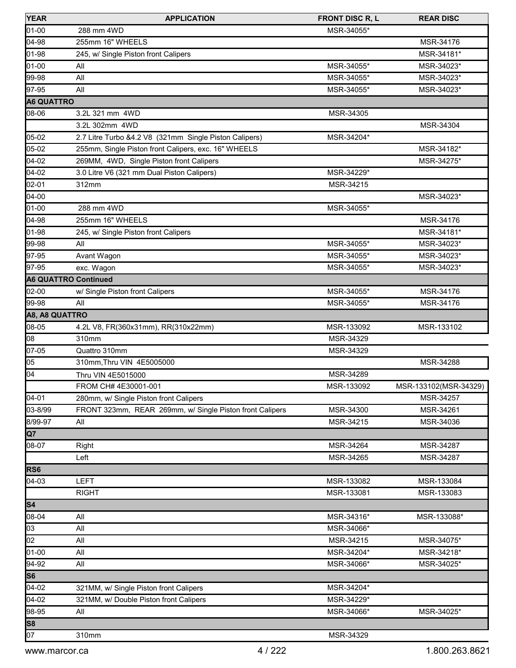| <b>YEAR</b>                 | <b>APPLICATION</b>                                       | <b>FRONT DISC R, L</b> | <b>REAR DISC</b>      |
|-----------------------------|----------------------------------------------------------|------------------------|-----------------------|
| 01-00                       | 288 mm 4WD                                               | MSR-34055*             |                       |
| 04-98                       | 255mm 16" WHEELS                                         |                        | MSR-34176             |
| 01-98                       | 245, w/ Single Piston front Calipers                     |                        | MSR-34181*            |
| 01-00                       | All                                                      | MSR-34055*             | MSR-34023*            |
| 99-98                       | All                                                      | MSR-34055*             | MSR-34023*            |
| 97-95                       | All                                                      | MSR-34055*             | MSR-34023*            |
| <b>A6 QUATTRO</b>           |                                                          |                        |                       |
| 08-06                       | 3.2L 321 mm 4WD                                          | MSR-34305              |                       |
|                             | 3.2L 302mm 4WD                                           |                        | MSR-34304             |
| 05-02                       | 2.7 Litre Turbo &4.2 V8 (321mm Single Piston Calipers)   | MSR-34204*             |                       |
| 05-02                       | 255mm, Single Piston front Calipers, exc. 16" WHEELS     |                        | MSR-34182*            |
| 04-02                       | 269MM, 4WD, Single Piston front Calipers                 |                        | MSR-34275*            |
| 04-02                       | 3.0 Litre V6 (321 mm Dual Piston Calipers)               | MSR-34229*             |                       |
| $02 - 01$                   | 312mm                                                    | MSR-34215              |                       |
| $04 - 00$                   |                                                          |                        | MSR-34023*            |
| 01-00                       | 288 mm 4WD                                               | MSR-34055*             |                       |
| 04-98                       | 255mm 16" WHEELS                                         |                        | MSR-34176             |
| 01-98                       | 245, w/ Single Piston front Calipers                     |                        | MSR-34181*            |
| 99-98                       | All                                                      | MSR-34055*             | MSR-34023*            |
| 97-95                       | Avant Wagon                                              | MSR-34055*             | MSR-34023*            |
| 97-95                       | exc. Wagon                                               | MSR-34055*             | MSR-34023*            |
| <b>A6 QUATTRO Continued</b> |                                                          |                        |                       |
| 02-00                       | w/ Single Piston front Calipers                          | MSR-34055*             | MSR-34176             |
| 99-98                       | All                                                      | MSR-34055*             | MSR-34176             |
| A8, A8 QUATTRO              |                                                          |                        |                       |
| 08-05                       | 4.2L V8, FR(360x31mm), RR(310x22mm)                      | MSR-133092             | MSR-133102            |
| 08                          | 310mm                                                    | MSR-34329              |                       |
| 07-05                       | Quattro 310mm                                            | MSR-34329              |                       |
| 05                          | 310mm, Thru VIN 4E5005000                                |                        | MSR-34288             |
| 04                          | Thru VIN 4E5015000                                       | MSR-34289              |                       |
|                             | FROM CH# 4E30001-001                                     | MSR-133092             | MSR-133102(MSR-34329) |
| 04-01                       | 280mm, w/ Single Piston front Calipers                   |                        | MSR-34257             |
| 03-8/99                     | FRONT 323mm, REAR 269mm, w/ Single Piston front Calipers | MSR-34300              | MSR-34261             |
| 8/99-97                     | All                                                      | MSR-34215              | MSR-34036             |
| <b>Q7</b>                   |                                                          |                        |                       |
| 08-07                       | Right                                                    | MSR-34264              | MSR-34287             |
|                             | Left                                                     | MSR-34265              | MSR-34287             |
| RS <sub>6</sub>             |                                                          |                        |                       |
| $04-03$                     | <b>LEFT</b>                                              | MSR-133082             | MSR-133084            |
|                             | <b>RIGHT</b>                                             | MSR-133081             | MSR-133083            |
| S <sub>4</sub>              |                                                          |                        |                       |
| 08-04                       | All                                                      | MSR-34316*             | MSR-133088*           |
| 03                          | All                                                      | MSR-34066*             |                       |
| 02                          | All                                                      | MSR-34215              | MSR-34075*            |
| 01-00                       | All                                                      | MSR-34204*             | MSR-34218*            |
| 94-92                       | All                                                      | MSR-34066*             | MSR-34025*            |
| S6                          |                                                          |                        |                       |
| $04-02$                     | 321MM, w/ Single Piston front Calipers                   | MSR-34204*             |                       |
| 04-02                       | 321MM, w/ Double Piston front Calipers                   | MSR-34229*             |                       |
| 98-95                       | All                                                      | MSR-34066*             | MSR-34025*            |
| S8                          |                                                          |                        |                       |
| 07                          | 310mm                                                    | MSR-34329              |                       |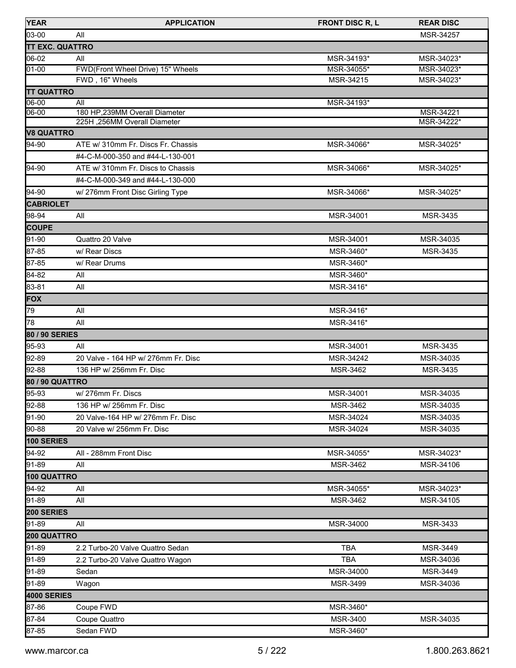| <b>YEAR</b>            | <b>APPLICATION</b>                                             | <b>FRONT DISC R, L</b> | <b>REAR DISC</b>        |
|------------------------|----------------------------------------------------------------|------------------------|-------------------------|
| 03-00                  | All                                                            |                        | MSR-34257               |
| <b>TT EXC. QUATTRO</b> |                                                                |                        |                         |
| 06-02                  | All                                                            | MSR-34193*             | MSR-34023*              |
| $01 - 00$              | FWD(Front Wheel Drive) 15" Wheels                              | MSR-34055*             | MSR-34023*              |
|                        | FWD, 16" Wheels                                                | MSR-34215              | MSR-34023*              |
| <b>TT QUATTRO</b>      |                                                                |                        |                         |
| 06-00                  | All                                                            | MSR-34193*             |                         |
| 06-00                  | 180 HP, 239MM Overall Diameter<br>225H, 256MM Overall Diameter |                        | MSR-34221<br>MSR-34222* |
| <b>V8 QUATTRO</b>      |                                                                |                        |                         |
| 94-90                  | ATE w/ 310mm Fr. Discs Fr. Chassis                             | MSR-34066*             | MSR-34025*              |
|                        | #4-C-M-000-350 and #44-L-130-001                               |                        |                         |
| 94-90                  | ATE w/ 310mm Fr. Discs to Chassis                              | MSR-34066*             | MSR-34025*              |
|                        | #4-C-M-000-349 and #44-L-130-000                               |                        |                         |
|                        |                                                                |                        |                         |
| $94-90$                | w/ 276mm Front Disc Girling Type                               | MSR-34066*             | MSR-34025*              |
| <b>CABRIOLET</b>       |                                                                |                        |                         |
| 98-94                  | All                                                            | MSR-34001              | MSR-3435                |
| <b>COUPE</b>           |                                                                |                        |                         |
| 91-90                  | Quattro 20 Valve                                               | MSR-34001              | MSR-34035               |
| 87-85                  | w/ Rear Discs                                                  | MSR-3460*              | MSR-3435                |
| 87-85                  | w/ Rear Drums                                                  | MSR-3460*              |                         |
| 84-82                  | All                                                            | MSR-3460*              |                         |
| 83-81                  | All                                                            | MSR-3416*              |                         |
| <b>FOX</b>             |                                                                |                        |                         |
| 79                     | All                                                            | MSR-3416*              |                         |
| 78                     | All                                                            | MSR-3416*              |                         |
| 80 / 90 SERIES         |                                                                |                        |                         |
| 95-93                  | All                                                            | MSR-34001              | MSR-3435                |
| 92-89                  | 20 Valve - 164 HP w/ 276mm Fr. Disc                            | MSR-34242              | MSR-34035               |
| 92-88                  | 136 HP w/ 256mm Fr. Disc                                       | MSR-3462               | MSR-3435                |
| <b>80 / 90 QUATTRO</b> |                                                                |                        |                         |
| $95-93$                | w/276mm Fr. Discs                                              | MSR-34001              | MSR-34035               |
| 92-88                  | 136 HP w/ 256mm Fr. Disc                                       | MSR-3462               | MSR-34035               |
| 91-90                  | 20 Valve-164 HP w/ 276mm Fr. Disc                              | MSR-34024              | MSR-34035               |
| 90-88                  | 20 Valve w/ 256mm Fr. Disc                                     | MSR-34024              | MSR-34035               |
| <b>100 SERIES</b>      |                                                                |                        |                         |
| 94-92                  | All - 288mm Front Disc                                         | MSR-34055*             | MSR-34023*              |
| 91-89                  | All                                                            | MSR-3462               | MSR-34106               |
| 100 QUATTRO            |                                                                |                        |                         |
| 94-92                  | All                                                            | MSR-34055*             | MSR-34023*              |
| 91-89                  | All                                                            | MSR-3462               | MSR-34105               |
| 200 SERIES             |                                                                |                        |                         |
| 91-89                  | All                                                            | MSR-34000              | MSR-3433                |
| 200 QUATTRO            |                                                                |                        |                         |
| 91-89                  | 2.2 Turbo-20 Valve Quattro Sedan                               | <b>TBA</b>             | MSR-3449                |
| 91-89                  | 2.2 Turbo-20 Valve Quattro Wagon                               | <b>TBA</b>             | MSR-34036               |
| 91-89                  | Sedan                                                          | MSR-34000              | MSR-3449                |
| 91-89                  | Wagon                                                          | MSR-3499               | MSR-34036               |
| <b>4000 SERIES</b>     |                                                                |                        |                         |
| 87-86                  | Coupe FWD                                                      | MSR-3460*              |                         |
| 87-84                  | Coupe Quattro                                                  | MSR-3400               | MSR-34035               |
| 87-85                  | Sedan FWD                                                      | MSR-3460*              |                         |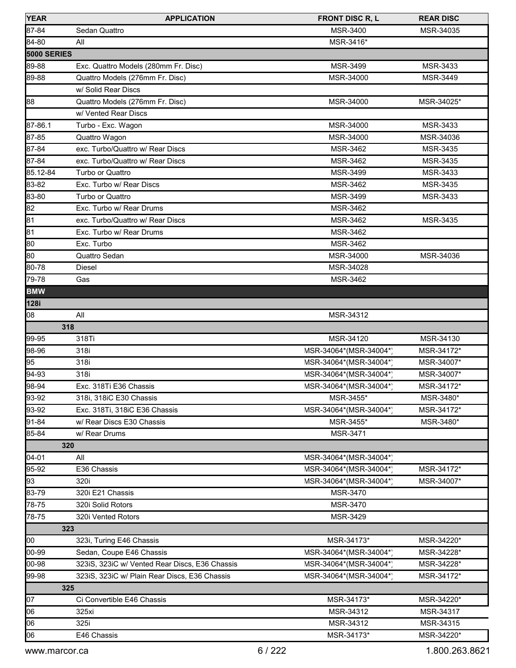| <b>YEAR</b>        | <b>APPLICATION</b>                             | <b>FRONT DISC R, L</b> | <b>REAR DISC</b> |
|--------------------|------------------------------------------------|------------------------|------------------|
| 87-84              | Sedan Quattro                                  | <b>MSR-3400</b>        | MSR-34035        |
| 84-80              | All                                            | MSR-3416*              |                  |
| <b>5000 SERIES</b> |                                                |                        |                  |
| 89-88              | Exc. Quattro Models (280mm Fr. Disc)           | MSR-3499               | MSR-3433         |
| 89-88              | Quattro Models (276mm Fr. Disc)                | MSR-34000              | MSR-3449         |
|                    | w/ Solid Rear Discs                            |                        |                  |
| 88                 | Quattro Models (276mm Fr. Disc)                | MSR-34000              | MSR-34025*       |
|                    | w/ Vented Rear Discs                           |                        |                  |
| 87-86.1            | Turbo - Exc. Wagon                             | MSR-34000              | MSR-3433         |
| 87-85              | Quattro Wagon                                  | MSR-34000              | MSR-34036        |
| 87-84              | exc. Turbo/Quattro w/ Rear Discs               | MSR-3462               | MSR-3435         |
| 87-84              | exc. Turbo/Quattro w/ Rear Discs               | MSR-3462               | MSR-3435         |
| 85.12-84           | Turbo or Quattro                               | <b>MSR-3499</b>        | MSR-3433         |
| 83-82              | Exc. Turbo w/ Rear Discs                       | MSR-3462               | MSR-3435         |
| 83-80              | Turbo or Quattro                               | MSR-3499               | MSR-3433         |
| 82                 | Exc. Turbo w/ Rear Drums                       | MSR-3462               |                  |
| 81                 | exc. Turbo/Quattro w/ Rear Discs               | MSR-3462               | MSR-3435         |
| 81                 | Exc. Turbo w/ Rear Drums                       | MSR-3462               |                  |
| 80                 | Exc. Turbo                                     | MSR-3462               |                  |
| 80                 | Quattro Sedan                                  | MSR-34000              | MSR-34036        |
| 80-78              | Diesel                                         | MSR-34028              |                  |
| 79-78              | Gas                                            | MSR-3462               |                  |
| <b>BMW</b>         |                                                |                        |                  |
| 128i               |                                                |                        |                  |
| 08                 | All                                            | MSR-34312              |                  |
| 318                |                                                |                        |                  |
| 99-95              | 318Ti                                          | MSR-34120              | MSR-34130        |
| 98-96              | 318i                                           | MSR-34064*(MSR-34004*) | MSR-34172*       |
| 95                 | 318i                                           | MSR-34064*(MSR-34004*) | MSR-34007*       |
| 94-93              | 318i                                           | MSR-34064*(MSR-34004*) | MSR-34007*       |
| 98-94              | Exc. 318Ti E36 Chassis                         | MSR-34064*(MSR-34004*) | MSR-34172*       |
| 93-92              | 318i, 318iC E30 Chassis                        | MSR-3455*              | MSR-3480*        |
| 93-92              | Exc. 318Ti, 318iC E36 Chassis                  | MSR-34064*(MSR-34004*) | MSR-34172*       |
| 91-84              | w/ Rear Discs E30 Chassis                      | MSR-3455*              | MSR-3480*        |
| 85-84              | w/ Rear Drums                                  | <b>MSR-3471</b>        |                  |
| 320                |                                                |                        |                  |
| $[04 - 01]$        | All                                            | MSR-34064*(MSR-34004*) |                  |
| 95-92              | E36 Chassis                                    | MSR-34064*(MSR-34004*) | MSR-34172*       |
| 93                 | 320i                                           | MSR-34064*(MSR-34004*) | MSR-34007*       |
| 83-79              | 320i E21 Chassis                               | MSR-3470               |                  |
| 78-75              | 320i Solid Rotors                              | MSR-3470               |                  |
| 78-75              | 320i Vented Rotors                             | MSR-3429               |                  |
| 323                |                                                |                        |                  |
| 00                 | 323i, Turing E46 Chassis                       | MSR-34173*             | MSR-34220*       |
| 00-99              | Sedan, Coupe E46 Chassis                       | MSR-34064*(MSR-34004*) | MSR-34228*       |
| 00-98              | 323iS, 323iC w/ Vented Rear Discs, E36 Chassis | MSR-34064*(MSR-34004*) | MSR-34228*       |
| 99-98              | 323iS, 323iC w/ Plain Rear Discs, E36 Chassis  | MSR-34064*(MSR-34004*) | MSR-34172*       |
| 325                |                                                |                        |                  |
| 07                 | Ci Convertible E46 Chassis                     | MSR-34173*             | MSR-34220*       |
| 06                 | 325xi                                          | MSR-34312              | MSR-34317        |
| 06                 | 325i                                           | MSR-34312              | MSR-34315        |
| 06                 | E46 Chassis                                    | MSR-34173*             | MSR-34220*       |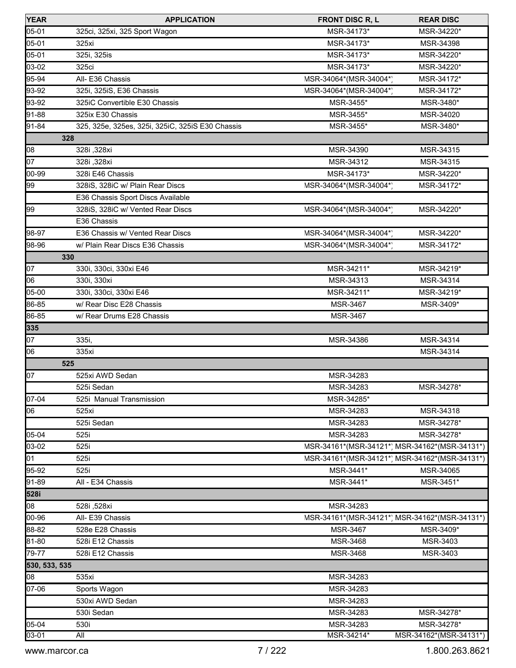| <b>YEAR</b>   | <b>APPLICATION</b>                               | <b>FRONT DISC R, L</b>                        | <b>REAR DISC</b>                              |
|---------------|--------------------------------------------------|-----------------------------------------------|-----------------------------------------------|
| 05-01         | 325ci, 325xi, 325 Sport Wagon                    | MSR-34173*                                    | MSR-34220*                                    |
| 05-01         | 325xi                                            | MSR-34173*                                    | MSR-34398                                     |
| 05-01         | 325i, 325is                                      | MSR-34173*                                    | MSR-34220*                                    |
| 03-02         | 325ci                                            | MSR-34173*                                    | MSR-34220*                                    |
| 95-94         | All-E36 Chassis                                  | MSR-34064*(MSR-34004*)                        | MSR-34172*                                    |
| 93-92         | 325i, 325iS, E36 Chassis                         | MSR-34064*(MSR-34004*)                        | MSR-34172*                                    |
| 93-92         | 325iC Convertible E30 Chassis                    | MSR-3455*                                     | MSR-3480*                                     |
| 91-88         | 325ix E30 Chassis                                | MSR-3455*                                     | MSR-34020                                     |
| 91-84         | 325, 325e, 325es, 325i, 325iC, 325iS E30 Chassis | MSR-3455*                                     | MSR-3480*                                     |
|               | 328                                              |                                               |                                               |
| 08            | 328i, 328xi                                      | MSR-34390                                     | MSR-34315                                     |
| 07            | 328i, 328xi                                      | MSR-34312                                     | MSR-34315                                     |
| 00-99         | 328i E46 Chassis                                 | MSR-34173*                                    | MSR-34220*                                    |
| 99            | 328iS, 328iC w/ Plain Rear Discs                 | MSR-34064*(MSR-34004*)                        | MSR-34172*                                    |
|               | E36 Chassis Sport Discs Available                |                                               |                                               |
| 99            | 328iS, 328iC w/ Vented Rear Discs                | MSR-34064*(MSR-34004*)                        | MSR-34220*                                    |
|               | E36 Chassis                                      |                                               |                                               |
| 98-97         | E36 Chassis w/ Vented Rear Discs                 | MSR-34064*(MSR-34004*)                        | MSR-34220*                                    |
| 98-96         | w/ Plain Rear Discs E36 Chassis                  | MSR-34064*(MSR-34004*)                        | MSR-34172*                                    |
|               | 330                                              |                                               |                                               |
| 07            | 330i, 330ci, 330xi E46                           | MSR-34211*                                    | MSR-34219*                                    |
| 06            | 330i, 330xi                                      | MSR-34313                                     | MSR-34314                                     |
| 05-00         | 330i, 330ci, 330xi E46                           | MSR-34211*                                    | MSR-34219*                                    |
| 86-85         | w/ Rear Disc E28 Chassis                         | MSR-3467                                      | MSR-3409*                                     |
| 86-85         | w/ Rear Drums E28 Chassis                        | MSR-3467                                      |                                               |
| 335           |                                                  |                                               |                                               |
| 07            | 335i,                                            | MSR-34386                                     | MSR-34314                                     |
| 06            | 335xi                                            |                                               | MSR-34314                                     |
|               | 525                                              |                                               |                                               |
| 07            | 525xi AWD Sedan                                  | MSR-34283                                     |                                               |
|               | 525i Sedan                                       | MSR-34283                                     | MSR-34278*                                    |
| 07-04         | 525i Manual Transmission                         | MSR-34285*                                    |                                               |
| 06            | 525xi                                            | MSR-34283                                     | MSR-34318                                     |
|               | 525i Sedan                                       | MSR-34283                                     | MSR-34278*                                    |
| 05-04         | 525i                                             | MSR-34283                                     | MSR-34278*                                    |
| 03-02         | 525i                                             |                                               | MSR-34161*(MSR-34121*) MSR-34162*(MSR-34131*) |
| 01            | 525i                                             | MSR-34161*(MSR-34121*) MSR-34162*(MSR-34131*) |                                               |
| 95-92         | 525i                                             | MSR-3441*                                     | MSR-34065                                     |
| 91-89         | All - E34 Chassis                                | MSR-3441*                                     | MSR-3451*                                     |
| 528i          |                                                  |                                               |                                               |
| 08            | 528i, 528xi                                      | MSR-34283                                     |                                               |
| 00-96         | All- E39 Chassis                                 |                                               | MSR-34161*(MSR-34121*) MSR-34162*(MSR-34131*) |
| 88-82         | 528e E28 Chassis                                 | MSR-3467                                      | MSR-3409*                                     |
| 81-80         | 528i E12 Chassis                                 | <b>MSR-3468</b>                               | MSR-3403                                      |
| 79-77         | 528i E12 Chassis                                 | MSR-3468                                      | MSR-3403                                      |
| 530, 533, 535 |                                                  |                                               |                                               |
| 08            | 535xi                                            | MSR-34283                                     |                                               |
| 07-06         | Sports Wagon                                     | MSR-34283                                     |                                               |
|               | 530xi AWD Sedan                                  | MSR-34283                                     |                                               |
|               | 530i Sedan                                       | MSR-34283                                     | MSR-34278*                                    |
| 05-04         | 530i                                             | MSR-34283                                     | MSR-34278*                                    |
| 03-01         | All                                              | MSR-34214*                                    | MSR-34162*(MSR-34131*)                        |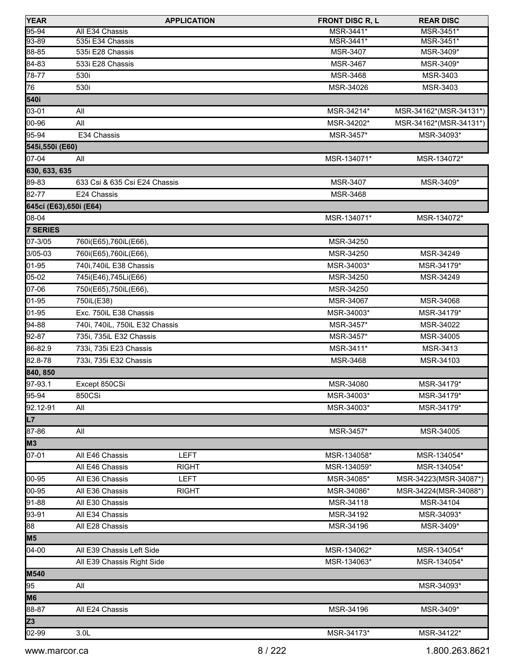| <b>YEAR</b>             |                                | <b>APPLICATION</b> | <b>FRONT DISC R, L</b> | <b>REAR DISC</b>       |
|-------------------------|--------------------------------|--------------------|------------------------|------------------------|
| 95-94                   | All E34 Chassis                |                    | MSR-3441*              | MSR-3451*              |
| 93-89                   | 535i E34 Chassis               |                    | MSR-3441*              | MSR-3451*              |
| 88-85                   | 535i E28 Chassis               |                    | MSR-3407               | MSR-3409*              |
| 84-83                   | 533i E28 Chassis               |                    | MSR-3467               | MSR-3409*              |
| 78-77                   | 530i                           |                    | MSR-3468               | MSR-3403               |
| 76                      | 530i                           |                    | MSR-34026              | MSR-3403               |
| 540i                    |                                |                    |                        |                        |
| 03-01                   | All                            |                    | MSR-34214*             | MSR-34162*(MSR-34131*) |
| 00-96                   | All                            |                    | MSR-34202*             | MSR-34162*(MSR-34131*) |
| 95-94                   | E34 Chassis                    |                    | MSR-3457*              | MSR-34093*             |
| 545i,550i (E60)         |                                |                    |                        |                        |
| 07-04                   | All                            |                    | MSR-134071*            | MSR-134072*            |
| 630, 633, 635           |                                |                    |                        |                        |
| 89-83                   | 633 Csi & 635 Csi E24 Chassis  |                    | MSR-3407               | MSR-3409*              |
| 82-77                   | E24 Chassis                    |                    | MSR-3468               |                        |
| 645ci (E63), 650i (E64) |                                |                    |                        |                        |
| 08-04                   |                                |                    | MSR-134071*            | MSR-134072*            |
| 7 SERIES                |                                |                    |                        |                        |
| 07-3/05                 | 760i(E65), 760iL(E66),         |                    | MSR-34250              |                        |
| 3/05-03                 | 760i(E65), 760iL(E66),         |                    | MSR-34250              | MSR-34249              |
| 01-95                   | 740i,740iL E38 Chassis         |                    | MSR-34003*             | MSR-34179*             |
| 05-02                   | 745i(E46), 745Li(E66)          |                    | MSR-34250              | MSR-34249              |
| 07-06                   | 750i(E65), 750iL(E66),         |                    | MSR-34250              |                        |
| 01-95                   | 750iL(E38)                     |                    | MSR-34067              | MSR-34068              |
| 01-95                   | Exc. 750iL E38 Chassis         |                    | MSR-34003*             | MSR-34179*             |
| 94-88                   | 740i, 740iL, 750iL E32 Chassis |                    | MSR-3457*              | MSR-34022              |
| 92-87                   | 735i, 735iL E32 Chassis        |                    | MSR-3457*              | MSR-34005              |
| 86-82.9                 | 733i, 735i E23 Chassis         |                    | MSR-3411*              | MSR-3413               |
| 82.8-78                 | 733i, 735i E32 Chassis         |                    | <b>MSR-3468</b>        | MSR-34103              |
| 840, 850                |                                |                    |                        |                        |
| 97-93.1                 | Except 850CSi                  |                    | MSR-34080              | MSR-34179*             |
| $95-94$                 | 850CSi                         |                    | MSR-34003*             | MSR-34179*             |
| 92.12-91                | All                            |                    | MSR-34003*             | MSR-34179*             |
| L7                      |                                |                    |                        |                        |
| 87-86                   | All                            |                    | MSR-3457*              | MSR-34005              |
| M3                      |                                |                    |                        |                        |
| 07-01                   | All E46 Chassis                | <b>LEFT</b>        | MSR-134058*            | MSR-134054*            |
|                         | All E46 Chassis                | <b>RIGHT</b>       | MSR-134059*            | MSR-134054*            |
| 00-95                   | All E36 Chassis                | <b>LEFT</b>        | MSR-34085*             | MSR-34223(MSR-34087*)  |
| 00-95                   | All E36 Chassis                | <b>RIGHT</b>       | MSR-34086*             | MSR-34224(MSR-34088*)  |
| 91-88                   | All E30 Chassis                |                    | MSR-34118              | MSR-34104              |
| 93-91                   | All E34 Chassis                |                    | MSR-34192              | MSR-34093*             |
| 88                      | All E28 Chassis                |                    | MSR-34196              | MSR-3409*              |
| M <sub>5</sub>          |                                |                    |                        |                        |
| $04-00$                 | All E39 Chassis Left Side      |                    | MSR-134062*            | MSR-134054*            |
|                         | All E39 Chassis Right Side     |                    | MSR-134063*            | MSR-134054*            |
| <b>M540</b>             |                                |                    |                        |                        |
| 95                      | All                            |                    |                        | MSR-34093*             |
| M <sub>6</sub>          |                                |                    |                        |                        |
| 88-87                   | All E24 Chassis                |                    | MSR-34196              | MSR-3409*              |
| Z <sub>3</sub>          |                                |                    |                        |                        |
| 02-99                   | 3.0 <sub>L</sub>               |                    | MSR-34173*             | MSR-34122*             |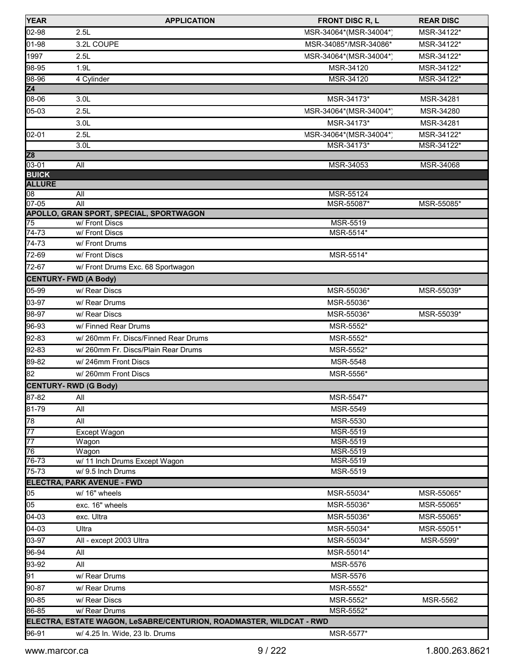| <b>YEAR</b>               | <b>APPLICATION</b>                                                  | <b>FRONT DISC R, L</b>       | <b>REAR DISC</b> |
|---------------------------|---------------------------------------------------------------------|------------------------------|------------------|
| 02-98                     | 2.5L                                                                | MSR-34064*(MSR-34004*)       | MSR-34122*       |
| 01-98                     | 3.2L COUPE                                                          | MSR-34085*/MSR-34086*        | MSR-34122*       |
| 1997                      | 2.5L                                                                | MSR-34064*(MSR-34004*)       | MSR-34122*       |
| 98-95                     | 1.9L                                                                | MSR-34120                    | MSR-34122*       |
| 98-96                     | 4 Cylinder                                                          | MSR-34120                    | MSR-34122*       |
| Z4                        |                                                                     |                              |                  |
| 08-06                     | 3.0 <sub>L</sub>                                                    | MSR-34173*                   | MSR-34281        |
| 05-03                     | 2.5L                                                                | MSR-34064*(MSR-34004*)       | MSR-34280        |
|                           | 3.0 <sub>L</sub>                                                    | MSR-34173*                   | MSR-34281        |
| 02-01                     | 2.5L                                                                | MSR-34064*(MSR-34004*)       | MSR-34122*       |
|                           | 3.0L                                                                | MSR-34173*                   | MSR-34122*       |
| Z <sub>8</sub>            |                                                                     |                              |                  |
| $03 - 01$<br><b>BUICK</b> | All                                                                 | MSR-34053                    | MSR-34068        |
| <b>ALLURE</b>             |                                                                     |                              |                  |
| 08                        | All                                                                 | MSR-55124                    |                  |
| $07 - 05$                 | All                                                                 | MSR-55087*                   | MSR-55085*       |
|                           | <b>APOLLO, GRAN SPORT, SPECIAL, SPORTWAGON</b>                      |                              |                  |
| 75<br>$74 - 73$           | w/Front Discs<br>w/Front Discs                                      | <b>MSR-5519</b><br>MSR-5514* |                  |
| 74-73                     | w/Front Drums                                                       |                              |                  |
| 72-69                     | w/ Front Discs                                                      | MSR-5514*                    |                  |
| 72-67                     |                                                                     |                              |                  |
|                           | w/ Front Drums Exc. 68 Sportwagon                                   |                              |                  |
|                           | <b>CENTURY-FWD (A Body)</b>                                         |                              |                  |
| 05-99                     | w/ Rear Discs                                                       | MSR-55036*                   | MSR-55039*       |
| 03-97                     | w/ Rear Drums                                                       | MSR-55036*                   |                  |
| 98-97                     | w/ Rear Discs                                                       | MSR-55036*                   | MSR-55039*       |
| 96-93                     | w/ Finned Rear Drums                                                | MSR-5552*                    |                  |
| 92-83                     | w/ 260mm Fr. Discs/Finned Rear Drums                                | MSR-5552*                    |                  |
| 92-83                     | w/ 260mm Fr. Discs/Plain Rear Drums                                 | MSR-5552*                    |                  |
| 89-82                     | w/246mm Front Discs                                                 | MSR-5548                     |                  |
| 82                        | w/260mm Front Discs                                                 | MSR-5556*                    |                  |
|                           | <b>CENTURY-RWD (G Body)</b>                                         |                              |                  |
| 87-82                     | All                                                                 | MSR-5547*                    |                  |
| 81-79                     | All                                                                 | MSR-5549                     |                  |
| 78                        | All                                                                 | MSR-5530                     |                  |
| $\overline{77}$           | Except Wagon                                                        | <b>MSR-5519</b>              |                  |
| $\overline{77}$<br>76     | Wagon<br>Wagon                                                      | MSR-5519<br>MSR-5519         |                  |
| 76-73                     | w/ 11 Inch Drums Except Wagon                                       | <b>MSR-5519</b>              |                  |
| 75-73                     | w/ 9.5 Inch Drums                                                   | MSR-5519                     |                  |
|                           | ELECTRA, PARK AVENUE - FWD                                          |                              |                  |
| 05                        | w/ 16" wheels                                                       | MSR-55034*                   | MSR-55065*       |
| 05                        | exc. 16" wheels                                                     | MSR-55036*                   | MSR-55065*       |
| 04-03                     | exc. Ultra                                                          | MSR-55036*                   | MSR-55065*       |
| $04-03$                   | Ultra                                                               | MSR-55034*                   | MSR-55051*       |
| 03-97                     | All - except 2003 Ultra                                             | MSR-55034*                   | MSR-5599*        |
| 96-94                     | All                                                                 | MSR-55014*                   |                  |
| 93-92                     | All                                                                 | MSR-5576                     |                  |
| 91                        | w/ Rear Drums                                                       | MSR-5576                     |                  |
| 90-87                     | w/ Rear Drums                                                       | MSR-5552*                    |                  |
| 90-85                     | w/ Rear Discs                                                       | MSR-5552*                    | MSR-5562         |
| 86-85                     | w/ Rear Drums                                                       | MSR-5552*                    |                  |
|                           | ELECTRA, ESTATE WAGON, LeSABRE/CENTURION, ROADMASTER, WILDCAT - RWD |                              |                  |
| 96-91                     | w/ 4.25 In. Wide, 23 lb. Drums                                      | MSR-5577*                    |                  |
|                           |                                                                     |                              |                  |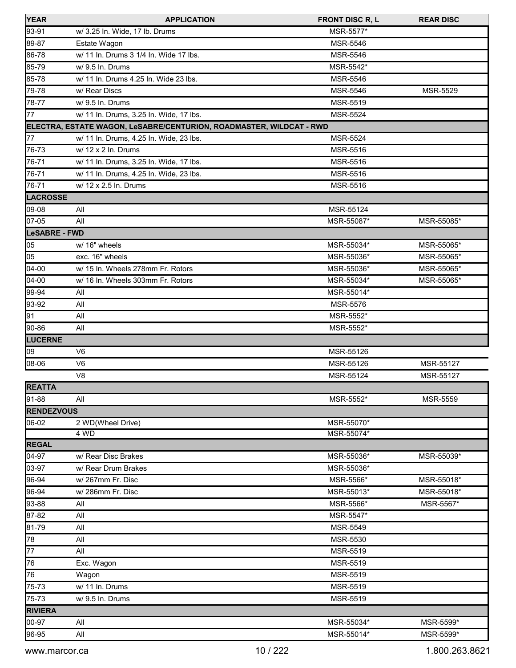| <b>YEAR</b>       | <b>APPLICATION</b>                                                  | <b>FRONT DISC R, L</b> | <b>REAR DISC</b> |
|-------------------|---------------------------------------------------------------------|------------------------|------------------|
| 93-91             | w/ 3.25 In. Wide, 17 lb. Drums                                      | MSR-5577*              |                  |
| 89-87             | Estate Wagon                                                        | <b>MSR-5546</b>        |                  |
| 86-78             | w/ 11 In. Drums 3 1/4 In. Wide 17 lbs.                              | <b>MSR-5546</b>        |                  |
| 85-79             | w/ 9.5 In. Drums                                                    | MSR-5542*              |                  |
| 85-78             | w/ 11 In. Drums 4.25 In. Wide 23 lbs.                               | MSR-5546               |                  |
| 79-78             | w/ Rear Discs                                                       | <b>MSR-5546</b>        | MSR-5529         |
| 78-77             | w/ 9.5 ln. Drums                                                    | MSR-5519               |                  |
| 77                | w/ 11 In. Drums, 3.25 In. Wide, 17 lbs.                             | <b>MSR-5524</b>        |                  |
|                   | ELECTRA, ESTATE WAGON, LeSABRE/CENTURION, ROADMASTER, WILDCAT - RWD |                        |                  |
| 77                | w/ 11 In. Drums, 4.25 In. Wide, 23 lbs.                             | <b>MSR-5524</b>        |                  |
| 76-73             | w/ 12 x 2 In. Drums                                                 | MSR-5516               |                  |
| 76-71             | w/ 11 In. Drums, 3.25 In. Wide, 17 lbs.                             | MSR-5516               |                  |
| 76-71             | w/ 11 In. Drums, 4.25 In. Wide, 23 lbs.                             | MSR-5516               |                  |
| 76-71             | w/ 12 x 2.5 ln. Drums                                               | MSR-5516               |                  |
| <b>LACROSSE</b>   |                                                                     |                        |                  |
| 09-08             | All                                                                 | MSR-55124              |                  |
| 07-05             | All                                                                 | MSR-55087*             | MSR-55085*       |
| LeSABRE - FWD     |                                                                     |                        |                  |
| 05                | w/ 16" wheels                                                       | MSR-55034*             | MSR-55065*       |
| 05                | exc. 16" wheels                                                     | MSR-55036*             | MSR-55065*       |
| 04-00             | w/ 15 In. Wheels 278mm Fr. Rotors                                   | MSR-55036*             | MSR-55065*       |
| 04-00             | w/ 16 In. Wheels 303mm Fr. Rotors                                   | MSR-55034*             | MSR-55065*       |
| 99-94             | All                                                                 | MSR-55014*             |                  |
| 93-92             | All                                                                 | <b>MSR-5576</b>        |                  |
| 91                | All                                                                 | MSR-5552*              |                  |
| 90-86             | All                                                                 | MSR-5552*              |                  |
| <b>LUCERNE</b>    |                                                                     |                        |                  |
| 09                | V <sub>6</sub>                                                      | MSR-55126              |                  |
| 08-06             | V <sub>6</sub>                                                      | MSR-55126              | MSR-55127        |
|                   | V <sub>8</sub>                                                      | MSR-55124              | MSR-55127        |
| <b>REATTA</b>     |                                                                     |                        |                  |
| $91 - 88$         | All                                                                 | MSR-5552*              | <b>MSR-5559</b>  |
| <b>RENDEZVOUS</b> |                                                                     |                        |                  |
| 06-02             | 2 WD(Wheel Drive)                                                   | MSR-55070*             |                  |
|                   | 4 WD                                                                | MSR-55074*             |                  |
| <b>REGAL</b>      |                                                                     |                        |                  |
| 04-97             | w/ Rear Disc Brakes                                                 | MSR-55036*             | MSR-55039*       |
| 03-97             | w/ Rear Drum Brakes                                                 | MSR-55036*             |                  |
| 96-94             | w/267mm Fr. Disc                                                    | MSR-5566*              | MSR-55018*       |
| 96-94             | w/286mm Fr. Disc                                                    | MSR-55013*             | MSR-55018*       |
| 93-88             | All                                                                 | MSR-5566*              | MSR-5567*        |
| 87-82             | All                                                                 | MSR-5547*              |                  |
| 81-79             | All                                                                 | MSR-5549               |                  |
| 78                | All                                                                 | MSR-5530               |                  |
| 77                | All                                                                 | MSR-5519               |                  |
| 76                | Exc. Wagon                                                          | MSR-5519               |                  |
| 76                | Wagon                                                               | MSR-5519               |                  |
| 75-73             | w/ 11 In. Drums                                                     | MSR-5519               |                  |
| 75-73             | w/ 9.5 In. Drums                                                    | MSR-5519               |                  |
| <b>RIVIERA</b>    |                                                                     |                        |                  |
| 00-97             | All                                                                 | MSR-55034*             | MSR-5599*        |
| 96-95             | All                                                                 | MSR-55014*             | MSR-5599*        |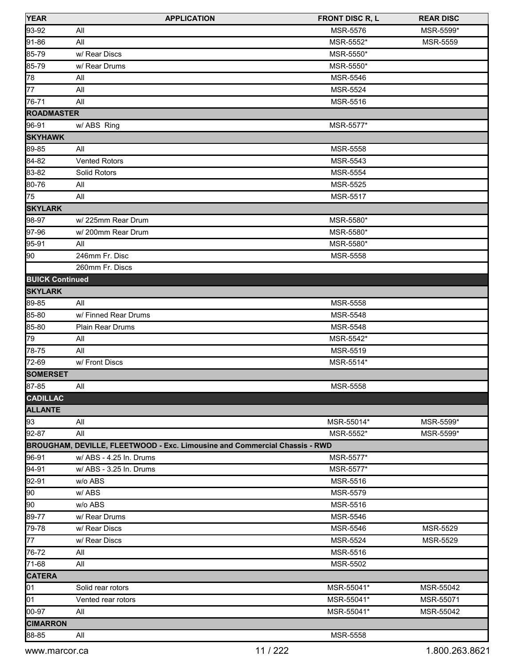| <b>YEAR</b>            | <b>APPLICATION</b>                                                         | <b>FRONT DISC R, L</b> | <b>REAR DISC</b> |
|------------------------|----------------------------------------------------------------------------|------------------------|------------------|
| 93-92                  | All                                                                        | <b>MSR-5576</b>        | MSR-5599*        |
| 91-86                  | All                                                                        | MSR-5552*              | <b>MSR-5559</b>  |
| 85-79                  | w/ Rear Discs                                                              | MSR-5550*              |                  |
| 85-79                  | w/ Rear Drums                                                              | MSR-5550*              |                  |
| 78                     | All                                                                        | <b>MSR-5546</b>        |                  |
| 77                     | All                                                                        | <b>MSR-5524</b>        |                  |
| 76-71                  | All                                                                        | MSR-5516               |                  |
| <b>ROADMASTER</b>      |                                                                            |                        |                  |
| 96-91                  | w/ ABS Ring                                                                | MSR-5577*              |                  |
| <b>SKYHAWK</b>         |                                                                            |                        |                  |
| 89-85                  | All                                                                        | MSR-5558               |                  |
| 84-82                  | <b>Vented Rotors</b>                                                       | <b>MSR-5543</b>        |                  |
| 83-82                  | Solid Rotors                                                               | <b>MSR-5554</b>        |                  |
| 80-76                  | All                                                                        | <b>MSR-5525</b>        |                  |
| 75                     | All                                                                        | <b>MSR-5517</b>        |                  |
| <b>SKYLARK</b>         |                                                                            |                        |                  |
| 98-97                  | w/225mm Rear Drum                                                          | MSR-5580*              |                  |
| 97-96                  | w/200mm Rear Drum                                                          | MSR-5580*              |                  |
| 95-91                  | All                                                                        | MSR-5580*              |                  |
| 90                     | 246mm Fr. Disc                                                             | MSR-5558               |                  |
|                        | 260mm Fr. Discs                                                            |                        |                  |
| <b>BUICK Continued</b> |                                                                            |                        |                  |
| <b>SKYLARK</b>         |                                                                            |                        |                  |
| 89-85                  | All                                                                        | MSR-5558               |                  |
| 85-80                  | w/ Finned Rear Drums                                                       | MSR-5548               |                  |
| 85-80                  | Plain Rear Drums                                                           | MSR-5548               |                  |
| 79                     | All                                                                        | MSR-5542*              |                  |
| 78-75                  | All                                                                        | MSR-5519               |                  |
| 72-69                  | w/ Front Discs                                                             | MSR-5514*              |                  |
| <b>SOMERSET</b>        |                                                                            |                        |                  |
| 87-85                  | All                                                                        | <b>MSR-5558</b>        |                  |
| <b>CADILLAC</b>        |                                                                            |                        |                  |
| <b>ALLANTE</b>         |                                                                            |                        |                  |
| 93                     | All                                                                        | MSR-55014*             | MSR-5599*        |
| 92-87                  | All                                                                        | MSR-5552*              | MSR-5599*        |
|                        | BROUGHAM, DEVILLE, FLEETWOOD - Exc. Limousine and Commercial Chassis - RWD |                        |                  |
| 96-91                  | w/ ABS - 4.25 In. Drums                                                    | MSR-5577*              |                  |
| 94-91                  | w/ ABS - 3.25 In. Drums                                                    | MSR-5577*              |                  |
| 92-91                  | w/o ABS                                                                    | MSR-5516               |                  |
| 90                     | w/ABS                                                                      | MSR-5579               |                  |
| 90                     | w/o ABS                                                                    | <b>MSR-5516</b>        |                  |
| 89-77                  | w/ Rear Drums                                                              | MSR-5546               |                  |
| 79-78                  | w/ Rear Discs                                                              | MSR-5546               | MSR-5529         |
| 77                     | w/ Rear Discs                                                              | <b>MSR-5524</b>        | <b>MSR-5529</b>  |
| 76-72                  | All                                                                        | MSR-5516               |                  |
| 71-68                  | All                                                                        | MSR-5502               |                  |
| <b>CATERA</b>          |                                                                            |                        |                  |
| 01                     | Solid rear rotors                                                          | MSR-55041*             | MSR-55042        |
| 01                     | Vented rear rotors                                                         | MSR-55041*             | MSR-55071        |
| 00-97                  | All                                                                        | MSR-55041*             | MSR-55042        |
| <b>CIMARRON</b>        |                                                                            |                        |                  |
| 88-85                  | All                                                                        | MSR-5558               |                  |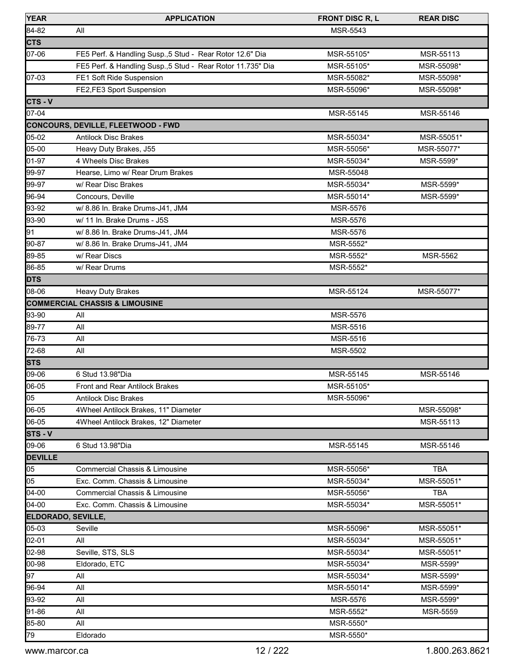| <b>YEAR</b>               | <b>APPLICATION</b>                                          | <b>FRONT DISC R, L</b> | <b>REAR DISC</b> |
|---------------------------|-------------------------------------------------------------|------------------------|------------------|
| 84-82                     | All                                                         | MSR-5543               |                  |
| <b>CTS</b>                |                                                             |                        |                  |
| 07-06                     | FE5 Perf. & Handling Susp., 5 Stud - Rear Rotor 12.6" Dia   | MSR-55105*             | MSR-55113        |
|                           | FE5 Perf. & Handling Susp., 5 Stud - Rear Rotor 11.735" Dia | MSR-55105*             | MSR-55098*       |
| 07-03                     | FE1 Soft Ride Suspension                                    | MSR-55082*             | MSR-55098*       |
|                           | FE2,FE3 Sport Suspension                                    | MSR-55096*             | MSR-55098*       |
| $CTS - V$                 |                                                             |                        |                  |
| 07-04                     |                                                             | MSR-55145              | MSR-55146        |
|                           | <b>CONCOURS, DEVILLE, FLEETWOOD - FWD</b>                   |                        |                  |
| 05-02                     | <b>Antilock Disc Brakes</b>                                 | MSR-55034*             | MSR-55051*       |
| 05-00                     | Heavy Duty Brakes, J55                                      | MSR-55056*             | MSR-55077*       |
| 01-97                     | 4 Wheels Disc Brakes                                        | MSR-55034*             | MSR-5599*        |
| 99-97                     | Hearse, Limo w/ Rear Drum Brakes                            | MSR-55048              |                  |
| 99-97                     | w/ Rear Disc Brakes                                         | MSR-55034*             | MSR-5599*        |
| 96-94                     | Concours, Deville                                           | MSR-55014*             | MSR-5599*        |
| 93-92                     | w/ 8.86 In. Brake Drums-J41, JM4                            | MSR-5576               |                  |
| 93-90                     | w/ 11 In. Brake Drums - J5S                                 | MSR-5576               |                  |
| 91                        | w/ 8.86 In. Brake Drums-J41, JM4                            | <b>MSR-5576</b>        |                  |
| 90-87                     | w/ 8.86 In. Brake Drums-J41, JM4                            | MSR-5552*              |                  |
| 89-85                     | w/ Rear Discs                                               | MSR-5552*              | <b>MSR-5562</b>  |
| 86-85                     | w/ Rear Drums                                               | MSR-5552*              |                  |
| <b>DTS</b>                |                                                             |                        |                  |
| 08-06                     | <b>Heavy Duty Brakes</b>                                    | MSR-55124              | MSR-55077*       |
|                           | <b>COMMERCIAL CHASSIS &amp; LIMOUSINE</b>                   |                        |                  |
| 93-90                     | All                                                         | MSR-5576               |                  |
| 89-77                     | All                                                         | MSR-5516               |                  |
| 76-73                     | All                                                         | MSR-5516               |                  |
| 72-68                     | All                                                         | MSR-5502               |                  |
| <b>STS</b>                |                                                             |                        |                  |
| 09-06                     | 6 Stud 13.98"Dia                                            | MSR-55145              | MSR-55146        |
| 06-05                     | <b>Front and Rear Antilock Brakes</b>                       | MSR-55105*             |                  |
| 05                        | <b>Antilock Disc Brakes</b>                                 | MSR-55096*             |                  |
| 06-05                     | 4Wheel Antilock Brakes, 11" Diameter                        |                        | MSR-55098*       |
| 06-05                     | 4Wheel Antilock Brakes, 12" Diameter                        |                        | MSR-55113        |
| $STS - V$                 |                                                             |                        |                  |
| 09-06                     | 6 Stud 13.98"Dia                                            | MSR-55145              | MSR-55146        |
| <b>DEVILLE</b>            |                                                             |                        |                  |
| 05                        | <b>Commercial Chassis &amp; Limousine</b>                   | MSR-55056*             | <b>TBA</b>       |
| 05                        | Exc. Comm. Chassis & Limousine                              | MSR-55034*             | MSR-55051*       |
| $04-00$                   | Commercial Chassis & Limousine                              | MSR-55056*             | <b>TBA</b>       |
| $04-00$                   | Exc. Comm. Chassis & Limousine                              | MSR-55034*             | MSR-55051*       |
| <b>ELDORADO, SEVILLE,</b> |                                                             |                        |                  |
| 05-03                     | Seville                                                     | MSR-55096*             | MSR-55051*       |
| 02-01                     | All                                                         | MSR-55034*             | MSR-55051*       |
| 02-98                     | Seville, STS, SLS                                           | MSR-55034*             | MSR-55051*       |
| 00-98                     | Eldorado, ETC                                               | MSR-55034*             | MSR-5599*        |
| 97                        | aii                                                         | MSR-55034*             | MSR-5599*        |
| 96-94                     | All                                                         | MSR-55014*             | MSR-5599*        |
| 93-92                     | All                                                         | <b>MSR-5576</b>        | MSR-5599*        |
| 91-86                     | All                                                         | MSR-5552*              | MSR-5559         |
| 85-80                     | All                                                         | MSR-5550*              |                  |
| 79                        | Eldorado                                                    | MSR-5550*              |                  |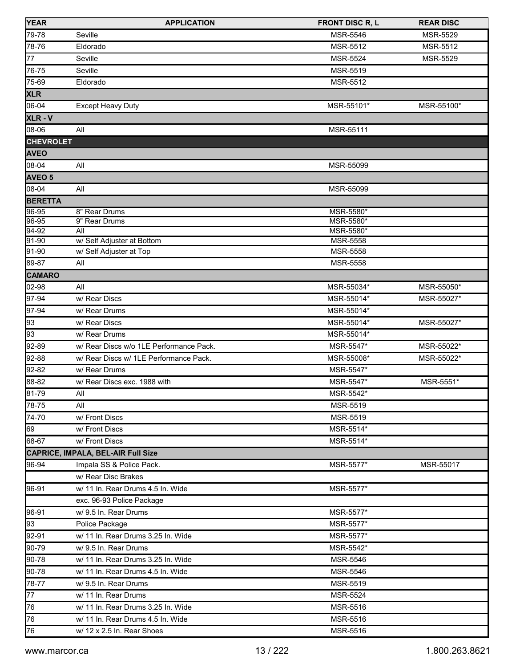| <b>YEAR</b>      | <b>APPLICATION</b>                                             | <b>FRONT DISC R, L</b>  | <b>REAR DISC</b>         |
|------------------|----------------------------------------------------------------|-------------------------|--------------------------|
| 79-78            | Seville                                                        | <b>MSR-5546</b>         | MSR-5529                 |
| 78-76            | Eldorado                                                       | MSR-5512                | MSR-5512                 |
| $\overline{7}7$  | Seville                                                        | <b>MSR-5524</b>         | MSR-5529                 |
| 76-75            | Seville                                                        | MSR-5519                |                          |
| 75-69            | Eldorado                                                       | MSR-5512                |                          |
| <b>XLR</b>       |                                                                |                         |                          |
| 06-04            | <b>Except Heavy Duty</b>                                       | MSR-55101*              | MSR-55100*               |
| XLR-V            |                                                                |                         |                          |
| 08-06            | All                                                            | MSR-55111               |                          |
| <b>CHEVROLET</b> |                                                                |                         |                          |
| <b>AVEO</b>      |                                                                |                         |                          |
| 08-04            | All                                                            | MSR-55099               |                          |
| <b>AVEO 5</b>    |                                                                |                         |                          |
| 08-04            | All                                                            | MSR-55099               |                          |
| <b>BERETTA</b>   |                                                                |                         |                          |
| 96-95            | 8" Rear Drums                                                  | MSR-5580*               |                          |
| 96-95            | 9" Rear Drums                                                  | MSR-5580*               |                          |
| 94-92            | All                                                            | MSR-5580*               |                          |
| 91-90<br>91-90   | w/ Self Adjuster at Bottom<br>w/ Self Adjuster at Top          | MSR-5558<br>MSR-5558    |                          |
| 89-87            | All                                                            | <b>MSR-5558</b>         |                          |
| <b>CAMARO</b>    |                                                                |                         |                          |
| 02-98            | All                                                            | MSR-55034*              |                          |
| 97-94            | w/ Rear Discs                                                  | MSR-55014*              | MSR-55050*<br>MSR-55027* |
| 97-94            | w/ Rear Drums                                                  | MSR-55014*              |                          |
| 93               | w/ Rear Discs                                                  | MSR-55014*              | MSR-55027*               |
| 93               | w/ Rear Drums                                                  | MSR-55014*              |                          |
| $92-89$          | w/ Rear Discs w/o 1LE Performance Pack.                        | MSR-5547*               | MSR-55022*               |
| 92-88            | w/ Rear Discs w/ 1LE Performance Pack.                         |                         | MSR-55022*               |
| $92 - 82$        | w/ Rear Drums                                                  | MSR-55008*<br>MSR-5547* |                          |
| 88-82            |                                                                | MSR-5547*               |                          |
| 81-79            | w/ Rear Discs exc. 1988 with                                   |                         | MSR-5551*                |
| $78 - 75$        | All<br>All                                                     | MSR-5542*               |                          |
|                  |                                                                | MSR-5519                |                          |
| $\sqrt{74-70}$   | w/ Front Discs                                                 | MSR-5519                |                          |
| 69<br>68-67      | w/ Front Discs<br>w/ Front Discs                               | MSR-5514*               |                          |
|                  |                                                                | MSR-5514*               |                          |
|                  | CAPRICE, IMPALA, BEL-AIR Full Size<br>Impala SS & Police Pack. |                         |                          |
| 96-94            |                                                                | MSR-5577*               | MSR-55017                |
|                  | w/ Rear Disc Brakes                                            |                         |                          |
| 96-91            | w/ 11 In. Rear Drums 4.5 In. Wide                              | MSR-5577*               |                          |
|                  | exc. 96-93 Police Package                                      |                         |                          |
| 96-91            | w/ 9.5 In. Rear Drums                                          | MSR-5577*               |                          |
| 93               | Police Package                                                 | MSR-5577*               |                          |
| 92-91            | w/ 11 In. Rear Drums 3.25 In. Wide                             | MSR-5577*               |                          |
| 90-79            | w/ 9.5 In. Rear Drums                                          | MSR-5542*               |                          |
| 90-78            | w/ 11 In. Rear Drums 3.25 In. Wide                             | MSR-5546                |                          |
| 90-78            | w/ 11 In. Rear Drums 4.5 In. Wide                              | MSR-5546                |                          |
| 78-77            | w/ 9.5 In. Rear Drums                                          | MSR-5519                |                          |
| $\overline{77}$  | w/ 11 In. Rear Drums                                           | <b>MSR-5524</b>         |                          |
| 76               | w/ 11 In. Rear Drums 3.25 In. Wide                             | MSR-5516                |                          |
| 76               | w/ 11 In. Rear Drums 4.5 In. Wide                              | MSR-5516                |                          |
| 76               | w/ 12 x 2.5 In. Rear Shoes                                     | MSR-5516                |                          |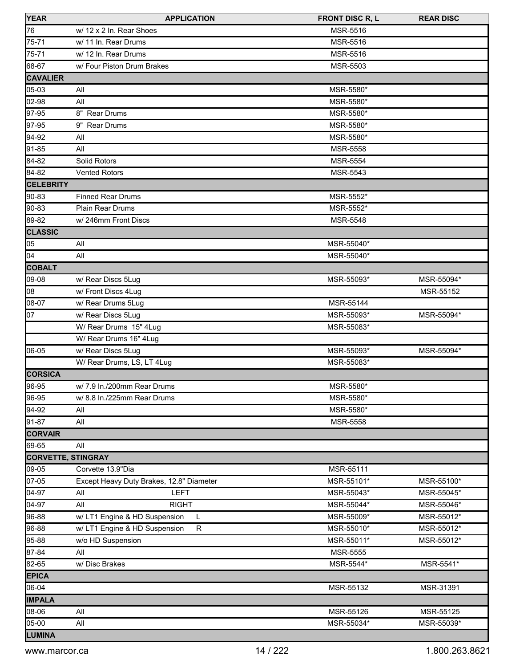| <b>YEAR</b>               | <b>APPLICATION</b>                            | <b>FRONT DISC R, L</b> | <b>REAR DISC</b> |
|---------------------------|-----------------------------------------------|------------------------|------------------|
| 76                        | w/ 12 x 2 In. Rear Shoes                      | MSR-5516               |                  |
| 75-71                     | w/ 11 In. Rear Drums                          | MSR-5516               |                  |
| 75-71                     | w/ 12 In. Rear Drums                          | <b>MSR-5516</b>        |                  |
| 68-67                     | w/ Four Piston Drum Brakes                    | MSR-5503               |                  |
| <b>CAVALIER</b>           |                                               |                        |                  |
| 05-03                     | All                                           | MSR-5580*              |                  |
| 02-98                     | All                                           | MSR-5580*              |                  |
| 97-95                     | 8" Rear Drums                                 | MSR-5580*              |                  |
| 97-95                     | 9" Rear Drums                                 | MSR-5580*              |                  |
| 94-92                     | All                                           | MSR-5580*              |                  |
| 91-85                     | All                                           | MSR-5558               |                  |
| 84-82                     | Solid Rotors                                  | <b>MSR-5554</b>        |                  |
| 84-82                     | <b>Vented Rotors</b>                          | MSR-5543               |                  |
| <b>CELEBRITY</b>          |                                               |                        |                  |
| 90-83                     | <b>Finned Rear Drums</b>                      | MSR-5552*              |                  |
| 90-83                     | Plain Rear Drums                              | MSR-5552*              |                  |
| 89-82                     | w/246mm Front Discs                           | MSR-5548               |                  |
| <b>CLASSIC</b>            |                                               |                        |                  |
| 05                        | All                                           | MSR-55040*             |                  |
| 04                        | All                                           | MSR-55040*             |                  |
| <b>COBALT</b>             |                                               |                        |                  |
| 09-08                     | w/ Rear Discs 5Lug                            | MSR-55093*             | MSR-55094*       |
| 08                        | w/ Front Discs 4Lug                           |                        | MSR-55152        |
| 08-07                     | w/ Rear Drums 5Lug                            | MSR-55144              |                  |
| 07                        | w/ Rear Discs 5Lug                            | MSR-55093*             | MSR-55094*       |
|                           | W/ Rear Drums 15" 4Lug                        | MSR-55083*             |                  |
|                           | W/ Rear Drums 16" 4Lug                        |                        |                  |
| 06-05                     | w/ Rear Discs 5Lug                            | MSR-55093*             | MSR-55094*       |
|                           | W/ Rear Drums, LS, LT 4Lug                    | MSR-55083*             |                  |
| <b>CORSICA</b>            |                                               |                        |                  |
| 96-95                     | w/7.9 ln./200mm Rear Drums                    | MSR-5580*              |                  |
| 96-95                     | w/ 8.8 ln./225mm Rear Drums                   | MSR-5580*              |                  |
| 94-92                     | All                                           | MSR-5580*              |                  |
| 91-87                     | All                                           | MSR-5558               |                  |
| <b>CORVAIR</b>            |                                               |                        |                  |
| 69-65                     | All                                           |                        |                  |
| <b>CORVETTE, STINGRAY</b> |                                               |                        |                  |
| 09-05                     | Corvette 13.9"Dia                             | MSR-55111              |                  |
| 07-05                     | Except Heavy Duty Brakes, 12.8" Diameter      | MSR-55101*             | MSR-55100*       |
| 04-97                     | <b>LEFT</b><br>All                            | MSR-55043*             | MSR-55045*       |
| 04-97                     | All<br><b>RIGHT</b>                           | MSR-55044*             | MSR-55046*       |
| 96-88                     | w/ LT1 Engine & HD Suspension<br>L            | MSR-55009*             | MSR-55012*       |
| 96-88                     | w/ LT1 Engine & HD Suspension<br>$\mathsf{R}$ | MSR-55010*             | MSR-55012*       |
| 95-88                     | w/o HD Suspension                             | MSR-55011*             | MSR-55012*       |
| 87-84                     | All                                           | MSR-5555               |                  |
| 82-65                     | w/Disc Brakes                                 | MSR-5544*              | MSR-5541*        |
| <b>EPICA</b>              |                                               |                        |                  |
| 06-04                     |                                               | MSR-55132              | MSR-31391        |
| <b>IMPALA</b>             |                                               |                        |                  |
| 08-06                     | All                                           | MSR-55126              | MSR-55125        |
| 05-00                     | All                                           | MSR-55034*             | MSR-55039*       |
| LUMINA                    |                                               |                        |                  |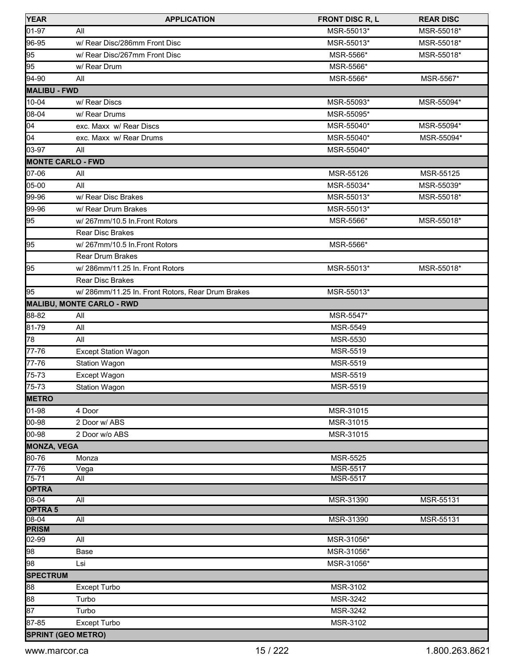| <b>YEAR</b>                 | <b>APPLICATION</b>                                | <b>FRONT DISC R, L</b> | <b>REAR DISC</b> |
|-----------------------------|---------------------------------------------------|------------------------|------------------|
| 01-97                       | All                                               | MSR-55013*             | MSR-55018*       |
| 96-95                       | w/ Rear Disc/286mm Front Disc                     | MSR-55013*             | MSR-55018*       |
| 95                          | w/ Rear Disc/267mm Front Disc                     | MSR-5566*              | MSR-55018*       |
| 95                          | w/ Rear Drum                                      | MSR-5566*              |                  |
| 94-90                       | All                                               | MSR-5566*              | MSR-5567*        |
| <b>MALIBU - FWD</b>         |                                                   |                        |                  |
| 10-04                       | w/ Rear Discs                                     | MSR-55093*             | MSR-55094*       |
| 08-04                       | w/ Rear Drums                                     | MSR-55095*             |                  |
| 04                          | exc. Maxx w/ Rear Discs                           | MSR-55040*             | MSR-55094*       |
| 04                          | exc. Maxx w/ Rear Drums                           | MSR-55040*             | MSR-55094*       |
| 03-97                       | All                                               | MSR-55040*             |                  |
|                             | <b>MONTE CARLO - FWD</b>                          |                        |                  |
| 07-06                       | All                                               | MSR-55126              | MSR-55125        |
| 05-00                       | All                                               | MSR-55034*             | MSR-55039*       |
| 99-96                       | w/ Rear Disc Brakes                               | MSR-55013*             | MSR-55018*       |
| 99-96                       | w/ Rear Drum Brakes                               | MSR-55013*             |                  |
| 95                          | w/267mm/10.5 In.Front Rotors                      | MSR-5566*              | MSR-55018*       |
|                             | Rear Disc Brakes                                  |                        |                  |
| 95                          | w/267mm/10.5 In.Front Rotors                      | MSR-5566*              |                  |
|                             | <b>Rear Drum Brakes</b>                           |                        |                  |
| 95                          | w/286mm/11.25 In. Front Rotors                    | MSR-55013*             | MSR-55018*       |
|                             | <b>Rear Disc Brakes</b>                           |                        |                  |
| 95                          | w/ 286mm/11.25 In. Front Rotors, Rear Drum Brakes | MSR-55013*             |                  |
|                             | MALIBU, MONTE CARLO - RWD                         |                        |                  |
| 88-82                       | All                                               | MSR-5547*              |                  |
| 81-79                       | All                                               | MSR-5549               |                  |
| 78                          | All                                               | <b>MSR-5530</b>        |                  |
| 77-76                       | <b>Except Station Wagon</b>                       | MSR-5519               |                  |
| 77-76                       | Station Wagon                                     | MSR-5519               |                  |
| 75-73                       | Except Wagon                                      | MSR-5519               |                  |
| 75-73                       | <b>Station Wagon</b>                              | MSR-5519               |                  |
| <b>METRO</b>                |                                                   |                        |                  |
| 01-98                       | 4 Door                                            | MSR-31015              |                  |
| 00-98                       | 2 Door w/ ABS                                     | MSR-31015              |                  |
| 00-98                       | 2 Door w/o ABS                                    | MSR-31015              |                  |
| <b>MONZA, VEGA</b>          |                                                   |                        |                  |
| 80-76                       | Monza                                             | <b>MSR-5525</b>        |                  |
| $77 - 76$                   | Vega                                              | <b>MSR-5517</b>        |                  |
| 75-71                       | All                                               | <b>MSR-5517</b>        |                  |
| <b>OPTRA</b>                |                                                   |                        |                  |
| $08 - 04$<br><b>OPTRA 5</b> | $\overline{All}$                                  | MSR-31390              | MSR-55131        |
| $08 - 04$                   | <b>All</b>                                        | MSR-31390              | MSR-55131        |
| <b>PRISM</b>                |                                                   |                        |                  |
| 02-99                       | All                                               | MSR-31056*             |                  |
| 98                          | Base                                              | MSR-31056*             |                  |
| 98                          | Lsi                                               | MSR-31056*             |                  |
| <b>SPECTRUM</b>             |                                                   |                        |                  |
| 88                          | Except Turbo                                      | MSR-3102               |                  |
| 88                          | Turbo                                             | MSR-3242               |                  |
| 87                          | Turbo                                             | MSR-3242               |                  |
| 87-85                       | Except Turbo                                      | MSR-3102               |                  |
|                             | <b>SPRINT (GEO METRO)</b>                         |                        |                  |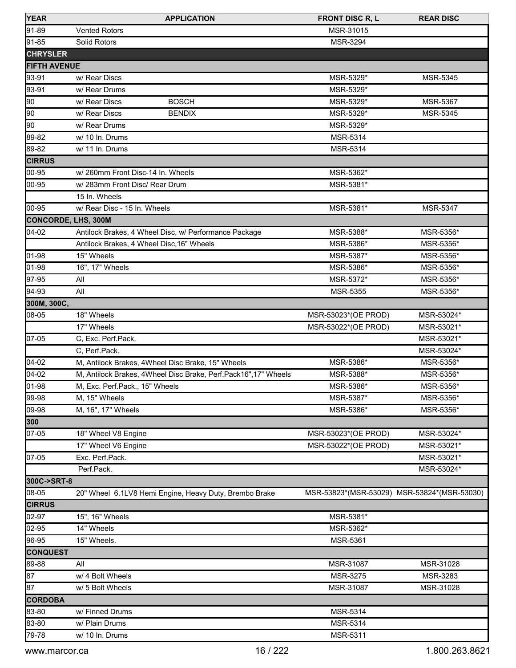| <b>YEAR</b>                | <b>APPLICATION</b>                                             | <b>FRONT DISC R, L</b>                      | <b>REAR DISC</b> |
|----------------------------|----------------------------------------------------------------|---------------------------------------------|------------------|
| 91-89                      | <b>Vented Rotors</b>                                           | MSR-31015                                   |                  |
| 91-85                      | Solid Rotors                                                   | MSR-3294                                    |                  |
| <b>CHRYSLER</b>            |                                                                |                                             |                  |
| <b>FIFTH AVENUE</b>        |                                                                |                                             |                  |
| 93-91                      | w/ Rear Discs                                                  | MSR-5329*                                   | <b>MSR-5345</b>  |
| 93-91                      | w/ Rear Drums                                                  | MSR-5329*                                   |                  |
| 90                         | <b>BOSCH</b><br>w/ Rear Discs                                  | MSR-5329*                                   | MSR-5367         |
| 90                         | w/ Rear Discs<br><b>BENDIX</b>                                 | MSR-5329*                                   | MSR-5345         |
| 90                         | w/ Rear Drums                                                  | MSR-5329*                                   |                  |
| 89-82                      | w/ 10 ln. Drums                                                | MSR-5314                                    |                  |
| 89-82                      | w/ 11 In. Drums                                                | MSR-5314                                    |                  |
| <b>CIRRUS</b>              |                                                                |                                             |                  |
| 00-95                      | w/260mm Front Disc-14 In. Wheels                               | MSR-5362*                                   |                  |
| 00-95                      | w/ 283mm Front Disc/ Rear Drum                                 | MSR-5381*                                   |                  |
|                            | 15 In. Wheels                                                  |                                             |                  |
| 00-95                      | w/ Rear Disc - 15 In. Wheels                                   | MSR-5381*                                   | <b>MSR-5347</b>  |
| <b>CONCORDE, LHS, 300M</b> |                                                                |                                             |                  |
| $[04-02]$                  | Antilock Brakes, 4 Wheel Disc, w/ Performance Package          | MSR-5388*                                   | MSR-5356*        |
|                            | Antilock Brakes, 4 Wheel Disc, 16" Wheels                      | MSR-5386*                                   | MSR-5356*        |
| 01-98                      | 15" Wheels                                                     | MSR-5387*                                   | MSR-5356*        |
| 01-98                      | 16", 17" Wheels                                                | MSR-5386*                                   | MSR-5356*        |
| 97-95                      | All                                                            | MSR-5372*                                   | MSR-5356*        |
| 94-93                      | All                                                            | <b>MSR-5355</b>                             | MSR-5356*        |
| 300M, 300C,                |                                                                |                                             |                  |
| 08-05                      | 18" Wheels                                                     | MSR-53023*(OE PROD)                         | MSR-53024*       |
|                            | 17" Wheels                                                     | MSR-53022*(OE PROD)                         | MSR-53021*       |
| 07-05                      | C, Exc. Perf.Pack.                                             |                                             | MSR-53021*       |
|                            | C, Perf.Pack.                                                  |                                             | MSR-53024*       |
| $04-02$                    | M, Antilock Brakes, 4Wheel Disc Brake, 15" Wheels              | MSR-5386*                                   | MSR-5356*        |
| $04 - 02$                  | M, Antilock Brakes, 4Wheel Disc Brake, Perf.Pack16",17" Wheels | MSR-5388*                                   | MSR-5356*        |
| 01-98                      | M, Exc. Perf.Pack., 15" Wheels                                 | MSR-5386*                                   | MSR-5356*        |
| 99-98                      | M, 15" Wheels                                                  | MSR-5387*                                   | MSR-5356*        |
| 09-98                      | M, 16", 17" Wheels                                             | MSR-5386*                                   | MSR-5356*        |
| 300                        |                                                                |                                             |                  |
| 07-05                      | 18" Wheel V8 Engine                                            | MSR-53023*(OE PROD)                         | MSR-53024*       |
|                            | 17" Wheel V6 Engine                                            | MSR-53022*(OE PROD)                         | MSR-53021*       |
| 07-05                      | Exc. Perf.Pack.                                                |                                             | MSR-53021*       |
|                            | Perf.Pack.                                                     |                                             | MSR-53024*       |
| 300C->SRT-8                |                                                                |                                             |                  |
| 08-05                      | 20" Wheel 6.1LV8 Hemi Engine, Heavy Duty, Brembo Brake         | MSR-53823*(MSR-53029) MSR-53824*(MSR-53030) |                  |
| <b>CIRRUS</b>              |                                                                |                                             |                  |
| 02-97                      | 15", 16" Wheels                                                | MSR-5381*                                   |                  |
| 02-95                      | 14" Wheels                                                     | MSR-5362*                                   |                  |
| 96-95                      | 15" Wheels.                                                    | <b>MSR-5361</b>                             |                  |
| <b>CONQUEST</b>            |                                                                |                                             |                  |
| 89-88                      | All                                                            | MSR-31087                                   | MSR-31028        |
| 87                         | w/ 4 Bolt Wheels                                               | MSR-3275                                    | MSR-3283         |
| 87                         | w/ 5 Bolt Wheels                                               | MSR-31087                                   | MSR-31028        |
| <b>CORDOBA</b>             |                                                                |                                             |                  |
| 83-80                      | w/ Finned Drums                                                | MSR-5314                                    |                  |
| 83-80                      | w/ Plain Drums                                                 | MSR-5314                                    |                  |
| 79-78                      | w/ 10 ln. Drums                                                | MSR-5311                                    |                  |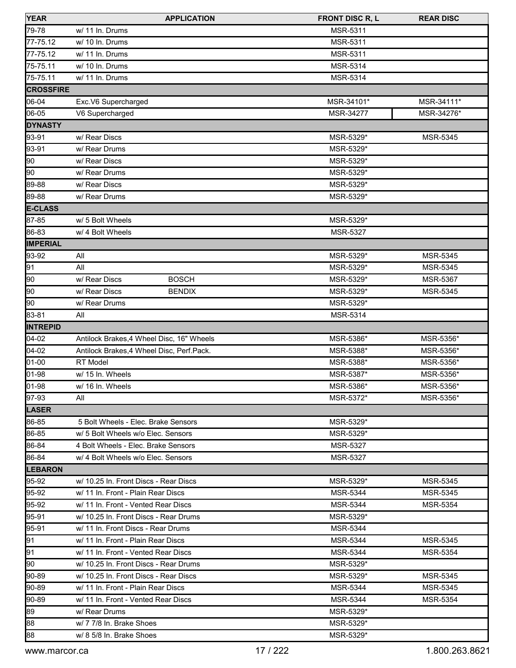| <b>YEAR</b>       | <b>APPLICATION</b>                         | <b>FRONT DISC R, L</b> | <b>REAR DISC</b> |
|-------------------|--------------------------------------------|------------------------|------------------|
| 79-78             | w/ 11 In. Drums                            | MSR-5311               |                  |
| 77-75.12          | w/ 10 ln. Drums                            | MSR-5311               |                  |
| 77-75.12          | w/ 11 In. Drums                            | MSR-5311               |                  |
| 75-75.11          | w/ 10 ln. Drums                            | <b>MSR-5314</b>        |                  |
| 75-75.11          | w/ 11 In. Drums                            | MSR-5314               |                  |
| <b>ICROSSFIRE</b> |                                            |                        |                  |
| 06-04             | Exc.V6 Supercharged                        | MSR-34101*             | MSR-34111*       |
| 06-05             | V6 Supercharged                            | MSR-34277              | MSR-34276*       |
| <b>DYNASTY</b>    |                                            |                        |                  |
| 93-91             | w/ Rear Discs                              | MSR-5329*              | MSR-5345         |
| 93-91             | w/ Rear Drums                              | MSR-5329*              |                  |
| 90                | w/ Rear Discs                              | MSR-5329*              |                  |
| 90                | w/ Rear Drums                              | MSR-5329*              |                  |
| 89-88             | w/ Rear Discs                              | MSR-5329*              |                  |
| 89-88             | w/ Rear Drums                              | MSR-5329*              |                  |
| <b>E-CLASS</b>    |                                            |                        |                  |
| 87-85             | w/ 5 Bolt Wheels                           | MSR-5329*              |                  |
| 86-83             | w/ 4 Bolt Wheels                           | MSR-5327               |                  |
| <b>IMPERIAL</b>   |                                            |                        |                  |
| 93-92             | All                                        | MSR-5329*              | MSR-5345         |
| 91                | All                                        | MSR-5329*              | MSR-5345         |
| 90                | <b>BOSCH</b><br>w/ Rear Discs              | MSR-5329*              | MSR-5367         |
| 90                | w/ Rear Discs<br><b>BENDIX</b>             | MSR-5329*              | MSR-5345         |
| 90                | w/ Rear Drums                              | MSR-5329*              |                  |
| 83-81             | All                                        | MSR-5314               |                  |
| <b>INTREPID</b>   |                                            |                        |                  |
| 04-02             | Antilock Brakes, 4 Wheel Disc, 16" Wheels  | MSR-5386*              | MSR-5356*        |
| $04-02$           | Antilock Brakes, 4 Wheel Disc, Perf. Pack. | MSR-5388*              | MSR-5356*        |
| 01-00             | RT Model                                   | MSR-5388*              | MSR-5356*        |
| 01-98             | w/ 15 In. Wheels                           | MSR-5387*              | MSR-5356*        |
| 01-98             | w/ 16 In. Wheels                           | MSR-5386*              | MSR-5356*        |
| 97-93             | All                                        | MSR-5372*              | MSR-5356*        |
| <b>LASER</b>      |                                            |                        |                  |
| 86-85             | 5 Bolt Wheels - Elec. Brake Sensors        | MSR-5329*              |                  |
| 86-85             | w/ 5 Bolt Wheels w/o Elec. Sensors         | MSR-5329*              |                  |
| 86-84             | 4 Bolt Wheels - Elec. Brake Sensors        | <b>MSR-5327</b>        |                  |
| 86-84             | w/ 4 Bolt Wheels w/o Elec. Sensors         | <b>MSR-5327</b>        |                  |
| <b>LEBARON</b>    |                                            |                        |                  |
| 95-92             | w/ 10.25 In. Front Discs - Rear Discs      | MSR-5329*              | <b>MSR-5345</b>  |
| 95-92             | w/ 11 In. Front - Plain Rear Discs         | <b>MSR-5344</b>        | <b>MSR-5345</b>  |
| 95-92             | w/ 11 In. Front - Vented Rear Discs        | <b>MSR-5344</b>        | <b>MSR-5354</b>  |
| 95-91             | w/ 10.25 In. Front Discs - Rear Drums      | MSR-5329*              |                  |
| 95-91             | w/ 11 In. Front Discs - Rear Drums         | <b>MSR-5344</b>        |                  |
| 91                | w/ 11 In. Front - Plain Rear Discs         | <b>MSR-5344</b>        | MSR-5345         |
| 91                | w/ 11 In. Front - Vented Rear Discs        | MSR-5344               | MSR-5354         |
| 190               | w/ 10.25 In. Front Discs - Rear Drums      | MSR-5329*              |                  |
| 90-89             | w/ 10.25 In. Front Discs - Rear Discs      | MSR-5329*              | MSR-5345         |
| 90-89             | w/ 11 In. Front - Plain Rear Discs         | MSR-5344               | <b>MSR-5345</b>  |
| 90-89             | w/ 11 In. Front - Vented Rear Discs        | <b>MSR-5344</b>        | MSR-5354         |
| 89                | w/ Rear Drums                              | MSR-5329*              |                  |
| 88                | w/ 7 7/8 In. Brake Shoes                   | MSR-5329*              |                  |
| 88                | w/ 8 5/8 In. Brake Shoes                   | MSR-5329*              |                  |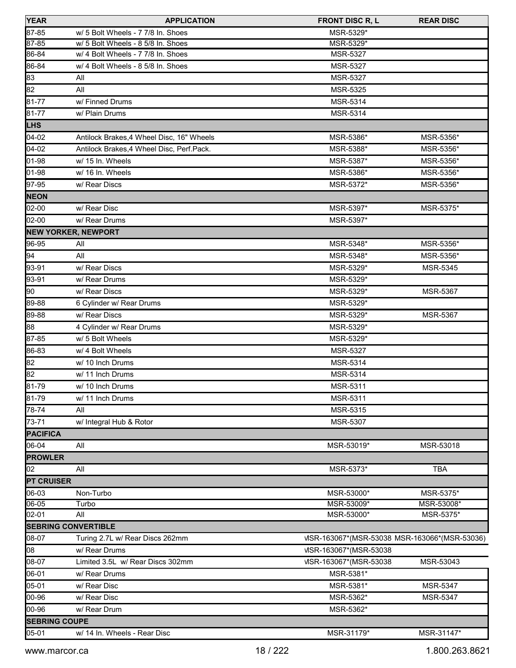| <b>YEAR</b>          | <b>APPLICATION</b>                         | <b>FRONT DISC R, L</b>                        | <b>REAR DISC</b> |
|----------------------|--------------------------------------------|-----------------------------------------------|------------------|
| 87-85                | w/ 5 Bolt Wheels - 7 7/8 In. Shoes         | MSR-5329*                                     |                  |
| 87-85                | w/ 5 Bolt Wheels - 8 5/8 In. Shoes         | MSR-5329*                                     |                  |
| 86-84                | w/ 4 Bolt Wheels - 7 7/8 In. Shoes         | MSR-5327                                      |                  |
| 86-84                | w/ 4 Bolt Wheels - 8 5/8 In. Shoes         | <b>MSR-5327</b>                               |                  |
| 83                   | All                                        | MSR-5327                                      |                  |
| 82                   | All                                        | MSR-5325                                      |                  |
| 81-77                | w/ Finned Drums                            | MSR-5314                                      |                  |
| 81-77                | w/ Plain Drums                             | MSR-5314                                      |                  |
| <b>LHS</b>           |                                            |                                               |                  |
| 04-02                | Antilock Brakes, 4 Wheel Disc, 16" Wheels  | MSR-5386*                                     | MSR-5356*        |
| 04-02                | Antilock Brakes, 4 Wheel Disc, Perf. Pack. | MSR-5388*                                     | MSR-5356*        |
| 01-98                | w/ 15 In. Wheels                           | MSR-5387*                                     | MSR-5356*        |
| 01-98                | w/ 16 In. Wheels                           | MSR-5386*                                     | MSR-5356*        |
| 97-95                | w/ Rear Discs                              | MSR-5372*                                     | MSR-5356*        |
| <b>NEON</b>          |                                            |                                               |                  |
| 02-00                | w/ Rear Disc                               | MSR-5397*                                     | MSR-5375*        |
| 02-00                | w/ Rear Drums                              | MSR-5397*                                     |                  |
|                      | <b>NEW YORKER, NEWPORT</b>                 |                                               |                  |
| 96-95                | All                                        | MSR-5348*                                     | MSR-5356*        |
| 94                   | All                                        | MSR-5348*                                     | MSR-5356*        |
| 93-91                | w/ Rear Discs                              | MSR-5329*                                     | MSR-5345         |
| 93-91                | w/ Rear Drums                              | MSR-5329*                                     |                  |
| 90                   | w/ Rear Discs                              | MSR-5329*                                     | MSR-5367         |
| 89-88                | 6 Cylinder w/ Rear Drums                   | MSR-5329*                                     |                  |
| 89-88                | w/ Rear Discs                              | MSR-5329*                                     | MSR-5367         |
| 88                   | 4 Cylinder w/ Rear Drums                   | MSR-5329*                                     |                  |
| 87-85                | w/ 5 Bolt Wheels                           | MSR-5329*                                     |                  |
| 86-83                | w/ 4 Bolt Wheels                           | MSR-5327                                      |                  |
| 82                   | w/ 10 Inch Drums                           | MSR-5314                                      |                  |
| 82                   | w/ 11 Inch Drums                           | MSR-5314                                      |                  |
| 81-79                | w/ 10 Inch Drums                           | MSR-5311                                      |                  |
| $81 - 79$            | w/ 11 Inch Drums                           | MSR-5311                                      |                  |
| 78-74                | All                                        | MSR-5315                                      |                  |
| 73-71                | w/ Integral Hub & Rotor                    | MSR-5307                                      |                  |
| <b>PACIFICA</b>      |                                            |                                               |                  |
| 06-04                | All                                        | MSR-53019*                                    | MSR-53018        |
| <b>PROWLER</b>       |                                            |                                               |                  |
| 02                   | All                                        | MSR-5373*                                     | <b>TBA</b>       |
| <b>PT CRUISER</b>    |                                            |                                               |                  |
| 06-03                | Non-Turbo                                  | MSR-53000*                                    | MSR-5375*        |
| 06-05                | Turbo                                      | MSR-53009*                                    | MSR-53008*       |
| 02-01                | All                                        | MSR-53000*                                    | MSR-5375*        |
|                      | <b>SEBRING CONVERTIBLE</b>                 |                                               |                  |
| 08-07                | Turing 2.7L w/ Rear Discs 262mm            | VISR-163067*(MSR-53038 MSR-163066*(MSR-53036) |                  |
| 08                   | w/ Rear Drums                              | VISR-163067*(MSR-53038)                       |                  |
| 08-07                | Limited 3.5L w/ Rear Discs 302mm           | VISR-163067*(MSR-53038)                       | MSR-53043        |
| 06-01                | w/ Rear Drums                              | MSR-5381*                                     |                  |
| 05-01                | w/ Rear Disc                               | MSR-5381*                                     | MSR-5347         |
| 00-96                | w/ Rear Disc                               | MSR-5362*                                     | <b>MSR-5347</b>  |
| 00-96                | w/ Rear Drum                               | MSR-5362*                                     |                  |
| <b>SEBRING COUPE</b> |                                            |                                               |                  |
| 05-01                | w/ 14 In. Wheels - Rear Disc               | MSR-31179*                                    | MSR-31147*       |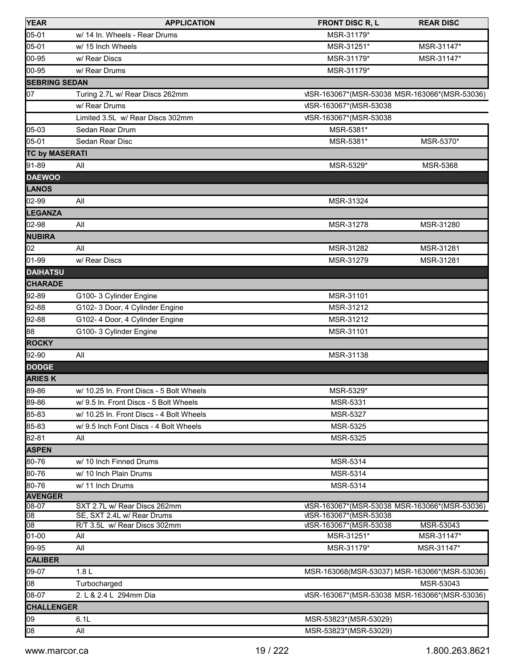| <b>YEAR</b>           | <b>APPLICATION</b>                       | <b>FRONT DISC R, L</b>                        | <b>REAR DISC</b> |
|-----------------------|------------------------------------------|-----------------------------------------------|------------------|
| 05-01                 | w/ 14 In. Wheels - Rear Drums            | MSR-31179*                                    |                  |
| 05-01                 | w/ 15 Inch Wheels                        | MSR-31251*                                    | MSR-31147*       |
| 00-95                 | w/ Rear Discs                            | MSR-31179*                                    | MSR-31147*       |
| 00-95                 | w/ Rear Drums                            | MSR-31179*                                    |                  |
| <b>SEBRING SEDAN</b>  |                                          |                                               |                  |
| 07                    | Turing 2.7L w/ Rear Discs 262mm          | VISR-163067*(MSR-53038 MSR-163066*(MSR-53036) |                  |
|                       | w/ Rear Drums                            | VISR-163067*(MSR-53038                        |                  |
|                       | Limited 3.5L w/ Rear Discs 302mm         | VISR-163067*(MSR-53038)                       |                  |
| 05-03                 | Sedan Rear Drum                          | MSR-5381*                                     |                  |
| $05 - 01$             | Sedan Rear Disc                          | MSR-5381*                                     | MSR-5370*        |
| <b>TC by MASERATI</b> |                                          |                                               |                  |
| 91-89                 |                                          |                                               |                  |
|                       | All                                      | MSR-5329*                                     | <b>MSR-5368</b>  |
| <b>DAEWOO</b>         |                                          |                                               |                  |
| LANOS                 |                                          |                                               |                  |
| $\sqrt{02-99}$        | All                                      | MSR-31324                                     |                  |
| <b>LEGANZA</b>        |                                          |                                               |                  |
| 02-98                 | All                                      | MSR-31278                                     | MSR-31280        |
| <b>NUBIRA</b>         |                                          |                                               |                  |
| 02                    | All                                      | MSR-31282                                     | MSR-31281        |
| $01-99$               | w/ Rear Discs                            | MSR-31279                                     | MSR-31281        |
| <b>DAIHATSU</b>       |                                          |                                               |                  |
| <b>CHARADE</b>        |                                          |                                               |                  |
| 92-89                 | G100-3 Cylinder Engine                   | MSR-31101                                     |                  |
| 92-88                 | G102-3 Door, 4 Cylinder Engine           | MSR-31212                                     |                  |
| 92-88                 | G102-4 Door, 4 Cylinder Engine           | MSR-31212                                     |                  |
| 88                    | G100-3 Cylinder Engine                   | MSR-31101                                     |                  |
| <b>ROCKY</b>          |                                          |                                               |                  |
| 92-90                 | All                                      | MSR-31138                                     |                  |
| <b>DODGE</b>          |                                          |                                               |                  |
| <b>ARIES K</b>        |                                          |                                               |                  |
| 89-86                 | w/ 10.25 In. Front Discs - 5 Bolt Wheels | MSR-5329*                                     |                  |
| 89-86                 | w/ 9.5 In. Front Discs - 5 Bolt Wheels   | MSR-5331                                      |                  |
| 85-83                 | w/ 10.25 In. Front Discs - 4 Bolt Wheels | <b>MSR-5327</b>                               |                  |
| 85-83                 | w/ 9.5 Inch Font Discs - 4 Bolt Wheels   | MSR-5325                                      |                  |
| 82-81                 | All                                      | MSR-5325                                      |                  |
| <b>ASPEN</b>          |                                          |                                               |                  |
| 80-76                 | w/ 10 Inch Finned Drums                  | MSR-5314                                      |                  |
| 80-76                 | w/ 10 Inch Plain Drums                   | MSR-5314                                      |                  |
| 80-76                 | w/ 11 Inch Drums                         | MSR-5314                                      |                  |
| <b>AVENGER</b>        |                                          |                                               |                  |
| 08-07                 | SXT 2.7L w/ Rear Discs 262mm             | VISR-163067*(MSR-53038 MSR-163066*(MSR-53036) |                  |
| 08                    | SE, SXT 2.4L w/ Rear Drums               | VISR-163067*(MSR-53038                        |                  |
| $\overline{08}$       | R/T 3.5L w/ Rear Discs 302mm             | VISR-163067*(MSR-53038                        | MSR-53043        |
| $01-00$               | All                                      | MSR-31251*                                    | MSR-31147*       |
| 99-95                 | All                                      | MSR-31179*                                    | MSR-31147*       |
| <b>CALIBER</b>        |                                          |                                               |                  |
| 09-07                 | 1.8 <sub>L</sub>                         | MSR-163068(MSR-53037) MSR-163066*(MSR-53036)  |                  |
| 08                    | Turbocharged                             |                                               | MSR-53043        |
| 08-07                 | 2. L & 2.4 L 294mm Dia                   | VISR-163067*(MSR-53038 MSR-163066*(MSR-53036) |                  |
| <b>CHALLENGER</b>     |                                          |                                               |                  |
| 09                    | 6.1L                                     | MSR-53823*(MSR-53029)                         |                  |
| 08                    | All                                      | MSR-53823*(MSR-53029)                         |                  |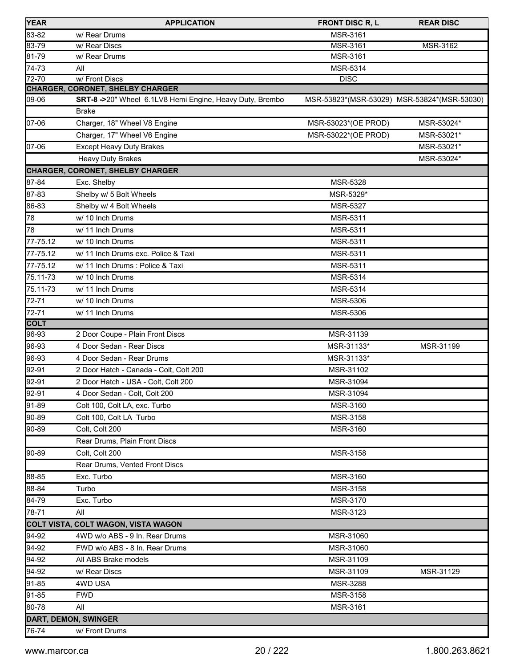| <b>YEAR</b>      | <b>APPLICATION</b>                                       | <b>FRONT DISC R, L</b>                      | <b>REAR DISC</b> |
|------------------|----------------------------------------------------------|---------------------------------------------|------------------|
| 83-82            | w/ Rear Drums                                            | MSR-3161                                    |                  |
| 83-79            | w/ Rear Discs                                            | MSR-3161                                    | MSR-3162         |
| 81-79            | w/ Rear Drums                                            | MSR-3161                                    |                  |
| 74-73            | All                                                      | MSR-5314                                    |                  |
| $72 - 70$        | w/Front Discs                                            | <b>DISC</b>                                 |                  |
|                  | CHARGER, CORONET, SHELBY CHARGER                         |                                             |                  |
| 09-06            | SRT-8->20" Wheel 6.1LV8 Hemi Engine, Heavy Duty, Brembo  | MSR-53823*(MSR-53029) MSR-53824*(MSR-53030) |                  |
|                  | <b>Brake</b>                                             |                                             |                  |
| 07-06            | Charger, 18" Wheel V8 Engine                             | MSR-53023*(OE PROD)                         | MSR-53024*       |
|                  | Charger, 17" Wheel V6 Engine                             | MSR-53022*(OE PROD)                         | MSR-53021*       |
| 07-06            | <b>Except Heavy Duty Brakes</b>                          |                                             | MSR-53021*       |
|                  | <b>Heavy Duty Brakes</b>                                 |                                             | MSR-53024*       |
|                  | CHARGER, CORONET, SHELBY CHARGER                         |                                             |                  |
| 87-84            | Exc. Shelby                                              | <b>MSR-5328</b>                             |                  |
| 87-83            | Shelby w/ 5 Bolt Wheels                                  | MSR-5329*                                   |                  |
| 86-83            | Shelby w/ 4 Bolt Wheels                                  | MSR-5327                                    |                  |
| 78               | w/ 10 Inch Drums                                         | <b>MSR-5311</b>                             |                  |
| 78               | w/ 11 Inch Drums                                         | <b>MSR-5311</b>                             |                  |
| 77-75.12         | w/ 10 Inch Drums                                         | <b>MSR-5311</b>                             |                  |
| 77-75.12         | w/ 11 Inch Drums exc. Police & Taxi                      | MSR-5311                                    |                  |
| 77-75.12         | w/ 11 Inch Drums : Police & Taxi                         | <b>MSR-5311</b>                             |                  |
| 75.11-73         | w/ 10 Inch Drums                                         | MSR-5314                                    |                  |
| 75.11-73         | w/ 11 Inch Drums                                         | MSR-5314                                    |                  |
| 72-71            | w/ 10 Inch Drums                                         | MSR-5306                                    |                  |
| $72 - 71$        | w/ 11 Inch Drums                                         | MSR-5306                                    |                  |
| <b>COLT</b>      |                                                          |                                             |                  |
| 96-93<br>96-93   | 2 Door Coupe - Plain Front Discs                         | MSR-31139                                   |                  |
|                  | 4 Door Sedan - Rear Discs                                | MSR-31133*                                  | MSR-31199        |
| 96-93            | 4 Door Sedan - Rear Drums                                | MSR-31133*<br>MSR-31102                     |                  |
| 92-91            | 2 Door Hatch - Canada - Colt, Colt 200                   |                                             |                  |
| 92-91            | 2 Door Hatch - USA - Colt, Colt 200                      | MSR-31094                                   |                  |
| 92-91<br>$91-89$ | 4 Door Sedan - Colt, Colt 200                            | MSR-31094                                   |                  |
|                  | Colt 100, Colt LA, exc. Turbo<br>Colt 100, Colt LA Turbo | MSR-3160                                    |                  |
| 90-89            |                                                          | MSR-3158                                    |                  |
| 90-89            | Colt, Colt 200                                           | MSR-3160                                    |                  |
|                  | Rear Drums, Plain Front Discs                            |                                             |                  |
| 90-89            | Colt, Colt 200                                           | MSR-3158                                    |                  |
|                  | Rear Drums, Vented Front Discs<br>Exc. Turbo             |                                             |                  |
| 88-85            |                                                          | MSR-3160                                    |                  |
| 88-84            | Turbo                                                    | MSR-3158                                    |                  |
| 84-79<br>78-71   | Exc. Turbo<br>All                                        | MSR-3170                                    |                  |
|                  |                                                          | MSR-3123                                    |                  |
|                  | COLT VISTA, COLT WAGON, VISTA WAGON                      |                                             |                  |
| 94-92            | 4WD w/o ABS - 9 In. Rear Drums                           | MSR-31060                                   |                  |
| 94-92            | FWD w/o ABS - 8 In. Rear Drums                           | MSR-31060                                   |                  |
| 94-92            | All ABS Brake models                                     | MSR-31109                                   |                  |
| 94-92            | w/ Rear Discs                                            | MSR-31109                                   | MSR-31129        |
| 91-85            | 4WD USA                                                  | MSR-3288                                    |                  |
| 91-85            | <b>FWD</b>                                               | MSR-3158                                    |                  |
| 80-78            | All                                                      | MSR-3161                                    |                  |
|                  | <b>DART, DEMON, SWINGER</b>                              |                                             |                  |
| 76-74            | w/ Front Drums                                           |                                             |                  |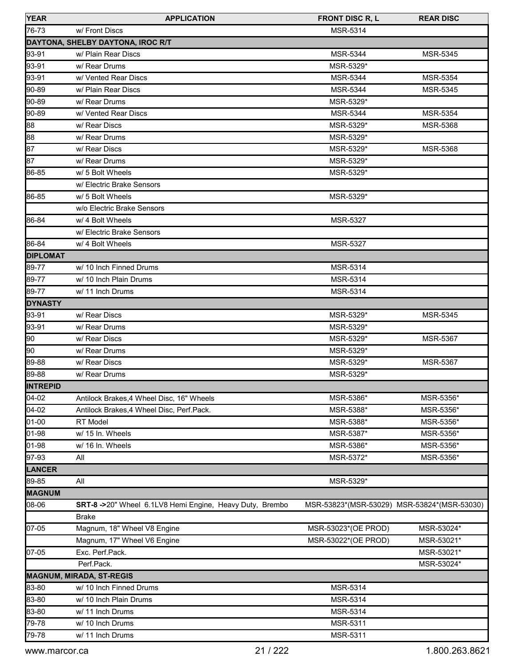| <b>YEAR</b>     | <b>APPLICATION</b>                                                      | <b>FRONT DISC R, L</b>                      | <b>REAR DISC</b> |
|-----------------|-------------------------------------------------------------------------|---------------------------------------------|------------------|
| 76-73           | w/ Front Discs                                                          | MSR-5314                                    |                  |
|                 | DAYTONA, SHELBY DAYTONA, IROC R/T                                       |                                             |                  |
| 93-91           | w/ Plain Rear Discs                                                     | <b>MSR-5344</b>                             | <b>MSR-5345</b>  |
| 93-91           | w/ Rear Drums                                                           | MSR-5329*                                   |                  |
| 93-91           | w/ Vented Rear Discs                                                    | MSR-5344                                    | MSR-5354         |
| 90-89           | w/ Plain Rear Discs                                                     | <b>MSR-5344</b>                             | <b>MSR-5345</b>  |
| 90-89           | w/ Rear Drums                                                           | MSR-5329*                                   |                  |
| 90-89           | w/ Vented Rear Discs                                                    | MSR-5344                                    | MSR-5354         |
| 88              | w/ Rear Discs                                                           | MSR-5329*                                   | <b>MSR-5368</b>  |
| 88              | w/ Rear Drums                                                           | MSR-5329*                                   |                  |
| 87              | w/ Rear Discs                                                           | MSR-5329*                                   | MSR-5368         |
| 87              | w/ Rear Drums                                                           | MSR-5329*                                   |                  |
| 86-85           | w/ 5 Bolt Wheels                                                        | MSR-5329*                                   |                  |
|                 | w/ Electric Brake Sensors                                               |                                             |                  |
| 86-85           | w/ 5 Bolt Wheels                                                        | MSR-5329*                                   |                  |
|                 | w/o Electric Brake Sensors                                              |                                             |                  |
| 86-84           | w/ 4 Bolt Wheels                                                        | MSR-5327                                    |                  |
|                 | w/ Electric Brake Sensors                                               |                                             |                  |
| 86-84           | w/ 4 Bolt Wheels                                                        | MSR-5327                                    |                  |
| <b>DIPLOMAT</b> |                                                                         |                                             |                  |
| 89-77           | w/ 10 Inch Finned Drums                                                 | MSR-5314                                    |                  |
| 89-77           | w/ 10 Inch Plain Drums                                                  | MSR-5314                                    |                  |
| 89-77           | w/ 11 Inch Drums                                                        | <b>MSR-5314</b>                             |                  |
| <b>DYNASTY</b>  |                                                                         |                                             |                  |
| 93-91           | w/ Rear Discs                                                           | MSR-5329*                                   | MSR-5345         |
| 93-91           | w/ Rear Drums                                                           | MSR-5329*                                   |                  |
| 90              | w/ Rear Discs                                                           | MSR-5329*                                   | MSR-5367         |
| 90              | w/ Rear Drums                                                           | MSR-5329*                                   |                  |
| 89-88           | w/ Rear Discs                                                           | MSR-5329*                                   | MSR-5367         |
| 89-88           | w/ Rear Drums                                                           | MSR-5329*                                   |                  |
| <b>INTREPID</b> |                                                                         |                                             |                  |
| 04-02           | Antilock Brakes, 4 Wheel Disc, 16" Wheels                               | MSR-5386*                                   | MSR-5356*        |
| 04-02           | Antilock Brakes, 4 Wheel Disc, Perf. Pack.                              | MSR-5388*                                   | MSR-5356*        |
| 01-00           | RT Model                                                                | MSR-5388*                                   | MSR-5356*        |
| 01-98           | w/ 15 In. Wheels                                                        | MSR-5387*                                   | MSR-5356*        |
| 01-98           | w/ 16 In. Wheels                                                        | MSR-5386*                                   | MSR-5356*        |
| 97-93           | All                                                                     | MSR-5372*                                   | MSR-5356*        |
| LANCER          |                                                                         |                                             |                  |
| 89-85           | All                                                                     | MSR-5329*                                   |                  |
| <b>MAGNUM</b>   |                                                                         |                                             |                  |
| 08-06           | SRT-8->20" Wheel 6.1LV8 Hemi Engine, Heavy Duty, Brembo<br><b>Brake</b> | MSR-53823*(MSR-53029) MSR-53824*(MSR-53030) |                  |
| 07-05           | Magnum, 18" Wheel V8 Engine                                             | MSR-53023*(OE PROD)                         | MSR-53024*       |
|                 | Magnum, 17" Wheel V6 Engine                                             | MSR-53022*(OE PROD)                         | MSR-53021*       |
| 07-05           | Exc. Perf.Pack.                                                         |                                             | MSR-53021*       |
|                 | Perf.Pack.                                                              |                                             | MSR-53024*       |
|                 |                                                                         |                                             |                  |
| 83-80           | <b>MAGNUM, MIRADA, ST-REGIS</b><br>w/ 10 Inch Finned Drums              | MSR-5314                                    |                  |
| 83-80           | w/ 10 Inch Plain Drums                                                  | MSR-5314                                    |                  |
| 83-80           | w/ 11 Inch Drums                                                        | MSR-5314                                    |                  |
| 79-78           | w/ 10 Inch Drums                                                        | MSR-5311                                    |                  |
|                 |                                                                         |                                             |                  |
| 79-78           | w/ 11 Inch Drums                                                        | MSR-5311                                    |                  |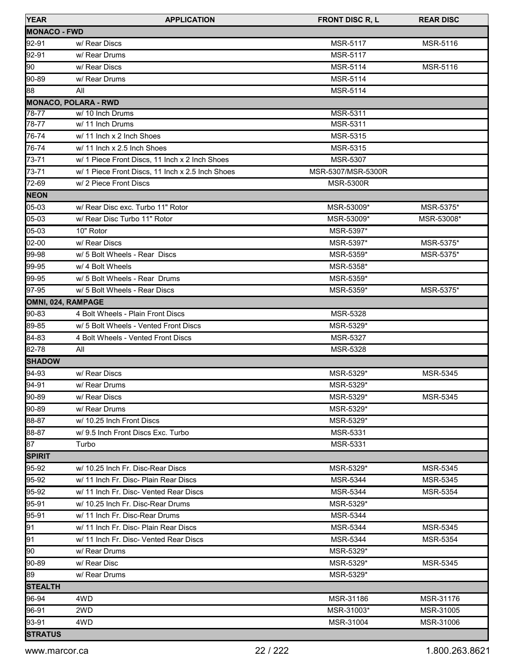| <b>YEAR</b>          | <b>APPLICATION</b>                               | <b>FRONT DISC R, L</b> | <b>REAR DISC</b> |
|----------------------|--------------------------------------------------|------------------------|------------------|
| <b>IMONACO - FWD</b> |                                                  |                        |                  |
| 92-91                | w/ Rear Discs                                    | <b>MSR-5117</b>        | MSR-5116         |
| 92-91                | w/ Rear Drums                                    | <b>MSR-5117</b>        |                  |
| 90                   | w/ Rear Discs                                    | MSR-5114               | MSR-5116         |
| 90-89                | w/ Rear Drums                                    | MSR-5114               |                  |
| 88                   | All                                              | <b>MSR-5114</b>        |                  |
|                      | <b>MONACO, POLARA - RWD</b>                      |                        |                  |
| 78-77                | w/ 10 Inch Drums                                 | MSR-5311               |                  |
| 78-77                | w/ 11 Inch Drums                                 | MSR-5311               |                  |
| 76-74                | w/ 11 Inch x 2 Inch Shoes                        | MSR-5315               |                  |
| 76-74                | w/ 11 Inch x 2.5 Inch Shoes                      | MSR-5315               |                  |
| 73-71                | w/ 1 Piece Front Discs, 11 Inch x 2 Inch Shoes   | MSR-5307               |                  |
| 73-71                | w/ 1 Piece Front Discs, 11 Inch x 2.5 Inch Shoes | MSR-5307/MSR-5300R     |                  |
| 72-69                | w/ 2 Piece Front Discs                           | <b>MSR-5300R</b>       |                  |
| <b>NEON</b>          |                                                  |                        |                  |
| 05-03                | w/ Rear Disc exc. Turbo 11" Rotor                | MSR-53009*             | MSR-5375*        |
| 05-03                | w/ Rear Disc Turbo 11" Rotor                     | MSR-53009*             | MSR-53008*       |
| 05-03                | 10" Rotor                                        | MSR-5397*              |                  |
| 02-00                | w/ Rear Discs                                    | MSR-5397*              | MSR-5375*        |
| 99-98                | w/ 5 Bolt Wheels - Rear Discs                    | MSR-5359*              | MSR-5375*        |
| 99-95                | w/ 4 Bolt Wheels                                 | MSR-5358*              |                  |
| 99-95                | w/ 5 Bolt Wheels - Rear Drums                    | MSR-5359*              |                  |
| 97-95                | w/ 5 Bolt Wheels - Rear Discs                    | MSR-5359*              | MSR-5375*        |
|                      | OMNI, 024, RAMPAGE                               |                        |                  |
| 90-83                | 4 Bolt Wheels - Plain Front Discs                | MSR-5328               |                  |
| 89-85                | w/ 5 Bolt Wheels - Vented Front Discs            | MSR-5329*              |                  |
| 84-83                | 4 Bolt Wheels - Vented Front Discs               | MSR-5327               |                  |
| 82-78                | All                                              | MSR-5328               |                  |
| <b>SHADOW</b>        |                                                  |                        |                  |
| 94-93                | w/ Rear Discs                                    | MSR-5329*              | MSR-5345         |
| 94-91                | w/ Rear Drums                                    | MSR-5329*              |                  |
| 90-89                | w/ Rear Discs                                    | MSR-5329*              | MSR-5345         |
| 90-89                | w/ Rear Drums                                    | MSR-5329*              |                  |
| 188-87               | w/ 10.25 Inch Front Discs                        | MSR-5329*              |                  |
| 88-87                | w/9.5 Inch Front Discs Exc. Turbo                | MSR-5331               |                  |
| 87                   | Turbo                                            | <b>MSR-5331</b>        |                  |
| <b>SPIRIT</b>        |                                                  |                        |                  |
| 95-92                | w/ 10.25 Inch Fr. Disc-Rear Discs                | MSR-5329*              | MSR-5345         |
| 95-92                | w/ 11 Inch Fr. Disc- Plain Rear Discs            | <b>MSR-5344</b>        | <b>MSR-5345</b>  |
| 95-92                | w/ 11 Inch Fr. Disc- Vented Rear Discs           | <b>MSR-5344</b>        | MSR-5354         |
| 95-91                | w/ 10.25 Inch Fr. Disc-Rear Drums                | MSR-5329*              |                  |
| 95-91                | w/ 11 Inch Fr. Disc-Rear Drums                   | <b>MSR-5344</b>        |                  |
| 91                   | w/ 11 Inch Fr. Disc- Plain Rear Discs            | <b>MSR-5344</b>        | <b>MSR-5345</b>  |
| 91                   | w/ 11 Inch Fr. Disc- Vented Rear Discs           | MSR-5344               | MSR-5354         |
| 90                   | w/ Rear Drums                                    | MSR-5329*              |                  |
| 90-89                | w/ Rear Disc                                     | MSR-5329*              | MSR-5345         |
| 89                   | w/ Rear Drums                                    | MSR-5329*              |                  |
| <b>ISTEALTH</b>      |                                                  |                        |                  |
| 96-94                | 4WD                                              | MSR-31186              | MSR-31176        |
| 96-91                | 2WD                                              | MSR-31003*             | MSR-31005        |
| 93-91                | 4WD                                              | MSR-31004              | MSR-31006        |
| <b>STRATUS</b>       |                                                  |                        |                  |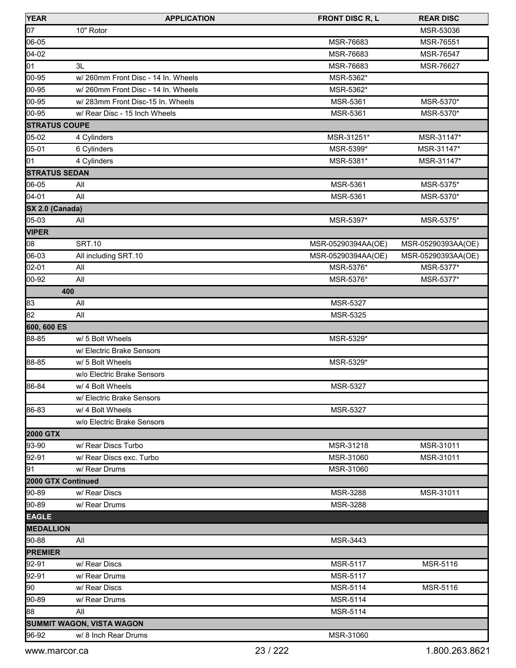| <b>YEAR</b>          | <b>APPLICATION</b>                  | <b>FRONT DISC R, L</b> | <b>REAR DISC</b>   |
|----------------------|-------------------------------------|------------------------|--------------------|
| 07                   | 10" Rotor                           |                        | MSR-53036          |
| 06-05                |                                     | MSR-76683              | MSR-76551          |
| $04 - 02$            |                                     | MSR-76683              | MSR-76547          |
| 01                   | 3L                                  | MSR-76683              | MSR-76627          |
| $ 00 - 95 $          | w/260mm Front Disc - 14 In. Wheels  | MSR-5362*              |                    |
| 00-95                | w/ 260mm Front Disc - 14 In. Wheels | MSR-5362*              |                    |
| 00-95                | w/283mm Front Disc-15 In. Wheels    | MSR-5361               | MSR-5370*          |
| 00-95                | w/ Rear Disc - 15 Inch Wheels       | MSR-5361               | MSR-5370*          |
| <b>STRATUS COUPE</b> |                                     |                        |                    |
| 05-02                | 4 Cylinders                         | MSR-31251*             | MSR-31147*         |
| 05-01                | 6 Cylinders                         | MSR-5399*              | MSR-31147*         |
| 01                   | 4 Cylinders                         | MSR-5381*              | MSR-31147*         |
| <b>STRATUS SEDAN</b> |                                     |                        |                    |
| 06-05                | All                                 | MSR-5361               | MSR-5375*          |
| 04-01                | All                                 | MSR-5361               | MSR-5370*          |
| SX 2.0 (Canada)      |                                     |                        |                    |
| 05-03                | All                                 | MSR-5397*              | MSR-5375*          |
| <b>VIPER</b>         |                                     |                        |                    |
| 08                   | <b>SRT.10</b>                       | MSR-05290394AA(OE)     | MSR-05290393AA(OE) |
| 06-03                | All including SRT.10                | MSR-05290394AA(OE)     | MSR-05290393AA(OE) |
| 02-01                | All                                 | MSR-5376*              | MSR-5377*          |
| 00-92                | All                                 | MSR-5376*              | MSR-5377*          |
| 400                  |                                     |                        |                    |
| 83                   | All                                 | MSR-5327               |                    |
| 82                   | All                                 | MSR-5325               |                    |
| 600, 600 ES          |                                     |                        |                    |
| 88-85                | w/ 5 Bolt Wheels                    | MSR-5329*              |                    |
|                      | w/ Electric Brake Sensors           |                        |                    |
| 88-85                | w/ 5 Bolt Wheels                    | MSR-5329*              |                    |
|                      | w/o Electric Brake Sensors          |                        |                    |
| 86-84                | w/ 4 Bolt Wheels                    | MSR-5327               |                    |
|                      | w/ Electric Brake Sensors           |                        |                    |
| 86-83                | w/ 4 Bolt Wheels                    | MSR-5327               |                    |
|                      | w/o Electric Brake Sensors          |                        |                    |
| <b>2000 GTX</b>      |                                     |                        |                    |
| 93-90                | w/ Rear Discs Turbo                 | MSR-31218              | MSR-31011          |
| 92-91                | w/ Rear Discs exc. Turbo            | MSR-31060              | MSR-31011          |
| 91                   | w/ Rear Drums                       | MSR-31060              |                    |
| 2000 GTX Continued   |                                     |                        |                    |
| 90-89                | w/ Rear Discs                       | MSR-3288               | MSR-31011          |
| 90-89                | w/ Rear Drums                       | <b>MSR-3288</b>        |                    |
| <b>EAGLE</b>         |                                     |                        |                    |
| <b>MEDALLION</b>     |                                     |                        |                    |
| 90-88                | All                                 | MSR-3443               |                    |
| <b>PREMIER</b>       |                                     |                        |                    |
| 92-91                | w/ Rear Discs                       | MSR-5117               | MSR-5116           |
|                      |                                     |                        |                    |
| 92-91                | w/ Rear Drums                       | MSR-5117               |                    |
| 90                   | w/ Rear Discs                       | MSR-5114               | MSR-5116           |
| 90-89                | w/ Rear Drums                       | MSR-5114               |                    |
| 88                   | All                                 | MSR-5114               |                    |
|                      | SUMMIT WAGON, VISTA WAGON           |                        |                    |
| 96-92                | w/ 8 Inch Rear Drums                | MSR-31060              |                    |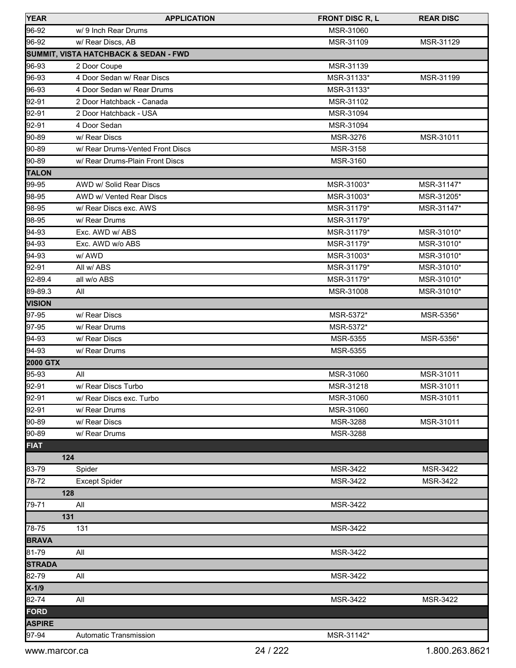| <b>YEAR</b>     | <b>APPLICATION</b>                    | <b>FRONT DISC R, L</b> | <b>REAR DISC</b> |
|-----------------|---------------------------------------|------------------------|------------------|
| 96-92           | w/ 9 Inch Rear Drums                  | MSR-31060              |                  |
| 96-92           | w/ Rear Discs, AB                     | MSR-31109              | MSR-31129        |
|                 | SUMMIT, VISTA HATCHBACK & SEDAN - FWD |                        |                  |
| 96-93           | 2 Door Coupe                          | MSR-31139              |                  |
| 96-93           | 4 Door Sedan w/ Rear Discs            | MSR-31133*             | MSR-31199        |
| 96-93           | 4 Door Sedan w/ Rear Drums            | MSR-31133*             |                  |
| 92-91           | 2 Door Hatchback - Canada             | MSR-31102              |                  |
| 92-91           | 2 Door Hatchback - USA                | MSR-31094              |                  |
| 92-91           | 4 Door Sedan                          | MSR-31094              |                  |
| 90-89           | w/ Rear Discs                         | MSR-3276               | MSR-31011        |
| 90-89           | w/ Rear Drums-Vented Front Discs      | MSR-3158               |                  |
| 90-89           | w/ Rear Drums-Plain Front Discs       | MSR-3160               |                  |
| <b>TALON</b>    |                                       |                        |                  |
| 99-95           | AWD w/ Solid Rear Discs               | MSR-31003*             | MSR-31147*       |
| 98-95           | AWD w/ Vented Rear Discs              | MSR-31003*             | MSR-31205*       |
| 98-95           | w/ Rear Discs exc. AWS                | MSR-31179*             | MSR-31147*       |
| 98-95           | w/ Rear Drums                         | MSR-31179*             |                  |
| 94-93           | Exc. AWD w/ ABS                       | MSR-31179*             | MSR-31010*       |
| 94-93           | Exc. AWD w/o ABS                      | MSR-31179*             | MSR-31010*       |
| 94-93           | w/ AWD                                | MSR-31003*             | MSR-31010*       |
| 92-91           | All w/ ABS                            | MSR-31179*             | MSR-31010*       |
| 92-89.4         | all w/o ABS                           | MSR-31179*             | MSR-31010*       |
| 89-89.3         | All                                   | MSR-31008              | MSR-31010*       |
| <b>VISION</b>   |                                       |                        |                  |
| 97-95           | w/ Rear Discs                         | MSR-5372*              | MSR-5356*        |
| 97-95           | w/ Rear Drums                         | MSR-5372*              |                  |
| 94-93           | w/ Rear Discs                         | <b>MSR-5355</b>        | MSR-5356*        |
| 94-93           | w/ Rear Drums                         | MSR-5355               |                  |
| <b>2000 GTX</b> |                                       |                        |                  |
| 95-93           | All                                   | MSR-31060              | MSR-31011        |
| 92-91           | w/ Rear Discs Turbo                   | MSR-31218              | MSR-31011        |
| 92-91           | w/ Rear Discs exc. Turbo              | MSR-31060              | MSR-31011        |
| 92-91           | w/ Rear Drums                         | MSR-31060              |                  |
| 90-89           | w/ Rear Discs                         | MSR-3288               | MSR-31011        |
| 90-89           | w/ Rear Drums                         | MSR-3288               |                  |
| <b>FIAT</b>     |                                       |                        |                  |
| 124             |                                       |                        |                  |
| 83-79           | Spider                                | MSR-3422               | MSR-3422         |
| 78-72           | <b>Except Spider</b>                  | MSR-3422               | MSR-3422         |
| 128             |                                       |                        |                  |
| 79-71           | All                                   | <b>MSR-3422</b>        |                  |
| 131             |                                       |                        |                  |
| 78-75           | 131                                   | MSR-3422               |                  |
| <b>BRAVA</b>    |                                       |                        |                  |
| 81-79           | All                                   | MSR-3422               |                  |
| <b>STRADA</b>   |                                       |                        |                  |
| 82-79           | All                                   | <b>MSR-3422</b>        |                  |
| X-1/9           |                                       |                        |                  |
| 82-74           | All                                   | MSR-3422               | MSR-3422         |
| <b>FORD</b>     |                                       |                        |                  |
| <b>ASPIRE</b>   |                                       |                        |                  |
| 97-94           | Automatic Transmission                | MSR-31142*             |                  |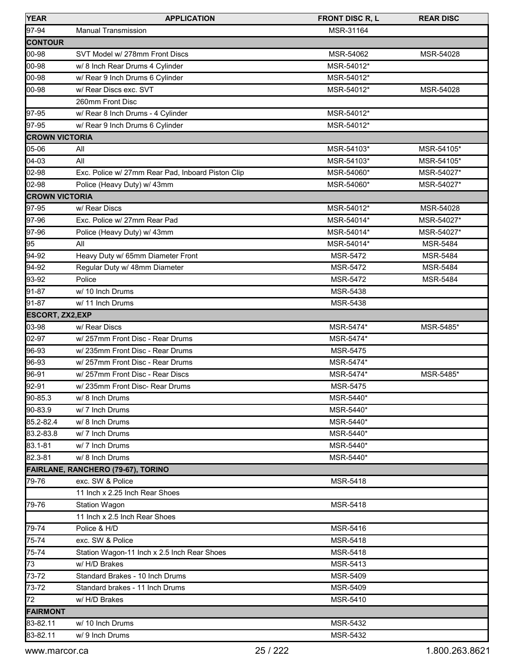| <b>YEAR</b>             | <b>APPLICATION</b>                                | <b>FRONT DISC R, L</b> | <b>REAR DISC</b> |
|-------------------------|---------------------------------------------------|------------------------|------------------|
| 97-94                   | <b>Manual Transmission</b>                        | MSR-31164              |                  |
| <b>CONTOUR</b>          |                                                   |                        |                  |
| 00-98                   | SVT Model w/ 278mm Front Discs                    | MSR-54062              | MSR-54028        |
| 00-98                   | w/ 8 Inch Rear Drums 4 Cylinder                   | MSR-54012*             |                  |
| 00-98                   | w/ Rear 9 Inch Drums 6 Cylinder                   | MSR-54012*             |                  |
| 00-98                   | w/ Rear Discs exc. SVT                            | MSR-54012*             | MSR-54028        |
|                         | 260mm Front Disc                                  |                        |                  |
| 97-95                   | w/ Rear 8 Inch Drums - 4 Cylinder                 | MSR-54012*             |                  |
| 97-95                   | w/ Rear 9 Inch Drums 6 Cylinder                   | MSR-54012*             |                  |
| <b>CROWN VICTORIA</b>   |                                                   |                        |                  |
| 05-06                   | All                                               | MSR-54103*             | MSR-54105*       |
| 04-03                   | All                                               | MSR-54103*             | MSR-54105*       |
| 02-98                   | Exc. Police w/ 27mm Rear Pad, Inboard Piston Clip | MSR-54060*             | MSR-54027*       |
| 02-98                   | Police (Heavy Duty) w/ 43mm                       | MSR-54060*             | MSR-54027*       |
| <b>CROWN VICTORIA</b>   |                                                   |                        |                  |
| 97-95                   | w/ Rear Discs                                     | MSR-54012*             | MSR-54028        |
| 97-96                   | Exc. Police w/ 27mm Rear Pad                      | MSR-54014*             | MSR-54027*       |
| 97-96                   | Police (Heavy Duty) w/ 43mm                       | MSR-54014*             | MSR-54027*       |
| 95                      | All                                               | MSR-54014*             | <b>MSR-5484</b>  |
| 94-92                   | Heavy Duty w/ 65mm Diameter Front                 | MSR-5472               | <b>MSR-5484</b>  |
| 94-92                   | Regular Duty w/ 48mm Diameter                     | MSR-5472               | <b>MSR-5484</b>  |
| 93-92                   | Police                                            | <b>MSR-5472</b>        | <b>MSR-5484</b>  |
| 91-87                   | w/ 10 Inch Drums                                  | MSR-5438               |                  |
| 91-87                   | w/ 11 Inch Drums                                  | MSR-5438               |                  |
| <b>ESCORT, ZX2, EXP</b> |                                                   |                        |                  |
| 03-98                   | w/ Rear Discs                                     | MSR-5474*              | MSR-5485*        |
| 02-97                   | w/ 257mm Front Disc - Rear Drums                  | MSR-5474*              |                  |
| 96-93                   | w/ 235mm Front Disc - Rear Drums                  | MSR-5475               |                  |
| 96-93                   | w/ 257mm Front Disc - Rear Drums                  | MSR-5474*              |                  |
| 96-91                   | w/257mm Front Disc - Rear Discs                   | MSR-5474*              | MSR-5485*        |
| 92-91                   | w/ 235mm Front Disc- Rear Drums                   | MSR-5475               |                  |
| 90-85.3                 | w/ 8 Inch Drums                                   | MSR-5440*              |                  |
| 90-83.9                 | w/7 Inch Drums                                    | MSR-5440*              |                  |
| 85.2-82.4               | w/ 8 Inch Drums                                   | MSR-5440*              |                  |
| 83.2-83.8               | w/7 Inch Drums                                    | MSR-5440*              |                  |
| 83.1-81                 | w/7 Inch Drums                                    | MSR-5440*              |                  |
| 82.3-81                 | w/ 8 Inch Drums                                   | MSR-5440*              |                  |
|                         | <b>FAIRLANE, RANCHERO (79-67), TORINO</b>         |                        |                  |
| 79-76                   | exc. SW & Police                                  | MSR-5418               |                  |
|                         | 11 Inch x 2.25 Inch Rear Shoes                    |                        |                  |
| 79-76                   | <b>Station Wagon</b>                              | MSR-5418               |                  |
|                         | 11 Inch x 2.5 Inch Rear Shoes                     |                        |                  |
| 79-74                   | Police & H/D                                      | MSR-5416               |                  |
| 75-74                   | exc. SW & Police                                  | <b>MSR-5418</b>        |                  |
| 75-74                   | Station Wagon-11 Inch x 2.5 Inch Rear Shoes       | MSR-5418               |                  |
| 73                      | w/H/D Brakes                                      | MSR-5413               |                  |
| 73-72                   | Standard Brakes - 10 Inch Drums                   | MSR-5409               |                  |
| 73-72                   | Standard brakes - 11 Inch Drums                   | MSR-5409               |                  |
| 72                      | w/ H/D Brakes                                     | MSR-5410               |                  |
| <b>FAIRMONT</b>         |                                                   |                        |                  |
| 83-82.11                | w/ 10 Inch Drums                                  | MSR-5432               |                  |
| 83-82.11                | w/ 9 Inch Drums                                   | MSR-5432               |                  |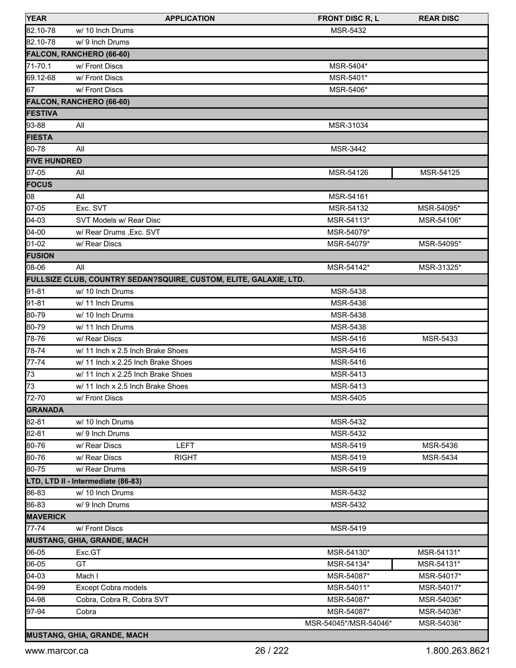| <b>YEAR</b>         |                                                                   | <b>APPLICATION</b> | <b>FRONT DISC R, L</b> | <b>REAR DISC</b> |
|---------------------|-------------------------------------------------------------------|--------------------|------------------------|------------------|
| 82.10-78            | w/ 10 Inch Drums                                                  |                    | MSR-5432               |                  |
| 82.10-78            | w/ 9 Inch Drums                                                   |                    |                        |                  |
|                     | <b>FALCON, RANCHERO (66-60)</b>                                   |                    |                        |                  |
| 71-70.1             | w/Front Discs                                                     |                    | MSR-5404*              |                  |
| 69.12-68            | w/ Front Discs                                                    |                    | MSR-5401*              |                  |
| 67                  | w/ Front Discs                                                    |                    | MSR-5406*              |                  |
|                     | FALCON, RANCHERO (66-60)                                          |                    |                        |                  |
| <b>FESTIVA</b>      |                                                                   |                    |                        |                  |
| 93-88               | All                                                               |                    | MSR-31034              |                  |
| <b>FIESTA</b>       |                                                                   |                    |                        |                  |
| 80-78               | All                                                               |                    | MSR-3442               |                  |
| <b>FIVE HUNDRED</b> |                                                                   |                    |                        |                  |
| 07-05               | All                                                               |                    | MSR-54126              | MSR-54125        |
| FOCUS               |                                                                   |                    |                        |                  |
| 08                  | All                                                               |                    | MSR-54161              |                  |
| 07-05               | Exc. SVT                                                          |                    | MSR-54132              | MSR-54095*       |
| $04-03$             | SVT Models w/ Rear Disc                                           |                    | MSR-54113*             | MSR-54106*       |
| 04-00               | w/ Rear Drums , Exc. SVT                                          |                    | MSR-54079*             |                  |
| 01-02               | w/ Rear Discs                                                     |                    | MSR-54079*             | MSR-54095*       |
| <b>FUSION</b>       |                                                                   |                    |                        |                  |
| 08-06               | All                                                               |                    | MSR-54142*             | MSR-31325*       |
|                     | FULLSIZE CLUB, COUNTRY SEDAN?SQUIRE, CUSTOM, ELITE, GALAXIE, LTD. |                    |                        |                  |
| 91-81               | w/ 10 Inch Drums                                                  |                    | MSR-5438               |                  |
| 91-81               | w/ 11 Inch Drums                                                  |                    | MSR-5438               |                  |
| 80-79               | w/ 10 Inch Drums                                                  |                    | MSR-5438               |                  |
| 80-79               | w/ 11 Inch Drums                                                  |                    | MSR-5438               |                  |
| 78-76               | w/ Rear Discs                                                     |                    | MSR-5416               | MSR-5433         |
| 78-74               | w/ 11 Inch x 2.5 Inch Brake Shoes                                 |                    | MSR-5416               |                  |
| 77-74               | w/ 11 Inch x 2.25 Inch Brake Shoes                                |                    | MSR-5416               |                  |
| 73                  | w/ 11 Inch x 2.25 Inch Brake Shoes                                |                    | MSR-5413               |                  |
| 73                  | w/ 11 Inch x 2.5 Inch Brake Shoes                                 |                    | MSR-5413               |                  |
| 72-70               | w/ Front Discs                                                    |                    | <b>MSR-5405</b>        |                  |
| <b>GRANADA</b>      |                                                                   |                    |                        |                  |
| 82-81               | w/ 10 Inch Drums                                                  |                    | MSR-5432               |                  |
| 82-81               | w/ 9 Inch Drums                                                   |                    | MSR-5432               |                  |
| 80-76               | w/ Rear Discs                                                     | <b>LEFT</b>        | MSR-5419               | <b>MSR-5436</b>  |
| 80-76               | w/ Rear Discs                                                     | <b>RIGHT</b>       | MSR-5419               | MSR-5434         |
| 80-75               | w/ Rear Drums                                                     |                    | MSR-5419               |                  |
|                     | LTD, LTD II - Intermediate (86-83)                                |                    |                        |                  |
| 86-83               | w/ 10 Inch Drums                                                  |                    | MSR-5432               |                  |
| 86-83               | w/ 9 Inch Drums                                                   |                    | MSR-5432               |                  |
| <b>MAVERICK</b>     |                                                                   |                    |                        |                  |
| 77-74               | w/ Front Discs                                                    |                    | MSR-5419               |                  |
|                     | <b>MUSTANG, GHIA, GRANDE, MACH</b>                                |                    |                        |                  |
| 06-05               | Exc.GT                                                            |                    | MSR-54130*             | MSR-54131*       |
| 06-05               | GT                                                                |                    | MSR-54134*             | MSR-54131*       |
| $04-03$             | Mach I                                                            |                    | MSR-54087*             | MSR-54017*       |
| 04-99               | <b>Except Cobra models</b>                                        |                    | MSR-54011*             | MSR-54017*       |
| 04-98               | Cobra, Cobra R, Cobra SVT                                         |                    | MSR-54087*             | MSR-54036*       |
| 97-94               | Cobra                                                             |                    | MSR-54087*             | MSR-54036*       |
|                     |                                                                   |                    | MSR-54045*/MSR-54046*  | MSR-54036*       |
|                     | MUSTANG, GHIA, GRANDE, MACH                                       |                    |                        |                  |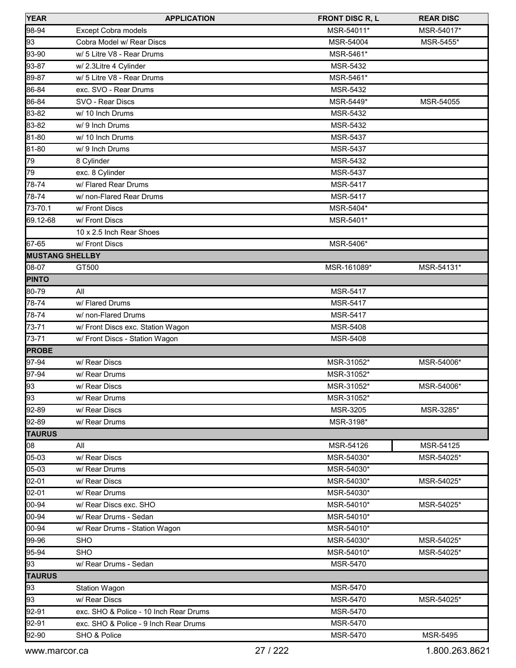| <b>YEAR</b>            | <b>APPLICATION</b>                     | <b>FRONT DISC R, L</b> | <b>REAR DISC</b> |
|------------------------|----------------------------------------|------------------------|------------------|
| 98-94                  | <b>Except Cobra models</b>             | MSR-54011*             | MSR-54017*       |
| 93                     | Cobra Model w/ Rear Discs              | MSR-54004              | MSR-5455*        |
| 93-90                  | w/ 5 Litre V8 - Rear Drums             | MSR-5461*              |                  |
| 93-87                  | w/ 2.3Litre 4 Cylinder                 | <b>MSR-5432</b>        |                  |
| 89-87                  | w/ 5 Litre V8 - Rear Drums             | MSR-5461*              |                  |
| 86-84                  | exc. SVO - Rear Drums                  | MSR-5432               |                  |
| 86-84                  | SVO - Rear Discs                       | MSR-5449*              | MSR-54055        |
| 83-82                  | w/ 10 Inch Drums                       | MSR-5432               |                  |
| 83-82                  | w/ 9 Inch Drums                        | MSR-5432               |                  |
| 81-80                  | w/ 10 Inch Drums                       | MSR-5437               |                  |
| 81-80                  | w/ 9 Inch Drums                        | <b>MSR-5437</b>        |                  |
| 79                     | 8 Cylinder                             | MSR-5432               |                  |
| 79                     | exc. 8 Cylinder                        | MSR-5437               |                  |
| 78-74                  | w/ Flared Rear Drums                   | <b>MSR-5417</b>        |                  |
| 78-74                  | w/ non-Flared Rear Drums               | <b>MSR-5417</b>        |                  |
| 73-70.1                | w/ Front Discs                         | MSR-5404*              |                  |
| 69.12-68               | w/ Front Discs                         | MSR-5401*              |                  |
|                        | 10 x 2.5 Inch Rear Shoes               |                        |                  |
| 67-65                  | w/ Front Discs                         | MSR-5406*              |                  |
| <b>MUSTANG SHELLBY</b> |                                        |                        |                  |
| 08-07                  | GT500                                  | MSR-161089*            | MSR-54131*       |
| <b>PINTO</b>           |                                        |                        |                  |
| 80-79                  | All                                    | MSR-5417               |                  |
| 78-74                  | w/ Flared Drums                        | <b>MSR-5417</b>        |                  |
| 78-74                  | w/ non-Flared Drums                    | MSR-5417               |                  |
| 73-71                  | w/ Front Discs exc. Station Wagon      | MSR-5408               |                  |
| 73-71                  | w/ Front Discs - Station Wagon         | <b>MSR-5408</b>        |                  |
| <b>PROBE</b>           |                                        |                        |                  |
| 97-94                  | w/ Rear Discs                          | MSR-31052*             | MSR-54006*       |
| 97-94                  | w/ Rear Drums                          | MSR-31052*             |                  |
| 93                     | w/ Rear Discs                          | MSR-31052*             | MSR-54006*       |
| 93                     | w/ Rear Drums                          | MSR-31052*             |                  |
| 92-89                  | w/ Rear Discs                          | MSR-3205               | MSR-3285*        |
| 92-89                  | w/ Rear Drums                          | MSR-3198*              |                  |
| <b>TAURUS</b>          |                                        |                        |                  |
| 08                     | All                                    | MSR-54126              | MSR-54125        |
| 05-03                  | w/ Rear Discs                          | MSR-54030*             | MSR-54025*       |
| 05-03                  | w/ Rear Drums                          | MSR-54030*             |                  |
| 02-01                  | w/ Rear Discs                          | MSR-54030*             | MSR-54025*       |
| 02-01                  | w/ Rear Drums                          | MSR-54030*             |                  |
| 00-94                  | w/ Rear Discs exc. SHO                 | MSR-54010*             | MSR-54025*       |
| 00-94                  | w/ Rear Drums - Sedan                  | MSR-54010*             |                  |
| 00-94                  | w/ Rear Drums - Station Wagon          | MSR-54010*             |                  |
| 99-96                  | <b>SHO</b>                             | MSR-54030*             | MSR-54025*       |
| 95-94                  | <b>SHO</b>                             | MSR-54010*             | MSR-54025*       |
| 93                     | w/ Rear Drums - Sedan                  | MSR-5470               |                  |
| <b>TAURUS</b>          |                                        |                        |                  |
| 93                     | <b>Station Wagon</b>                   | MSR-5470               |                  |
| 93                     | w/ Rear Discs                          | MSR-5470               | MSR-54025*       |
| 92-91                  | exc. SHO & Police - 10 Inch Rear Drums | MSR-5470               |                  |
| 92-91                  | exc. SHO & Police - 9 Inch Rear Drums  | MSR-5470               |                  |
| 92-90                  | SHO & Police                           | MSR-5470               | MSR-5495         |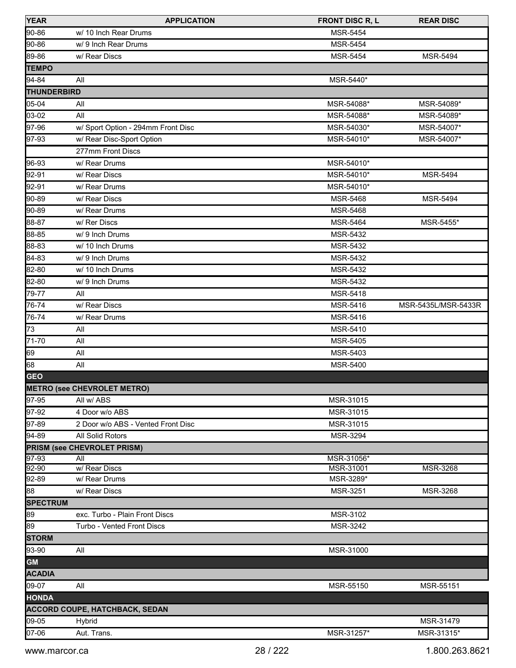| <b>YEAR</b>        | <b>APPLICATION</b>                    | <b>FRONT DISC R, L</b> | <b>REAR DISC</b>    |
|--------------------|---------------------------------------|------------------------|---------------------|
| 90-86              | w/ 10 Inch Rear Drums                 | <b>MSR-5454</b>        |                     |
| 90-86              | w/ 9 Inch Rear Drums                  | <b>MSR-5454</b>        |                     |
| 89-86              | w/ Rear Discs                         | <b>MSR-5454</b>        | <b>MSR-5494</b>     |
| <b>TEMPO</b>       |                                       |                        |                     |
| 94-84              | All                                   | MSR-5440*              |                     |
| <b>THUNDERBIRD</b> |                                       |                        |                     |
| 05-04              | All                                   | MSR-54088*             | MSR-54089*          |
| 03-02              | All                                   | MSR-54088*             | MSR-54089*          |
| 97-96              | w/ Sport Option - 294mm Front Disc    | MSR-54030*             | MSR-54007*          |
| 97-93              | w/ Rear Disc-Sport Option             | MSR-54010*             | MSR-54007*          |
|                    | 277mm Front Discs                     |                        |                     |
| 96-93              | w/ Rear Drums                         | MSR-54010*             |                     |
| 92-91              | w/ Rear Discs                         | MSR-54010*             | <b>MSR-5494</b>     |
| 92-91              | w/ Rear Drums                         | MSR-54010*             |                     |
| 90-89              | w/ Rear Discs                         | <b>MSR-5468</b>        | <b>MSR-5494</b>     |
| 90-89              | w/ Rear Drums                         | <b>MSR-5468</b>        |                     |
| 88-87              | w/ Rer Discs                          | <b>MSR-5464</b>        | MSR-5455*           |
| 88-85              | w/ 9 Inch Drums                       | <b>MSR-5432</b>        |                     |
| 88-83              | w/ 10 Inch Drums                      | <b>MSR-5432</b>        |                     |
| 84-83              | w/9 Inch Drums                        | MSR-5432               |                     |
| 82-80              | w/ 10 Inch Drums                      | MSR-5432               |                     |
| 82-80              | w/ 9 Inch Drums                       | MSR-5432               |                     |
| 79-77              | All                                   | MSR-5418               |                     |
| 76-74              | w/ Rear Discs                         | MSR-5416               | MSR-5435L/MSR-5433R |
| 76-74              | w/ Rear Drums                         | MSR-5416               |                     |
| 73                 | All                                   | MSR-5410               |                     |
| 71-70              | All                                   | <b>MSR-5405</b>        |                     |
| 69                 | All                                   | MSR-5403               |                     |
| 68                 | All                                   | MSR-5400               |                     |
| <b>GEO</b>         |                                       |                        |                     |
|                    | <b>METRO (see CHEVROLET METRO)</b>    |                        |                     |
| 97-95              | All w/ ABS                            | MSR-31015              |                     |
| 97-92              | 4 Door w/o ABS                        | MSR-31015              |                     |
| 97-89              | 2 Door w/o ABS - Vented Front Disc    | MSR-31015              |                     |
| 94-89              | All Solid Rotors                      | <b>MSR-3294</b>        |                     |
|                    | <b>PRISM (see CHEVROLET PRISM)</b>    |                        |                     |
| 97-93              | All                                   | MSR-31056*             |                     |
| $92-90$            | w/ Rear Discs                         | MSR-31001              | MSR-3268            |
| 92-89              | w/ Rear Drums                         | MSR-3289*              |                     |
| 88                 | w/ Rear Discs                         | MSR-3251               | MSR-3268            |
| <b>SPECTRUM</b>    |                                       |                        |                     |
| 89                 | exc. Turbo - Plain Front Discs        | MSR-3102               |                     |
| 89                 | Turbo - Vented Front Discs            | MSR-3242               |                     |
| <b>STORM</b>       |                                       |                        |                     |
| 93-90              | All                                   | MSR-31000              |                     |
| <b>GM</b>          |                                       |                        |                     |
| <b>ACADIA</b>      |                                       |                        |                     |
| 09-07              | All                                   | MSR-55150              | MSR-55151           |
| <b>HONDA</b>       |                                       |                        |                     |
|                    | <b>ACCORD COUPE, HATCHBACK, SEDAN</b> |                        |                     |
| 09-05              | Hybrid                                |                        | MSR-31479           |
| 07-06              | Aut. Trans.                           | MSR-31257*             | MSR-31315*          |
|                    |                                       |                        |                     |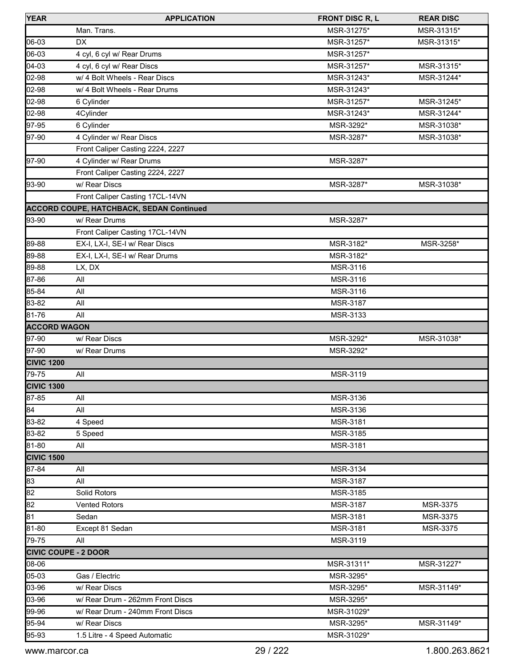| <b>YEAR</b>                 | <b>APPLICATION</b>                              | <b>FRONT DISC R, L</b> | <b>REAR DISC</b> |
|-----------------------------|-------------------------------------------------|------------------------|------------------|
|                             | Man. Trans.                                     | MSR-31275*             | MSR-31315*       |
| 06-03                       | <b>DX</b>                                       | MSR-31257*             | MSR-31315*       |
| 06-03                       | 4 cyl, 6 cyl w/ Rear Drums                      | MSR-31257*             |                  |
| 04-03                       | 4 cyl, 6 cyl w/ Rear Discs                      | MSR-31257*             | MSR-31315*       |
| 02-98                       | w/ 4 Bolt Wheels - Rear Discs                   | MSR-31243*             | MSR-31244*       |
| 02-98                       | w/ 4 Bolt Wheels - Rear Drums                   | MSR-31243*             |                  |
| 02-98                       | 6 Cylinder                                      | MSR-31257*             | MSR-31245*       |
| 02-98                       | 4Cylinder                                       | MSR-31243*             | MSR-31244*       |
| 97-95                       | 6 Cylinder                                      | MSR-3292*              | MSR-31038*       |
| 97-90                       | 4 Cylinder w/ Rear Discs                        | MSR-3287*              | MSR-31038*       |
|                             | Front Caliper Casting 2224, 2227                |                        |                  |
| 97-90                       | 4 Cylinder w/ Rear Drums                        | MSR-3287*              |                  |
|                             | Front Caliper Casting 2224, 2227                |                        |                  |
| 93-90                       | w/ Rear Discs                                   | MSR-3287*              | MSR-31038*       |
|                             | Front Caliper Casting 17CL-14VN                 |                        |                  |
|                             | <b>ACCORD COUPE, HATCHBACK, SEDAN Continued</b> |                        |                  |
| 93-90                       | w/ Rear Drums                                   | MSR-3287*              |                  |
|                             | Front Caliper Casting 17CL-14VN                 |                        |                  |
| 89-88                       | EX-I, LX-I, SE-I w/ Rear Discs                  | MSR-3182*              | MSR-3258*        |
| 89-88                       | EX-I, LX-I, SE-I w/ Rear Drums                  | MSR-3182*              |                  |
| 89-88                       | LX, DX                                          | MSR-3116               |                  |
| 87-86                       | All                                             | MSR-3116               |                  |
| 85-84                       | All                                             | MSR-3116               |                  |
| 83-82                       | All                                             | MSR-3187               |                  |
| 81-76                       | All                                             | MSR-3133               |                  |
| <b>ACCORD WAGON</b>         |                                                 |                        |                  |
| 97-90                       | w/ Rear Discs                                   | MSR-3292*              | MSR-31038*       |
| 97-90                       | w/ Rear Drums                                   | MSR-3292*              |                  |
| <b>CIVIC 1200</b>           |                                                 |                        |                  |
| 79-75                       | All                                             | MSR-3119               |                  |
| <b>CIVIC 1300</b>           |                                                 |                        |                  |
| 87-85                       | All                                             | MSR-3136               |                  |
| 84                          | All                                             | MSR-3136               |                  |
| 83-82                       | 4 Speed                                         | MSR-3181               |                  |
| 83-82                       | 5 Speed                                         | MSR-3185               |                  |
| 81-80                       | All                                             | MSR-3181               |                  |
| <b>CIVIC 1500</b>           |                                                 |                        |                  |
| 87-84                       | All                                             | MSR-3134               |                  |
| 83                          | All                                             | MSR-3187               |                  |
| 82                          | Solid Rotors                                    | MSR-3185               |                  |
| 82                          | <b>Vented Rotors</b>                            | MSR-3187               | MSR-3375         |
| 81                          | Sedan                                           | MSR-3181               | MSR-3375         |
| 81-80                       | Except 81 Sedan                                 | MSR-3181               | MSR-3375         |
| 79-75                       | All                                             | MSR-3119               |                  |
| <b>CIVIC COUPE - 2 DOOR</b> |                                                 |                        |                  |
| 08-06                       |                                                 | MSR-31311*             | MSR-31227*       |
| 05-03                       | Gas / Electric                                  | MSR-3295*              |                  |
| 03-96                       | w/ Rear Discs                                   | MSR-3295*              | MSR-31149*       |
| 03-96                       | w/ Rear Drum - 262mm Front Discs                | MSR-3295*              |                  |
| 99-96                       | w/ Rear Drum - 240mm Front Discs                | MSR-31029*             |                  |
| 95-94                       | w/ Rear Discs                                   | MSR-3295*              | MSR-31149*       |
| 95-93                       | 1.5 Litre - 4 Speed Automatic                   | MSR-31029*             |                  |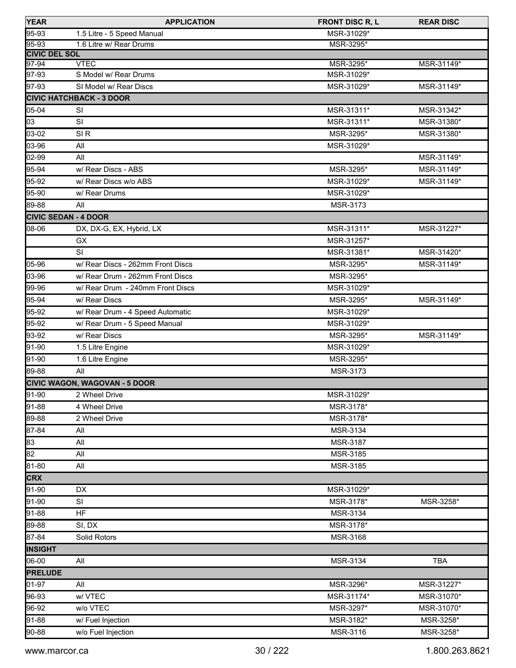| <b>YEAR</b>                 | <b>APPLICATION</b>                   | <b>FRONT DISC R, L</b> | <b>REAR DISC</b> |
|-----------------------------|--------------------------------------|------------------------|------------------|
| 95-93                       | 1.5 Litre - 5 Speed Manual           | MSR-31029*             |                  |
| 95-93                       | 1.6 Litre w/ Rear Drums              | MSR-3295*              |                  |
| <b>CIVIC DEL SOL</b>        |                                      |                        |                  |
| $97 - 94$                   | <b>VTEC</b><br>S Model w/ Rear Drums | MSR-3295*              | MSR-31149*       |
| 97-93                       |                                      | MSR-31029*             |                  |
| 97-93                       | SI Model w/ Rear Discs               | MSR-31029*             | MSR-31149*       |
|                             | <b>CIVIC HATCHBACK - 3 DOOR</b>      |                        |                  |
| 05-04                       | SI                                   | MSR-31311*             | MSR-31342*       |
| 03                          | SI                                   | MSR-31311*             | MSR-31380*       |
| 03-02                       | SI <sub>R</sub>                      | MSR-3295*              | MSR-31380*       |
| 03-96                       | All                                  | MSR-31029*             |                  |
| 02-99                       | All                                  |                        | MSR-31149*       |
| 95-94                       | w/ Rear Discs - ABS                  | MSR-3295*              | MSR-31149*       |
| 95-92                       | w/ Rear Discs w/o ABS                | MSR-31029*             | MSR-31149*       |
| 95-90                       | w/ Rear Drums                        | MSR-31029*             |                  |
| 89-88                       | All                                  | MSR-3173               |                  |
| <b>CIVIC SEDAN - 4 DOOR</b> |                                      |                        |                  |
| 08-06                       | DX, DX-G, EX, Hybrid, LX             | MSR-31311*             | MSR-31227*       |
|                             | GX                                   | MSR-31257*             |                  |
|                             | SI                                   | MSR-31381*             | MSR-31420*       |
| 05-96                       | w/ Rear Discs - 262mm Front Discs    | MSR-3295*              | MSR-31149*       |
| 03-96                       | w/ Rear Drum - 262mm Front Discs     | MSR-3295*              |                  |
| 99-96                       | w/ Rear Drum - 240mm Front Discs     | MSR-31029*             |                  |
| 95-94                       | w/ Rear Discs                        | MSR-3295*              | MSR-31149*       |
| 95-92                       | w/ Rear Drum - 4 Speed Automatic     | MSR-31029*             |                  |
| 95-92                       | w/ Rear Drum - 5 Speed Manual        | MSR-31029*             |                  |
| 93-92                       | w/ Rear Discs                        | MSR-3295*              | MSR-31149*       |
| 91-90                       | 1.5 Litre Engine                     | MSR-31029*             |                  |
| 91-90                       | 1.6 Litre Engine                     | MSR-3295*              |                  |
| 89-88                       | All                                  | MSR-3173               |                  |
|                             | <b>CIVIC WAGON, WAGOVAN - 5 DOOR</b> |                        |                  |
| 91-90                       | 2 Wheel Drive                        | MSR-31029*             |                  |
| 91-88                       | 4 Wheel Drive                        | MSR-3178*              |                  |
| 89-88                       | 2 Wheel Drive                        | MSR-3178*              |                  |
| 87-84                       | All                                  | MSR-3134               |                  |
| 83                          | All                                  | MSR-3187               |                  |
| 82                          | All                                  | MSR-3185               |                  |
| 81-80                       | All                                  | MSR-3185               |                  |
| <b>CRX</b>                  |                                      |                        |                  |
| 91-90                       | DX                                   | MSR-31029*             |                  |
| 91-90                       | SI                                   | MSR-3178*              | MSR-3258*        |
| 91-88                       | <b>HF</b>                            | MSR-3134               |                  |
| 89-88                       | SI, DX                               | MSR-3178*              |                  |
| 87-84                       | Solid Rotors                         | MSR-3168               |                  |
| <b>INSIGHT</b>              |                                      |                        |                  |
| 06-00                       | All                                  | MSR-3134               | TBA              |
| <b>PRELUDE</b>              |                                      |                        |                  |
| 01-97                       | All                                  | MSR-3296*              | MSR-31227*       |
| 96-93                       | w/VTEC                               | MSR-31174*             | MSR-31070*       |
| 96-92                       | w/o VTEC                             | MSR-3297*              | MSR-31070*       |
| 91-88                       | w/ Fuel Injection                    | MSR-3182*              | MSR-3258*        |
| 90-88                       | w/o Fuel Injection                   | MSR-3116               | MSR-3258*        |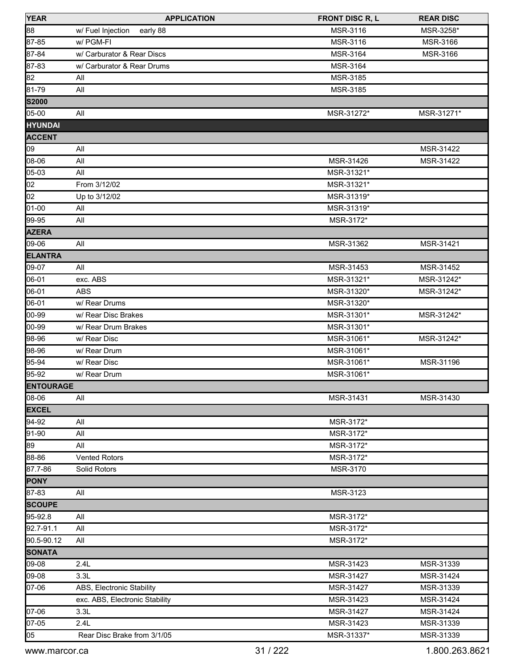| <b>YEAR</b>      | <b>APPLICATION</b>             | <b>FRONT DISC R, L</b> | <b>REAR DISC</b> |
|------------------|--------------------------------|------------------------|------------------|
| 88               | w/ Fuel Injection<br>early 88  | MSR-3116               | MSR-3258*        |
| 87-85            | w/ PGM-FI                      | MSR-3116               | MSR-3166         |
| $87 - 84$        | w/ Carburator & Rear Discs     | MSR-3164               | MSR-3166         |
| 87-83            | w/ Carburator & Rear Drums     | MSR-3164               |                  |
| 82               | All                            | MSR-3185               |                  |
| $81 - 79$        | All                            | MSR-3185               |                  |
| <b>S2000</b>     |                                |                        |                  |
| $05-00$          | All                            | MSR-31272*             | MSR-31271*       |
| <b>HYUNDAI</b>   |                                |                        |                  |
| <b>ACCENT</b>    |                                |                        |                  |
| 09               | All                            |                        | MSR-31422        |
| 08-06            | All                            | MSR-31426              | MSR-31422        |
| 05-03            | All                            | MSR-31321*             |                  |
| $\overline{0}2$  | From 3/12/02                   | MSR-31321*             |                  |
| 02               | Up to 3/12/02                  | MSR-31319*             |                  |
| $01-00$          | All                            | MSR-31319*             |                  |
| 99-95            | All                            | MSR-3172*              |                  |
| <b>AZERA</b>     |                                |                        |                  |
| 09-06            | All                            | MSR-31362              | MSR-31421        |
| <b>ELANTRA</b>   |                                |                        |                  |
| 09-07            | All                            | MSR-31453              | MSR-31452        |
| 06-01            | exc. ABS                       | MSR-31321*             | MSR-31242*       |
| 06-01            | <b>ABS</b>                     | MSR-31320*             | MSR-31242*       |
| 06-01            | w/ Rear Drums                  | MSR-31320*             |                  |
| 00-99            | w/ Rear Disc Brakes            | MSR-31301*             | MSR-31242*       |
| 00-99            | w/ Rear Drum Brakes            | MSR-31301*             |                  |
| 98-96            | w/ Rear Disc                   | MSR-31061*             | MSR-31242*       |
| 98-96            | w/ Rear Drum                   | MSR-31061*             |                  |
| $95 - 94$        | w/ Rear Disc                   | MSR-31061*             | MSR-31196        |
| 95-92            | w/ Rear Drum                   | MSR-31061*             |                  |
| <b>ENTOURAGE</b> |                                |                        |                  |
| 08-06            | All                            | MSR-31431              | MSR-31430        |
| <b>EXCEL</b>     |                                |                        |                  |
| 94-92            | All                            | MSR-3172*              |                  |
| $91 - 90$        | All                            | MSR-3172*              |                  |
| 89               | All                            | MSR-3172*              |                  |
| 88-86            | <b>Vented Rotors</b>           | MSR-3172*              |                  |
| 87.7-86          | Solid Rotors                   | MSR-3170               |                  |
| <b>PONY</b>      |                                |                        |                  |
| 87-83            | All                            | MSR-3123               |                  |
| <b>SCOUPE</b>    |                                |                        |                  |
| 95-92.8          | All                            | MSR-3172*              |                  |
| 92.7-91.1        | All                            | MSR-3172*              |                  |
| 90.5-90.12       | All                            | MSR-3172*              |                  |
| <b>SONATA</b>    |                                |                        |                  |
| 09-08            | 2.4L                           | MSR-31423              | MSR-31339        |
| 09-08            | 3.3L                           | MSR-31427              | MSR-31424        |
| 07-06            | ABS, Electronic Stability      | MSR-31427              | MSR-31339        |
|                  | exc. ABS, Electronic Stability | MSR-31423              | MSR-31424        |
| 07-06            | 3.3L                           | MSR-31427              | MSR-31424        |
| $07-05$          | 2.4L                           | MSR-31423              | MSR-31339        |
| 05               | Rear Disc Brake from 3/1/05    | MSR-31337*             | MSR-31339        |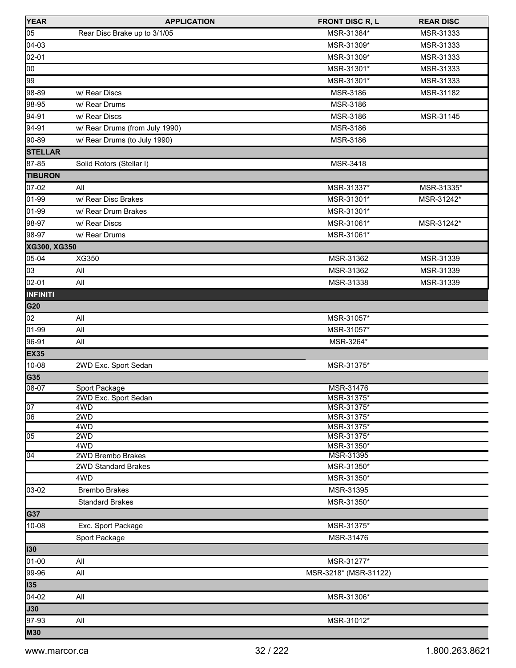| <b>YEAR</b>     | <b>APPLICATION</b>             | <b>FRONT DISC R, L</b>   | <b>REAR DISC</b> |
|-----------------|--------------------------------|--------------------------|------------------|
| 05              | Rear Disc Brake up to 3/1/05   | MSR-31384*               | MSR-31333        |
| 04-03           |                                | MSR-31309*               | MSR-31333        |
| 02-01           |                                | MSR-31309*               | MSR-31333        |
| $\overline{00}$ |                                | MSR-31301*               | MSR-31333        |
| 99              |                                | MSR-31301*               | MSR-31333        |
| 98-89           | w/ Rear Discs                  | MSR-3186                 | MSR-31182        |
| 98-95           | w/ Rear Drums                  | MSR-3186                 |                  |
| 94-91           | w/ Rear Discs                  | MSR-3186                 | MSR-31145        |
| 94-91           | w/ Rear Drums (from July 1990) | MSR-3186                 |                  |
| 90-89           | w/ Rear Drums (to July 1990)   | MSR-3186                 |                  |
| <b>STELLAR</b>  |                                |                          |                  |
| 87-85           | Solid Rotors (Stellar I)       | MSR-3418                 |                  |
| <b>TIBURON</b>  |                                |                          |                  |
| 07-02           | All                            | MSR-31337*               | MSR-31335*       |
| 01-99           | w/ Rear Disc Brakes            | MSR-31301*               | MSR-31242*       |
| 01-99           | w/ Rear Drum Brakes            | MSR-31301*               |                  |
| 98-97           | w/ Rear Discs                  | MSR-31061*               | MSR-31242*       |
| 98-97           | w/ Rear Drums                  | MSR-31061*               |                  |
| XG300, XG350    |                                |                          |                  |
| 05-04           | XG350                          | MSR-31362                | MSR-31339        |
| 03              | All                            | MSR-31362                | MSR-31339        |
| 02-01           | All                            | MSR-31338                | MSR-31339        |
| <b>INFINITI</b> |                                |                          |                  |
| G20             |                                |                          |                  |
| 02              | All                            | MSR-31057*               |                  |
| 01-99           | All                            | MSR-31057*               |                  |
| 96-91           | All                            | MSR-3264*                |                  |
| <b>EX35</b>     |                                |                          |                  |
| 10-08           | 2WD Exc. Sport Sedan           | MSR-31375*               |                  |
| G35             |                                |                          |                  |
| $08-07$         | Sport Package                  | MSR-31476                |                  |
|                 | 2WD Exc. Sport Sedan           | MSR-31375                |                  |
| $\overline{07}$ | 4WD                            | MSR-31375*               |                  |
| $\overline{06}$ | 2WD                            | MSR-31375*               |                  |
| 05              | 4WD<br>2WD                     | MSR-31375*<br>MSR-31375* |                  |
|                 | 4WD                            | MSR-31350*               |                  |
| $\overline{04}$ | 2WD Brembo Brakes              | MSR-31395                |                  |
|                 | 2WD Standard Brakes            | MSR-31350*               |                  |
|                 | 4WD                            | MSR-31350*               |                  |
| $ 03-02 $       | <b>Brembo Brakes</b>           | MSR-31395                |                  |
|                 | <b>Standard Brakes</b>         | MSR-31350*               |                  |
| G37             |                                |                          |                  |
| 10-08           | Exc. Sport Package             | MSR-31375*               |                  |
|                 | Sport Package                  | MSR-31476                |                  |
| 130             |                                |                          |                  |
| 01-00           | All                            | MSR-31277*               |                  |
| 99-96           | All                            | MSR-3218* (MSR-31122)    |                  |
| 135             |                                |                          |                  |
| 04-02           | All                            | MSR-31306*               |                  |
| <b>J30</b>      |                                |                          |                  |
| 97-93           | All                            | MSR-31012*               |                  |
| <b>M30</b>      |                                |                          |                  |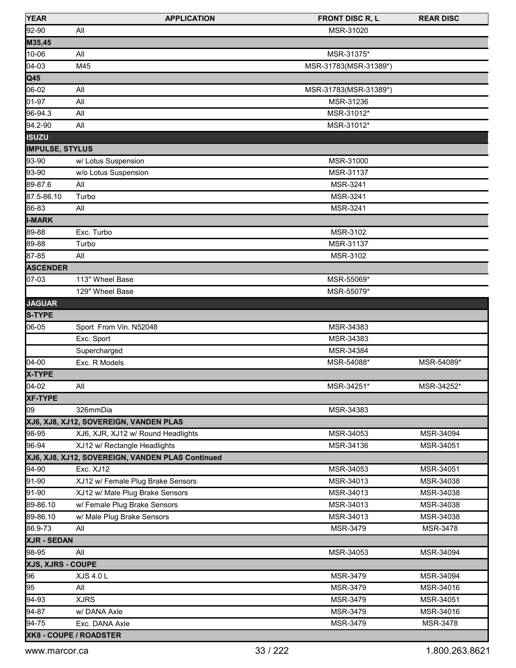| <b>YEAR</b>            | <b>APPLICATION</b>                               | <b>FRONT DISC R, L</b> | <b>REAR DISC</b> |
|------------------------|--------------------------------------------------|------------------------|------------------|
| 92-90                  | All                                              | MSR-31020              |                  |
| M35,45                 |                                                  |                        |                  |
| 10-06                  | All                                              | MSR-31375*             |                  |
| 04-03                  | M45                                              | MSR-31783(MSR-31389*)  |                  |
| Q45                    |                                                  |                        |                  |
| 06-02                  | All                                              | MSR-31783(MSR-31389*)  |                  |
| 01-97                  | All                                              | MSR-31236              |                  |
| 96-94.3                | All                                              | MSR-31012*             |                  |
| 94.2-90                | All                                              | MSR-31012*             |                  |
| <b>ISUZU</b>           |                                                  |                        |                  |
| <b>IMPULSE, STYLUS</b> |                                                  |                        |                  |
| 93-90                  | w/ Lotus Suspension                              | MSR-31000              |                  |
| 93-90                  | w/o Lotus Suspension                             | MSR-31137              |                  |
| 89-87.6                | All                                              | MSR-3241               |                  |
| 87.5-86.10             | Turbo                                            | MSR-3241               |                  |
| 86-83                  | All                                              | MSR-3241               |                  |
| <b>I-MARK</b>          |                                                  |                        |                  |
| 89-88                  | Exc. Turbo                                       | MSR-3102               |                  |
| 89-88                  | Turbo                                            | MSR-31137              |                  |
| 87-85                  | All                                              | MSR-3102               |                  |
| <b>ASCENDER</b>        |                                                  |                        |                  |
| 07-03                  | 113" Wheel Base                                  | MSR-55069*             |                  |
|                        | 129" Wheel Base                                  | MSR-55079*             |                  |
| <b>JAGUAR</b>          |                                                  |                        |                  |
| S-TYPE                 |                                                  |                        |                  |
| 06-05                  | Sport From Vin. N52048                           | MSR-34383              |                  |
|                        | Exc. Sport                                       | MSR-34383              |                  |
|                        | Supercharged                                     | MSR-34384              |                  |
| $04-00$                | Exc. R Models                                    | MSR-54088*             | MSR-54089*       |
| X-TYPE                 |                                                  |                        |                  |
| $04-02$                | All                                              | MSR-34251*             | MSR-34252*       |
| <b>XF-TYPE</b>         |                                                  |                        |                  |
| 09                     | 326mmDia                                         | MSR-34383              |                  |
|                        | XJ6, XJ8, XJ12, SOVEREIGN, VANDEN PLAS           |                        |                  |
| 98-95                  | XJ6, XJR, XJ12 w/ Round Headlights               | MSR-34053              | MSR-34094        |
| 96-94                  | XJ12 w/ Rectangle Headlights                     | MSR-34136              | MSR-34051        |
|                        | XJ6, XJ8, XJ12, SOVEREIGN, VANDEN PLAS Continued |                        |                  |
| 94-90                  | Exc. XJ12                                        | MSR-34053              | MSR-34051        |
| 91-90                  | XJ12 w/ Female Plug Brake Sensors                | MSR-34013              | MSR-34038        |
| 91-90                  | XJ12 w/ Male Plug Brake Sensors                  | MSR-34013              | MSR-34038        |
| 89-86.10               |                                                  |                        |                  |
|                        | w/ Female Plug Brake Sensors                     | MSR-34013              | MSR-34038        |
| 89-86.10               | w/ Male Plug Brake Sensors                       | MSR-34013              | MSR-34038        |
| 86.9-73                | All                                              | MSR-3479               | <b>MSR-3478</b>  |
| XJR - SEDAN            |                                                  |                        |                  |
| 98-95                  | All                                              | MSR-34053              | MSR-34094        |
| XJS, XJRS - COUPE      |                                                  |                        |                  |
| 96                     | <b>XJS 4.0 L</b>                                 | MSR-3479               | MSR-34094        |
| 95                     | All                                              | MSR-3479               | MSR-34016        |
| 94-93                  | <b>XJRS</b>                                      | MSR-3479               | MSR-34051        |
| 94-87                  | w/ DANA Axle                                     | MSR-3479               | MSR-34016        |
| 94-75                  | Exc. DANA Axle                                   | MSR-3479               | MSR-3478         |
|                        | XK8 - COUPE / ROADSTER                           |                        |                  |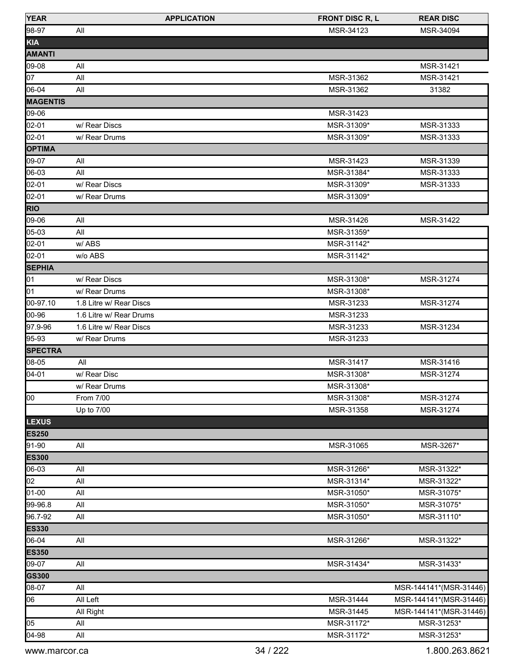| <b>YEAR</b>     | <b>APPLICATION</b>      | <b>FRONT DISC R, L</b> | <b>REAR DISC</b>       |
|-----------------|-------------------------|------------------------|------------------------|
| 98-97           | All                     | MSR-34123              | MSR-34094              |
| KIA             |                         |                        |                        |
| <b>AMANTI</b>   |                         |                        |                        |
| 09-08           | All                     |                        | MSR-31421              |
| 07              | All                     | MSR-31362              | MSR-31421              |
| 06-04           | All                     | MSR-31362              | 31382                  |
| <b>MAGENTIS</b> |                         |                        |                        |
| 09-06           |                         | MSR-31423              |                        |
| 02-01           | w/ Rear Discs           | MSR-31309*             | MSR-31333              |
| 02-01           | w/ Rear Drums           | MSR-31309*             | MSR-31333              |
| <b>OPTIMA</b>   |                         |                        |                        |
| 09-07           | All                     | MSR-31423              | MSR-31339              |
| 06-03           | All                     | MSR-31384*             | MSR-31333              |
| 02-01           | w/ Rear Discs           | MSR-31309*             | MSR-31333              |
| 02-01           | w/ Rear Drums           | MSR-31309*             |                        |
| <b>RIO</b>      |                         |                        |                        |
| 09-06           | All                     | MSR-31426              | MSR-31422              |
| 05-03           | All                     | MSR-31359*             |                        |
| 02-01           | w/ABS                   | MSR-31142*             |                        |
| 02-01           | w/o ABS                 | MSR-31142*             |                        |
| <b>SEPHIA</b>   |                         |                        |                        |
| 01              | w/ Rear Discs           | MSR-31308*             | MSR-31274              |
| 01              | w/ Rear Drums           | MSR-31308*             |                        |
| 00-97.10        | 1.8 Litre w/ Rear Discs | MSR-31233              | MSR-31274              |
| 00-96           | 1.6 Litre w/ Rear Drums | MSR-31233              |                        |
| 97.9-96         | 1.6 Litre w/ Rear Discs | MSR-31233              | MSR-31234              |
| 95-93           | w/ Rear Drums           | MSR-31233              |                        |
| <b>SPECTRA</b>  |                         |                        |                        |
| 08-05           | All                     | MSR-31417              | MSR-31416              |
| 04-01           | w/ Rear Disc            | MSR-31308*             | MSR-31274              |
|                 | w/ Rear Drums           | MSR-31308*             |                        |
| 00              | From 7/00               | MSR-31308*             | MSR-31274              |
|                 | Up to 7/00              | MSR-31358              | MSR-31274              |
| <b>LEXUS</b>    |                         |                        |                        |
| <b>ES250</b>    |                         |                        |                        |
| 91-90           | All                     | MSR-31065              | MSR-3267*              |
| <b>ES300</b>    |                         |                        |                        |
| 06-03           | All                     | MSR-31266*             | MSR-31322*             |
| 02              | All                     | MSR-31314*             | MSR-31322*             |
| 01-00           | All                     | MSR-31050*             | MSR-31075*             |
| 99-96.8         | All                     | MSR-31050*             | MSR-31075*             |
| 96.7-92         | All                     | MSR-31050*             | MSR-31110*             |
| <b>ES330</b>    |                         |                        |                        |
| 06-04           | All                     | MSR-31266*             | MSR-31322*             |
| <b>ES350</b>    |                         |                        |                        |
| 09-07           | All                     | MSR-31434*             | MSR-31433*             |
| <b>GS300</b>    |                         |                        |                        |
| 08-07           | All                     |                        | MSR-144141*(MSR-31446) |
| 06              | All Left                | MSR-31444              | MSR-144141*(MSR-31446) |
|                 | All Right               | MSR-31445              | MSR-144141*(MSR-31446) |
| 05              | All                     | MSR-31172*             | MSR-31253*             |
| 04-98           | All                     | MSR-31172*             | MSR-31253*             |
|                 |                         |                        |                        |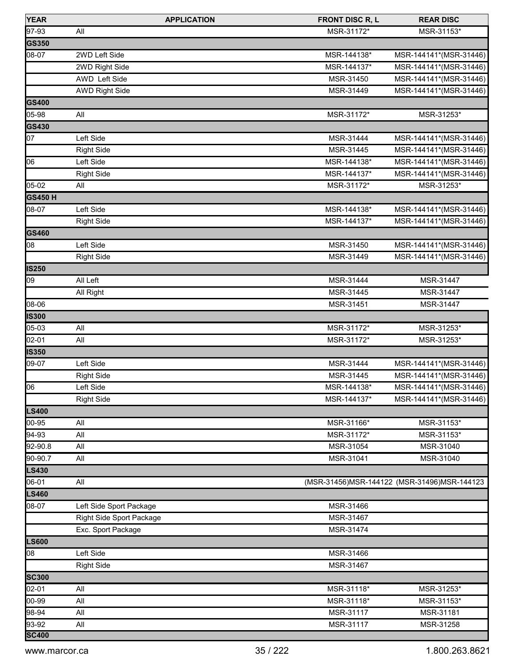| <b>YEAR</b>    |                          | <b>APPLICATION</b> | <b>FRONT DISC R, L</b> | <b>REAR DISC</b>                              |
|----------------|--------------------------|--------------------|------------------------|-----------------------------------------------|
| 97-93          | All                      |                    | MSR-31172*             | MSR-31153*                                    |
| GS350          |                          |                    |                        |                                               |
| 08-07          | 2WD Left Side            |                    | MSR-144138*            | MSR-144141*(MSR-31446)                        |
|                | 2WD Right Side           |                    | MSR-144137*            | MSR-144141*(MSR-31446)                        |
|                | AWD Left Side            |                    | MSR-31450              | MSR-144141*(MSR-31446)                        |
|                | <b>AWD Right Side</b>    |                    | MSR-31449              | MSR-144141*(MSR-31446)                        |
| GS400          |                          |                    |                        |                                               |
| $05 - 98$      | All                      |                    | MSR-31172*             | MSR-31253*                                    |
| <b>GS430</b>   |                          |                    |                        |                                               |
| 07             | Left Side                |                    | MSR-31444              | MSR-144141*(MSR-31446)                        |
|                | <b>Right Side</b>        |                    | MSR-31445              | MSR-144141*(MSR-31446)                        |
| 06             | Left Side                |                    | MSR-144138*            | MSR-144141*(MSR-31446)                        |
|                | <b>Right Side</b>        |                    | MSR-144137*            | MSR-144141*(MSR-31446)                        |
| $05-02$        | All                      |                    | MSR-31172*             | MSR-31253*                                    |
| <b>GS450 H</b> |                          |                    |                        |                                               |
| 08-07          | Left Side                |                    | MSR-144138*            | MSR-144141*(MSR-31446)                        |
|                | <b>Right Side</b>        |                    | MSR-144137*            | MSR-144141*(MSR-31446)                        |
| <b>GS460</b>   |                          |                    |                        |                                               |
| 08             | Left Side                |                    | MSR-31450              | MSR-144141*(MSR-31446)                        |
|                | <b>Right Side</b>        |                    | MSR-31449              | MSR-144141*(MSR-31446)                        |
| <b>IS250</b>   |                          |                    |                        |                                               |
| 09             | All Left                 |                    | MSR-31444              | MSR-31447                                     |
|                | All Right                |                    | MSR-31445              | MSR-31447                                     |
| 08-06          |                          |                    | MSR-31451              | MSR-31447                                     |
| <b>IS300</b>   |                          |                    |                        |                                               |
| 05-03          | All                      |                    | MSR-31172*             | MSR-31253*                                    |
| 02-01          | All                      |                    | MSR-31172*             | MSR-31253*                                    |
| <b>IS350</b>   |                          |                    |                        |                                               |
| 09-07          | Left Side                |                    | MSR-31444              | MSR-144141*(MSR-31446)                        |
|                | <b>Right Side</b>        |                    | MSR-31445              | MSR-144141*(MSR-31446)                        |
| 06             | Left Side                |                    | MSR-144138*            | MSR-144141*(MSR-31446)                        |
|                | <b>Right Side</b>        |                    | MSR-144137*            | MSR-144141*(MSR-31446)                        |
| <b>LS400</b>   |                          |                    |                        |                                               |
| 00-95          | All                      |                    | MSR-31166*             | MSR-31153*                                    |
| 94-93          | All                      |                    | MSR-31172*             | MSR-31153*                                    |
| 92-90.8        | All                      |                    | MSR-31054              | MSR-31040                                     |
| 90-90.7        | All                      |                    | MSR-31041              | MSR-31040                                     |
| <b>LS430</b>   |                          |                    |                        |                                               |
| 06-01          | All                      |                    |                        | (MSR-31456) MSR-144122 (MSR-31496) MSR-144123 |
| <b>LS460</b>   |                          |                    |                        |                                               |
| 08-07          | Left Side Sport Package  |                    | MSR-31466              |                                               |
|                | Right Side Sport Package |                    | MSR-31467              |                                               |
|                | Exc. Sport Package       |                    | MSR-31474              |                                               |
| <b>LS600</b>   |                          |                    |                        |                                               |
| 08             | Left Side                |                    | MSR-31466              |                                               |
|                | <b>Right Side</b>        |                    | MSR-31467              |                                               |
| <b>SC300</b>   |                          |                    |                        |                                               |
| 02-01          | All                      |                    | MSR-31118*             | MSR-31253*                                    |
| 00-99          | All                      |                    | MSR-31118*             | MSR-31153*                                    |
| 98-94          | All                      |                    | MSR-31117              | MSR-31181                                     |
| 93-92          | All                      |                    | MSR-31117              | MSR-31258                                     |
| <b>SC400</b>   |                          |                    |                        |                                               |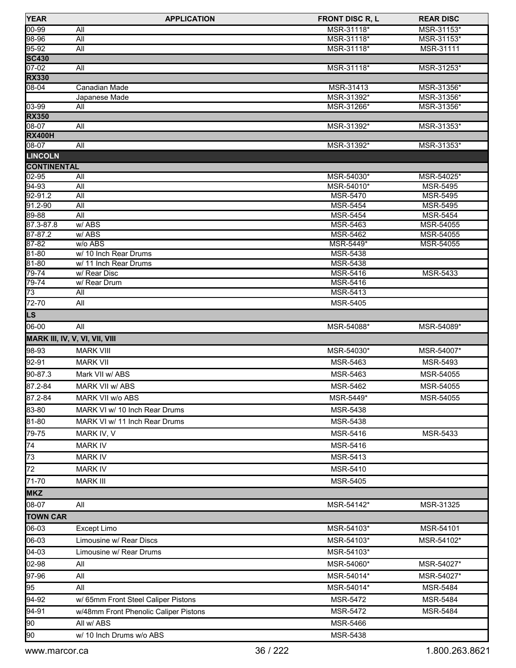| <b>YEAR</b>                    | <b>APPLICATION</b>                    | <b>FRONT DISC R, L</b>             | <b>REAR DISC</b>         |
|--------------------------------|---------------------------------------|------------------------------------|--------------------------|
| $00 - 99$                      | All                                   | MSR-31118*                         | MSR-31153*               |
| $98-96$                        | All                                   | MSR-31118*                         | MSR-31153*               |
| 95-92                          | All                                   | MSR-31118*                         | MSR-31111                |
| <b>SC430</b>                   |                                       |                                    |                          |
| $07 - 02$                      | All                                   | MSR-31118*                         | MSR-31253*               |
| <b>RX330</b><br>$08 - 04$      |                                       |                                    |                          |
|                                | Canadian Made<br>Japanese Made        | MSR-31413<br>MSR-31392*            | MSR-31356*<br>MSR-31356* |
| $03 - 99$                      | All                                   | MSR-31266*                         | MSR-31356*               |
| <b>RX350</b>                   |                                       |                                    |                          |
| 08-07                          | All                                   | MSR-31392*                         | MSR-31353*               |
| <b>RX400H</b>                  |                                       |                                    |                          |
| $08-07$                        | All                                   | MSR-31392*                         | MSR-31353*               |
| <b>LINCOLN</b>                 |                                       |                                    |                          |
| <b>CONTINENTAL</b>             |                                       |                                    |                          |
| 02-95                          | All                                   | MSR-54030*                         | MSR-54025*               |
| 94-93                          | All                                   | MSR-54010*                         | MSR-5495                 |
| 92-91.2                        | All                                   | <b>MSR-5470</b>                    | <b>MSR-5495</b>          |
| 91.2-90                        | All                                   | <b>MSR-5454</b>                    | <b>MSR-5495</b>          |
| 89-88<br>87.3-87.8             | All<br>w/ABS                          | <b>MSR-5454</b><br><b>MSR-5463</b> | <b>MSR-5454</b>          |
| $87 - 87.2$                    | w/ABS                                 | MSR-5462                           | MSR-54055<br>MSR-54055   |
| $87 - 82$                      | w/o ABS                               | MSR-5449*                          | MSR-54055                |
| $81 - 80$                      | w/ 10 Inch Rear Drums                 | <b>MSR-5438</b>                    |                          |
| 81-80                          | w/ 11 Inch Rear Drums                 | <b>MSR-5438</b>                    |                          |
| 79-74                          | w/ Rear Disc                          | <b>MSR-5416</b>                    | MSR-5433                 |
| 79-74                          | w/ Rear Drum                          | MSR-5416                           |                          |
| $\overline{73}$                | All                                   | MSR-5413                           |                          |
| 72-70                          | All                                   | <b>MSR-5405</b>                    |                          |
| L <sub>S</sub>                 |                                       |                                    |                          |
| 06-00                          | All                                   | MSR-54088*                         | MSR-54089*               |
| MARK III, IV, V, VI, VII, VIII |                                       |                                    |                          |
| 98-93                          | <b>MARK VIII</b>                      | MSR-54030*                         | MSR-54007*               |
| 92-91                          | <b>MARK VII</b>                       | MSR-5463                           | MSR-5493                 |
| 90-87.3                        | Mark VII w/ ABS                       | <b>MSR-5463</b>                    | MSR-54055                |
|                                |                                       |                                    |                          |
| 87.2-84                        | <b>MARK VII w/ ABS</b>                | <b>MSR-5462</b>                    | MSR-54055                |
| 87.2-84                        | MARK VII w/o ABS                      | MSR-5449*                          | MSR-54055                |
| 83-80                          | MARK VI w/ 10 Inch Rear Drums         | MSR-5438                           |                          |
| 81-80                          | MARK VI w/ 11 Inch Rear Drums         | MSR-5438                           |                          |
| 79-75                          | MARK IV, V                            | MSR-5416                           | MSR-5433                 |
| 74                             | <b>MARK IV</b>                        | MSR-5416                           |                          |
| $\overline{73}$                | <b>MARK IV</b>                        | MSR-5413                           |                          |
| 72                             | <b>MARK IV</b>                        | <b>MSR-5410</b>                    |                          |
| 71-70                          | <b>MARK III</b>                       | MSR-5405                           |                          |
|                                |                                       |                                    |                          |
| <b>MKZ</b>                     |                                       |                                    |                          |
| 08-07                          | All                                   | MSR-54142*                         | MSR-31325                |
| <b>TOWN CAR</b>                |                                       |                                    |                          |
| 06-03                          | Except Limo                           | MSR-54103*                         | MSR-54101                |
| 06-03                          | Limousine w/ Rear Discs               | MSR-54103*                         | MSR-54102*               |
| 04-03                          | Limousine w/ Rear Drums               | MSR-54103*                         |                          |
| 02-98                          | All                                   | MSR-54060*                         | MSR-54027*               |
| 97-96                          | All                                   | MSR-54014*                         | MSR-54027*               |
| 95                             | All                                   | MSR-54014*                         | <b>MSR-5484</b>          |
| 94-92                          | w/ 65mm Front Steel Caliper Pistons   | <b>MSR-5472</b>                    | <b>MSR-5484</b>          |
|                                |                                       |                                    |                          |
| 94-91                          | w/48mm Front Phenolic Caliper Pistons | <b>MSR-5472</b>                    | MSR-5484                 |
| 90                             | All w/ ABS                            | <b>MSR-5466</b>                    |                          |
| $\overline{1}$ 90              | w/ 10 Inch Drums w/o ABS              | <b>MSR-5438</b>                    |                          |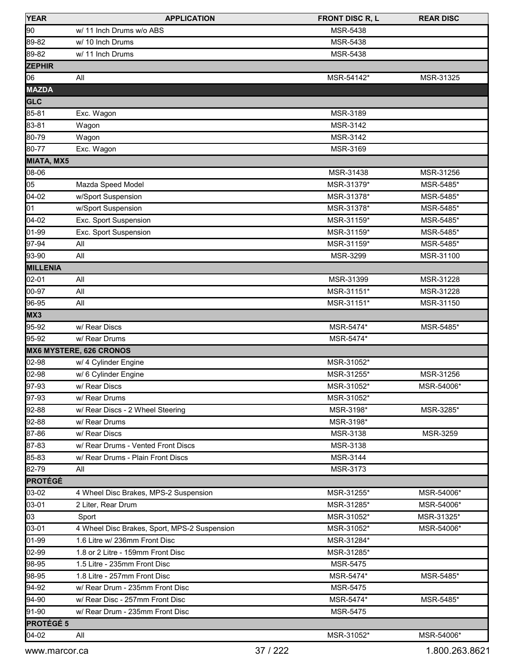| <b>YEAR</b>       | <b>APPLICATION</b>                           | <b>FRONT DISC R, L</b> | <b>REAR DISC</b> |
|-------------------|----------------------------------------------|------------------------|------------------|
| 90                | w/ 11 Inch Drums w/o ABS                     | MSR-5438               |                  |
| 89-82             | w/ 10 Inch Drums                             | MSR-5438               |                  |
| 89-82             | w/ 11 Inch Drums                             | MSR-5438               |                  |
| <b>ZEPHIR</b>     |                                              |                        |                  |
| 06                | All                                          | MSR-54142*             | MSR-31325        |
| <b>MAZDA</b>      |                                              |                        |                  |
| <b>GLC</b>        |                                              |                        |                  |
| 85-81             | Exc. Wagon                                   | MSR-3189               |                  |
| 83-81             | Wagon                                        | MSR-3142               |                  |
| 80-79             | Wagon                                        | MSR-3142               |                  |
| 80-77             | Exc. Wagon                                   | MSR-3169               |                  |
| <b>MIATA, MX5</b> |                                              |                        |                  |
| 08-06             |                                              | MSR-31438              | MSR-31256        |
| 05                | Mazda Speed Model                            | MSR-31379*             | MSR-5485*        |
| 04-02             | w/Sport Suspension                           | MSR-31378*             | MSR-5485*        |
| 01                | w/Sport Suspension                           | MSR-31378*             | MSR-5485*        |
| 04-02             | Exc. Sport Suspension                        | MSR-31159*             | MSR-5485*        |
| 01-99             | Exc. Sport Suspension                        | MSR-31159*             | MSR-5485*        |
| 97-94             | All                                          | MSR-31159*             | MSR-5485*        |
| 93-90             | All                                          | MSR-3299               | MSR-31100        |
| MILLENIA          |                                              |                        |                  |
| 02-01             | All                                          | MSR-31399              | MSR-31228        |
| 00-97             | All                                          | MSR-31151*             | MSR-31228        |
| 96-95             | All                                          | MSR-31151*             | MSR-31150        |
| MX3               |                                              |                        |                  |
| 95-92             | w/ Rear Discs                                | MSR-5474*              | MSR-5485*        |
| 95-92             | w/ Rear Drums                                | MSR-5474*              |                  |
|                   | <b>MX6 MYSTERE, 626 CRONOS</b>               |                        |                  |
| 02-98             | w/ 4 Cylinder Engine                         | MSR-31052*             |                  |
| 02-98             | w/ 6 Cylinder Engine                         | MSR-31255*             | MSR-31256        |
| 97-93             | w/ Rear Discs                                | MSR-31052*             | MSR-54006*       |
| 97-93             | w/ Rear Drums                                | MSR-31052*             |                  |
| 92-88             | w/ Rear Discs - 2 Wheel Steering             | MSR-3198*              | MSR-3285*        |
| 92-88             | w/ Rear Drums                                | MSR-3198*              |                  |
| 87-86             | w/ Rear Discs                                | MSR-3138               | MSR-3259         |
| 87-83             | w/ Rear Drums - Vented Front Discs           | MSR-3138               |                  |
| 85-83             | w/ Rear Drums - Plain Front Discs            | MSR-3144               |                  |
| 82-79             | All                                          | <b>MSR-3173</b>        |                  |
| <b>PROTÉGÉ</b>    |                                              |                        |                  |
| 03-02             | 4 Wheel Disc Brakes, MPS-2 Suspension        | MSR-31255*             | MSR-54006*       |
| 03-01             | 2 Liter, Rear Drum                           | MSR-31285*             | MSR-54006*       |
| 03                | Sport                                        | MSR-31052*             | MSR-31325*       |
| 03-01             | 4 Wheel Disc Brakes, Sport, MPS-2 Suspension | MSR-31052*             | MSR-54006*       |
| 01-99             | 1.6 Litre w/ 236mm Front Disc                | MSR-31284*             |                  |
| 02-99             | 1.8 or 2 Litre - 159mm Front Disc            | MSR-31285*             |                  |
| 98-95             | 1.5 Litre - 235mm Front Disc                 | MSR-5475               |                  |
| 98-95             | 1.8 Litre - 257mm Front Disc                 | MSR-5474*              | MSR-5485*        |
| 94-92             | w/ Rear Drum - 235mm Front Disc              | MSR-5475               |                  |
| 94-90             | w/ Rear Disc - 257mm Front Disc              | MSR-5474*              | MSR-5485*        |
| 91-90             | w/ Rear Drum - 235mm Front Disc              | <b>MSR-5475</b>        |                  |
| PROTÉGÉ 5         |                                              |                        |                  |
| 04-02             | All                                          | MSR-31052*             | MSR-54006*       |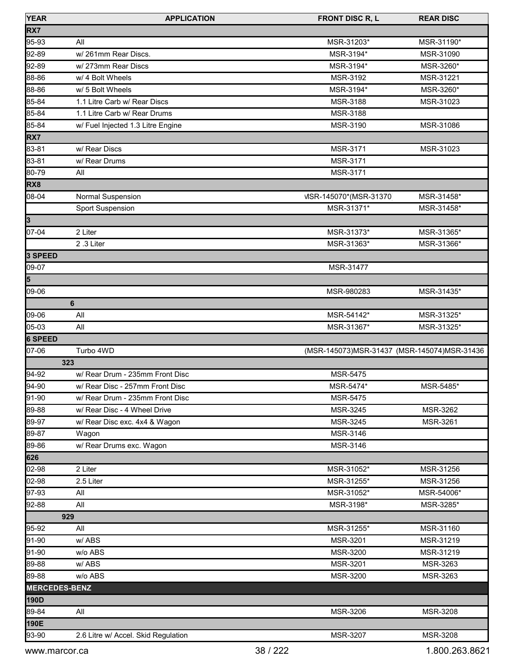| <b>YEAR</b>          | <b>APPLICATION</b>                  | <b>FRONT DISC R, L</b>                        | <b>REAR DISC</b> |
|----------------------|-------------------------------------|-----------------------------------------------|------------------|
| RX7                  |                                     |                                               |                  |
| 95-93                | All                                 | MSR-31203*                                    | MSR-31190*       |
| 92-89                | w/261mm Rear Discs.                 | MSR-3194*                                     | MSR-31090        |
| 92-89                | w/273mm Rear Discs                  | MSR-3194*                                     | MSR-3260*        |
| 88-86                | w/ 4 Bolt Wheels                    | MSR-3192                                      | MSR-31221        |
| 88-86                | w/ 5 Bolt Wheels                    | MSR-3194*                                     | MSR-3260*        |
| 85-84                | 1.1 Litre Carb w/ Rear Discs        | MSR-3188                                      | MSR-31023        |
| 85-84                | 1.1 Litre Carb w/ Rear Drums        | MSR-3188                                      |                  |
| 85-84                | w/ Fuel Injected 1.3 Litre Engine   | MSR-3190                                      | MSR-31086        |
| RX7                  |                                     |                                               |                  |
| 83-81                | w/ Rear Discs                       | MSR-3171                                      | MSR-31023        |
| 83-81                | w/ Rear Drums                       | <b>MSR-3171</b>                               |                  |
| 80-79                | All                                 | <b>MSR-3171</b>                               |                  |
| RX8                  |                                     |                                               |                  |
| 08-04                | Normal Suspension                   | VISR-145070*(MSR-31370)                       | MSR-31458*       |
|                      | Sport Suspension                    | MSR-31371*                                    | MSR-31458*       |
| 3                    |                                     |                                               |                  |
| 07-04                | 2 Liter                             | MSR-31373*                                    | MSR-31365*       |
|                      | 2.3 Liter                           | MSR-31363*                                    | MSR-31366*       |
| 3 SPEED              |                                     |                                               |                  |
| 09-07                |                                     | MSR-31477                                     |                  |
| 5                    |                                     |                                               |                  |
| 09-06                |                                     | MSR-980283                                    | MSR-31435*       |
|                      | 6                                   |                                               |                  |
| 09-06                | All                                 | MSR-54142*                                    | MSR-31325*       |
| 05-03                | All                                 | MSR-31367*                                    | MSR-31325*       |
| 6 SPEED              |                                     |                                               |                  |
| 07-06                | Turbo 4WD                           | (MSR-145073) MSR-31437 (MSR-145074) MSR-31436 |                  |
| 323                  |                                     |                                               |                  |
| 94-92                | w/ Rear Drum - 235mm Front Disc     | <b>MSR-5475</b>                               |                  |
| 94-90                | w/ Rear Disc - 257mm Front Disc     | MSR-5474*                                     | MSR-5485*        |
| 91-90                | w/ Rear Drum - 235mm Front Disc     | <b>MSR-5475</b>                               |                  |
| 89-88                | w/ Rear Disc - 4 Wheel Drive        | MSR-3245                                      | MSR-3262         |
| 89-97                | w/ Rear Disc exc. 4x4 & Wagon       | MSR-3245                                      | MSR-3261         |
| 89-87                | Wagon                               | MSR-3146                                      |                  |
| 89-86                | w/ Rear Drums exc. Wagon            | MSR-3146                                      |                  |
| 626                  |                                     |                                               |                  |
| 02-98                | 2 Liter                             | MSR-31052*                                    | MSR-31256        |
| 02-98                | 2.5 Liter                           | MSR-31255*                                    | MSR-31256        |
| 97-93                | All                                 | MSR-31052*                                    | MSR-54006*       |
| 92-88                | All                                 | MSR-3198*                                     | MSR-3285*        |
| 929                  |                                     |                                               |                  |
| 95-92                | All                                 | MSR-31255*                                    | MSR-31160        |
| 91-90                | w/ABS                               | MSR-3201                                      | MSR-31219        |
| 91-90                | w/o ABS                             | MSR-3200                                      | MSR-31219        |
| 89-88                | w/ABS                               | MSR-3201                                      | MSR-3263         |
| 89-88                | w/o ABS                             | MSR-3200                                      | MSR-3263         |
| <b>MERCEDES-BENZ</b> |                                     |                                               |                  |
| 190D                 |                                     |                                               |                  |
| 89-84                | All                                 | MSR-3206                                      | MSR-3208         |
| 190E                 |                                     |                                               |                  |
| 93-90                | 2.6 Litre w/ Accel. Skid Regulation | MSR-3207                                      | MSR-3208         |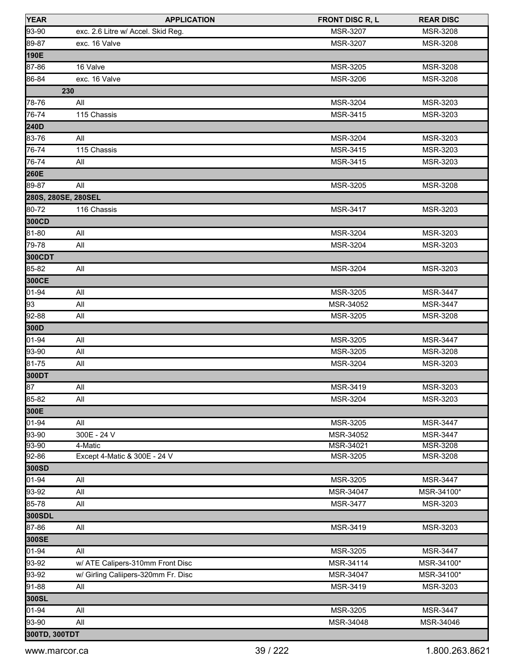| <b>YEAR</b>   | <b>APPLICATION</b>                  | <b>FRONT DISC R, L</b> | <b>REAR DISC</b> |
|---------------|-------------------------------------|------------------------|------------------|
| 93-90         | exc. 2.6 Litre w/ Accel. Skid Reg.  | <b>MSR-3207</b>        | <b>MSR-3208</b>  |
| 89-87         | exc. 16 Valve                       | MSR-3207               | MSR-3208         |
| 190E          |                                     |                        |                  |
| 87-86         | 16 Valve                            | MSR-3205               | <b>MSR-3208</b>  |
| 86-84         | exc. 16 Valve                       | MSR-3206               | MSR-3208         |
|               | 230                                 |                        |                  |
| 78-76         | All                                 | MSR-3204               | MSR-3203         |
| 76-74         | 115 Chassis                         | MSR-3415               | MSR-3203         |
| 240D          |                                     |                        |                  |
| 83-76         | All                                 | MSR-3204               | MSR-3203         |
| 76-74         | 115 Chassis                         | MSR-3415               | MSR-3203         |
| 76-74         | All                                 | MSR-3415               | MSR-3203         |
| 260E          |                                     |                        |                  |
| 89-87         | All                                 | MSR-3205               | MSR-3208         |
|               | 280S, 280SE, 280SEL                 |                        |                  |
| 80-72         | 116 Chassis                         | MSR-3417               | MSR-3203         |
| 300CD         |                                     |                        |                  |
| 81-80         | All                                 | <b>MSR-3204</b>        | MSR-3203         |
| 79-78         | All                                 | MSR-3204               | MSR-3203         |
| 300CDT        |                                     |                        |                  |
| 85-82         | All                                 | MSR-3204               | MSR-3203         |
| 300CE         |                                     |                        |                  |
| 01-94         | All                                 | MSR-3205               | MSR-3447         |
| 93            | All                                 | MSR-34052              | MSR-3447         |
| 92-88         | All                                 | MSR-3205               | MSR-3208         |
| 300D          |                                     |                        |                  |
| 01-94         | All                                 | MSR-3205               | <b>MSR-3447</b>  |
| 93-90         | All                                 | MSR-3205               | MSR-3208         |
| 81-75         | All                                 | MSR-3204               | MSR-3203         |
| 300DT         |                                     |                        |                  |
| 87            | All                                 | MSR-3419               | MSR-3203         |
| 85-82         | All                                 | MSR-3204               | MSR-3203         |
| 300E          |                                     |                        |                  |
| 01-94         | All                                 | MSR-3205               | MSR-3447         |
| 93-90         | 300E - 24 V                         | MSR-34052              | <b>MSR-3447</b>  |
| 93-90         | 4-Matic                             | MSR-34021              | <b>MSR-3208</b>  |
| 92-86         | Except 4-Matic & 300E - 24 V        | MSR-3205               | MSR-3208         |
| 300SD         |                                     |                        |                  |
| 01-94         | All                                 | MSR-3205               | <b>MSR-3447</b>  |
| 93-92         | All                                 | MSR-34047              | MSR-34100*       |
| 85-78         | All                                 | <b>MSR-3477</b>        | MSR-3203         |
| 300SDL        |                                     |                        |                  |
| 87-86         | All                                 | MSR-3419               | MSR-3203         |
| 300SE         |                                     |                        |                  |
| 01-94         | All                                 | MSR-3205               | MSR-3447         |
| 93-92         | w/ ATE Calipers-310mm Front Disc    | MSR-34114              | MSR-34100*       |
| 93-92         | w/ Girling Caliipers-320mm Fr. Disc | MSR-34047              | MSR-34100*       |
| 91-88         | All                                 | MSR-3419               | MSR-3203         |
| 300SL         |                                     |                        |                  |
| 01-94         | All                                 | MSR-3205               | MSR-3447         |
| 93-90         | All                                 | MSR-34048              | MSR-34046        |
| 300TD, 300TDT |                                     |                        |                  |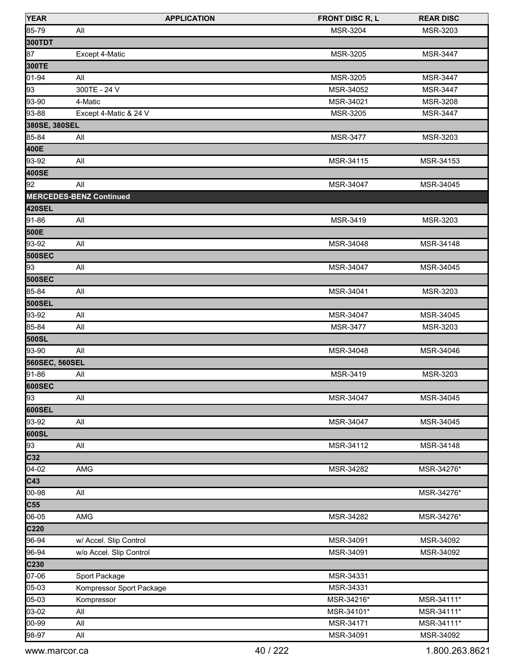| <b>YEAR</b>      | <b>APPLICATION</b>             | <b>FRONT DISC R, L</b> | <b>REAR DISC</b> |
|------------------|--------------------------------|------------------------|------------------|
| 85-79            | All                            | <b>MSR-3204</b>        | MSR-3203         |
| 300TDT           |                                |                        |                  |
| $\sqrt{87}$      | Except 4-Matic                 | MSR-3205               | <b>MSR-3447</b>  |
| 300TE            |                                |                        |                  |
| $01 - 94$        | All                            | MSR-3205               | <b>MSR-3447</b>  |
| $\sqrt{93}$      | 300TE - 24 V                   | MSR-34052              | <b>MSR-3447</b>  |
| 93-90            | 4-Matic                        | MSR-34021              | MSR-3208         |
| 93-88            | Except 4-Matic & 24 V          | <b>MSR-3205</b>        | <b>MSR-3447</b>  |
| 380SE, 380SEL    |                                |                        |                  |
| 85-84            | All                            | <b>MSR-3477</b>        | MSR-3203         |
| 400E             |                                |                        |                  |
| 93-92            | All                            | MSR-34115              | MSR-34153        |
| 400SE            |                                |                        |                  |
| $\overline{92}$  | All                            | MSR-34047              | MSR-34045        |
|                  | <b>MERCEDES-BENZ Continued</b> |                        |                  |
| 420SEL           |                                |                        |                  |
| 91-86            | All                            | MSR-3419               | MSR-3203         |
| 500E             |                                |                        |                  |
| 93-92            | All                            | MSR-34048              | MSR-34148        |
| 500SEC           |                                |                        |                  |
| 93               | All                            | MSR-34047              | MSR-34045        |
| 500SEC           |                                |                        |                  |
| 85-84            | All                            | MSR-34041              | MSR-3203         |
| 500SEL           |                                |                        |                  |
| 93-92            | All                            | MSR-34047              | MSR-34045        |
| 85-84            | All                            | <b>MSR-3477</b>        | MSR-3203         |
| 500SL            |                                |                        |                  |
| 93-90            | All                            | MSR-34048              | MSR-34046        |
| 560SEC, 560SEL   |                                |                        |                  |
| 91-86            | All                            | MSR-3419               | MSR-3203         |
| 600SEC           |                                |                        |                  |
| 93               | All                            | MSR-34047              | MSR-34045        |
| 600SEL           |                                |                        |                  |
| 93-92            | All                            | MSR-34047              | MSR-34045        |
| 600SL            |                                |                        |                  |
| 93               | All                            | MSR-34112              | MSR-34148        |
| C <sub>32</sub>  |                                |                        |                  |
| $\sqrt{04-02}$   | AMG                            | MSR-34282              | MSR-34276*       |
| C43              |                                |                        |                  |
| 00-98            | All                            |                        | MSR-34276*       |
| C55              |                                |                        |                  |
| 06-05            | AMG                            | MSR-34282              | MSR-34276*       |
| C <sub>220</sub> |                                |                        |                  |
| 96-94            | w/ Accel. Slip Control         | MSR-34091              | MSR-34092        |
| 96-94            | w/o Accel. Slip Control        | MSR-34091              | MSR-34092        |
| C <sub>230</sub> |                                |                        |                  |
| 07-06            | Sport Package                  | MSR-34331              |                  |
| 05-03            | Kompressor Sport Package       | MSR-34331              |                  |
| 05-03            | Kompressor                     | MSR-34216*             | MSR-34111*       |
| 03-02            | All                            | MSR-34101*             | MSR-34111*       |
| 00-99            | All                            | MSR-34171              | MSR-34111*       |
| 98-97            | All                            | MSR-34091              | MSR-34092        |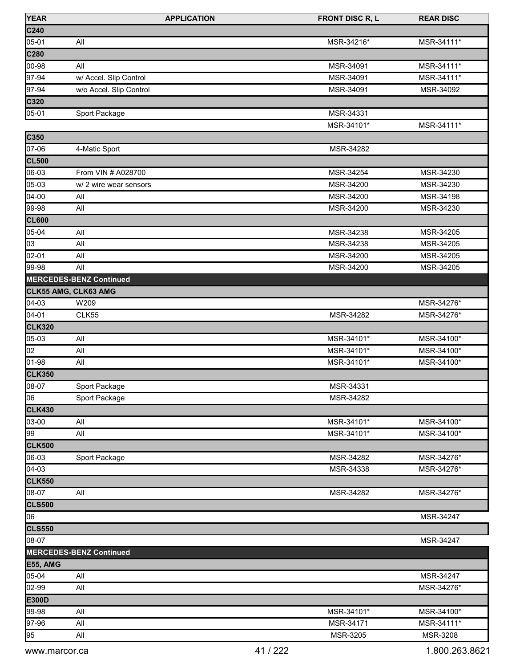| <b>YEAR</b>            | <b>APPLICATION</b>             | <b>FRONT DISC R, L</b>   | <b>REAR DISC</b> |
|------------------------|--------------------------------|--------------------------|------------------|
| C240                   |                                |                          |                  |
| 05-01                  | All                            | MSR-34216*               | MSR-34111*       |
| C280                   |                                |                          |                  |
| 00-98                  | All                            | MSR-34091                | MSR-34111*       |
| 97-94                  | w/ Accel. Slip Control         | MSR-34091                | MSR-34111*       |
| 97-94                  | w/o Accel. Slip Control        | MSR-34091                | MSR-34092        |
| C320                   |                                |                          |                  |
| 05-01                  | Sport Package                  | MSR-34331                |                  |
|                        |                                | MSR-34101*               | MSR-34111*       |
| C350                   |                                |                          |                  |
| 07-06                  | 4-Matic Sport                  | MSR-34282                |                  |
| <b>CL500</b>           |                                |                          |                  |
| 06-03                  | From VIN # A028700             | MSR-34254                | MSR-34230        |
| 05-03                  | w/ 2 wire wear sensors         | MSR-34200                | MSR-34230        |
| 04-00                  | All                            | MSR-34200                | MSR-34198        |
| 99-98                  | All                            | MSR-34200                | MSR-34230        |
| <b>CL600</b>           |                                |                          |                  |
| 05-04                  | All                            | MSR-34238                | MSR-34205        |
| 03                     | All                            | MSR-34238                | MSR-34205        |
| 02-01                  | All                            | MSR-34200                | MSR-34205        |
| 99-98                  | All                            | MSR-34200                | MSR-34205        |
|                        | <b>MERCEDES-BENZ Continued</b> |                          |                  |
| CLK55 AMG, CLK63 AMG   |                                |                          |                  |
| $04 - 03$              | W209                           |                          | MSR-34276*       |
| 04-01                  | CLK55                          | MSR-34282                | MSR-34276*       |
| <b>CLK320</b>          |                                |                          |                  |
| 05-03                  | All                            | MSR-34101*               | MSR-34100*       |
| 02                     | All                            | MSR-34101*               | MSR-34100*       |
| 01-98                  | All                            | MSR-34101*               | MSR-34100*       |
|                        |                                |                          |                  |
| <b>CLK350</b><br>08-07 |                                | MSR-34331                |                  |
| 06                     | Sport Package                  |                          |                  |
|                        | Sport Package                  | MSR-34282                |                  |
| <b>CLK430</b>          |                                |                          |                  |
| 03-00                  | All                            | MSR-34101*<br>MSR-34101* | MSR-34100*       |
| 99                     | All                            |                          | MSR-34100*       |
| <b>CLK500</b>          |                                |                          |                  |
| 06-03                  | Sport Package                  | MSR-34282                | MSR-34276*       |
| 04-03                  |                                | MSR-34338                | MSR-34276*       |
| <b>CLK550</b>          |                                |                          |                  |
| 08-07                  | All                            | MSR-34282                | MSR-34276*       |
| <b>CLS500</b>          |                                |                          |                  |
| 06                     |                                |                          | MSR-34247        |
| <b>CLS550</b>          |                                |                          |                  |
| 08-07                  |                                |                          | MSR-34247        |
|                        | <b>MERCEDES-BENZ Continued</b> |                          |                  |
| <b>E55, AMG</b>        |                                |                          |                  |
| 05-04                  | All                            |                          | MSR-34247        |
| 02-99                  | All                            |                          | MSR-34276*       |
| E300D                  |                                |                          |                  |
| 99-98                  | All                            | MSR-34101*               | MSR-34100*       |
| 97-96                  | All                            | MSR-34171                | MSR-34111*       |
| 95                     | All                            | MSR-3205                 | MSR-3208         |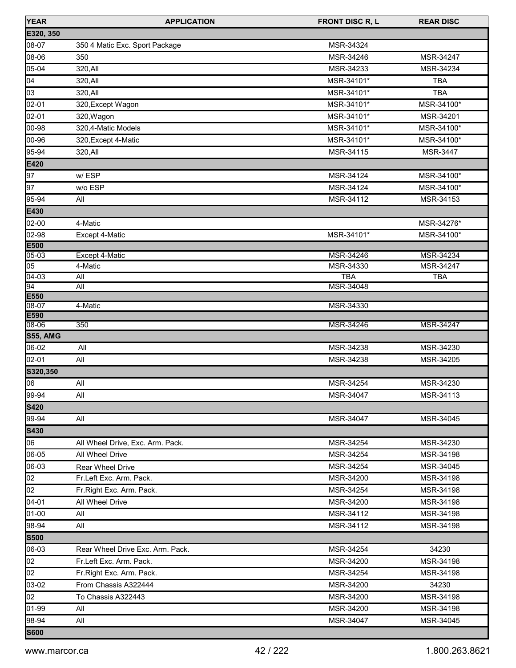| <b>YEAR</b> | <b>APPLICATION</b>               | <b>FRONT DISC R, L</b> | <b>REAR DISC</b> |
|-------------|----------------------------------|------------------------|------------------|
| E320, 350   |                                  |                        |                  |
| 08-07       | 350 4 Matic Exc. Sport Package   | MSR-34324              |                  |
| 08-06       | 350                              | MSR-34246              | MSR-34247        |
| 05-04       | 320, All                         | MSR-34233              | MSR-34234        |
| 04          | 320, All                         | MSR-34101*             | <b>TBA</b>       |
| 03          | 320, All                         | MSR-34101*             | <b>TBA</b>       |
| 02-01       | 320, Except Wagon                | MSR-34101*             | MSR-34100*       |
| 02-01       | 320, Wagon                       | MSR-34101*             | MSR-34201        |
| 00-98       | 320,4-Matic Models               | MSR-34101*             | MSR-34100*       |
| 00-96       | 320, Except 4-Matic              | MSR-34101*             | MSR-34100*       |
| 95-94       | 320, All                         | MSR-34115              | MSR-3447         |
| E420        |                                  |                        |                  |
| 97          | w/ESP                            | MSR-34124              | MSR-34100*       |
| 97          | w/o ESP                          | MSR-34124              | MSR-34100*       |
| 95-94       | All                              | MSR-34112              | MSR-34153        |
| E430        |                                  |                        |                  |
| $02-00$     | 4-Matic                          |                        | MSR-34276*       |
| 02-98       | Except 4-Matic                   | MSR-34101*             | MSR-34100*       |
| E500        |                                  |                        |                  |
| 05-03       | Except 4-Matic                   | MSR-34246              | MSR-34234        |
| 05          | 4-Matic                          | MSR-34330              | MSR-34247        |
| $04 - 03$   | All                              | <b>TBA</b>             | <b>TBA</b>       |
| 94<br>E550  | All                              | MSR-34048              |                  |
| $08 - 07$   | 4-Matic                          | MSR-34330              |                  |
| E590        |                                  |                        |                  |
| 08-06       | 350                              | MSR-34246              | MSR-34247        |
| S55, AMG    |                                  |                        |                  |
| 06-02       | All                              | MSR-34238              | MSR-34230        |
| 02-01       | All                              | MSR-34238              | MSR-34205        |
| S320,350    |                                  |                        |                  |
| 06          | All                              | MSR-34254              | MSR-34230        |
| 99-94       | All                              | MSR-34047              | MSR-34113        |
| <b>S420</b> |                                  |                        |                  |
| 99-94       | All                              | MSR-34047              | MSR-34045        |
| <b>S430</b> |                                  |                        |                  |
| 06          | All Wheel Drive, Exc. Arm. Pack. | MSR-34254              | MSR-34230        |
| 06-05       | All Wheel Drive                  | MSR-34254              | MSR-34198        |
| 06-03       | Rear Wheel Drive                 | MSR-34254              | MSR-34045        |
| 02          | Fr.Left Exc. Arm. Pack.          | MSR-34200              | MSR-34198        |
| 02          | Fr. Right Exc. Arm. Pack.        | MSR-34254              | MSR-34198        |
| 04-01       | All Wheel Drive                  | MSR-34200              | MSR-34198        |
| 01-00       | All                              | MSR-34112              | MSR-34198        |
| 98-94       | All                              | MSR-34112              | MSR-34198        |
| <b>S500</b> |                                  |                        |                  |
| 06-03       | Rear Wheel Drive Exc. Arm. Pack. | MSR-34254              | 34230            |
| 02          | Fr.Left Exc. Arm. Pack.          | MSR-34200              | MSR-34198        |
| 02          | Fr. Right Exc. Arm. Pack.        | MSR-34254              | MSR-34198        |
| 03-02       | From Chassis A322444             | MSR-34200              | 34230            |
| 02          | To Chassis A322443               | MSR-34200              | MSR-34198        |
| 01-99       | All                              | MSR-34200              | MSR-34198        |
| 98-94       | All                              | MSR-34047              | MSR-34045        |
| <b>S600</b> |                                  |                        |                  |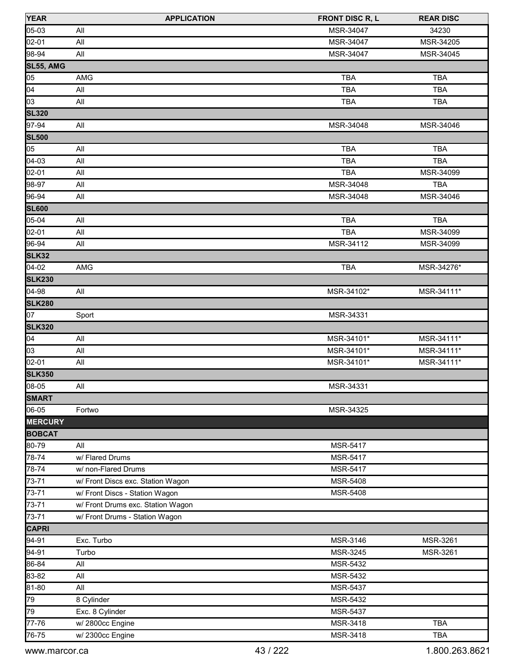| <b>YEAR</b>    | <b>APPLICATION</b>                | <b>FRONT DISC R, L</b> | <b>REAR DISC</b> |
|----------------|-----------------------------------|------------------------|------------------|
| 05-03          | All                               | MSR-34047              | 34230            |
| 02-01          | All                               | MSR-34047              | MSR-34205        |
| 98-94          | All                               | MSR-34047              | MSR-34045        |
| SL55, AMG      |                                   |                        |                  |
| 05             | AMG                               | <b>TBA</b>             | <b>TBA</b>       |
| 04             | All                               | <b>TBA</b>             | <b>TBA</b>       |
| 03             | All                               | <b>TBA</b>             | <b>TBA</b>       |
| <b>SL320</b>   |                                   |                        |                  |
| 97-94          | All                               | MSR-34048              | MSR-34046        |
| <b>SL500</b>   |                                   |                        |                  |
| 05             | All                               | <b>TBA</b>             | <b>TBA</b>       |
| $[04-03]$      | All                               | TBA                    | <b>TBA</b>       |
| 02-01          | All                               | <b>TBA</b>             | MSR-34099        |
| 98-97          | All                               | MSR-34048              | <b>TBA</b>       |
| 96-94          | All                               | MSR-34048              | MSR-34046        |
| <b>SL600</b>   |                                   |                        |                  |
| 05-04          | All                               | <b>TBA</b>             | <b>TBA</b>       |
| 02-01          | All                               | <b>TBA</b>             | MSR-34099        |
| 96-94          | All                               | MSR-34112              | MSR-34099        |
| SLK32          |                                   |                        |                  |
| $04-02$        | AMG                               | <b>TBA</b>             | MSR-34276*       |
| <b>SLK230</b>  |                                   |                        |                  |
| 04-98          | All                               | MSR-34102*             | MSR-34111*       |
| <b>SLK280</b>  |                                   |                        |                  |
| 07             | Sport                             | MSR-34331              |                  |
| <b>SLK320</b>  |                                   |                        |                  |
| 04             | All                               | MSR-34101*             | MSR-34111*       |
| 03             | All                               | MSR-34101*             | MSR-34111*       |
| 02-01          | All                               | MSR-34101*             | MSR-34111*       |
| <b>SLK350</b>  |                                   |                        |                  |
| 08-05          | All                               | MSR-34331              |                  |
| <b>SMART</b>   |                                   |                        |                  |
| 06-05          | Fortwo                            | MSR-34325              |                  |
| <b>MERCURY</b> |                                   |                        |                  |
| <b>BOBCAT</b>  |                                   |                        |                  |
| 80-79          | All                               | MSR-5417               |                  |
| 78-74          | w/ Flared Drums                   | <b>MSR-5417</b>        |                  |
| 78-74          | w/ non-Flared Drums               | MSR-5417               |                  |
| 73-71          | w/ Front Discs exc. Station Wagon | MSR-5408               |                  |
| 73-71          | w/ Front Discs - Station Wagon    | MSR-5408               |                  |
| 73-71          | w/ Front Drums exc. Station Wagon |                        |                  |
| 73-71          | w/ Front Drums - Station Wagon    |                        |                  |
| <b>CAPRI</b>   |                                   |                        |                  |
| 94-91          | Exc. Turbo                        | MSR-3146               | MSR-3261         |
| 94-91          | Turbo                             | MSR-3245               | MSR-3261         |
| 86-84          | All                               | MSR-5432               |                  |
| 83-82          | All                               | MSR-5432               |                  |
| 81-80          | All                               | MSR-5437               |                  |
| 79             | 8 Cylinder                        | MSR-5432               |                  |
| 79             | Exc. 8 Cylinder                   | MSR-5437               |                  |
| $77 - 76$      | w/ 2800cc Engine                  | MSR-3418               | <b>TBA</b>       |
| 76-75          | w/2300cc Engine                   | MSR-3418               | TBA              |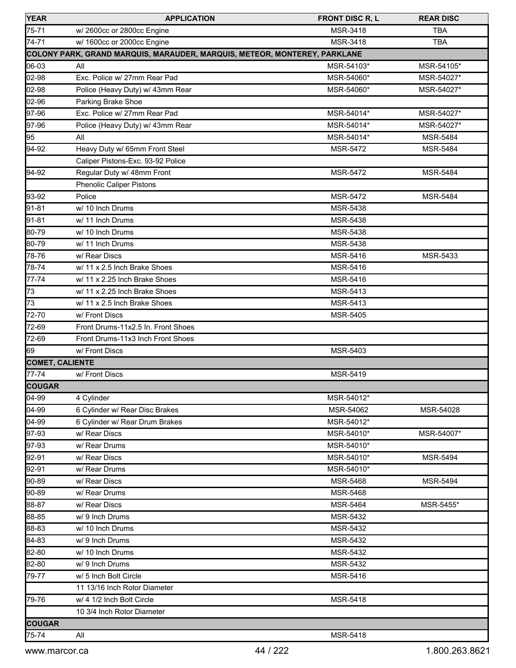| <b>YEAR</b>            | <b>APPLICATION</b>                                                        | <b>FRONT DISC R, L</b> | <b>REAR DISC</b> |
|------------------------|---------------------------------------------------------------------------|------------------------|------------------|
| 75-71                  | w/2600cc or 2800cc Engine                                                 | MSR-3418               | <b>TBA</b>       |
| 74-71                  | w/ 1600cc or 2000cc Engine                                                | <b>MSR-3418</b>        | <b>TBA</b>       |
|                        | COLONY PARK, GRAND MARQUIS, MARAUDER, MARQUIS, METEOR, MONTEREY, PARKLANE |                        |                  |
| 06-03                  | All                                                                       | MSR-54103*             | MSR-54105*       |
| 02-98                  | Exc. Police w/ 27mm Rear Pad                                              | MSR-54060*             | MSR-54027*       |
| 02-98                  | Police (Heavy Duty) w/ 43mm Rear                                          | MSR-54060*             | MSR-54027*       |
| 02-96                  | Parking Brake Shoe                                                        |                        |                  |
| 97-96                  | Exc. Police w/ 27mm Rear Pad                                              | MSR-54014*             | MSR-54027*       |
| 97-96                  | Police (Heavy Duty) w/ 43mm Rear                                          | MSR-54014*             | MSR-54027*       |
| 95                     | All                                                                       | MSR-54014*             | <b>MSR-5484</b>  |
| 94-92                  | Heavy Duty w/ 65mm Front Steel                                            | <b>MSR-5472</b>        | <b>MSR-5484</b>  |
|                        | Caliper Pistons-Exc. 93-92 Police                                         |                        |                  |
| 94-92                  | Regular Duty w/ 48mm Front                                                | <b>MSR-5472</b>        | <b>MSR-5484</b>  |
|                        | <b>Phenolic Caliper Pistons</b>                                           |                        |                  |
| 93-92                  | Police                                                                    | <b>MSR-5472</b>        | <b>MSR-5484</b>  |
| 91-81                  | w/ 10 Inch Drums                                                          | MSR-5438               |                  |
| 91-81                  | w/ 11 Inch Drums                                                          | MSR-5438               |                  |
| 80-79                  | w/ 10 Inch Drums                                                          | <b>MSR-5438</b>        |                  |
| 80-79                  | w/ 11 Inch Drums                                                          | <b>MSR-5438</b>        |                  |
| 78-76                  | w/ Rear Discs                                                             | MSR-5416               | <b>MSR-5433</b>  |
| 78-74                  | w/ 11 x 2.5 Inch Brake Shoes                                              | MSR-5416               |                  |
| 77-74                  | w/ 11 x 2.25 Inch Brake Shoes                                             | MSR-5416               |                  |
| 73                     | w/ 11 x 2.25 Inch Brake Shoes                                             | MSR-5413               |                  |
| 73                     | w/ 11 x 2.5 Inch Brake Shoes                                              | MSR-5413               |                  |
| 72-70                  | w/ Front Discs                                                            | <b>MSR-5405</b>        |                  |
| 72-69                  | Front Drums-11x2.5 In. Front Shoes                                        |                        |                  |
| 72-69                  | Front Drums-11x3 Inch Front Shoes                                         |                        |                  |
| 69                     | w/ Front Discs                                                            | MSR-5403               |                  |
| <b>COMET, CALIENTE</b> |                                                                           |                        |                  |
| 77-74                  | w/ Front Discs                                                            | MSR-5419               |                  |
| <b>COUGAR</b>          |                                                                           |                        |                  |
| 04-99                  | 4 Cylinder                                                                | MSR-54012*             |                  |
| 04-99                  | 6 Cylinder w/ Rear Disc Brakes                                            | MSR-54062              | MSR-54028        |
| 04-99                  | 6 Cylinder w/ Rear Drum Brakes                                            | MSR-54012*             |                  |
| 97-93                  | w/ Rear Discs                                                             | MSR-54010*             | MSR-54007*       |
| 97-93                  | w/ Rear Drums                                                             | MSR-54010*             |                  |
| 92-91                  | w/ Rear Discs                                                             | MSR-54010*             | <b>MSR-5494</b>  |
| 92-91                  | w/ Rear Drums                                                             | MSR-54010*             |                  |
| 90-89                  | w/ Rear Discs                                                             | <b>MSR-5468</b>        | <b>MSR-5494</b>  |
| 90-89                  | w/ Rear Drums                                                             | MSR-5468               |                  |
| 88-87                  | w/ Rear Discs                                                             | <b>MSR-5464</b>        | MSR-5455*        |
| 88-85                  | w/ 9 Inch Drums                                                           | MSR-5432               |                  |
| 88-83                  | w/ 10 Inch Drums                                                          | MSR-5432               |                  |
| 84-83                  | w/ 9 Inch Drums                                                           | MSR-5432               |                  |
| 82-80                  | w/ 10 Inch Drums                                                          | MSR-5432               |                  |
| 82-80                  | w/ 9 Inch Drums                                                           | MSR-5432               |                  |
| 79-77                  | w/ 5 Inch Bolt Circle                                                     | MSR-5416               |                  |
|                        | 11 13/16 Inch Rotor Diameter                                              |                        |                  |
| 79-76                  | w/ 4 1/2 Inch Bolt Circle                                                 | MSR-5418               |                  |
|                        | 10 3/4 Inch Rotor Diameter                                                |                        |                  |
| <b>COUGAR</b>          |                                                                           |                        |                  |
| 75-74                  | All                                                                       | MSR-5418               |                  |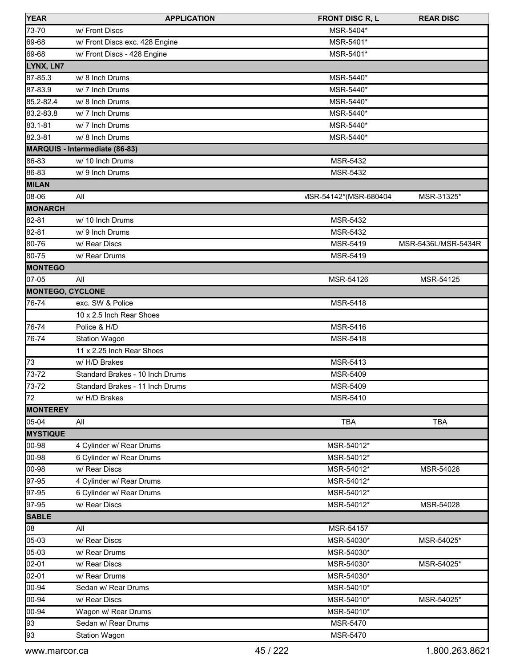| <b>YEAR</b>             | <b>APPLICATION</b>              | <b>FRONT DISC R, L</b>  | <b>REAR DISC</b>    |
|-------------------------|---------------------------------|-------------------------|---------------------|
| 73-70                   | w/ Front Discs                  | MSR-5404*               |                     |
| 69-68                   | w/ Front Discs exc. 428 Engine  | MSR-5401*               |                     |
| 69-68                   | w/ Front Discs - 428 Engine     | MSR-5401*               |                     |
| LYNX, LN7               |                                 |                         |                     |
| 87-85.3                 | w/ 8 Inch Drums                 | MSR-5440*               |                     |
| 87-83.9                 | w/7 Inch Drums                  | MSR-5440*               |                     |
| 85.2-82.4               | w/ 8 Inch Drums                 | MSR-5440*               |                     |
| 83.2-83.8               | w/7 Inch Drums                  | MSR-5440*               |                     |
| 83.1-81                 | w/7 Inch Drums                  | MSR-5440*               |                     |
| 82.3-81                 | w/ 8 Inch Drums                 | MSR-5440*               |                     |
|                         | MARQUIS - Intermediate (86-83)  |                         |                     |
| 86-83                   | w/ 10 Inch Drums                | MSR-5432                |                     |
| 86-83                   | w/9 Inch Drums                  | MSR-5432                |                     |
| <b>MILAN</b>            |                                 |                         |                     |
| 08-06                   | All                             | VISR-54142*(MSR-680404) | MSR-31325*          |
| <b>MONARCH</b>          |                                 |                         |                     |
| 82-81                   | w/ 10 Inch Drums                | MSR-5432                |                     |
| 82-81                   | w/ 9 Inch Drums                 | MSR-5432                |                     |
| 80-76                   | w/ Rear Discs                   | MSR-5419                | MSR-5436L/MSR-5434R |
| 80-75                   | w/ Rear Drums                   | MSR-5419                |                     |
| <b>MONTEGO</b>          |                                 |                         |                     |
| 07-05                   | All                             | MSR-54126               | MSR-54125           |
| <b>MONTEGO, CYCLONE</b> |                                 |                         |                     |
| 76-74                   | exc. SW & Police                | MSR-5418                |                     |
|                         | 10 x 2.5 Inch Rear Shoes        |                         |                     |
| 76-74                   | Police & H/D                    | MSR-5416                |                     |
| 76-74                   | <b>Station Wagon</b>            | MSR-5418                |                     |
|                         | 11 x 2.25 Inch Rear Shoes       |                         |                     |
| 73                      | w/ H/D Brakes                   | MSR-5413                |                     |
| 73-72                   | Standard Brakes - 10 Inch Drums | MSR-5409                |                     |
| 73-72                   | Standard Brakes - 11 Inch Drums | MSR-5409                |                     |
| 72                      | w/ H/D Brakes                   | MSR-5410                |                     |
| <b>MONTEREY</b>         |                                 |                         |                     |
| 05-04                   | All                             | <b>TBA</b>              | <b>TBA</b>          |
| <b>MYSTIQUE</b>         |                                 |                         |                     |
| 00-98                   | 4 Cylinder w/ Rear Drums        | MSR-54012*              |                     |
| 00-98                   | 6 Cylinder w/ Rear Drums        | MSR-54012*              |                     |
| 00-98                   | w/ Rear Discs                   | MSR-54012*              | MSR-54028           |
| 97-95                   | 4 Cylinder w/ Rear Drums        | MSR-54012*              |                     |
| 97-95                   | 6 Cylinder w/ Rear Drums        | MSR-54012*              |                     |
| 97-95                   | w/ Rear Discs                   | MSR-54012*              | MSR-54028           |
| <b>SABLE</b>            |                                 |                         |                     |
| 08                      | All                             | MSR-54157               |                     |
| 05-03                   | w/ Rear Discs                   | MSR-54030*              | MSR-54025*          |
| 05-03                   | w/ Rear Drums                   | MSR-54030*              |                     |
| 02-01                   | w/ Rear Discs                   | MSR-54030*              | MSR-54025*          |
| 02-01                   | w/ Rear Drums                   | MSR-54030*              |                     |
| 00-94                   | Sedan w/ Rear Drums             | MSR-54010*              |                     |
| 00-94                   | w/ Rear Discs                   | MSR-54010*              | MSR-54025*          |
| 00-94                   | Wagon w/ Rear Drums             | MSR-54010*              |                     |
| 93                      | Sedan w/ Rear Drums             | <b>MSR-5470</b>         |                     |
| 93                      | Station Wagon                   | MSR-5470                |                     |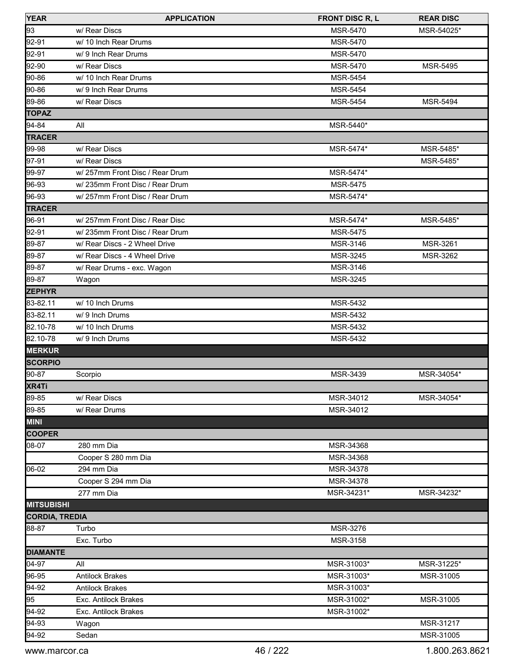| <b>YEAR</b>           | <b>APPLICATION</b>             | <b>FRONT DISC R, L</b> | <b>REAR DISC</b> |
|-----------------------|--------------------------------|------------------------|------------------|
| 93                    | w/ Rear Discs                  | MSR-5470               | MSR-54025*       |
| $92-91$               | w/ 10 Inch Rear Drums          | MSR-5470               |                  |
| 92-91                 | w/ 9 Inch Rear Drums           | MSR-5470               |                  |
| 92-90                 | w/ Rear Discs                  | MSR-5470               | MSR-5495         |
| $90 - 86$             | w/ 10 Inch Rear Drums          | <b>MSR-5454</b>        |                  |
| 90-86                 | w/9 Inch Rear Drums            | <b>MSR-5454</b>        |                  |
| 89-86                 | w/ Rear Discs                  | <b>MSR-5454</b>        | <b>MSR-5494</b>  |
| <b>TOPAZ</b>          |                                |                        |                  |
| $94 - 84$             | All                            | MSR-5440*              |                  |
| <b>TRACER</b>         |                                |                        |                  |
| 99-98                 | w/ Rear Discs                  | MSR-5474*              | MSR-5485*        |
| $97-91$               | w/ Rear Discs                  |                        | MSR-5485*        |
| 99-97                 | w/257mm Front Disc / Rear Drum | MSR-5474*              |                  |
| 96-93                 | w/235mm Front Disc / Rear Drum | MSR-5475               |                  |
| 96-93                 | w/257mm Front Disc / Rear Drum | MSR-5474*              |                  |
| <b>TRACER</b>         |                                |                        |                  |
| 96-91                 | w/257mm Front Disc / Rear Disc | MSR-5474*              | MSR-5485*        |
| 92-91                 | w/235mm Front Disc / Rear Drum | <b>MSR-5475</b>        |                  |
| 89-87                 | w/ Rear Discs - 2 Wheel Drive  | MSR-3146               | MSR-3261         |
| 89-87                 | w/ Rear Discs - 4 Wheel Drive  | MSR-3245               | MSR-3262         |
| 89-87                 | w/ Rear Drums - exc. Wagon     | MSR-3146               |                  |
| 89-87                 | Wagon                          | MSR-3245               |                  |
| <b>ZEPHYR</b>         |                                |                        |                  |
| 83-82.11              | w/ 10 Inch Drums               | MSR-5432               |                  |
| 83-82.11              | w/ 9 Inch Drums                | <b>MSR-5432</b>        |                  |
| 82.10-78              | w/ 10 Inch Drums               | MSR-5432               |                  |
| 82.10-78              | w/ 9 Inch Drums                | MSR-5432               |                  |
| <b>MERKUR</b>         |                                |                        |                  |
| <b>SCORPIO</b>        |                                |                        |                  |
| 90-87                 | Scorpio                        | MSR-3439               | MSR-34054*       |
| XR4Ti                 |                                |                        |                  |
| 89-85                 | w/ Rear Discs                  | MSR-34012              | MSR-34054*       |
| 89-85                 | w/ Rear Drums                  | MSR-34012              |                  |
| <b>MINI</b>           |                                |                        |                  |
| <b>COOPER</b>         |                                |                        |                  |
| 08-07                 | 280 mm Dia                     | MSR-34368              |                  |
|                       | Cooper S 280 mm Dia            | MSR-34368              |                  |
| 06-02                 | 294 mm Dia                     | MSR-34378              |                  |
|                       | Cooper S 294 mm Dia            | MSR-34378              |                  |
|                       | 277 mm Dia                     | MSR-34231*             | MSR-34232*       |
| <b>MITSUBISHI</b>     |                                |                        |                  |
| <b>CORDIA, TREDIA</b> |                                |                        |                  |
| 88-87                 | Turbo                          | MSR-3276               |                  |
|                       | Exc. Turbo                     | MSR-3158               |                  |
| <b>DIAMANTE</b>       |                                |                        |                  |
| 04-97                 | All                            | MSR-31003*             | MSR-31225*       |
| 96-95                 | <b>Antilock Brakes</b>         | MSR-31003*             | MSR-31005        |
| 94-92                 | <b>Antilock Brakes</b>         | MSR-31003*             |                  |
| 95                    | Exc. Antilock Brakes           | MSR-31002*             | MSR-31005        |
| 94-92                 | Exc. Antilock Brakes           | MSR-31002*             |                  |
| 94-93                 | Wagon                          |                        | MSR-31217        |
| 94-92                 | Sedan                          |                        | MSR-31005        |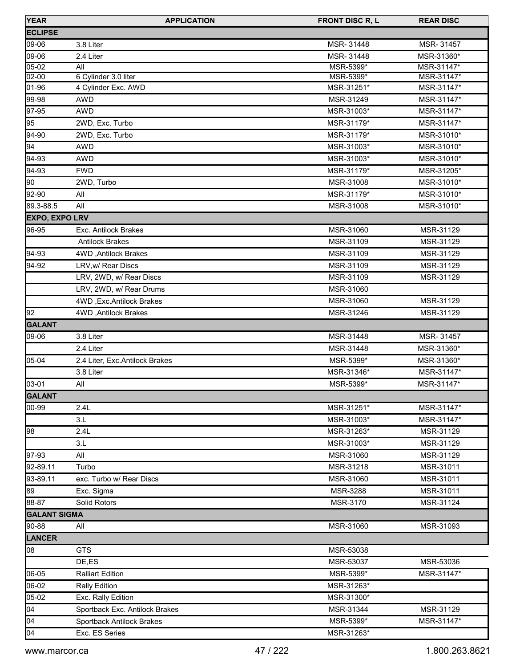| <b>YEAR</b>           | <b>APPLICATION</b>             | <b>FRONT DISC R, L</b> | <b>REAR DISC</b> |
|-----------------------|--------------------------------|------------------------|------------------|
| <b>ECLIPSE</b>        |                                |                        |                  |
| 09-06                 | 3.8 Liter                      | MSR-31448              | MSR-31457        |
| 09-06                 | 2.4 Liter                      | MSR-31448              | MSR-31360*       |
| $05-02$               | All                            | MSR-5399*              | MSR-31147*       |
| 02-00                 | 6 Cylinder 3.0 liter           | MSR-5399*              | MSR-31147*       |
| 01-96                 | 4 Cylinder Exc. AWD            | MSR-31251*             | MSR-31147*       |
| 99-98                 | <b>AWD</b>                     | MSR-31249              | MSR-31147*       |
| 97-95                 | <b>AWD</b>                     | MSR-31003*             | MSR-31147*       |
| 95                    | 2WD, Exc. Turbo                | MSR-31179*             | MSR-31147*       |
| 94-90                 | 2WD, Exc. Turbo                | MSR-31179*             | MSR-31010*       |
| 94                    | <b>AWD</b>                     | MSR-31003*             | MSR-31010*       |
| 94-93                 | <b>AWD</b>                     | MSR-31003*             | MSR-31010*       |
| 94-93                 | <b>FWD</b>                     | MSR-31179*             | MSR-31205*       |
| 90                    | 2WD, Turbo                     | MSR-31008              | MSR-31010*       |
| 92-90                 | All                            | MSR-31179*             | MSR-31010*       |
| 89.3-88.5             | All                            | MSR-31008              | MSR-31010*       |
| <b>EXPO, EXPO LRV</b> |                                |                        |                  |
| 96-95                 | Exc. Antilock Brakes           | MSR-31060              | MSR-31129        |
|                       | <b>Antilock Brakes</b>         | MSR-31109              | MSR-31129        |
| 94-93                 | 4WD, Antilock Brakes           | MSR-31109              | MSR-31129        |
| 94-92                 | LRV, w/ Rear Discs             | MSR-31109              | MSR-31129        |
|                       | LRV, 2WD, w/ Rear Discs        | MSR-31109              | MSR-31129        |
|                       | LRV, 2WD, w/ Rear Drums        | MSR-31060              |                  |
|                       | 4WD, Exc. Antilock Brakes      | MSR-31060              | MSR-31129        |
| 92                    | 4WD, Antilock Brakes           | MSR-31246              | MSR-31129        |
| <b>GALANT</b>         |                                |                        |                  |
| 09-06                 | 3.8 Liter                      | MSR-31448              | MSR-31457        |
|                       | 2.4 Liter                      | MSR-31448              | MSR-31360*       |
| 05-04                 | 2.4 Liter, Exc.Antilock Brakes | MSR-5399*              | MSR-31360*       |
|                       | 3.8 Liter                      | MSR-31346*             | MSR-31147*       |
| 03-01                 | All                            | MSR-5399*              | MSR-31147*       |
| GALANT                |                                |                        |                  |
| 00-99                 | 2.4L                           | MSR-31251*             | MSR-31147*       |
|                       | 3.L                            | MSR-31003*             | MSR-31147*       |
| 98                    | 2.4L                           | MSR-31263*             | MSR-31129        |
|                       | 3.L                            | MSR-31003*             | MSR-31129        |
| 97-93                 | All                            | MSR-31060              | MSR-31129        |
| 92-89.11              | Turbo                          | MSR-31218              | MSR-31011        |
| 93-89.11              | exc. Turbo w/ Rear Discs       | MSR-31060              | MSR-31011        |
| 89                    | Exc. Sigma                     | MSR-3288               | MSR-31011        |
| 88-87                 | Solid Rotors                   | MSR-3170               | MSR-31124        |
| <b>GALANT SIGMA</b>   |                                |                        |                  |
| 90-88                 | All                            | MSR-31060              | MSR-31093        |
| <b>LANCER</b>         |                                |                        |                  |
| 08                    | <b>GTS</b>                     | MSR-53038              |                  |
|                       | DE,ES                          | MSR-53037              | MSR-53036        |
| 06-05                 | <b>Ralliart Edition</b>        | MSR-5399*              | MSR-31147*       |
| 06-02                 | Rally Edition                  | MSR-31263*             |                  |
| 05-02                 | Exc. Rally Edition             | MSR-31300*             |                  |
| 04                    | Sportback Exc. Antilock Brakes | MSR-31344              | MSR-31129        |
|                       |                                |                        |                  |
| 04<br>04              | Sportback Antilock Brakes      | MSR-5399*              | MSR-31147*       |
|                       | Exc. ES Series                 | MSR-31263*             |                  |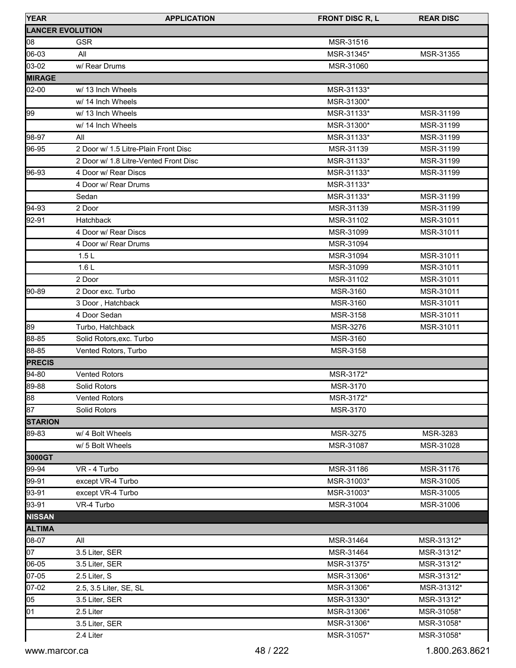| <b>YEAR</b>    | <b>APPLICATION</b>                    | <b>FRONT DISC R, L</b> | <b>REAR DISC</b> |
|----------------|---------------------------------------|------------------------|------------------|
|                | <b>LANCER EVOLUTION</b>               |                        |                  |
| 08             | <b>GSR</b>                            | MSR-31516              |                  |
| 06-03          | All                                   | MSR-31345*             | MSR-31355        |
| 03-02          | w/ Rear Drums                         | MSR-31060              |                  |
| <b>MIRAGE</b>  |                                       |                        |                  |
| 02-00          | w/ 13 Inch Wheels                     | MSR-31133*             |                  |
|                | w/ 14 Inch Wheels                     | MSR-31300*             |                  |
| 99             | w/ 13 Inch Wheels                     | MSR-31133*             | MSR-31199        |
|                | w/ 14 Inch Wheels                     | MSR-31300*             | MSR-31199        |
| 98-97          | All                                   | MSR-31133*             | MSR-31199        |
| 96-95          | 2 Door w/ 1.5 Litre-Plain Front Disc  | MSR-31139              | MSR-31199        |
|                | 2 Door w/ 1.8 Litre-Vented Front Disc | MSR-31133*             | MSR-31199        |
| 96-93          | 4 Door w/ Rear Discs                  | MSR-31133*             | MSR-31199        |
|                | 4 Door w/ Rear Drums                  | MSR-31133*             |                  |
|                | Sedan                                 | MSR-31133*             | MSR-31199        |
| 94-93          | 2 Door                                | MSR-31139              | MSR-31199        |
| 92-91          | <b>Hatchback</b>                      | MSR-31102              | MSR-31011        |
|                | 4 Door w/ Rear Discs                  | MSR-31099              | MSR-31011        |
|                | 4 Door w/ Rear Drums                  | MSR-31094              |                  |
|                | 1.5L                                  | MSR-31094              | MSR-31011        |
|                | 1.6L                                  | MSR-31099              | MSR-31011        |
|                | 2 Door                                | MSR-31102              | MSR-31011        |
| 90-89          | 2 Door exc. Turbo                     | MSR-3160               | MSR-31011        |
|                | 3 Door, Hatchback                     | MSR-3160               | MSR-31011        |
|                | 4 Door Sedan                          | MSR-3158               | MSR-31011        |
| 89             | Turbo, Hatchback                      | MSR-3276               | MSR-31011        |
| 88-85          | Solid Rotors, exc. Turbo              | MSR-3160               |                  |
| 88-85          | Vented Rotors, Turbo                  | MSR-3158               |                  |
| <b>PRECIS</b>  |                                       |                        |                  |
| 94-80          | <b>Vented Rotors</b>                  | MSR-3172*              |                  |
| 89-88          | Solid Rotors                          | MSR-3170               |                  |
| 88             | Vented Rotors                         | MSR-3172*              |                  |
| 87             | Solid Rotors                          | MSR-3170               |                  |
| <b>STARION</b> |                                       |                        |                  |
| 89-83          | w/ 4 Bolt Wheels                      | MSR-3275               | MSR-3283         |
|                | w/ 5 Bolt Wheels                      | MSR-31087              | MSR-31028        |
| 3000GT         |                                       |                        |                  |
| 99-94          | VR - 4 Turbo                          | MSR-31186              | MSR-31176        |
| 99-91          | except VR-4 Turbo                     | MSR-31003*             | MSR-31005        |
| 93-91          | except VR-4 Turbo                     | MSR-31003*             | MSR-31005        |
| 93-91          | VR-4 Turbo                            | MSR-31004              | MSR-31006        |
| <b>NISSAN</b>  |                                       |                        |                  |
| <b>ALTIMA</b>  |                                       |                        |                  |
| 08-07          | All                                   | MSR-31464              | MSR-31312*       |
| 07             | 3.5 Liter, SER                        | MSR-31464              | MSR-31312*       |
| 06-05          | 3.5 Liter, SER                        | MSR-31375*             | MSR-31312*       |
| 07-05          | 2.5 Liter, S                          | MSR-31306*             | MSR-31312*       |
| 07-02          | 2.5, 3.5 Liter, SE, SL                | MSR-31306*             | MSR-31312*       |
| 05             | 3.5 Liter, SER                        | MSR-31330*             | MSR-31312*       |
| 01             | 2.5 Liter                             | MSR-31306*             | MSR-31058*       |
|                | 3.5 Liter, SER                        | MSR-31306*             | MSR-31058*       |
|                | 2.4 Liter                             | MSR-31057*             | MSR-31058*       |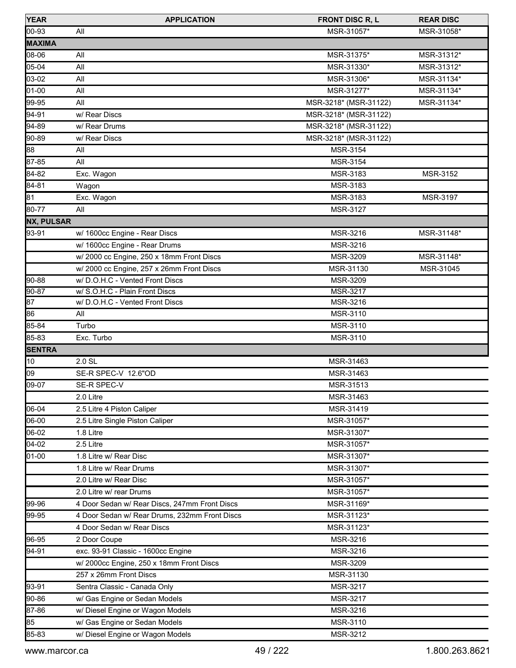| <b>YEAR</b>       | <b>APPLICATION</b>                            | <b>FRONT DISC R, L</b> | <b>REAR DISC</b> |
|-------------------|-----------------------------------------------|------------------------|------------------|
| 00-93             | All                                           | MSR-31057*             | MSR-31058*       |
| <b>MAXIMA</b>     |                                               |                        |                  |
| 08-06             | All                                           | MSR-31375*             | MSR-31312*       |
| 05-04             | All                                           | MSR-31330*             | MSR-31312*       |
| 03-02             | All                                           | MSR-31306*             | MSR-31134*       |
| 01-00             | All                                           | MSR-31277*             | MSR-31134*       |
| 99-95             | All                                           | MSR-3218* (MSR-31122)  | MSR-31134*       |
| 94-91             | w/ Rear Discs                                 | MSR-3218* (MSR-31122)  |                  |
| 94-89             | w/ Rear Drums                                 | MSR-3218* (MSR-31122)  |                  |
| 90-89             | w/ Rear Discs                                 | MSR-3218* (MSR-31122)  |                  |
| 88                | All                                           | MSR-3154               |                  |
| 87-85             | All                                           | MSR-3154               |                  |
| 84-82             | Exc. Wagon                                    | MSR-3183               | MSR-3152         |
| 84-81             | Wagon                                         | MSR-3183               |                  |
| 81                | Exc. Wagon                                    | MSR-3183               | MSR-3197         |
| 80-77             | All                                           | MSR-3127               |                  |
| <b>NX, PULSAR</b> |                                               |                        |                  |
| 93-91             | w/ 1600cc Engine - Rear Discs                 | MSR-3216               | MSR-31148*       |
|                   | w/ 1600cc Engine - Rear Drums                 | MSR-3216               |                  |
|                   | w/ 2000 cc Engine, 250 x 18mm Front Discs     | MSR-3209               | MSR-31148*       |
|                   | w/ 2000 cc Engine, 257 x 26mm Front Discs     | MSR-31130              | MSR-31045        |
| 90-88             | w/D.O.H.C - Vented Front Discs                | MSR-3209               |                  |
| $90 - 87$         | w/ S.O.H.C - Plain Front Discs                | <b>MSR-3217</b>        |                  |
| $\overline{87}$   | w/D.O.H.C - Vented Front Discs                | MSR-3216               |                  |
| 86                | All                                           | MSR-3110               |                  |
| 85-84             | Turbo                                         | MSR-3110               |                  |
| 85-83             | Exc. Turbo                                    | MSR-3110               |                  |
| <b>SENTRA</b>     |                                               |                        |                  |
| 10                | 2.0 SL                                        | MSR-31463              |                  |
| 09                | SE-R SPEC-V 12.6"OD                           | MSR-31463              |                  |
| 09-07             | SE-R SPEC-V                                   | MSR-31513              |                  |
|                   | 2.0 Litre                                     | MSR-31463              |                  |
| 06-04             | 2.5 Litre 4 Piston Caliper                    | MSR-31419              |                  |
| 06-00             | 2.5 Litre Single Piston Caliper               | MSR-31057*             |                  |
| 06-02             | 1.8 Litre                                     | MSR-31307*             |                  |
| 04-02             | 2.5 Litre                                     | MSR-31057*             |                  |
| 01-00             | 1.8 Litre w/ Rear Disc                        | MSR-31307*             |                  |
|                   | 1.8 Litre w/ Rear Drums                       | MSR-31307*             |                  |
|                   | 2.0 Litre w/ Rear Disc                        | MSR-31057*             |                  |
|                   | 2.0 Litre w/ rear Drums                       | MSR-31057*             |                  |
| 99-96             | 4 Door Sedan w/ Rear Discs, 247mm Front Discs | MSR-31169*             |                  |
| 99-95             | 4 Door Sedan w/ Rear Drums, 232mm Front Discs | MSR-31123*             |                  |
|                   | 4 Door Sedan w/ Rear Discs                    | MSR-31123*             |                  |
| 96-95             | 2 Door Coupe                                  | MSR-3216               |                  |
| 94-91             | exc. 93-91 Classic - 1600cc Engine            | MSR-3216               |                  |
|                   | w/2000cc Engine, 250 x 18mm Front Discs       | MSR-3209               |                  |
|                   | 257 x 26mm Front Discs                        | MSR-31130              |                  |
| 93-91             | Sentra Classic - Canada Only                  | MSR-3217               |                  |
| 90-86             | w/ Gas Engine or Sedan Models                 | MSR-3217               |                  |
| 87-86             | w/ Diesel Engine or Wagon Models              | MSR-3216               |                  |
| 85                | w/ Gas Engine or Sedan Models                 | MSR-3110               |                  |
| 85-83             | w/ Diesel Engine or Wagon Models              | MSR-3212               |                  |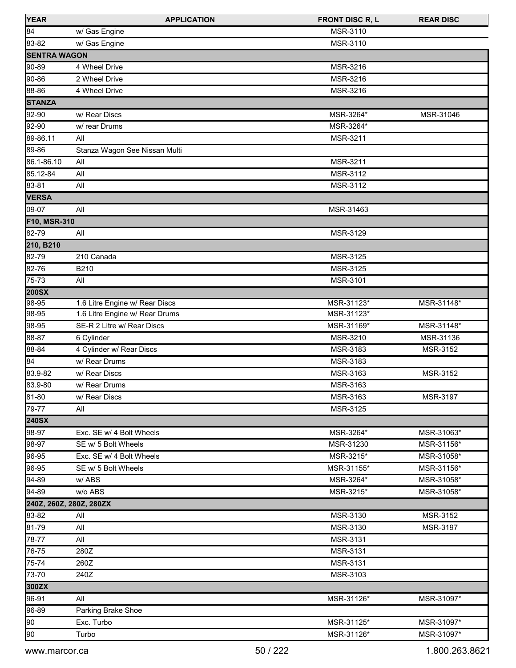| <b>YEAR</b>             | <b>APPLICATION</b>             | <b>FRONT DISC R, L</b> | <b>REAR DISC</b> |
|-------------------------|--------------------------------|------------------------|------------------|
| 84                      | w/ Gas Engine                  | MSR-3110               |                  |
| 83-82                   | w/ Gas Engine                  | MSR-3110               |                  |
| <b>SENTRA WAGON</b>     |                                |                        |                  |
| 90-89                   | 4 Wheel Drive                  | MSR-3216               |                  |
| 90-86                   | 2 Wheel Drive                  | MSR-3216               |                  |
| 88-86                   | 4 Wheel Drive                  | MSR-3216               |                  |
| <b>STANZA</b>           |                                |                        |                  |
| 92-90                   | w/ Rear Discs                  | MSR-3264*              | MSR-31046        |
| 92-90                   | w/ rear Drums                  | MSR-3264*              |                  |
| 89-86.11                | All                            | MSR-3211               |                  |
| 89-86                   | Stanza Wagon See Nissan Multi  |                        |                  |
| 86.1-86.10              | All                            | MSR-3211               |                  |
| 85.12-84                | All                            | MSR-3112               |                  |
| 83-81                   | All                            | MSR-3112               |                  |
| <b>VERSA</b>            |                                |                        |                  |
| 09-07                   | All                            | MSR-31463              |                  |
| F10, MSR-310            |                                |                        |                  |
| 82-79                   | All                            | MSR-3129               |                  |
| 210, B210               |                                |                        |                  |
| 82-79                   | 210 Canada                     | MSR-3125               |                  |
| 82-76                   | B210                           | MSR-3125               |                  |
| 75-73                   | All                            | MSR-3101               |                  |
| <b>200SX</b>            |                                |                        |                  |
| 98-95                   | 1.6 Litre Engine w/ Rear Discs | MSR-31123*             | MSR-31148*       |
| 98-95                   | 1.6 Litre Engine w/ Rear Drums | MSR-31123*             |                  |
| 98-95                   | SE-R 2 Litre w/ Rear Discs     | MSR-31169*             | MSR-31148*       |
| 88-87                   | 6 Cylinder                     | MSR-3210               | MSR-31136        |
| 88-84                   | 4 Cylinder w/ Rear Discs       | MSR-3183               | MSR-3152         |
| 84                      | w/ Rear Drums                  | MSR-3183               |                  |
| 83.9-82                 | w/ Rear Discs                  | MSR-3163               | MSR-3152         |
| 83.9-80                 | w/ Rear Drums                  | MSR-3163               |                  |
| 81-80                   | w/ Rear Discs                  | MSR-3163               | MSR-3197         |
| 79-77                   | All                            | MSR-3125               |                  |
| <b>240SX</b>            |                                |                        |                  |
| 98-97                   | Exc. SE w/ 4 Bolt Wheels       | MSR-3264*              | MSR-31063*       |
| 98-97                   | SE w/ 5 Bolt Wheels            | MSR-31230              | MSR-31156*       |
| 96-95                   | Exc. SE w/ 4 Bolt Wheels       | MSR-3215*              | MSR-31058*       |
| 96-95                   | SE w/ 5 Bolt Wheels            | MSR-31155*             | MSR-31156*       |
| 94-89                   | w/ABS                          | MSR-3264*              | MSR-31058*       |
| 94-89                   | w/o ABS                        | MSR-3215*              | MSR-31058*       |
| 240Z, 260Z, 280Z, 280ZX |                                |                        |                  |
| 83-82                   | All                            | MSR-3130               | MSR-3152         |
| 81-79                   | All                            | MSR-3130               | MSR-3197         |
| 78-77                   | All                            | MSR-3131               |                  |
| 76-75                   | 280Z                           | <b>MSR-3131</b>        |                  |
| 75-74                   | 260Z                           | MSR-3131               |                  |
| 73-70                   | 240Z                           | MSR-3103               |                  |
| 300ZX                   |                                |                        |                  |
| 96-91                   | All                            | MSR-31126*             | MSR-31097*       |
| 96-89                   | Parking Brake Shoe             |                        |                  |
| 90                      | Exc. Turbo                     | MSR-31125*             | MSR-31097*       |
| 90                      | Turbo                          | MSR-31126*             | MSR-31097*       |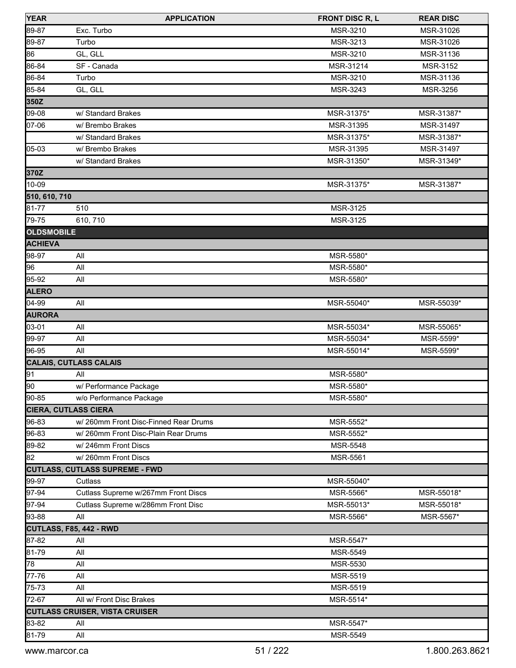| <b>YEAR</b>                 | <b>APPLICATION</b>                    | <b>FRONT DISC R, L</b> | <b>REAR DISC</b> |
|-----------------------------|---------------------------------------|------------------------|------------------|
| 89-87                       | Exc. Turbo                            | MSR-3210               | MSR-31026        |
| 89-87                       | Turbo                                 | MSR-3213               | MSR-31026        |
| 86                          | GL, GLL                               | MSR-3210               | MSR-31136        |
| 86-84                       | SF - Canada                           | MSR-31214              | MSR-3152         |
| 86-84                       | Turbo                                 | MSR-3210               | MSR-31136        |
| 85-84                       | GL, GLL                               | MSR-3243               | MSR-3256         |
| 350Z                        |                                       |                        |                  |
| 09-08                       | w/ Standard Brakes                    | MSR-31375*             | MSR-31387*       |
| 07-06                       | w/ Brembo Brakes                      | MSR-31395              | MSR-31497        |
|                             | w/ Standard Brakes                    | MSR-31375*             | MSR-31387*       |
| 05-03                       | w/ Brembo Brakes                      | MSR-31395              | MSR-31497        |
|                             | w/ Standard Brakes                    | MSR-31350*             | MSR-31349*       |
| 370Z                        |                                       |                        |                  |
| 10-09                       |                                       | MSR-31375*             | MSR-31387*       |
| 510, 610, 710               |                                       |                        |                  |
| 81-77                       | 510                                   | MSR-3125               |                  |
| 79-75                       | 610, 710                              | MSR-3125               |                  |
| <b>OLDSMOBILE</b>           |                                       |                        |                  |
| <b>ACHIEVA</b>              |                                       |                        |                  |
| 98-97                       | All                                   | MSR-5580*              |                  |
| 96                          | All                                   | MSR-5580*              |                  |
| 95-92                       | All                                   | MSR-5580*              |                  |
| <b>ALERO</b>                |                                       |                        |                  |
| 04-99                       | All                                   | MSR-55040*             | MSR-55039*       |
| <b>AURORA</b>               |                                       |                        |                  |
| 03-01                       | All                                   | MSR-55034*             | MSR-55065*       |
| 99-97                       | All                                   | MSR-55034*             | MSR-5599*        |
| 96-95                       | All                                   | MSR-55014*             | MSR-5599*        |
|                             | <b>CALAIS, CUTLASS CALAIS</b>         |                        |                  |
| 91                          | All                                   | MSR-5580*              |                  |
| 90                          | w/ Performance Package                | MSR-5580*              |                  |
| 90-85                       | w/o Performance Package               | MSR-5580*              |                  |
| <b>CIERA, CUTLASS CIERA</b> |                                       |                        |                  |
| 96-83                       | w/ 260mm Front Disc-Finned Rear Drums | MSR-5552*              |                  |
| 96-83                       | w/ 260mm Front Disc-Plain Rear Drums  | MSR-5552*              |                  |
| 89-82                       | w/246mm Front Discs                   | <b>MSR-5548</b>        |                  |
| 82                          | w/260mm Front Discs                   | <b>MSR-5561</b>        |                  |
|                             | <b>CUTLASS, CUTLASS SUPREME - FWD</b> |                        |                  |
| 99-97                       | Cutlass                               | MSR-55040*             |                  |
| 97-94                       | Cutlass Supreme w/267mm Front Discs   | MSR-5566*              | MSR-55018*       |
| 97-94                       | Cutlass Supreme w/286mm Front Disc    | MSR-55013*             | MSR-55018*       |
| 93-88                       | All                                   | MSR-5566*              | MSR-5567*        |
|                             | CUTLASS, F85, 442 - RWD               |                        |                  |
| 87-82                       | All                                   | MSR-5547*              |                  |
| 81-79                       | All                                   | MSR-5549               |                  |
| 78                          | All                                   | MSR-5530               |                  |
| 77-76                       | All                                   | <b>MSR-5519</b>        |                  |
| 75-73                       | All                                   | MSR-5519               |                  |
| 72-67                       | All w/ Front Disc Brakes              | MSR-5514*              |                  |
|                             | <b>CUTLASS CRUISER, VISTA CRUISER</b> |                        |                  |
| 83-82                       | All                                   | MSR-5547*              |                  |
| 81-79                       | All                                   | MSR-5549               |                  |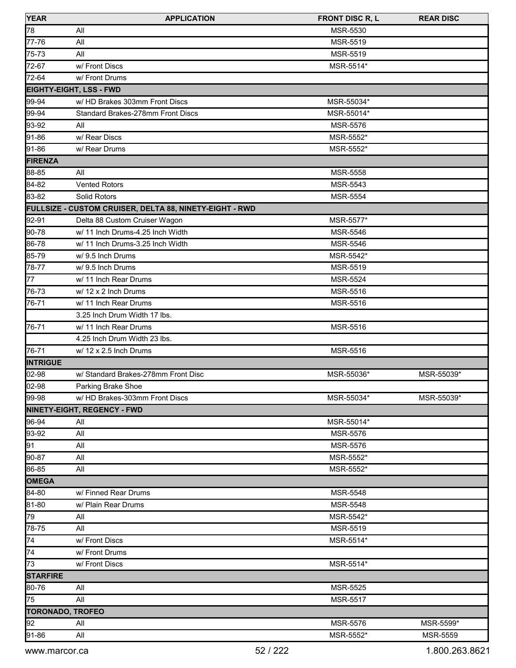| <b>YEAR</b>             | <b>APPLICATION</b>                                      | <b>FRONT DISC R, L</b> | <b>REAR DISC</b> |
|-------------------------|---------------------------------------------------------|------------------------|------------------|
| 78                      | All                                                     | MSR-5530               |                  |
| 77-76                   | All                                                     | MSR-5519               |                  |
| 75-73                   | All                                                     | <b>MSR-5519</b>        |                  |
| 72-67                   | w/ Front Discs                                          | MSR-5514*              |                  |
| 72-64                   | w/ Front Drums                                          |                        |                  |
|                         | <b>EIGHTY-EIGHT, LSS - FWD</b>                          |                        |                  |
| 99-94                   | w/ HD Brakes 303mm Front Discs                          | MSR-55034*             |                  |
| 99-94                   | Standard Brakes-278mm Front Discs                       | MSR-55014*             |                  |
| 93-92                   | All                                                     | <b>MSR-5576</b>        |                  |
| 91-86                   | w/ Rear Discs                                           | MSR-5552*              |                  |
| 91-86                   | w/ Rear Drums                                           | MSR-5552*              |                  |
| <b>FIRENZA</b>          |                                                         |                        |                  |
| 88-85                   | All                                                     | MSR-5558               |                  |
| 84-82                   | <b>Vented Rotors</b>                                    | MSR-5543               |                  |
| 83-82                   | Solid Rotors                                            | MSR-5554               |                  |
|                         | FULLSIZE - CUSTOM CRUISER, DELTA 88, NINETY-EIGHT - RWD |                        |                  |
| 92-91                   | Delta 88 Custom Cruiser Wagon                           | MSR-5577*              |                  |
| 90-78                   | w/ 11 Inch Drums-4.25 Inch Width                        | <b>MSR-5546</b>        |                  |
| 86-78                   | w/ 11 Inch Drums-3.25 Inch Width                        | MSR-5546               |                  |
| 85-79                   | w/ 9.5 Inch Drums                                       | MSR-5542*              |                  |
| 78-77                   | w/ 9.5 Inch Drums                                       | MSR-5519               |                  |
| 77                      | w/ 11 Inch Rear Drums                                   | <b>MSR-5524</b>        |                  |
| 76-73                   | w/ 12 x 2 Inch Drums                                    | MSR-5516               |                  |
| 76-71                   | w/ 11 Inch Rear Drums                                   | MSR-5516               |                  |
|                         | 3.25 Inch Drum Width 17 lbs.                            |                        |                  |
| 76-71                   | w/ 11 Inch Rear Drums                                   | MSR-5516               |                  |
|                         | 4.25 Inch Drum Width 23 lbs.                            |                        |                  |
| 76-71                   | w/ 12 x 2.5 Inch Drums                                  | MSR-5516               |                  |
| <b>INTRIGUE</b>         |                                                         |                        |                  |
| 02-98                   | w/ Standard Brakes-278mm Front Disc                     | MSR-55036*             | MSR-55039*       |
| 02-98                   | Parking Brake Shoe                                      |                        |                  |
| 99-98                   | w/ HD Brakes-303mm Front Discs                          | MSR-55034*             | MSR-55039*       |
|                         | NINETY-EIGHT, REGENCY - FWD                             |                        |                  |
| 96-94                   | All                                                     | MSR-55014*             |                  |
| 93-92                   | All                                                     | <b>MSR-5576</b>        |                  |
| 91                      | All                                                     | MSR-5576               |                  |
| 90-87                   | All                                                     | MSR-5552*              |                  |
| 86-85                   | All                                                     | MSR-5552*              |                  |
| OMEGA                   |                                                         |                        |                  |
| 84-80                   | w/ Finned Rear Drums                                    | MSR-5548               |                  |
| 81-80                   | w/ Plain Rear Drums                                     | <b>MSR-5548</b>        |                  |
| 79                      | All                                                     | MSR-5542*              |                  |
| 78-75                   | All                                                     | MSR-5519               |                  |
| $\sqrt{74}$             | w/ Front Discs                                          | MSR-5514*              |                  |
| 74                      | w/ Front Drums                                          |                        |                  |
| 73                      | w/ Front Discs                                          | MSR-5514*              |                  |
| <b>STARFIRE</b>         |                                                         |                        |                  |
| 80-76                   | All                                                     | MSR-5525               |                  |
| 75                      | All                                                     | MSR-5517               |                  |
| <b>TORONADO, TROFEO</b> |                                                         |                        |                  |
| 92                      | All                                                     | MSR-5576               | MSR-5599*        |
| 91-86                   | All                                                     | MSR-5552*              | <b>MSR-5559</b>  |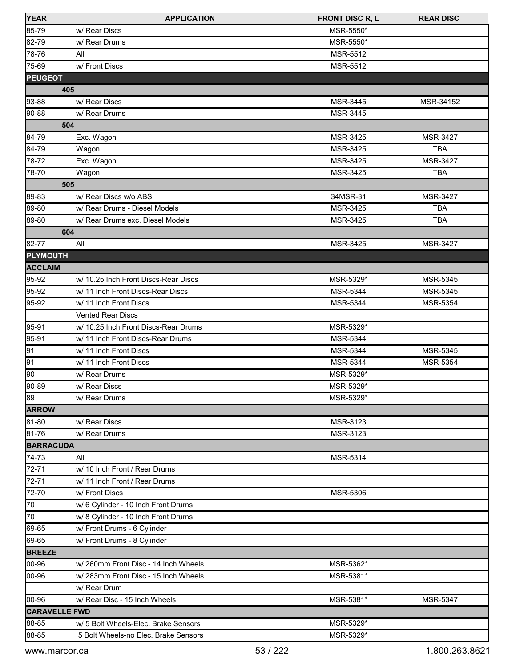| <b>YEAR</b>          | <b>APPLICATION</b>                   | <b>FRONT DISC R, L</b> | <b>REAR DISC</b> |
|----------------------|--------------------------------------|------------------------|------------------|
| 85-79                | w/ Rear Discs                        | MSR-5550*              |                  |
| 82-79                | w/ Rear Drums                        | MSR-5550*              |                  |
| 78-76                | All                                  | MSR-5512               |                  |
| 75-69                | w/ Front Discs                       | MSR-5512               |                  |
| <b>PEUGEOT</b>       |                                      |                        |                  |
|                      | 405                                  |                        |                  |
| 93-88                | w/ Rear Discs                        | MSR-3445               | MSR-34152        |
| 90-88                | w/ Rear Drums                        | MSR-3445               |                  |
|                      | 504                                  |                        |                  |
| 84-79                | Exc. Wagon                           | MSR-3425               | MSR-3427         |
| 84-79                | Wagon                                | MSR-3425               | <b>TBA</b>       |
| 78-72                | Exc. Wagon                           | MSR-3425               | MSR-3427         |
| 78-70                | Wagon                                | MSR-3425               | <b>TBA</b>       |
|                      | 505                                  |                        |                  |
| 89-83                | w/ Rear Discs w/o ABS                | 34MSR-31               | MSR-3427         |
| 89-80                | w/ Rear Drums - Diesel Models        | MSR-3425               | <b>TBA</b>       |
| 89-80                | w/ Rear Drums exc. Diesel Models     | MSR-3425               | <b>TBA</b>       |
|                      | 604                                  |                        |                  |
| 82-77                | All                                  | MSR-3425               | <b>MSR-3427</b>  |
| <b>PLYMOUTH</b>      |                                      |                        |                  |
| <b>ACCLAIM</b>       |                                      |                        |                  |
| 95-92                | w/ 10.25 Inch Front Discs-Rear Discs | MSR-5329*              | <b>MSR-5345</b>  |
| 95-92                | w/ 11 Inch Front Discs-Rear Discs    | MSR-5344               | MSR-5345         |
| 95-92                | w/ 11 Inch Front Discs               | MSR-5344               | MSR-5354         |
|                      | <b>Vented Rear Discs</b>             |                        |                  |
| 95-91                | w/ 10.25 Inch Front Discs-Rear Drums | MSR-5329*              |                  |
| 95-91                | w/ 11 Inch Front Discs-Rear Drums    | MSR-5344               |                  |
| 91                   | w/ 11 Inch Front Discs               | <b>MSR-5344</b>        | MSR-5345         |
| 91                   | w/ 11 Inch Front Discs               | MSR-5344               | <b>MSR-5354</b>  |
| 90                   | w/ Rear Drums                        | MSR-5329*              |                  |
| 90-89                | w/ Rear Discs                        | MSR-5329*              |                  |
| 89                   | w/ Rear Drums                        | MSR-5329*              |                  |
| <b>ARROW</b>         |                                      |                        |                  |
| 81-80                | w/ Rear Discs                        | MSR-3123               |                  |
| 81-76                | w/ Rear Drums                        | MSR-3123               |                  |
| <b>BARRACUDA</b>     |                                      |                        |                  |
| 74-73                | All                                  | MSR-5314               |                  |
| 72-71                | w/ 10 Inch Front / Rear Drums        |                        |                  |
| 72-71                | w/ 11 Inch Front / Rear Drums        |                        |                  |
| 72-70                | w/ Front Discs                       | MSR-5306               |                  |
| 70                   | w/ 6 Cylinder - 10 Inch Front Drums  |                        |                  |
| 70                   | w/ 8 Cylinder - 10 Inch Front Drums  |                        |                  |
| 69-65                | w/ Front Drums - 6 Cylinder          |                        |                  |
| 69-65                | w/ Front Drums - 8 Cylinder          |                        |                  |
| <b>BREEZE</b>        |                                      |                        |                  |
| 00-96                | w/ 260mm Front Disc - 14 Inch Wheels | MSR-5362*              |                  |
| 00-96                | w/ 283mm Front Disc - 15 Inch Wheels | MSR-5381*              |                  |
|                      | w/ Rear Drum                         |                        |                  |
| 00-96                | w/ Rear Disc - 15 Inch Wheels        | MSR-5381*              | MSR-5347         |
| <b>CARAVELLE FWD</b> |                                      |                        |                  |
| 88-85                | w/ 5 Bolt Wheels-Elec. Brake Sensors | MSR-5329*              |                  |
| 88-85                | 5 Bolt Wheels-no Elec. Brake Sensors | MSR-5329*              |                  |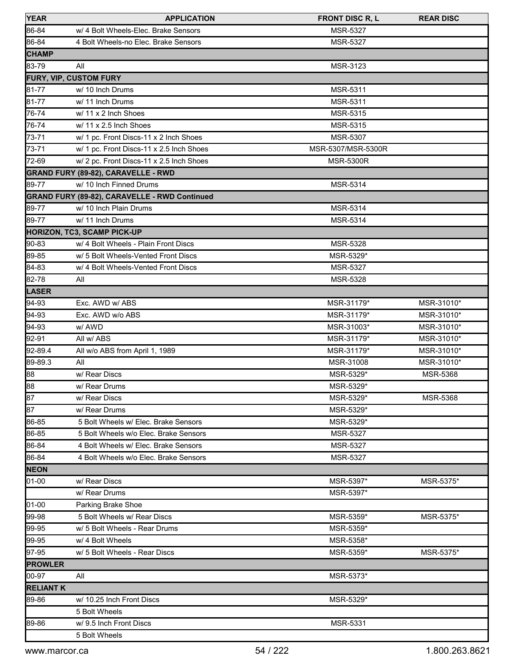| <b>YEAR</b>      | <b>APPLICATION</b>                            | <b>FRONT DISC R, L</b> | <b>REAR DISC</b> |
|------------------|-----------------------------------------------|------------------------|------------------|
| 86-84            | w/ 4 Bolt Wheels-Elec. Brake Sensors          | MSR-5327               |                  |
| 86-84            | 4 Bolt Wheels-no Elec. Brake Sensors          | <b>MSR-5327</b>        |                  |
| <b>CHAMP</b>     |                                               |                        |                  |
| 83-79            | All                                           | MSR-3123               |                  |
|                  | <b>FURY, VIP, CUSTOM FURY</b>                 |                        |                  |
| 81-77            | w/ 10 Inch Drums                              | MSR-5311               |                  |
| 81-77            | w/ 11 Inch Drums                              | MSR-5311               |                  |
| 76-74            | w/ 11 x 2 Inch Shoes                          | MSR-5315               |                  |
| 76-74            | $w/$ 11 x 2.5 Inch Shoes                      | MSR-5315               |                  |
| 73-71            | w/ 1 pc. Front Discs-11 x 2 Inch Shoes        | MSR-5307               |                  |
| 73-71            | w/ 1 pc. Front Discs-11 x 2.5 Inch Shoes      | MSR-5307/MSR-5300R     |                  |
| 72-69            | w/ 2 pc. Front Discs-11 x 2.5 Inch Shoes      | <b>MSR-5300R</b>       |                  |
|                  | <b>GRAND FURY (89-82), CARAVELLE - RWD</b>    |                        |                  |
| 89-77            | w/ 10 Inch Finned Drums                       | MSR-5314               |                  |
|                  | GRAND FURY (89-82), CARAVELLE - RWD Continued |                        |                  |
| 89-77            | w/ 10 Inch Plain Drums                        | MSR-5314               |                  |
| 89-77            | w/ 11 Inch Drums                              | <b>MSR-5314</b>        |                  |
|                  | HORIZON, TC3, SCAMP PICK-UP                   |                        |                  |
| 90-83            | w/ 4 Bolt Wheels - Plain Front Discs          | MSR-5328               |                  |
| 89-85            | w/ 5 Bolt Wheels-Vented Front Discs           | MSR-5329*              |                  |
| 84-83            | w/ 4 Bolt Wheels-Vented Front Discs           | MSR-5327               |                  |
| 82-78            | All                                           | <b>MSR-5328</b>        |                  |
| <b>LASER</b>     |                                               |                        |                  |
| 94-93            | Exc. AWD w/ ABS                               | MSR-31179*             | MSR-31010*       |
| 94-93            | Exc. AWD w/o ABS                              | MSR-31179*             | MSR-31010*       |
| 94-93            | w/ AWD                                        | MSR-31003*             | MSR-31010*       |
| 92-91            | All w/ ABS                                    | MSR-31179*             | MSR-31010*       |
| 92-89.4          | All w/o ABS from April 1, 1989                | MSR-31179*             | MSR-31010*       |
| 89-89.3          | All                                           | MSR-31008              | MSR-31010*       |
| 88               | w/ Rear Discs                                 | MSR-5329*              | MSR-5368         |
| 88               | w/ Rear Drums                                 | MSR-5329*              |                  |
| 87               | w/ Rear Discs                                 | MSR-5329*              | MSR-5368         |
| 87               | w/ Rear Drums                                 | MSR-5329*              |                  |
| 86-85            | 5 Bolt Wheels w/ Elec. Brake Sensors          | MSR-5329*              |                  |
| 86-85            | 5 Bolt Wheels w/o Elec. Brake Sensors         | MSR-5327               |                  |
| 86-84            | 4 Bolt Wheels w/ Elec. Brake Sensors          | MSR-5327               |                  |
| 86-84            | 4 Bolt Wheels w/o Elec. Brake Sensors         | MSR-5327               |                  |
| <b>NEON</b>      |                                               |                        |                  |
| 01-00            | w/ Rear Discs                                 | MSR-5397*              | MSR-5375*        |
|                  | w/ Rear Drums                                 | MSR-5397*              |                  |
| 01-00            | Parking Brake Shoe                            |                        |                  |
| 99-98            | 5 Bolt Wheels w/ Rear Discs                   | MSR-5359*              | MSR-5375*        |
| 99-95            | w/ 5 Bolt Wheels - Rear Drums                 | MSR-5359*              |                  |
| 99-95            | w/ 4 Bolt Wheels                              | MSR-5358*              |                  |
| 97-95            | w/ 5 Bolt Wheels - Rear Discs                 | MSR-5359*              | MSR-5375*        |
| <b>PROWLER</b>   |                                               |                        |                  |
| 00-97            | All                                           | MSR-5373*              |                  |
| <b>RELIANT K</b> |                                               |                        |                  |
| 89-86            | w/ 10.25 Inch Front Discs                     | MSR-5329*              |                  |
|                  | 5 Bolt Wheels                                 |                        |                  |
| 89-86            | w/ 9.5 Inch Front Discs                       | MSR-5331               |                  |
|                  | 5 Bolt Wheels                                 |                        |                  |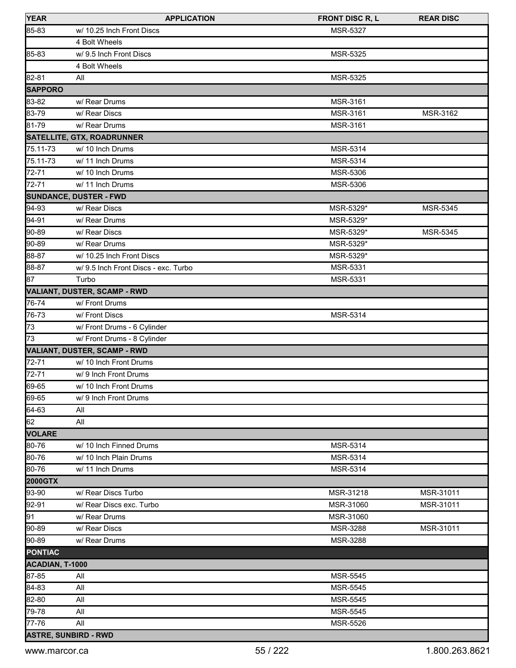| <b>YEAR</b>                 | <b>APPLICATION</b>                   | <b>FRONT DISC R, L</b> | <b>REAR DISC</b> |
|-----------------------------|--------------------------------------|------------------------|------------------|
| 85-83                       | w/ 10.25 Inch Front Discs            | <b>MSR-5327</b>        |                  |
|                             | 4 Bolt Wheels                        |                        |                  |
| 85-83                       | w/ 9.5 Inch Front Discs              | MSR-5325               |                  |
|                             | 4 Bolt Wheels                        |                        |                  |
| 82-81                       | All                                  | MSR-5325               |                  |
| <b>SAPPORO</b>              |                                      |                        |                  |
| 83-82                       | w/ Rear Drums                        | MSR-3161               |                  |
| 83-79                       | w/ Rear Discs                        | MSR-3161               | MSR-3162         |
| 81-79                       | w/ Rear Drums                        | MSR-3161               |                  |
|                             | <b>SATELLITE, GTX, ROADRUNNER</b>    |                        |                  |
| 75.11-73                    | w/ 10 Inch Drums                     | MSR-5314               |                  |
| 75.11-73                    | w/ 11 Inch Drums                     | MSR-5314               |                  |
| 72-71                       | w/ 10 Inch Drums                     | MSR-5306               |                  |
| 72-71                       | w/ 11 Inch Drums                     | <b>MSR-5306</b>        |                  |
|                             | <b>SUNDANCE, DUSTER - FWD</b>        |                        |                  |
| 94-93                       | w/ Rear Discs                        | MSR-5329*              | <b>MSR-5345</b>  |
| $94-91$                     | w/ Rear Drums                        | MSR-5329*              |                  |
| 90-89                       | w/ Rear Discs                        | MSR-5329*              | MSR-5345         |
| 90-89                       | w/ Rear Drums                        | MSR-5329*              |                  |
| 88-87                       | w/ 10.25 Inch Front Discs            | MSR-5329*              |                  |
| 88-87                       | w/ 9.5 Inch Front Discs - exc. Turbo | MSR-5331               |                  |
| 87                          | Turbo                                | MSR-5331               |                  |
|                             | VALIANT, DUSTER, SCAMP - RWD         |                        |                  |
| 76-74                       | w/ Front Drums                       |                        |                  |
| 76-73                       | w/ Front Discs                       | MSR-5314               |                  |
| 73                          | w/ Front Drums - 6 Cylinder          |                        |                  |
| $\overline{73}$             | w/ Front Drums - 8 Cylinder          |                        |                  |
|                             | VALIANT, DUSTER, SCAMP - RWD         |                        |                  |
| $72 - 71$                   | w/ 10 Inch Front Drums               |                        |                  |
| 72-71                       | w/ 9 Inch Front Drums                |                        |                  |
| 69-65                       | w/ 10 Inch Front Drums               |                        |                  |
| 69-65                       | w/ 9 Inch Front Drums                |                        |                  |
| 64-63                       | All                                  |                        |                  |
| 62                          | All                                  |                        |                  |
| <b>VOLARE</b>               |                                      |                        |                  |
| 80-76                       | w/ 10 Inch Finned Drums              | MSR-5314               |                  |
| 80-76                       | w/ 10 Inch Plain Drums               | MSR-5314               |                  |
| 80-76                       | w/ 11 Inch Drums                     | MSR-5314               |                  |
| <b>2000GTX</b>              |                                      |                        |                  |
| 93-90                       | w/ Rear Discs Turbo                  | MSR-31218              | MSR-31011        |
| 92-91                       | w/ Rear Discs exc. Turbo             | MSR-31060              | MSR-31011        |
| 91                          | w/ Rear Drums                        | MSR-31060              |                  |
| 90-89                       | w/ Rear Discs                        | MSR-3288               | MSR-31011        |
| 90-89                       | w/ Rear Drums                        | MSR-3288               |                  |
| <b>PONTIAC</b>              |                                      |                        |                  |
| ACADIAN, T-1000             |                                      |                        |                  |
| 87-85                       | All                                  | MSR-5545               |                  |
| 84-83                       | All                                  | <b>MSR-5545</b>        |                  |
| 82-80                       | All                                  | <b>MSR-5545</b>        |                  |
| 79-78                       | All                                  | <b>MSR-5545</b>        |                  |
| 77-76                       | All                                  | MSR-5526               |                  |
| <b>ASTRE, SUNBIRD - RWD</b> |                                      |                        |                  |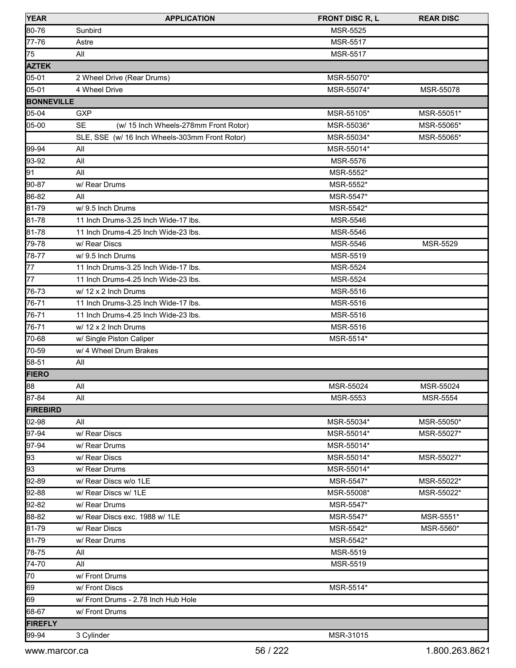| <b>YEAR</b>       | <b>APPLICATION</b>                                 | <b>FRONT DISC R, L</b> | <b>REAR DISC</b> |
|-------------------|----------------------------------------------------|------------------------|------------------|
| 80-76             | Sunbird                                            | MSR-5525               |                  |
| 77-76             | Astre                                              | <b>MSR-5517</b>        |                  |
| 75                | All                                                | MSR-5517               |                  |
| <b>AZTEK</b>      |                                                    |                        |                  |
| 05-01             | 2 Wheel Drive (Rear Drums)                         | MSR-55070*             |                  |
| 05-01             | 4 Wheel Drive                                      | MSR-55074*             | MSR-55078        |
| <b>BONNEVILLE</b> |                                                    |                        |                  |
| 05-04             | <b>GXP</b>                                         | MSR-55105*             | MSR-55051*       |
| 05-00             | <b>SE</b><br>(w/ 15 Inch Wheels-278mm Front Rotor) | MSR-55036*             | MSR-55065*       |
|                   | SLE, SSE (w/ 16 Inch Wheels-303mm Front Rotor)     | MSR-55034*             | MSR-55065*       |
| 99-94             | All                                                | MSR-55014*             |                  |
| 93-92             | All                                                | <b>MSR-5576</b>        |                  |
| 91                | All                                                | MSR-5552*              |                  |
| 90-87             | w/ Rear Drums                                      | MSR-5552*              |                  |
| 86-82             | All                                                | MSR-5547*              |                  |
| 81-79             | w/9.5 Inch Drums                                   | MSR-5542*              |                  |
| 81-78             | 11 Inch Drums-3.25 Inch Wide-17 lbs.               | MSR-5546               |                  |
| 81-78             | 11 Inch Drums-4.25 Inch Wide-23 lbs.               | MSR-5546               |                  |
| 79-78             | w/ Rear Discs                                      | MSR-5546               | MSR-5529         |
| 78-77             | w/ 9.5 Inch Drums                                  | MSR-5519               |                  |
| 77                | 11 Inch Drums-3.25 Inch Wide-17 lbs.               | MSR-5524               |                  |
| 77                | 11 Inch Drums-4.25 Inch Wide-23 lbs.               | MSR-5524               |                  |
| 76-73             | w/ 12 x 2 Inch Drums                               | MSR-5516               |                  |
| 76-71             | 11 Inch Drums-3.25 Inch Wide-17 lbs.               | MSR-5516               |                  |
| 76-71             | 11 Inch Drums-4.25 Inch Wide-23 lbs.               | MSR-5516               |                  |
| 76-71             | w/ 12 x 2 Inch Drums                               | MSR-5516               |                  |
| 70-68             | w/ Single Piston Caliper                           | MSR-5514*              |                  |
| 70-59             | w/ 4 Wheel Drum Brakes                             |                        |                  |
| 58-51             | All                                                |                        |                  |
| <b>FIERO</b>      |                                                    |                        |                  |
| 88                | All                                                | MSR-55024              | MSR-55024        |
| 87-84             | All                                                | <b>MSR-5553</b>        | <b>MSR-5554</b>  |
| <b>FIREBIRD</b>   |                                                    |                        |                  |
| 02-98             | All                                                | MSR-55034*             | MSR-55050*       |
| 97-94             | w/ Rear Discs                                      | MSR-55014*             | MSR-55027*       |
| 97-94             | w/ Rear Drums                                      | MSR-55014*             |                  |
| 93                | w/ Rear Discs                                      | MSR-55014*             | MSR-55027*       |
| 93                | w/ Rear Drums                                      | MSR-55014*             |                  |
| 92-89             | w/ Rear Discs w/o 1LE                              | MSR-5547*              | MSR-55022*       |
| 92-88             | w/ Rear Discs w/ 1LE                               | MSR-55008*             | MSR-55022*       |
| 92-82             | w/ Rear Drums                                      | MSR-5547*              |                  |
| 88-82             | w/ Rear Discs exc. 1988 w/ 1LE                     | MSR-5547*              | MSR-5551*        |
| 81-79             | w/ Rear Discs                                      | MSR-5542*              | MSR-5560*        |
| 81-79             | w/ Rear Drums                                      | MSR-5542*              |                  |
| 78-75             | All                                                | MSR-5519               |                  |
| 74-70             | All                                                | MSR-5519               |                  |
| 70                | w/ Front Drums                                     |                        |                  |
| 69                | w/ Front Discs                                     | MSR-5514*              |                  |
| 69                | w/ Front Drums - 2.78 Inch Hub Hole                |                        |                  |
| 68-67             | w/ Front Drums                                     |                        |                  |
| <b>FIREFLY</b>    |                                                    |                        |                  |
| 99-94             | 3 Cylinder                                         | MSR-31015              |                  |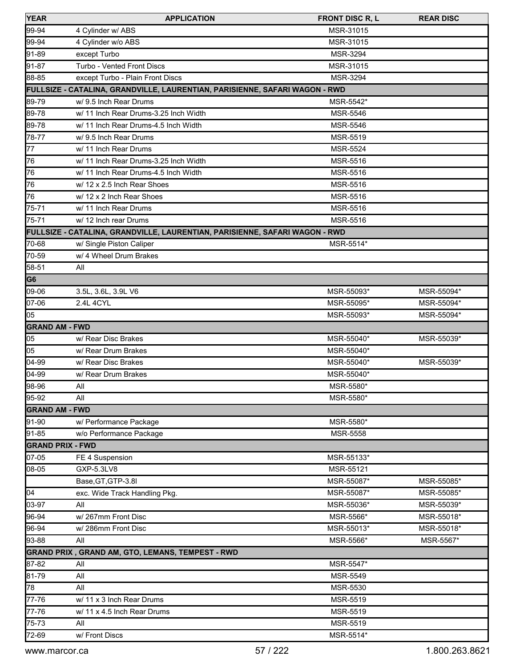| <b>YEAR</b>             | <b>APPLICATION</b>                                                          | <b>FRONT DISC R, L</b> | <b>REAR DISC</b> |
|-------------------------|-----------------------------------------------------------------------------|------------------------|------------------|
| 99-94                   | 4 Cylinder w/ ABS                                                           | MSR-31015              |                  |
| 99-94                   | 4 Cylinder w/o ABS                                                          | MSR-31015              |                  |
| 91-89                   | except Turbo                                                                | MSR-3294               |                  |
| 91-87                   | <b>Turbo - Vented Front Discs</b>                                           | MSR-31015              |                  |
| 88-85                   | except Turbo - Plain Front Discs                                            | MSR-3294               |                  |
|                         | FULLSIZE - CATALINA, GRANDVILLE, LAURENTIAN, PARISIENNE, SAFARI WAGON - RWD |                        |                  |
| 89-79                   | w/ 9.5 Inch Rear Drums                                                      | MSR-5542*              |                  |
| 89-78                   | w/ 11 Inch Rear Drums-3.25 Inch Width                                       | MSR-5546               |                  |
| 89-78                   | w/ 11 Inch Rear Drums-4.5 Inch Width                                        | MSR-5546               |                  |
| 78-77                   | w/9.5 Inch Rear Drums                                                       | MSR-5519               |                  |
| $\overline{77}$         | w/ 11 Inch Rear Drums                                                       | MSR-5524               |                  |
| 76                      | w/ 11 Inch Rear Drums-3.25 Inch Width                                       | MSR-5516               |                  |
| 76                      | w/ 11 Inch Rear Drums-4.5 Inch Width                                        | <b>MSR-5516</b>        |                  |
| 76                      | w/ 12 x 2.5 Inch Rear Shoes                                                 | MSR-5516               |                  |
| 76                      | w/ 12 x 2 Inch Rear Shoes                                                   | <b>MSR-5516</b>        |                  |
| 75-71                   | w/ 11 Inch Rear Drums                                                       | MSR-5516               |                  |
| 75-71                   | w/ 12 Inch rear Drums                                                       | MSR-5516               |                  |
|                         | FULLSIZE - CATALINA, GRANDVILLE, LAURENTIAN, PARISIENNE, SAFARI WAGON - RWD |                        |                  |
| 70-68                   | w/ Single Piston Caliper                                                    | MSR-5514*              |                  |
| 70-59                   | w/ 4 Wheel Drum Brakes                                                      |                        |                  |
| 58-51                   | All                                                                         |                        |                  |
| G6                      |                                                                             |                        |                  |
| 09-06                   | 3.5L, 3.6L, 3.9L V6                                                         | MSR-55093*             | MSR-55094*       |
| $07 - 06$               | 2.4L 4CYL                                                                   | MSR-55095*             | MSR-55094*       |
| 05                      |                                                                             | MSR-55093*             | MSR-55094*       |
| <b>GRAND AM - FWD</b>   |                                                                             |                        |                  |
| 05                      | w/ Rear Disc Brakes                                                         | MSR-55040*             | MSR-55039*       |
| 05                      | w/ Rear Drum Brakes                                                         | MSR-55040*             |                  |
| $\sqrt{04-99}$          | w/ Rear Disc Brakes                                                         | MSR-55040*             | MSR-55039*       |
| 04-99                   | w/ Rear Drum Brakes                                                         | MSR-55040*             |                  |
| 98-96                   | All                                                                         | MSR-5580*              |                  |
| 95-92                   | All                                                                         | MSR-5580*              |                  |
| <b>GRAND AM - FWD</b>   |                                                                             |                        |                  |
| 91-90                   | w/ Performance Package                                                      | MSR-5580*              |                  |
| 91-85                   | w/o Performance Package                                                     | MSR-5558               |                  |
| <b>GRAND PRIX - FWD</b> |                                                                             |                        |                  |
| 07-05                   | FE 4 Suspension                                                             | MSR-55133*             |                  |
| 08-05                   | GXP-5.3LV8                                                                  | MSR-55121              |                  |
|                         | Base, GT, GTP-3.8I                                                          | MSR-55087*             | MSR-55085*       |
| $\overline{04}$         | exc. Wide Track Handling Pkg.                                               | MSR-55087*             | MSR-55085*       |
| 03-97                   | All                                                                         | MSR-55036*             | MSR-55039*       |
| 96-94                   | w/267mm Front Disc                                                          | MSR-5566*              | MSR-55018*       |
| 96-94                   | w/286mm Front Disc                                                          | MSR-55013*             | MSR-55018*       |
| 93-88                   | All                                                                         | MSR-5566*              | MSR-5567*        |
|                         | GRAND PRIX , GRAND AM, GTO, LEMANS, TEMPEST - RWD                           |                        |                  |
| 87-82                   | All                                                                         | MSR-5547*              |                  |
| 81-79                   | All                                                                         | MSR-5549               |                  |
| 78                      | All                                                                         | MSR-5530               |                  |
| 77-76                   | w/ 11 x 3 Inch Rear Drums                                                   | MSR-5519               |                  |
| 77-76                   | w/ 11 x 4.5 Inch Rear Drums                                                 | MSR-5519               |                  |
| 75-73                   | All                                                                         | MSR-5519               |                  |
| 72-69                   | w/ Front Discs                                                              | MSR-5514*              |                  |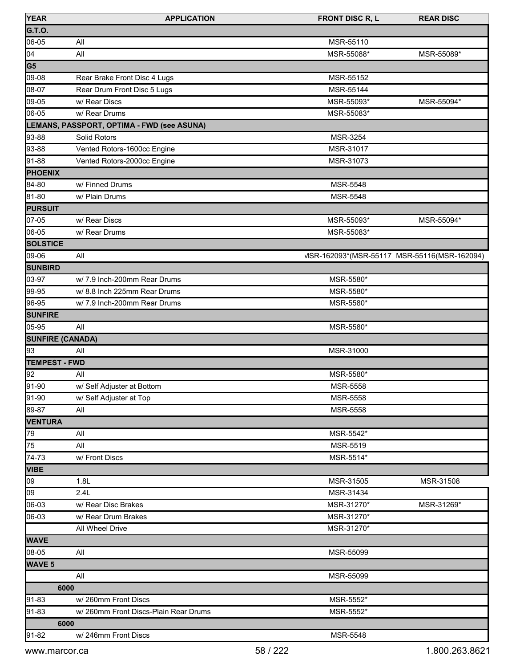| <b>YEAR</b>             | <b>APPLICATION</b>                         | <b>FRONT DISC R, L</b>                       | <b>REAR DISC</b> |
|-------------------------|--------------------------------------------|----------------------------------------------|------------------|
| G.T.O.                  |                                            |                                              |                  |
| 06-05                   | All                                        | MSR-55110                                    |                  |
| $\overline{04}$         | All                                        | MSR-55088*                                   | MSR-55089*       |
| G <sub>5</sub>          |                                            |                                              |                  |
| 09-08                   | Rear Brake Front Disc 4 Lugs               | MSR-55152                                    |                  |
| 08-07                   | Rear Drum Front Disc 5 Lugs                | MSR-55144                                    |                  |
| 09-05                   | w/ Rear Discs                              | MSR-55093*                                   | MSR-55094*       |
| 06-05                   | w/ Rear Drums                              | MSR-55083*                                   |                  |
|                         | LEMANS, PASSPORT, OPTIMA - FWD (see ASUNA) |                                              |                  |
| 93-88                   | Solid Rotors                               | MSR-3254                                     |                  |
| 93-88                   | Vented Rotors-1600cc Engine                | MSR-31017                                    |                  |
| 91-88                   | Vented Rotors-2000cc Engine                | MSR-31073                                    |                  |
| <b>PHOENIX</b>          |                                            |                                              |                  |
| 84-80                   | w/ Finned Drums                            | MSR-5548                                     |                  |
| 81-80                   | w/ Plain Drums                             | MSR-5548                                     |                  |
| <b>PURSUIT</b>          |                                            |                                              |                  |
| 07-05                   | w/ Rear Discs                              | MSR-55093*                                   | MSR-55094*       |
| 06-05                   | w/ Rear Drums                              | MSR-55083*                                   |                  |
| <b>SOLSTICE</b>         |                                            |                                              |                  |
| 09-06                   | All                                        | VISR-162093*(MSR-55117 MSR-55116(MSR-162094) |                  |
| <b>SUNBIRD</b>          |                                            |                                              |                  |
| 03-97                   | w/7.9 Inch-200mm Rear Drums                | MSR-5580*                                    |                  |
| 99-95                   | w/ 8.8 Inch 225mm Rear Drums               | MSR-5580*                                    |                  |
| 96-95                   | w/7.9 Inch-200mm Rear Drums                | MSR-5580*                                    |                  |
| <b>SUNFIRE</b>          |                                            |                                              |                  |
| 05-95                   | All                                        | MSR-5580*                                    |                  |
| <b>SUNFIRE (CANADA)</b> |                                            |                                              |                  |
| 93                      | All                                        | MSR-31000                                    |                  |
| <b>TEMPEST - FWD</b>    |                                            |                                              |                  |
| 92                      | All                                        | MSR-5580*                                    |                  |
| 91-90                   | w/ Self Adjuster at Bottom                 | MSR-5558                                     |                  |
| 91-90                   | w/ Self Adjuster at Top                    | <b>MSR-5558</b>                              |                  |
| 89-87                   | All                                        | MSR-5558                                     |                  |
| <b>VENTURA</b>          |                                            |                                              |                  |
| 79                      | All                                        | MSR-5542*                                    |                  |
| 75                      | All                                        | MSR-5519                                     |                  |
| 74-73                   | w/ Front Discs                             | MSR-5514*                                    |                  |
| <b>VIBE</b>             |                                            |                                              |                  |
| 09                      | 1.8L                                       | MSR-31505                                    | MSR-31508        |
| 09                      | 2.4L                                       | MSR-31434                                    |                  |
| 06-03                   | w/ Rear Disc Brakes                        | MSR-31270*                                   | MSR-31269*       |
| 06-03                   | w/ Rear Drum Brakes                        | MSR-31270*                                   |                  |
|                         | All Wheel Drive                            | MSR-31270*                                   |                  |
| <b>WAVE</b>             |                                            |                                              |                  |
| 08-05                   | All                                        | MSR-55099                                    |                  |
| <b>WAVE 5</b>           |                                            |                                              |                  |
|                         | All                                        | MSR-55099                                    |                  |
| 6000                    |                                            |                                              |                  |
| 91-83                   | w/260mm Front Discs                        | MSR-5552*                                    |                  |
| 91-83                   | w/ 260mm Front Discs-Plain Rear Drums      | MSR-5552*                                    |                  |
| 6000                    |                                            |                                              |                  |
| 91-82                   | w/246mm Front Discs                        | MSR-5548                                     |                  |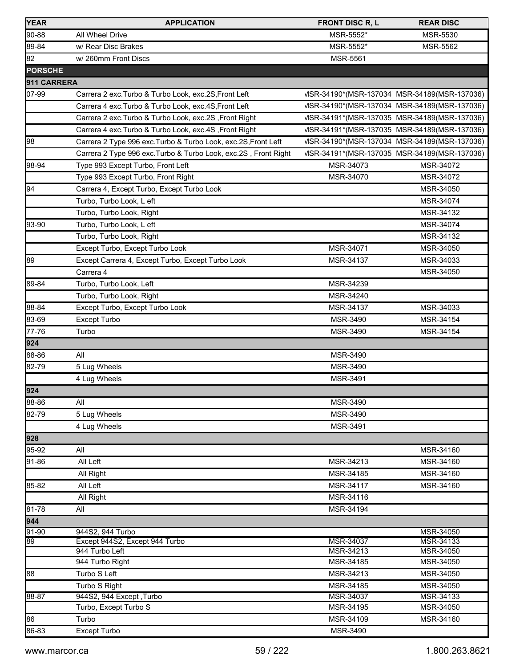| <b>YEAR</b>    | <b>APPLICATION</b>                                               | <b>FRONT DISC R, L</b> | <b>REAR DISC</b>                             |
|----------------|------------------------------------------------------------------|------------------------|----------------------------------------------|
| 90-88          | All Wheel Drive                                                  | MSR-5552*              | MSR-5530                                     |
| 89-84          | w/ Rear Disc Brakes                                              | MSR-5552*              | <b>MSR-5562</b>                              |
| 82             | w/260mm Front Discs                                              | <b>MSR-5561</b>        |                                              |
| <b>PORSCHE</b> |                                                                  |                        |                                              |
| 911 CARRERA    |                                                                  |                        |                                              |
| 07-99          | Carrera 2 exc. Turbo & Turbo Look, exc. 2S, Front Left           |                        | VISR-34190*(MSR-137034 MSR-34189(MSR-137036) |
|                | Carrera 4 exc. Turbo & Turbo Look, exc. 4S, Front Left           |                        | VISR-34190*(MSR-137034 MSR-34189(MSR-137036) |
|                | Carrera 2 exc. Turbo & Turbo Look, exc. 2S, Front Right          |                        | VISR-34191*(MSR-137035 MSR-34189(MSR-137036) |
|                | Carrera 4 exc. Turbo & Turbo Look, exc. 4S, Front Right          |                        | VISR-34191*(MSR-137035 MSR-34189(MSR-137036) |
| 98             | Carrera 2 Type 996 exc. Turbo & Turbo Look, exc.2S, Front Left   |                        | VISR-34190*(MSR-137034 MSR-34189(MSR-137036) |
|                | Carrera 2 Type 996 exc. Turbo & Turbo Look, exc. 2S, Front Right |                        | VISR-34191*(MSR-137035 MSR-34189(MSR-137036) |
| 98-94          | Type 993 Except Turbo, Front Left                                | MSR-34073              | MSR-34072                                    |
|                | Type 993 Except Turbo, Front Right                               | MSR-34070              | MSR-34072                                    |
| 94             | Carrera 4, Except Turbo, Except Turbo Look                       |                        | MSR-34050                                    |
|                | Turbo, Turbo Look, L eft                                         |                        | MSR-34074                                    |
|                | Turbo, Turbo Look, Right                                         |                        | MSR-34132                                    |
| 93-90          | Turbo, Turbo Look, L eft                                         |                        | MSR-34074                                    |
|                | Turbo, Turbo Look, Right                                         |                        | MSR-34132                                    |
|                | Except Turbo, Except Turbo Look                                  | MSR-34071              | MSR-34050                                    |
| 89             | Except Carrera 4, Except Turbo, Except Turbo Look                | MSR-34137              | MSR-34033                                    |
|                | Carrera 4                                                        |                        | MSR-34050                                    |
| 89-84          | Turbo, Turbo Look, Left                                          | MSR-34239              |                                              |
|                | Turbo, Turbo Look, Right                                         | MSR-34240              |                                              |
| 88-84          | Except Turbo, Except Turbo Look                                  | MSR-34137              | MSR-34033                                    |
| 83-69          | Except Turbo                                                     | MSR-3490               | MSR-34154                                    |
| 77-76          | Turbo                                                            | <b>MSR-3490</b>        | MSR-34154                                    |
| 924            |                                                                  |                        |                                              |
| 88-86          | All                                                              | MSR-3490               |                                              |
| 82-79          | 5 Lug Wheels                                                     | MSR-3490               |                                              |
|                | 4 Lug Wheels                                                     | MSR-3491               |                                              |
| 924            |                                                                  |                        |                                              |
| 88-86          | All                                                              | MSR-3490               |                                              |
| 82-79          | 5 Lug Wheels                                                     | MSR-3490               |                                              |
|                | 4 Lug Wheels                                                     | MSR-3491               |                                              |
| 928            |                                                                  |                        |                                              |
| 95-92          | All                                                              |                        | MSR-34160                                    |
| 91-86          | All Left                                                         | MSR-34213              | MSR-34160                                    |
|                | All Right                                                        | MSR-34185              | MSR-34160                                    |
| 85-82          | All Left                                                         | MSR-34117              | MSR-34160                                    |
|                | All Right                                                        | MSR-34116              |                                              |
| 81-78          | All                                                              | MSR-34194              |                                              |
| 944            |                                                                  |                        |                                              |
| $91 - 90$      | 944S2, 944 Turbo                                                 |                        | MSR-34050                                    |
| 89             | Except 944S2, Except 944 Turbo                                   | MSR-34037              | MSR-34133                                    |
|                | 944 Turbo Left                                                   | MSR-34213              | MSR-34050                                    |
|                | 944 Turbo Right                                                  | MSR-34185              | MSR-34050                                    |
| 88             | Turbo S Left                                                     | MSR-34213              | MSR-34050                                    |
|                | Turbo S Right                                                    | MSR-34185              | MSR-34050                                    |
| 88-87          | 944S2, 944 Except, Turbo                                         | MSR-34037              | MSR-34133                                    |
|                | Turbo, Except Turbo S                                            | MSR-34195              | MSR-34050                                    |
| 86             | Turbo                                                            | MSR-34109              | MSR-34160                                    |
| 86-83          | Except Turbo                                                     | MSR-3490               |                                              |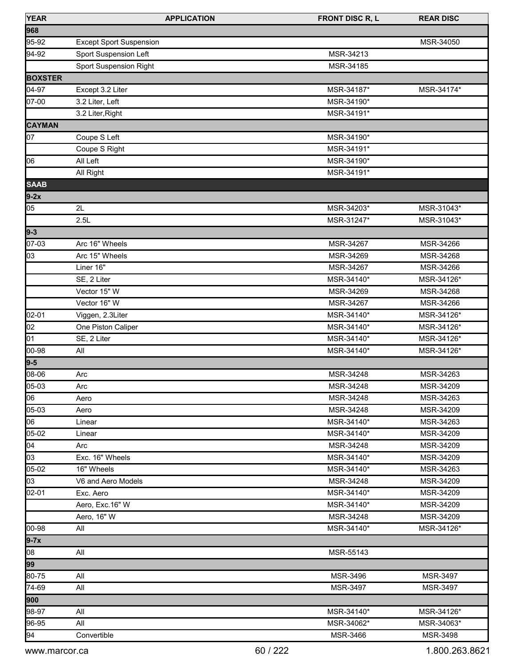| <b>YEAR</b>    | <b>APPLICATION</b>             | <b>FRONT DISC R, L</b> | <b>REAR DISC</b> |
|----------------|--------------------------------|------------------------|------------------|
| 968            |                                |                        |                  |
| 95-92          | <b>Except Sport Suspension</b> |                        | MSR-34050        |
| 94-92          | Sport Suspension Left          | MSR-34213              |                  |
|                | Sport Suspension Right         | MSR-34185              |                  |
| <b>BOXSTER</b> |                                |                        |                  |
| 04-97          | Except 3.2 Liter               | MSR-34187*             | MSR-34174*       |
| 07-00          | 3.2 Liter, Left                | MSR-34190*             |                  |
|                | 3.2 Liter, Right               | MSR-34191*             |                  |
| <b>CAYMAN</b>  |                                |                        |                  |
| 07             | Coupe S Left                   | MSR-34190*             |                  |
|                | Coupe S Right                  | MSR-34191*             |                  |
| 06             | All Left                       | MSR-34190*             |                  |
|                | All Right                      | MSR-34191*             |                  |
| <b>SAAB</b>    |                                |                        |                  |
| $9-2x$         |                                |                        |                  |
| 05             | 2L                             | MSR-34203*             | MSR-31043*       |
|                | 2.5L                           | MSR-31247*             | MSR-31043*       |
| $9 - 3$        |                                |                        |                  |
| 07-03          | Arc 16" Wheels                 | MSR-34267              | MSR-34266        |
| 03             | Arc 15" Wheels                 | MSR-34269              | MSR-34268        |
|                | Liner 16"                      | MSR-34267              | MSR-34266        |
|                | SE, 2 Liter                    | MSR-34140*             | MSR-34126*       |
|                | Vector 15" W                   | MSR-34269              | MSR-34268        |
|                | Vector 16" W                   | MSR-34267              | MSR-34266        |
| 02-01          | Viggen, 2.3Liter               | MSR-34140*             | MSR-34126*       |
| 02             | One Piston Caliper             | MSR-34140*             | MSR-34126*       |
| 01             | SE, 2 Liter                    | MSR-34140*             | MSR-34126*       |
| 00-98          | All                            | MSR-34140*             | MSR-34126*       |
| $9 - 5$        |                                |                        |                  |
| 08-06          | Arc                            | MSR-34248              | MSR-34263        |
| 05-03          | Arc                            | MSR-34248              | MSR-34209        |
| 06             | Aero                           | MSR-34248              | MSR-34263        |
| 05-03          | Aero                           | MSR-34248              | MSR-34209        |
| 06             | Linear                         | MSR-34140*             | MSR-34263        |
| 05-02          | Linear                         | MSR-34140*             | MSR-34209        |
| 04             | Arc                            | MSR-34248              | MSR-34209        |
| 03             | Exc. 16" Wheels                | MSR-34140*             | MSR-34209        |
| 05-02          | 16" Wheels                     | MSR-34140*             | MSR-34263        |
| 03             | V6 and Aero Models             | MSR-34248              | MSR-34209        |
| 02-01          | Exc. Aero                      | MSR-34140*             | MSR-34209        |
|                | Aero, Exc.16" W                | MSR-34140*             | MSR-34209        |
|                | Aero, 16" W                    | MSR-34248              | MSR-34209        |
| 00-98          | All                            | MSR-34140*             | MSR-34126*       |
| $9-7x$         |                                |                        |                  |
| 08             | All                            | MSR-55143              |                  |
| 99             |                                |                        |                  |
| 80-75          | All                            | MSR-3496               | MSR-3497         |
| 74-69          | All                            | MSR-3497               | MSR-3497         |
| 900            |                                |                        |                  |
| 98-97          | All                            | MSR-34140*             | MSR-34126*       |
| 96-95          | All                            | MSR-34062*             | MSR-34063*       |
| 94             | Convertible                    | MSR-3466               | MSR-3498         |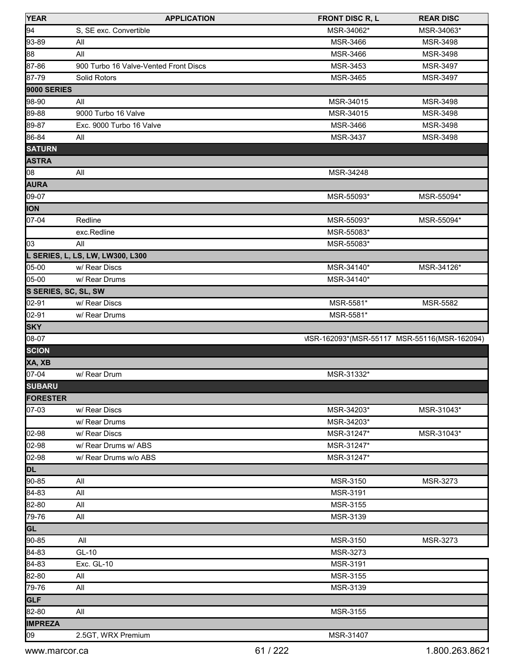| <b>YEAR</b>          | <b>APPLICATION</b>                    | <b>FRONT DISC R, L</b>                       | <b>REAR DISC</b> |
|----------------------|---------------------------------------|----------------------------------------------|------------------|
| 94                   | S, SE exc. Convertible                | MSR-34062*                                   | MSR-34063*       |
| $93 - 89$            | All                                   | MSR-3466                                     | MSR-3498         |
| 88                   | All                                   | MSR-3466                                     | MSR-3498         |
| 87-86                | 900 Turbo 16 Valve-Vented Front Discs | MSR-3453                                     | MSR-3497         |
| 87-79                | Solid Rotors                          | MSR-3465                                     | MSR-3497         |
| <b>9000 SERIES</b>   |                                       |                                              |                  |
| 98-90                | All                                   | MSR-34015                                    | MSR-3498         |
| 89-88                | 9000 Turbo 16 Valve                   | MSR-34015                                    | MSR-3498         |
| 89-87                | Exc. 9000 Turbo 16 Valve              | MSR-3466                                     | MSR-3498         |
| 86-84                | All                                   | MSR-3437                                     | MSR-3498         |
| <b>SATURN</b>        |                                       |                                              |                  |
| <b>ASTRA</b>         |                                       |                                              |                  |
| 08                   | All                                   | MSR-34248                                    |                  |
| <b>AURA</b>          |                                       |                                              |                  |
| $09-07$              |                                       | MSR-55093*                                   | MSR-55094*       |
| <b>ION</b>           |                                       |                                              |                  |
| 07-04                | Redline                               | MSR-55093*                                   | MSR-55094*       |
|                      |                                       |                                              |                  |
| 03                   | exc.Redline<br>All                    | MSR-55083*<br>MSR-55083*                     |                  |
|                      |                                       |                                              |                  |
|                      | L SERIES, L, LS, LW, LW300, L300      |                                              |                  |
| 05-00                | w/ Rear Discs                         | MSR-34140*                                   | MSR-34126*       |
| 05-00                | w/ Rear Drums                         | MSR-34140*                                   |                  |
| S SERIES, SC, SL, SW |                                       |                                              |                  |
| 02-91                | w/ Rear Discs                         | MSR-5581*                                    | MSR-5582         |
| 02-91                | w/ Rear Drums                         | MSR-5581*                                    |                  |
| <b>SKY</b>           |                                       |                                              |                  |
| 08-07                |                                       | VISR-162093*(MSR-55117 MSR-55116(MSR-162094) |                  |
| <b>SCION</b>         |                                       |                                              |                  |
| XA, XB               |                                       |                                              |                  |
| 07-04                | w/ Rear Drum                          | MSR-31332*                                   |                  |
| <b>SUBARU</b>        |                                       |                                              |                  |
| <b>FORESTER</b>      |                                       |                                              |                  |
| 07-03                | w/ Rear Discs                         | MSR-34203*                                   | MSR-31043*       |
|                      | w/ Rear Drums                         | MSR-34203*                                   |                  |
| 02-98                | w/ Rear Discs                         | MSR-31247*                                   | MSR-31043*       |
| 02-98                | w/ Rear Drums w/ ABS                  | MSR-31247*                                   |                  |
| 02-98                | w/ Rear Drums w/o ABS                 | MSR-31247*                                   |                  |
| <b>DL</b>            |                                       |                                              |                  |
| 90-85                | All                                   | MSR-3150                                     | MSR-3273         |
| 84-83                | All                                   | MSR-3191                                     |                  |
| 82-80                | All                                   | MSR-3155                                     |                  |
| 79-76                | All                                   | MSR-3139                                     |                  |
| <b>GL</b>            |                                       |                                              |                  |
| 90-85                | All                                   | MSR-3150                                     | MSR-3273         |
| 84-83                | GL-10                                 | MSR-3273                                     |                  |
| 84-83                | <b>Exc. GL-10</b>                     | MSR-3191                                     |                  |
| 82-80                | All                                   | MSR-3155                                     |                  |
| 79-76                | All                                   | MSR-3139                                     |                  |
| GLF                  |                                       |                                              |                  |
| 82-80                | All                                   | MSR-3155                                     |                  |
| <b>IMPREZA</b>       |                                       |                                              |                  |
| 09                   | 2.5GT, WRX Premium                    | MSR-31407                                    |                  |
|                      |                                       |                                              |                  |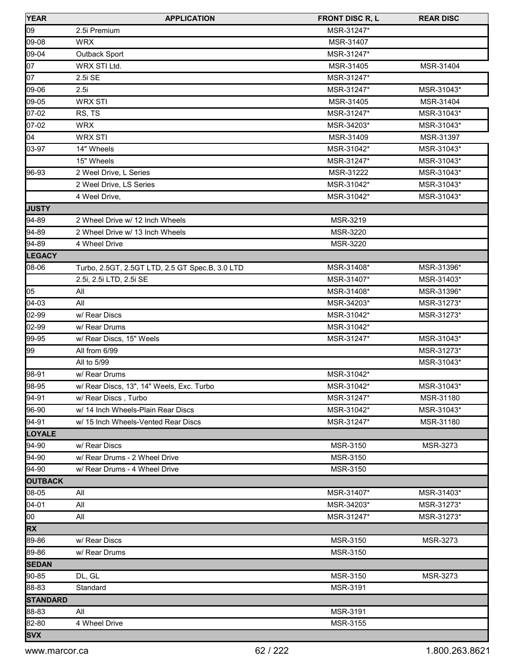| <b>YEAR</b>     | <b>APPLICATION</b>                              | <b>FRONT DISC R, L</b> | <b>REAR DISC</b> |
|-----------------|-------------------------------------------------|------------------------|------------------|
| 09              | 2.5i Premium                                    | MSR-31247*             |                  |
| 09-08           | <b>WRX</b>                                      | MSR-31407              |                  |
| 09-04           | Outback Sport                                   | MSR-31247*             |                  |
| 07              | WRX STI Ltd.                                    | MSR-31405              | MSR-31404        |
| 07              | 2.5i SE                                         | MSR-31247*             |                  |
| 09-06           | 2.5i                                            | MSR-31247*             | MSR-31043*       |
| 09-05           | <b>WRX STI</b>                                  | MSR-31405              | MSR-31404        |
| 07-02           | RS, TS                                          | MSR-31247*             | MSR-31043*       |
| 07-02           | <b>WRX</b>                                      | MSR-34203*             | MSR-31043*       |
| 04              | <b>WRX STI</b>                                  | MSR-31409              | MSR-31397        |
| 03-97           | 14" Wheels                                      | MSR-31042*             | MSR-31043*       |
|                 | 15" Wheels                                      | MSR-31247*             | MSR-31043*       |
| 96-93           | 2 Weel Drive, L Series                          | MSR-31222              | MSR-31043*       |
|                 | 2 Weel Drive, LS Series                         | MSR-31042*             | MSR-31043*       |
|                 | 4 Weel Drive,                                   | MSR-31042*             | MSR-31043*       |
| <b>JUSTY</b>    |                                                 |                        |                  |
| 94-89           | 2 Wheel Drive w/ 12 Inch Wheels                 | MSR-3219               |                  |
| 94-89           | 2 Wheel Drive w/ 13 Inch Wheels                 | MSR-3220               |                  |
| 94-89           | 4 Wheel Drive                                   | MSR-3220               |                  |
| <b>LEGACY</b>   |                                                 |                        |                  |
| 08-06           | Turbo, 2.5GT, 2.5GT LTD, 2.5 GT Spec.B, 3.0 LTD | MSR-31408*             | MSR-31396*       |
|                 | 2.5i, 2.5i LTD, 2.5i SE                         | MSR-31407*             | MSR-31403*       |
| 05              | All                                             | MSR-31408*             | MSR-31396*       |
| 04-03           | All                                             | MSR-34203*             | MSR-31273*       |
| 02-99           | w/ Rear Discs                                   | MSR-31042*             | MSR-31273*       |
| 02-99           | w/ Rear Drums                                   | MSR-31042*             |                  |
| 99-95           | w/ Rear Discs, 15" Weels                        | MSR-31247*             | MSR-31043*       |
| 99              | All from 6/99                                   |                        | MSR-31273*       |
|                 | All to 5/99                                     |                        | MSR-31043*       |
| 98-91           | w/ Rear Drums                                   | MSR-31042*             |                  |
| 98-95           | w/ Rear Discs, 13", 14" Weels, Exc. Turbo       | MSR-31042*             | MSR-31043*       |
| 94-91           | w/ Rear Discs, Turbo                            | MSR-31247*             | MSR-31180        |
| 96-90           | w/ 14 Inch Wheels-Plain Rear Discs              | MSR-31042*             | MSR-31043*       |
| 94-91           | w/ 15 Inch Wheels-Vented Rear Discs             | MSR-31247*             | MSR-31180        |
| LOYALE          |                                                 |                        |                  |
| 94-90           | w/ Rear Discs                                   | MSR-3150               | MSR-3273         |
| 94-90           | w/ Rear Drums - 2 Wheel Drive                   | MSR-3150               |                  |
| 94-90           | w/ Rear Drums - 4 Wheel Drive                   | MSR-3150               |                  |
| <b>OUTBACK</b>  |                                                 |                        |                  |
| 08-05           | All                                             | MSR-31407*             | MSR-31403*       |
| 04-01           | All                                             | MSR-34203*             | MSR-31273*       |
| 00              | All                                             | MSR-31247*             | MSR-31273*       |
| <b>RX</b>       |                                                 |                        |                  |
| 89-86           | w/ Rear Discs                                   | MSR-3150               | MSR-3273         |
| 89-86           | w/ Rear Drums                                   | MSR-3150               |                  |
| <b>SEDAN</b>    |                                                 |                        |                  |
| 90-85           | DL, GL                                          | MSR-3150               | MSR-3273         |
| 88-83           | Standard                                        | MSR-3191               |                  |
| <b>STANDARD</b> |                                                 |                        |                  |
| 88-83           | All                                             | MSR-3191               |                  |
| 82-80           | 4 Wheel Drive                                   | MSR-3155               |                  |
| <b>SVX</b>      |                                                 |                        |                  |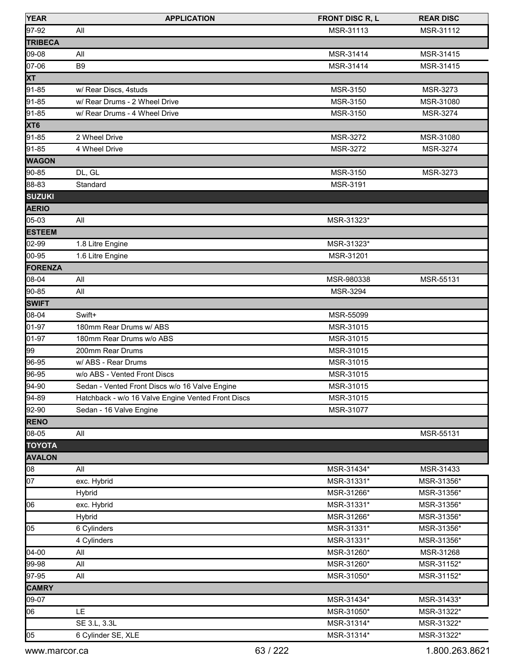| <b>YEAR</b>     | <b>APPLICATION</b>                                 | <b>FRONT DISC R, L</b> | <b>REAR DISC</b> |
|-----------------|----------------------------------------------------|------------------------|------------------|
| 97-92           | All                                                | MSR-31113              | MSR-31112        |
| TRIBECA         |                                                    |                        |                  |
| 09-08           | All                                                | MSR-31414              | MSR-31415        |
| 07-06           | B <sub>9</sub>                                     | MSR-31414              | MSR-31415        |
| <b>XT</b>       |                                                    |                        |                  |
| 91-85           | w/ Rear Discs, 4studs                              | MSR-3150               | MSR-3273         |
| 91-85           | w/ Rear Drums - 2 Wheel Drive                      | MSR-3150               | MSR-31080        |
| 91-85           | w/ Rear Drums - 4 Wheel Drive                      | MSR-3150               | MSR-3274         |
| XT <sub>6</sub> |                                                    |                        |                  |
| 91-85           | 2 Wheel Drive                                      | MSR-3272               | MSR-31080        |
| 91-85           | 4 Wheel Drive                                      | MSR-3272               | MSR-3274         |
| <b>WAGON</b>    |                                                    |                        |                  |
| 90-85           | DL, GL                                             | MSR-3150               | MSR-3273         |
| 88-83           | Standard                                           | MSR-3191               |                  |
| <b>SUZUKI</b>   |                                                    |                        |                  |
| <b>AERIO</b>    |                                                    |                        |                  |
| 05-03           | All                                                | MSR-31323*             |                  |
| <b>ESTEEM</b>   |                                                    |                        |                  |
| 02-99           | 1.8 Litre Engine                                   | MSR-31323*             |                  |
| 00-95           | 1.6 Litre Engine                                   | MSR-31201              |                  |
| FORENZA         |                                                    |                        |                  |
| 08-04           | All                                                | MSR-980338             | MSR-55131        |
| 90-85           | All                                                | <b>MSR-3294</b>        |                  |
| <b>SWIFT</b>    |                                                    |                        |                  |
| 08-04           | Swift+                                             | MSR-55099              |                  |
| 01-97           | 180mm Rear Drums w/ ABS                            | MSR-31015              |                  |
| 01-97           | 180mm Rear Drums w/o ABS                           | MSR-31015              |                  |
| 99              | 200mm Rear Drums                                   | MSR-31015              |                  |
| 96-95           | w/ ABS - Rear Drums                                | MSR-31015              |                  |
| 96-95           | w/o ABS - Vented Front Discs                       | MSR-31015              |                  |
| 94-90           | Sedan - Vented Front Discs w/o 16 Valve Engine     | MSR-31015              |                  |
| $94-89$         | Hatchback - w/o 16 Valve Engine Vented Front Discs | MSR-31015              |                  |
| 92-90           | Sedan - 16 Valve Engine                            | MSR-31077              |                  |
| <b>RENO</b>     |                                                    |                        |                  |
| $08-05$         | All                                                |                        | MSR-55131        |
| <b>TOYOTA</b>   |                                                    |                        |                  |
| <b>AVALON</b>   |                                                    |                        |                  |
| $\overline{08}$ | All                                                | MSR-31434*             | MSR-31433        |
| 07              | exc. Hybrid                                        | MSR-31331*             | MSR-31356*       |
|                 | Hybrid                                             | MSR-31266*             | MSR-31356*       |
| 06              | exc. Hybrid                                        | MSR-31331*             | MSR-31356*       |
|                 | Hybrid                                             | MSR-31266*             | MSR-31356*       |
| 05              | 6 Cylinders                                        | MSR-31331*             | MSR-31356*       |
|                 | 4 Cylinders                                        | MSR-31331*             | MSR-31356*       |
| 04-00           | All                                                | MSR-31260*             | MSR-31268        |
| 99-98           | All                                                | MSR-31260*             | MSR-31152*       |
| 97-95           | All                                                | MSR-31050*             | MSR-31152*       |
| <b>CAMRY</b>    |                                                    |                        |                  |
| 09-07           |                                                    | MSR-31434*             | MSR-31433*       |
| 06              | LE                                                 | MSR-31050*             | MSR-31322*       |
|                 | SE 3.L, 3.3L                                       | MSR-31314*             | MSR-31322*       |
| 05              | 6 Cylinder SE, XLE                                 | MSR-31314*             | MSR-31322*       |
|                 |                                                    |                        |                  |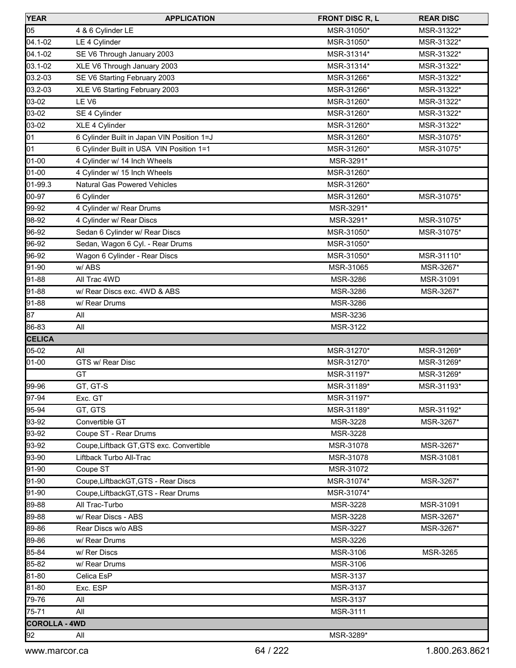| <b>YEAR</b>          | <b>APPLICATION</b>                         | <b>FRONT DISC R, L</b> | <b>REAR DISC</b> |
|----------------------|--------------------------------------------|------------------------|------------------|
| 05                   | 4 & 6 Cylinder LE                          | MSR-31050*             | MSR-31322*       |
| 04.1-02              | LE 4 Cylinder                              | MSR-31050*             | MSR-31322*       |
| 04.1-02              | SE V6 Through January 2003                 | MSR-31314*             | MSR-31322*       |
| 03.1-02              | XLE V6 Through January 2003                | MSR-31314*             | MSR-31322*       |
| 03.2-03              | SE V6 Starting February 2003               | MSR-31266*             | MSR-31322*       |
| 03.2-03              | XLE V6 Starting February 2003              | MSR-31266*             | MSR-31322*       |
| 03-02                | LE <sub>V6</sub>                           | MSR-31260*             | MSR-31322*       |
| 03-02                | SE 4 Cylinder                              | MSR-31260*             | MSR-31322*       |
| 03-02                | XLE 4 Cylinder                             | MSR-31260*             | MSR-31322*       |
| 01                   | 6 Cylinder Built in Japan VIN Position 1=J | MSR-31260*             | MSR-31075*       |
| 01                   | 6 Cylinder Built in USA VIN Position 1=1   | MSR-31260*             | MSR-31075*       |
| 01-00                | 4 Cylinder w/ 14 Inch Wheels               | MSR-3291*              |                  |
| 01-00                | 4 Cylinder w/ 15 Inch Wheels               | MSR-31260*             |                  |
| 01-99.3              | <b>Natural Gas Powered Vehicles</b>        | MSR-31260*             |                  |
| 00-97                | 6 Cylinder                                 | MSR-31260*             | MSR-31075*       |
| 99-92                | 4 Cylinder w/ Rear Drums                   | MSR-3291*              |                  |
| 98-92                | 4 Cylinder w/ Rear Discs                   | MSR-3291*              | MSR-31075*       |
| 96-92                | Sedan 6 Cylinder w/ Rear Discs             | MSR-31050*             | MSR-31075*       |
| 96-92                | Sedan, Wagon 6 Cyl. - Rear Drums           | MSR-31050*             |                  |
| 96-92                | Wagon 6 Cylinder - Rear Discs              | MSR-31050*             | MSR-31110*       |
| 91-90                | w/ABS                                      | MSR-31065              | MSR-3267*        |
| 91-88                | All Trac 4WD                               | MSR-3286               | MSR-31091        |
| 91-88                | w/ Rear Discs exc. 4WD & ABS               | MSR-3286               | MSR-3267*        |
| 91-88                | w/ Rear Drums                              | MSR-3286               |                  |
| 87                   | All                                        | MSR-3236               |                  |
| 86-83                | All                                        | MSR-3122               |                  |
| <b>CELICA</b>        |                                            |                        |                  |
| 05-02                | All                                        | MSR-31270*             | MSR-31269*       |
| 01-00                | GTS w/ Rear Disc                           | MSR-31270*             | MSR-31269*       |
|                      | GT                                         | MSR-31197*             | MSR-31269*       |
| 99-96                | GT, GT-S                                   | MSR-31189*             | MSR-31193*       |
| 97-94                | Exc. GT                                    | MSR-31197*             |                  |
| 95-94                | GT, GTS                                    | MSR-31189*             | MSR-31192*       |
| 93-92                | Convertible GT                             | <b>MSR-3228</b>        | MSR-3267*        |
| 93-92                | Coupe ST - Rear Drums                      | MSR-3228               |                  |
| 93-92                | Coupe, Liftback GT, GTS exc. Convertible   | MSR-31078              | MSR-3267*        |
| 93-90                | Liftback Turbo All-Trac                    | MSR-31078              | MSR-31081        |
| 91-90                | Coupe ST                                   | MSR-31072              |                  |
| 91-90                | Coupe, Liftback GT, GTS - Rear Discs       | MSR-31074*             | MSR-3267*        |
| 91-90                | Coupe, LiftbackGT, GTS - Rear Drums        | MSR-31074*             |                  |
| 89-88                | All Trac-Turbo                             | MSR-3228               | MSR-31091        |
| 89-88                | w/ Rear Discs - ABS                        | MSR-3228               | MSR-3267*        |
| 89-86                | Rear Discs w/o ABS                         | <b>MSR-3227</b>        | MSR-3267*        |
| 89-86                | w/ Rear Drums                              | MSR-3226               |                  |
|                      |                                            |                        |                  |
| 85-84<br>85-82       | w/ Rer Discs<br>w/ Rear Drums              | MSR-3106<br>MSR-3106   | MSR-3265         |
|                      |                                            |                        |                  |
| 81-80                | Celica EsP                                 | <b>MSR-3137</b>        |                  |
| 81-80                | Exc. ESP                                   | MSR-3137               |                  |
| 79-76                | All                                        | MSR-3137               |                  |
| 75-71                | All                                        | <b>MSR-3111</b>        |                  |
| <b>COROLLA - 4WD</b> |                                            |                        |                  |
| 92                   | All                                        | MSR-3289*              |                  |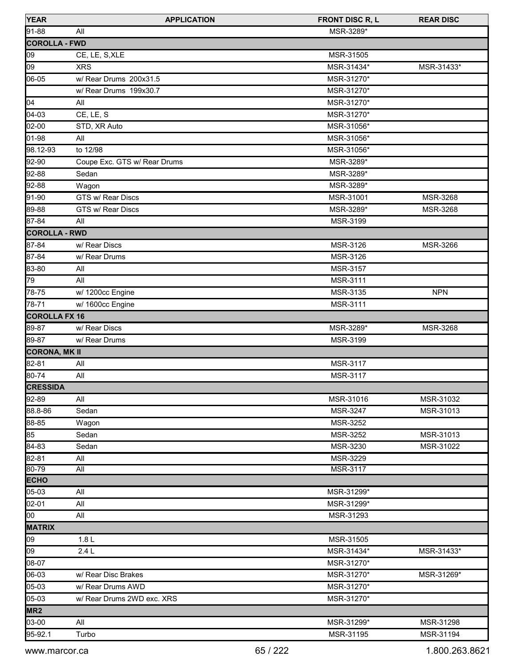| 91-88<br>All<br>MSR-3289*<br><b>COROLLA - FWD</b><br>09<br>CE, LE, S, XLE<br>MSR-31505<br>09<br>MSR-31434*<br><b>XRS</b><br>06-05<br>w/ Rear Drums 200x31.5<br>MSR-31270*<br>w/ Rear Drums 199x30.7<br>MSR-31270*<br>04<br>MSR-31270*<br>All | MSR-31433* |
|----------------------------------------------------------------------------------------------------------------------------------------------------------------------------------------------------------------------------------------------|------------|
|                                                                                                                                                                                                                                              |            |
|                                                                                                                                                                                                                                              |            |
|                                                                                                                                                                                                                                              |            |
|                                                                                                                                                                                                                                              |            |
|                                                                                                                                                                                                                                              |            |
|                                                                                                                                                                                                                                              |            |
|                                                                                                                                                                                                                                              |            |
| 04-03<br>CE, LE, S<br>MSR-31270*                                                                                                                                                                                                             |            |
| 02-00<br>MSR-31056*<br>STD, XR Auto                                                                                                                                                                                                          |            |
| 01-98<br>MSR-31056*<br>All                                                                                                                                                                                                                   |            |
| 98.12-93<br>to 12/98<br>MSR-31056*                                                                                                                                                                                                           |            |
| 92-90<br>Coupe Exc. GTS w/ Rear Drums<br>MSR-3289*                                                                                                                                                                                           |            |
| 92-88<br>MSR-3289*<br>Sedan                                                                                                                                                                                                                  |            |
| 92-88<br>MSR-3289*<br>Wagon                                                                                                                                                                                                                  |            |
| 91-90<br>GTS w/ Rear Discs<br>MSR-31001                                                                                                                                                                                                      | MSR-3268   |
| 89-88<br>GTS w/ Rear Discs<br>MSR-3289*                                                                                                                                                                                                      | MSR-3268   |
| 87-84<br>All<br>MSR-3199                                                                                                                                                                                                                     |            |
| <b>COROLLA - RWD</b>                                                                                                                                                                                                                         |            |
| 87-84<br>w/ Rear Discs<br>MSR-3126                                                                                                                                                                                                           | MSR-3266   |
| 87-84<br>MSR-3126<br>w/ Rear Drums                                                                                                                                                                                                           |            |
| 83-80<br><b>MSR-3157</b><br>All                                                                                                                                                                                                              |            |
| 79<br>All<br>MSR-3111                                                                                                                                                                                                                        |            |
| 78-75<br>w/ 1200cc Engine<br>MSR-3135                                                                                                                                                                                                        | <b>NPN</b> |
| 78-71<br>MSR-3111<br>w/ 1600cc Engine                                                                                                                                                                                                        |            |
| <b>COROLLA FX 16</b>                                                                                                                                                                                                                         |            |
| 89-87<br>w/ Rear Discs<br>MSR-3289*                                                                                                                                                                                                          | MSR-3268   |
| 89-87<br>w/ Rear Drums<br>MSR-3199                                                                                                                                                                                                           |            |
| <b>CORONA, MK II</b>                                                                                                                                                                                                                         |            |
| 82-81<br>All<br>MSR-3117                                                                                                                                                                                                                     |            |
| 80-74<br>MSR-3117<br>All                                                                                                                                                                                                                     |            |
| <b>CRESSIDA</b>                                                                                                                                                                                                                              |            |
| $92-89$<br>All<br>MSR-31016                                                                                                                                                                                                                  | MSR-31032  |
| 88.8-86<br>Sedan<br>MSR-3247                                                                                                                                                                                                                 | MSR-31013  |
| 88-85<br>MSR-3252<br>Wagon                                                                                                                                                                                                                   |            |
| 85<br>Sedan<br>MSR-3252                                                                                                                                                                                                                      | MSR-31013  |
| 84-83<br>Sedan<br>MSR-3230                                                                                                                                                                                                                   | MSR-31022  |
| 82-81<br>All<br>MSR-3229                                                                                                                                                                                                                     |            |
| 80-79<br>$\overline{All}$<br>MSR-3117                                                                                                                                                                                                        |            |
| <b>ECHO</b>                                                                                                                                                                                                                                  |            |
| 05-03<br>MSR-31299*<br>All                                                                                                                                                                                                                   |            |
| 02-01<br>All<br>MSR-31299*                                                                                                                                                                                                                   |            |
| $\log$<br>All<br>MSR-31293                                                                                                                                                                                                                   |            |
| <b>MATRIX</b>                                                                                                                                                                                                                                |            |
| 09<br>1.8L<br>MSR-31505                                                                                                                                                                                                                      |            |
| 09<br>2.4L<br>MSR-31434*                                                                                                                                                                                                                     | MSR-31433* |
| 08-07<br>MSR-31270*                                                                                                                                                                                                                          |            |
| 06-03<br>MSR-31270*<br>w/ Rear Disc Brakes                                                                                                                                                                                                   | MSR-31269* |
| 05-03<br>w/ Rear Drums AWD<br>MSR-31270*                                                                                                                                                                                                     |            |
| 05-03<br>w/ Rear Drums 2WD exc. XRS<br>MSR-31270*                                                                                                                                                                                            |            |
| MR <sub>2</sub>                                                                                                                                                                                                                              |            |
| 03-00<br>All<br>MSR-31299*                                                                                                                                                                                                                   | MSR-31298  |
| 95-92.1<br>Turbo<br>MSR-31195                                                                                                                                                                                                                | MSR-31194  |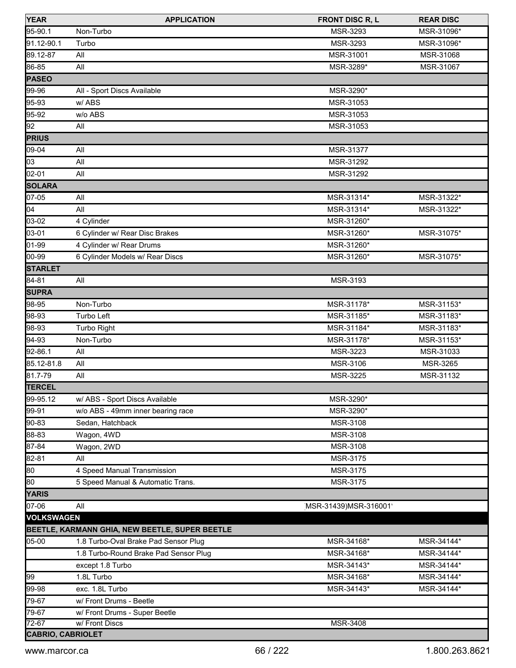| <b>YEAR</b>              | <b>APPLICATION</b>                             | <b>FRONT DISC R, L</b> | <b>REAR DISC</b> |
|--------------------------|------------------------------------------------|------------------------|------------------|
| 95-90.1                  | Non-Turbo                                      | <b>MSR-3293</b>        | MSR-31096*       |
| 91.12-90.1               | Turbo                                          | MSR-3293               | MSR-31096*       |
| 89.12-87                 | All                                            | MSR-31001              | MSR-31068        |
| 86-85                    | All                                            | MSR-3289*              | MSR-31067        |
| <b>PASEO</b>             |                                                |                        |                  |
| 99-96                    | All - Sport Discs Available                    | MSR-3290*              |                  |
| 95-93                    | w/ABS                                          | MSR-31053              |                  |
| 95-92                    | w/o ABS                                        | MSR-31053              |                  |
| 92                       | All                                            | MSR-31053              |                  |
| <b>PRIUS</b>             |                                                |                        |                  |
| 09-04                    | All                                            | MSR-31377              |                  |
| 03                       | All                                            | MSR-31292              |                  |
| 02-01                    | All                                            | MSR-31292              |                  |
| <b>SOLARA</b>            |                                                |                        |                  |
| 07-05                    | All                                            | MSR-31314*             | MSR-31322*       |
| 04                       | All                                            | MSR-31314*             | MSR-31322*       |
| 03-02                    | 4 Cylinder                                     | MSR-31260*             |                  |
| 03-01                    | 6 Cylinder w/ Rear Disc Brakes                 | MSR-31260*             | MSR-31075*       |
| 01-99                    | 4 Cylinder w/ Rear Drums                       | MSR-31260*             |                  |
| 00-99                    | 6 Cylinder Models w/ Rear Discs                | MSR-31260*             | MSR-31075*       |
| <b>STARLET</b>           |                                                |                        |                  |
| 84-81                    | All                                            | MSR-3193               |                  |
| <b>SUPRA</b>             |                                                |                        |                  |
| 98-95                    | Non-Turbo                                      | MSR-31178*             | MSR-31153*       |
| 98-93                    | Turbo Left                                     | MSR-31185*             | MSR-31183*       |
| 98-93                    | Turbo Right                                    | MSR-31184*             | MSR-31183*       |
| 94-93                    | Non-Turbo                                      | MSR-31178*             | MSR-31153*       |
| 92-86.1                  | All                                            | MSR-3223               | MSR-31033        |
| 85.12-81.8               | All                                            | MSR-3106               | MSR-3265         |
| 81.7-79                  | All                                            | MSR-3225               | MSR-31132        |
| <b>TERCEL</b>            |                                                |                        |                  |
| 99-95.12                 | w/ ABS - Sport Discs Available                 | MSR-3290*              |                  |
| 99-91                    | w/o ABS - 49mm inner bearing race              | MSR-3290*              |                  |
| 90-83                    | Sedan, Hatchback                               | MSR-3108               |                  |
| 88-83                    | Wagon, 4WD                                     | MSR-3108               |                  |
| 87-84                    | Wagon, 2WD                                     | MSR-3108               |                  |
| 82-81                    | All                                            | MSR-3175               |                  |
| 80                       | 4 Speed Manual Transmission                    | MSR-3175               |                  |
| 80                       | 5 Speed Manual & Automatic Trans.              | MSR-3175               |                  |
| <b>YARIS</b>             |                                                |                        |                  |
| 07-06                    | All                                            | MSR-31439) MSR-316001' |                  |
| <b>VOLKSWAGEN</b>        |                                                |                        |                  |
|                          | BEETLE, KARMANN GHIA, NEW BEETLE, SUPER BEETLE |                        |                  |
| 05-00                    | 1.8 Turbo-Oval Brake Pad Sensor Plug           | MSR-34168*             | MSR-34144*       |
|                          | 1.8 Turbo-Round Brake Pad Sensor Plug          | MSR-34168*             | MSR-34144*       |
|                          | except 1.8 Turbo                               | MSR-34143*             | MSR-34144*       |
| 99                       | 1.8L Turbo                                     | MSR-34168*             | MSR-34144*       |
| 99-98                    | exc. 1.8L Turbo                                | MSR-34143*             | MSR-34144*       |
| 79-67                    | w/ Front Drums - Beetle                        |                        |                  |
| 79-67                    | w/ Front Drums - Super Beetle                  |                        |                  |
| $72-67$                  | w/ Front Discs                                 | <b>MSR-3408</b>        |                  |
| <b>CABRIO, CABRIOLET</b> |                                                |                        |                  |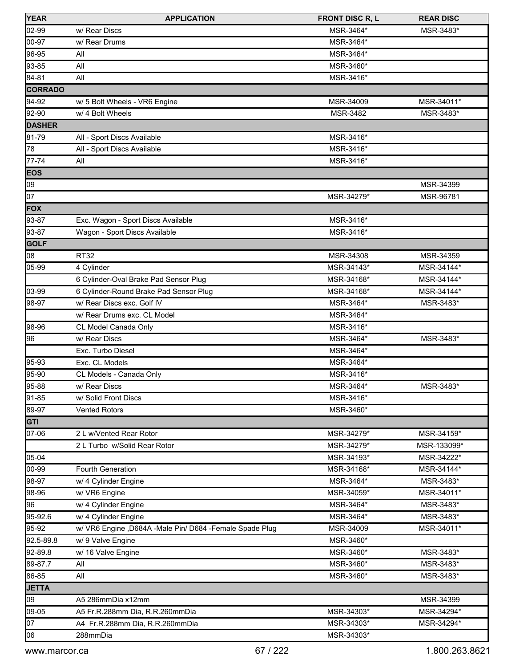| <b>YEAR</b>    | <b>APPLICATION</b>                                         | <b>FRONT DISC R, L</b> | <b>REAR DISC</b> |
|----------------|------------------------------------------------------------|------------------------|------------------|
| 02-99          | w/ Rear Discs                                              | MSR-3464*              | MSR-3483*        |
| 00-97          | w/ Rear Drums                                              | MSR-3464*              |                  |
| $96-95$        | All                                                        | MSR-3464*              |                  |
| 93-85          | All                                                        | MSR-3460*              |                  |
| 84-81          | All                                                        | MSR-3416*              |                  |
| <b>CORRADO</b> |                                                            |                        |                  |
| 94-92          | w/ 5 Bolt Wheels - VR6 Engine                              | MSR-34009              | MSR-34011*       |
| 92-90          | w/ 4 Bolt Wheels                                           | MSR-3482               | MSR-3483*        |
| <b>DASHER</b>  |                                                            |                        |                  |
| 81-79          | All - Sport Discs Available                                | MSR-3416*              |                  |
| 78             | All - Sport Discs Available                                | MSR-3416*              |                  |
| 77-74          | All                                                        | MSR-3416*              |                  |
| <b>EOS</b>     |                                                            |                        |                  |
| 09             |                                                            |                        | MSR-34399        |
| 07             |                                                            | MSR-34279*             | MSR-96781        |
| <b>FOX</b>     |                                                            |                        |                  |
| 93-87          | Exc. Wagon - Sport Discs Available                         | MSR-3416*              |                  |
| 93-87          | Wagon - Sport Discs Available                              | MSR-3416*              |                  |
| <b>GOLF</b>    |                                                            |                        |                  |
| 08             | <b>RT32</b>                                                | MSR-34308              | MSR-34359        |
| 05-99          | 4 Cylinder                                                 | MSR-34143*             | MSR-34144*       |
|                | 6 Cylinder-Oval Brake Pad Sensor Plug                      | MSR-34168*             | MSR-34144*       |
| 03-99          | 6 Cylinder-Round Brake Pad Sensor Plug                     | MSR-34168*             | MSR-34144*       |
| 98-97          | w/ Rear Discs exc. Golf IV                                 | MSR-3464*              | MSR-3483*        |
|                | w/ Rear Drums exc. CL Model                                | MSR-3464*              |                  |
| 98-96          | CL Model Canada Only                                       | MSR-3416*              |                  |
| 96             | w/ Rear Discs                                              | MSR-3464*              | MSR-3483*        |
|                | Exc. Turbo Diesel                                          | MSR-3464*              |                  |
| 95-93          | Exc. CL Models                                             | MSR-3464*              |                  |
| 95-90          | CL Models - Canada Only                                    | MSR-3416*              |                  |
| 95-88          | w/ Rear Discs                                              | MSR-3464*              | MSR-3483*        |
| 91-85          | w/ Solid Front Discs                                       | MSR-3416*              |                  |
| 89-97          | <b>Vented Rotors</b>                                       | MSR-3460*              |                  |
| <b>GTI</b>     |                                                            |                        |                  |
| 07-06          | 2 L w/Vented Rear Rotor                                    | MSR-34279*             | MSR-34159*       |
|                | 2 L Turbo w/Solid Rear Rotor                               | MSR-34279*             | MSR-133099*      |
| 05-04          |                                                            | MSR-34193*             | MSR-34222*       |
| 00-99          | Fourth Generation                                          | MSR-34168*             | MSR-34144*       |
| 98-97          | w/ 4 Cylinder Engine                                       | MSR-3464*              | MSR-3483*        |
| 98-96          | w/ VR6 Engine                                              | MSR-34059*             | MSR-34011*       |
| 96             | w/ 4 Cylinder Engine                                       | MSR-3464*              | MSR-3483*        |
| 95-92.6        | w/ 4 Cylinder Engine                                       | MSR-3464*              | MSR-3483*        |
| 95-92          | w/ VR6 Engine , D684A - Male Pin/ D684 - Female Spade Plug | MSR-34009              | MSR-34011*       |
| 92.5-89.8      | w/ 9 Valve Engine                                          | MSR-3460*              |                  |
| 92-89.8        | w/ 16 Valve Engine                                         | MSR-3460*              | MSR-3483*        |
| 89-87.7        | All                                                        | MSR-3460*              | MSR-3483*        |
| 86-85          | All                                                        | MSR-3460*              | MSR-3483*        |
| <b>JETTA</b>   |                                                            |                        |                  |
| 09             | A5 286mmDia x12mm                                          |                        | MSR-34399        |
| 09-05          | A5 Fr.R.288mm Dia, R.R.260mmDia                            | MSR-34303*             | MSR-34294*       |
| 07             | A4 Fr.R.288mm Dia, R.R.260mmDia                            | MSR-34303*             | MSR-34294*       |
| 06             | 288mmDia                                                   | MSR-34303*             |                  |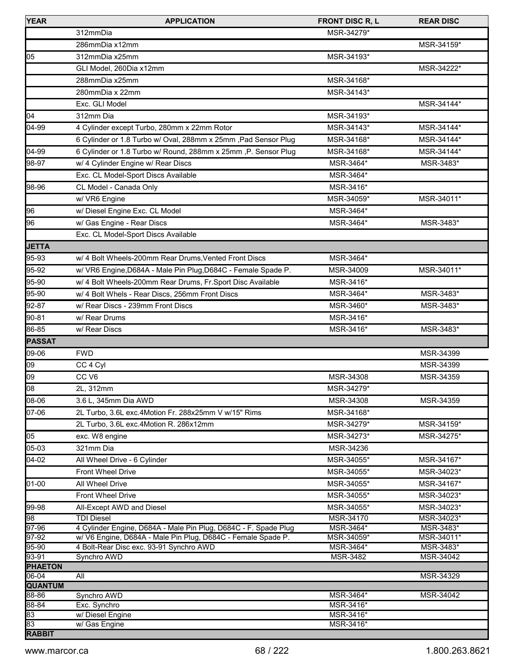| <b>YEAR</b>             | <b>APPLICATION</b>                                                                   | <b>FRONT DISC R, L</b> | <b>REAR DISC</b>         |
|-------------------------|--------------------------------------------------------------------------------------|------------------------|--------------------------|
|                         | 312mmDia                                                                             | MSR-34279*             |                          |
|                         | 286mmDia x12mm                                                                       |                        | MSR-34159*               |
| 05                      | 312mmDia x25mm                                                                       | MSR-34193*             |                          |
|                         | GLI Model, 260Dia x12mm                                                              |                        | MSR-34222*               |
|                         | 288mmDia x25mm                                                                       | MSR-34168*             |                          |
|                         | 280mmDia x 22mm                                                                      | MSR-34143*             |                          |
|                         | Exc. GLI Model                                                                       |                        | MSR-34144*               |
| 04                      | 312mm Dia                                                                            | MSR-34193*             |                          |
| 04-99                   | 4 Cylinder except Turbo, 280mm x 22mm Rotor                                          | MSR-34143*             | MSR-34144*               |
|                         | 6 Cylinder or 1.8 Turbo w/ Oval, 288mm x 25mm , Pad Sensor Plug                      | MSR-34168*             | MSR-34144*               |
| 04-99                   | 6 Cylinder or 1.8 Turbo w/ Round, 288mm x 25mm , P. Sensor Plug                      | MSR-34168*             | MSR-34144*               |
|                         | w/ 4 Cylinder Engine w/ Rear Discs                                                   | MSR-3464*              |                          |
| 98-97                   |                                                                                      |                        | MSR-3483*                |
|                         | Exc. CL Model-Sport Discs Available                                                  | MSR-3464*              |                          |
| 98-96                   | CL Model - Canada Only                                                               | MSR-3416*              |                          |
|                         | w/ VR6 Engine                                                                        | MSR-34059*             | MSR-34011*               |
| 96                      | w/ Diesel Engine Exc. CL Model                                                       | MSR-3464*              |                          |
| 96                      | w/ Gas Engine - Rear Discs                                                           | MSR-3464*              | MSR-3483*                |
|                         | Exc. CL Model-Sport Discs Available                                                  |                        |                          |
| <b>JETTA</b>            |                                                                                      |                        |                          |
| 95-93                   | w/ 4 Bolt Wheels-200mm Rear Drums, Vented Front Discs                                | MSR-3464*              |                          |
| 95-92                   | w/ VR6 Engine, D684A - Male Pin Plug, D684C - Female Spade P.                        | MSR-34009              | MSR-34011*               |
| 95-90                   | w/ 4 Bolt Wheels-200mm Rear Drums, Fr.Sport Disc Available                           | MSR-3416*              |                          |
| 95-90                   | w/ 4 Bolt Whels - Rear Discs, 256mm Front Discs                                      | MSR-3464*              | MSR-3483*                |
| 92-87                   | w/ Rear Discs - 239mm Front Discs                                                    | MSR-3460*              | MSR-3483*                |
| 90-81                   | w/ Rear Drums                                                                        | MSR-3416*              |                          |
| 86-85                   | w/ Rear Discs                                                                        | MSR-3416*              | MSR-3483*                |
| <b>PASSAT</b>           |                                                                                      |                        |                          |
| 09-06                   | <b>FWD</b>                                                                           |                        | MSR-34399                |
| 09                      | CC 4 Cyl                                                                             |                        | MSR-34399                |
| 09                      | CC <sub>V6</sub>                                                                     | MSR-34308              | MSR-34359                |
| 08                      | 2L, 312mm                                                                            | MSR-34279*             |                          |
| 08-06                   | 3.6 L, 345mm Dia AWD                                                                 | MSR-34308              | MSR-34359                |
| 07-06                   | 2L Turbo, 3.6L exc.4Motion Fr. 288x25mm V w/15" Rims                                 | MSR-34168*             |                          |
|                         | 2L Turbo, 3.6L exc.4Motion R. 286x12mm                                               | MSR-34279*             | MSR-34159*               |
| 05                      | exc. W8 engine                                                                       | MSR-34273*             | MSR-34275*               |
| 05-03                   | 321mm Dia                                                                            | MSR-34236              |                          |
| $04-02$                 |                                                                                      | MSR-34055*             |                          |
|                         | All Wheel Drive - 6 Cylinder                                                         |                        | MSR-34167*<br>MSR-34023* |
|                         | Front Wheel Drive                                                                    | MSR-34055*             |                          |
| 01-00                   | All Wheel Drive                                                                      | MSR-34055*             | MSR-34167*               |
|                         | Front Wheel Drive                                                                    | MSR-34055*             | MSR-34023*               |
| 99-98                   | All-Except AWD and Diesel                                                            | MSR-34055*             | MSR-34023*               |
| 98<br>97-96             | <b>TDI Diesel</b><br>4 Cylinder Engine, D684A - Male Pin Plug, D684C - F. Spade Plug | MSR-34170<br>MSR-3464* | MSR-34023*<br>MSR-3483*  |
| 97-92                   | w/ V6 Engine, D684A - Male Pin Plug, D684C - Female Spade P.                         | MSR-34059*             | MSR-34011*               |
| 95-90                   | 4 Bolt-Rear Disc exc. 93-91 Synchro AWD                                              | MSR-3464*              | MSR-3483*                |
| 93-91                   | Synchro AWD                                                                          | MSR-3482               | MSR-34042                |
| <b>PHAETON</b>          |                                                                                      |                        |                          |
| 06-04                   | All                                                                                  |                        | MSR-34329                |
| <b>QUANTUM</b><br>88-86 | Synchro AWD                                                                          | MSR-3464*              | MSR-34042                |
| 88-84                   | Exc. Synchro                                                                         | MSR-3416*              |                          |
| 83                      | w/ Diesel Engine                                                                     | MSR-3416*              |                          |
| 83                      | w/ Gas Engine                                                                        | MSR-3416*              |                          |
| <b>RABBIT</b>           |                                                                                      |                        |                          |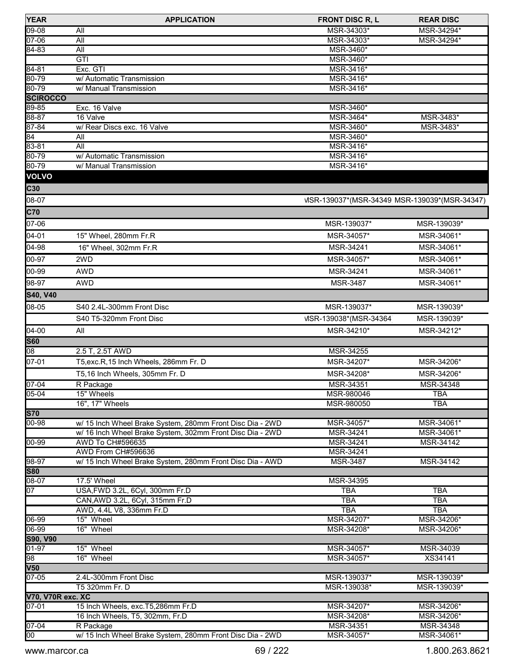| <b>YEAR</b>                  | <b>APPLICATION</b>                                                 | <b>FRONT DISC R, L</b>                        | <b>REAR DISC</b>  |
|------------------------------|--------------------------------------------------------------------|-----------------------------------------------|-------------------|
| $09 - 08$                    | All                                                                | MSR-34303*                                    | MSR-34294*        |
| $07 - 06$                    | All                                                                | MSR-34303*                                    | MSR-34294*        |
| 84-83                        | All                                                                | MSR-3460*                                     |                   |
|                              | GTI                                                                | MSR-3460*                                     |                   |
| $84 - 81$                    | Exc. GTI                                                           | MSR-3416*                                     |                   |
| 80-79                        | w/ Automatic Transmission                                          | MSR-3416*                                     |                   |
| 80-79                        | w/ Manual Transmission                                             | MSR-3416*                                     |                   |
| <b>SCIROCCO</b>              |                                                                    |                                               |                   |
| 89-85                        | Exc. 16 Valve                                                      | MSR-3460*                                     |                   |
| 88-87                        | 16 Valve                                                           | MSR-3464*                                     | MSR-3483*         |
| 87-84                        | w/ Rear Discs exc. 16 Valve                                        | MSR-3460*                                     | MSR-3483*         |
| 84                           | All                                                                | MSR-3460*                                     |                   |
| $83 - 81$                    | All                                                                | MSR-3416*                                     |                   |
| 80-79                        | w/ Automatic Transmission                                          | MSR-3416*                                     |                   |
| 80-79                        | w/ Manual Transmission                                             | MSR-3416*                                     |                   |
| <b>VOLVO</b>                 |                                                                    |                                               |                   |
| C30                          |                                                                    |                                               |                   |
| 08-07                        |                                                                    | VISR-139037*(MSR-34349 MSR-139039*(MSR-34347) |                   |
| C70                          |                                                                    |                                               |                   |
| 07-06                        |                                                                    | MSR-139037*                                   | MSR-139039*       |
|                              |                                                                    |                                               |                   |
| 04-01                        | 15" Wheel, 280mm Fr.R                                              | MSR-34057*                                    | MSR-34061*        |
| 04-98                        | 16" Wheel, 302mm Fr.R                                              | MSR-34241                                     | MSR-34061*        |
| 00-97                        | 2WD                                                                | MSR-34057*                                    | MSR-34061*        |
| 00-99                        | <b>AWD</b>                                                         | MSR-34241                                     | MSR-34061*        |
| 98-97                        | <b>AWD</b>                                                         | <b>MSR-3487</b>                               | MSR-34061*        |
| S40, V40                     |                                                                    |                                               |                   |
| 08-05                        |                                                                    |                                               |                   |
|                              | S40 2.4L-300mm Front Disc                                          | MSR-139037*                                   | MSR-139039*       |
|                              | S40 T5-320mm Front Disc                                            | VISR-139038*(MSR-34364)                       | MSR-139039*       |
| 04-00                        | All                                                                | MSR-34210*                                    | MSR-34212*        |
| <b>S60</b>                   |                                                                    |                                               |                   |
| $\overline{08}$              | 2.5 T, 2.5T AWD                                                    | MSR-34255                                     |                   |
| 07-01                        | T5, exc. R, 15 Inch Wheels, 286mm Fr. D                            | MSR-34207*                                    | MSR-34206*        |
|                              | T5,16 Inch Wheels, 305mm Fr. D                                     | MSR-34208*                                    | MSR-34206*        |
| $07 - 04$                    | R Package                                                          | MSR-34351                                     | MSR-34348         |
| 05-04                        | 15" Wheels                                                         | MSR-980046                                    | <b>TBA</b>        |
|                              | 16", 17" Wheels                                                    | MSR-980050                                    | TBA               |
| <b>S70</b>                   |                                                                    |                                               |                   |
| $00 - 98$                    | w/ 15 Inch Wheel Brake System, 280mm Front Disc Dia - 2WD          | MSR-34057*                                    | MSR-34061*        |
|                              | w/ 16 Inch Wheel Brake System, 302mm Front Disc Dia - 2WD          | MSR-34241                                     | MSR-34061*        |
| $00 - 99$                    | AWD To CH#596635                                                   | MSR-34241                                     | MSR-34142         |
|                              | AWD From CH#596636                                                 | MSR-34241                                     |                   |
| 98-97                        | w/ 15 Inch Wheel Brake System, 280mm Front Disc Dia - AWD          | <b>MSR-3487</b>                               | MSR-34142         |
| <b>S80</b>                   |                                                                    |                                               |                   |
| $08 - 07$<br>$\overline{07}$ | 17.5' Wheel                                                        | MSR-34395                                     |                   |
|                              | USA, FWD 3.2L, 6Cyl, 300mm Fr.D<br>CAN, AWD 3.2L, 6Cyl, 315mm Fr.D | <b>TBA</b><br><b>TBA</b>                      | <b>TBA</b>        |
|                              | AWD, 4.4L V8, 336mm Fr.D                                           | <b>TBA</b>                                    | TBA<br><b>TBA</b> |
| 06-99                        | 15" Wheel                                                          | MSR-34207*                                    | MSR-34206*        |
| $06-99$                      | 16" Wheel                                                          | MSR-34208*                                    | MSR-34206*        |
| S90, V90                     |                                                                    |                                               |                   |
| $01-97$                      | 15" Wheel                                                          | MSR-34057*                                    | MSR-34039         |
| $\overline{98}$              | 16" Wheel                                                          | MSR-34057*                                    | XS34141           |
| <b>V50</b>                   |                                                                    |                                               |                   |
| $07 - 05$                    | 2.4L-300mm Front Disc                                              | MSR-139037*                                   | MSR-139039*       |
|                              | T5 320mm Fr. D                                                     | MSR-139038*                                   | MSR-139039*       |
| <b>V70, V70R exc. XC</b>     |                                                                    |                                               |                   |
| $07 - 01$                    | 15 Inch Wheels, exc.T5,286mm Fr.D                                  | MSR-34207*                                    | MSR-34206*        |
|                              | 16 Inch Wheels, T5, 302mm, Fr.D                                    | MSR-34208*                                    | MSR-34206*        |
| $07 - 04$                    | R Package                                                          | MSR-34351                                     | MSR-34348         |
| $\overline{00}$              | w/ 15 Inch Wheel Brake System, 280mm Front Disc Dia - 2WD          | MSR-34057*                                    | MSR-34061*        |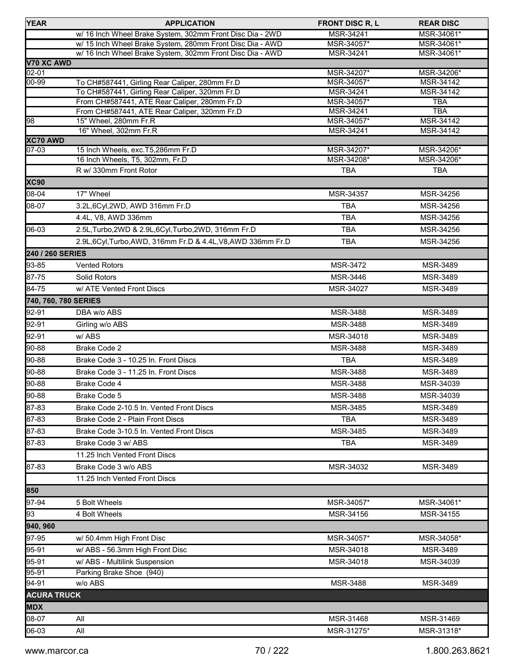| <b>YEAR</b>        | <b>APPLICATION</b>                                                                               | <b>FRONT DISC R, L</b>  | <b>REAR DISC</b>       |
|--------------------|--------------------------------------------------------------------------------------------------|-------------------------|------------------------|
|                    | w/ 16 Inch Wheel Brake System, 302mm Front Disc Dia - 2WD                                        | MSR-34241               | MSR-34061*             |
|                    | w/ 15 Inch Wheel Brake System, 280mm Front Disc Dia - AWD                                        | MSR-34057*              | MSR-34061*             |
|                    | w/ 16 Inch Wheel Brake System, 302mm Front Disc Dia - AWD                                        | MSR-34241               | MSR-34061*             |
| V70 XC AWD         |                                                                                                  |                         |                        |
| $02 - 01$          |                                                                                                  | MSR-34207*              | MSR-34206*             |
| $00 - 99$          | To CH#587441, Girling Rear Caliper, 280mm Fr.D<br>To CH#587441, Girling Rear Caliper, 320mm Fr.D | MSR-34057*<br>MSR-34241 | MSR-34142<br>MSR-34142 |
|                    | From CH#587441, ATE Rear Caliper, 280mm Fr.D                                                     | MSR-34057*              | <b>TBA</b>             |
|                    | From CH#587441, ATE Rear Caliper, 320mm Fr.D                                                     | MSR-34241               | <b>TBA</b>             |
| 98                 | 15" Wheel, 280mm Fr.R                                                                            | MSR-34057*              | MSR-34142              |
|                    | 16" Wheel, 302mm Fr.R                                                                            | MSR-34241               | MSR-34142              |
| XC70 AWD           |                                                                                                  |                         |                        |
| $07 - 03$          | 15 Inch Wheels, exc. T5,286mm Fr.D                                                               | MSR-34207*              | MSR-34206*             |
|                    | 16 Inch Wheels, T5, 302mm, Fr.D                                                                  | MSR-34208*              | MSR-34206*             |
|                    | R w/ 330mm Front Rotor                                                                           | <b>TBA</b>              | <b>TBA</b>             |
| <b>XC90</b>        |                                                                                                  |                         |                        |
| 08-04              | 17" Wheel                                                                                        | MSR-34357               | MSR-34256              |
| 08-07              | 3.2L,6Cyl,2WD, AWD 316mm Fr.D                                                                    | TBA                     | MSR-34256              |
|                    | 4.4L, V8, AWD 336mm                                                                              | <b>TBA</b>              | MSR-34256              |
| 06-03              | 2.5L, Turbo, 2WD & 2.9L, 6Cyl, Turbo, 2WD, 316mm Fr.D                                            | <b>TBA</b>              | MSR-34256              |
|                    | 2.9L,6Cyl,Turbo,AWD, 316mm Fr.D & 4.4L,V8,AWD 336mm Fr.D                                         | <b>TBA</b>              | MSR-34256              |
| 240 / 260 SERIES   |                                                                                                  |                         |                        |
| 93-85              | <b>Vented Rotors</b>                                                                             | MSR-3472                | MSR-3489               |
| 87-75              | Solid Rotors                                                                                     | MSR-3446                | MSR-3489               |
| 84-75              | w/ ATE Vented Front Discs                                                                        | MSR-34027               | MSR-3489               |
|                    | 740, 760, 780 SERIES                                                                             |                         |                        |
| 92-91              | DBA w/o ABS                                                                                      | MSR-3488                | MSR-3489               |
| 92-91              |                                                                                                  | MSR-3488                | MSR-3489               |
|                    | Girling w/o ABS                                                                                  |                         |                        |
| 92-91              | w/ABS                                                                                            | MSR-34018               | MSR-3489               |
| 90-88              | <b>Brake Code 2</b>                                                                              | MSR-3488                | MSR-3489               |
| 90-88              | Brake Code 3 - 10.25 In. Front Discs                                                             | <b>TBA</b>              | MSR-3489               |
| 90-88              | Brake Code 3 - 11.25 In. Front Discs                                                             | MSR-3488                | MSR-3489               |
| 90-88              | <b>Brake Code 4</b>                                                                              | MSR-3488                | MSR-34039              |
| $90 - 88$          | Brake Code 5                                                                                     | MSR-3488                | MSR-34039              |
| $87 - 83$          | Brake Code 2-10.5 In. Vented Front Discs                                                         | <b>MSR-3485</b>         | <b>MSR-3489</b>        |
| 87-83              | Brake Code 2 - Plain Front Discs                                                                 | TBA                     | MSR-3489               |
| 87-83              | Brake Code 3-10.5 In. Vented Front Discs                                                         | MSR-3485                | MSR-3489               |
| 87-83              | Brake Code 3 w/ ABS                                                                              | <b>TBA</b>              | <b>MSR-3489</b>        |
|                    | 11.25 Inch Vented Front Discs                                                                    |                         |                        |
| 87-83              | Brake Code 3 w/o ABS                                                                             | MSR-34032               | MSR-3489               |
|                    | 11.25 Inch Vented Front Discs                                                                    |                         |                        |
| 850                |                                                                                                  |                         |                        |
| 97-94              | 5 Bolt Wheels                                                                                    | MSR-34057*              | MSR-34061*             |
| 93                 | 4 Bolt Wheels                                                                                    | MSR-34156               | MSR-34155              |
| 940, 960           |                                                                                                  |                         |                        |
| 97-95              |                                                                                                  |                         |                        |
|                    | w/ 50.4mm High Front Disc                                                                        | MSR-34057*              | MSR-34058*             |
| 95-91              | w/ ABS - 56.3mm High Front Disc                                                                  | MSR-34018               | <b>MSR-3489</b>        |
| 95-91              | w/ ABS - Multilink Suspension                                                                    | MSR-34018               | MSR-34039              |
| $95 - 91$          | Parking Brake Shoe (940)                                                                         |                         |                        |
| 94-91              | w/o ABS                                                                                          | MSR-3488                | MSR-3489               |
| <b>ACURA TRUCK</b> |                                                                                                  |                         |                        |
| <b>MDX</b>         |                                                                                                  |                         |                        |
| 08-07              | All                                                                                              | MSR-31468               | MSR-31469              |
| 06-03              | All                                                                                              | MSR-31275*              | MSR-31318*             |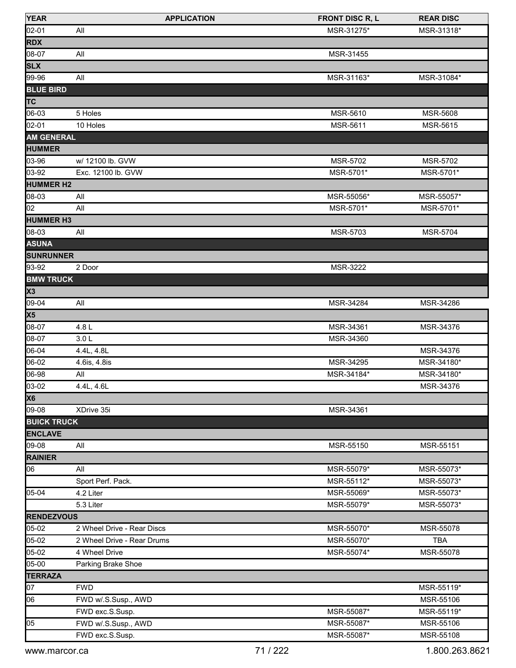| <b>YEAR</b>              | <b>APPLICATION</b>         | <b>FRONT DISC R, L</b> | <b>REAR DISC</b> |
|--------------------------|----------------------------|------------------------|------------------|
| $[02 - 01]$              | All                        | MSR-31275*             | MSR-31318*       |
| <b>RDX</b>               |                            |                        |                  |
| 08-07                    | All                        | MSR-31455              |                  |
| <b>SLX</b>               |                            |                        |                  |
| 99-96                    | All                        | MSR-31163*             | MSR-31084*       |
| <b>BLUE BIRD</b>         |                            |                        |                  |
| <b>TC</b>                |                            |                        |                  |
| 06-03                    | 5 Holes                    | MSR-5610               | <b>MSR-5608</b>  |
| 02-01                    | 10 Holes                   | MSR-5611               | MSR-5615         |
| <b>AM GENERAL</b>        |                            |                        |                  |
| <b>HUMMER</b>            |                            |                        |                  |
| 03-96                    | w/ 12100 lb. GVW           | MSR-5702               | <b>MSR-5702</b>  |
| 03-92                    | Exc. 12100 lb. GVW         | MSR-5701*              | MSR-5701*        |
| <b>HUMMER H2</b>         |                            |                        |                  |
| 08-03                    | All                        | MSR-55056*             | MSR-55057*       |
| 02                       | All                        | MSR-5701*              | MSR-5701*        |
| <b>HUMMER H3</b>         |                            |                        |                  |
| 08-03                    | All                        | MSR-5703               | <b>MSR-5704</b>  |
| <b>ASUNA</b>             |                            |                        |                  |
| <b>SUNRUNNER</b>         |                            |                        |                  |
| 93-92                    | 2 Door                     | MSR-3222               |                  |
| <b>BMW TRUCK</b>         |                            |                        |                  |
| $\overline{\mathsf{x3}}$ |                            |                        |                  |
| 09-04                    | All                        | MSR-34284              | MSR-34286        |
| $\overline{\text{X5}}$   |                            |                        |                  |
| 08-07                    | 4.8L                       | MSR-34361              | MSR-34376        |
| 08-07                    | 3.0 <sub>L</sub>           | MSR-34360              |                  |
| 06-04                    | 4.4L, 4.8L                 |                        | MSR-34376        |
| 06-02                    | 4.6is, 4.8is               | MSR-34295              | MSR-34180*       |
| 06-98                    | All                        | MSR-34184*             | MSR-34180*       |
| 03-02                    | 4.4L, 4.6L                 |                        | MSR-34376        |
| <b>X6</b>                |                            |                        |                  |
| 09-08                    | XDrive 35i                 | MSR-34361              |                  |
| <b>BUICK TRUCK</b>       |                            |                        |                  |
| <b>ENCLAVE</b>           |                            |                        |                  |
| 09-08                    | All                        | MSR-55150              | MSR-55151        |
| <b>RAINIER</b>           |                            |                        |                  |
| 06                       | All                        | MSR-55079*             | MSR-55073*       |
|                          | Sport Perf. Pack.          | MSR-55112*             | MSR-55073*       |
| 05-04                    | 4.2 Liter                  | MSR-55069*             | MSR-55073*       |
|                          | 5.3 Liter                  | MSR-55079*             | MSR-55073*       |
| <b>RENDEZVOUS</b>        |                            |                        |                  |
| 05-02                    | 2 Wheel Drive - Rear Discs | MSR-55070*             | MSR-55078        |
| 05-02                    | 2 Wheel Drive - Rear Drums | MSR-55070*             | <b>TBA</b>       |
| 05-02                    | 4 Wheel Drive              | MSR-55074*             | MSR-55078        |
| 05-00                    | Parking Brake Shoe         |                        |                  |
| <b>TERRAZA</b>           |                            |                        |                  |
| $\overline{07}$          | <b>FWD</b>                 |                        | MSR-55119*       |
| 06                       | FWD w/.S.Susp., AWD        |                        | MSR-55106        |
|                          | FWD exc.S.Susp.            | MSR-55087*             | MSR-55119*       |
| 05                       | FWD w/.S.Susp., AWD        | MSR-55087*             | MSR-55106        |
|                          | FWD exc.S.Susp.            | MSR-55087*             | MSR-55108        |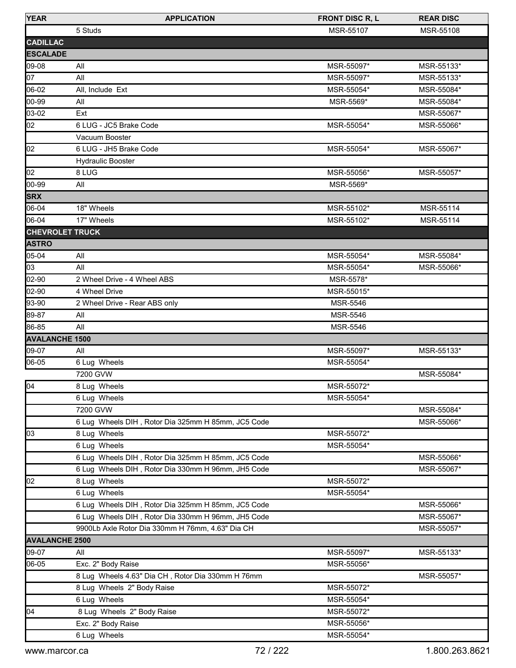| <b>YEAR</b>            | <b>APPLICATION</b>                                 | <b>FRONT DISC R, L</b> | <b>REAR DISC</b> |
|------------------------|----------------------------------------------------|------------------------|------------------|
|                        | 5 Studs                                            | MSR-55107              | MSR-55108        |
| <b>CADILLAC</b>        |                                                    |                        |                  |
| <b>ESCALADE</b>        |                                                    |                        |                  |
| 09-08                  | All                                                | MSR-55097*             | MSR-55133*       |
| 07                     | All                                                | MSR-55097*             | MSR-55133*       |
| 06-02                  | All, Include Ext                                   | MSR-55054*             | MSR-55084*       |
| 00-99                  | All                                                | MSR-5569*              | MSR-55084*       |
| 03-02                  | Ext                                                |                        | MSR-55067*       |
| 02                     | 6 LUG - JC5 Brake Code                             | MSR-55054*             | MSR-55066*       |
|                        | Vacuum Booster                                     |                        |                  |
| 02                     | 6 LUG - JH5 Brake Code                             | MSR-55054*             | MSR-55067*       |
|                        | <b>Hydraulic Booster</b>                           |                        |                  |
| 02                     | 8 LUG                                              | MSR-55056*             | MSR-55057*       |
| 00-99                  | All                                                | MSR-5569*              |                  |
| <b>SRX</b>             |                                                    |                        |                  |
| 06-04                  | 18" Wheels                                         | MSR-55102*             | MSR-55114        |
| 06-04                  | 17" Wheels                                         | MSR-55102*             | MSR-55114        |
| <b>CHEVROLET TRUCK</b> |                                                    |                        |                  |
| <b>ASTRO</b>           |                                                    |                        |                  |
| 05-04                  | All                                                | MSR-55054*             | MSR-55084*       |
| 03                     | All                                                | MSR-55054*             | MSR-55066*       |
| 02-90                  | 2 Wheel Drive - 4 Wheel ABS                        | MSR-5578*              |                  |
| 02-90                  | 4 Wheel Drive                                      | MSR-55015*             |                  |
| 93-90                  | 2 Wheel Drive - Rear ABS only                      | <b>MSR-5546</b>        |                  |
| 89-87                  | All                                                | <b>MSR-5546</b>        |                  |
| 86-85                  | All                                                | <b>MSR-5546</b>        |                  |
| <b>AVALANCHE 1500</b>  |                                                    |                        |                  |
| 09-07                  | All                                                | MSR-55097*             | MSR-55133*       |
| 06-05                  | 6 Lug Wheels                                       | MSR-55054*             |                  |
|                        | 7200 GVW                                           |                        | MSR-55084*       |
| $\sqrt{04}$            | 8 Lug Wheels                                       | MSR-55072*             |                  |
|                        | 6 Lug Wheels                                       | MSR-55054*             |                  |
|                        | 7200 GVW                                           |                        | MSR-55084*       |
|                        | 6 Lug Wheels DIH, Rotor Dia 325mm H 85mm, JC5 Code |                        | MSR-55066*       |
| 03                     | 8 Lug Wheels                                       | MSR-55072*             |                  |
|                        | 6 Lug Wheels                                       | MSR-55054*             |                  |
|                        | 6 Lug Wheels DIH, Rotor Dia 325mm H 85mm, JC5 Code |                        | MSR-55066*       |
|                        | 6 Lug Wheels DIH, Rotor Dia 330mm H 96mm, JH5 Code |                        | MSR-55067*       |
| 02                     | 8 Lug Wheels                                       | MSR-55072*             |                  |
|                        | 6 Lug Wheels                                       | MSR-55054*             |                  |
|                        | 6 Lug Wheels DIH, Rotor Dia 325mm H 85mm, JC5 Code |                        | MSR-55066*       |
|                        | 6 Lug Wheels DIH, Rotor Dia 330mm H 96mm, JH5 Code |                        | MSR-55067*       |
|                        | 9900Lb Axle Rotor Dia 330mm H 76mm, 4.63" Dia CH   |                        | MSR-55057*       |
| <b>AVALANCHE 2500</b>  |                                                    |                        |                  |
| 09-07                  | All                                                | MSR-55097*             | MSR-55133*       |
| 06-05                  | Exc. 2" Body Raise                                 | MSR-55056*             |                  |
|                        | 8 Lug Wheels 4.63" Dia CH, Rotor Dia 330mm H 76mm  |                        | MSR-55057*       |
|                        | 8 Lug Wheels 2" Body Raise                         | MSR-55072*             |                  |
|                        | 6 Lug Wheels                                       | MSR-55054*             |                  |
| 104                    | 8 Lug Wheels 2" Body Raise                         | MSR-55072*             |                  |
|                        | Exc. 2" Body Raise                                 | MSR-55056*             |                  |
|                        | 6 Lug Wheels                                       | MSR-55054*             |                  |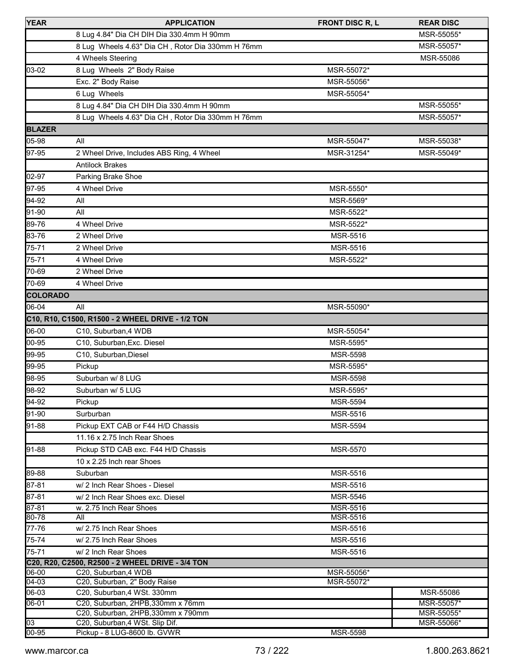| <b>YEAR</b>     | <b>APPLICATION</b>                                               | FRONT DISC R, L | <b>REAR DISC</b>        |
|-----------------|------------------------------------------------------------------|-----------------|-------------------------|
|                 | 8 Lug 4.84" Dia CH DIH Dia 330.4mm H 90mm                        |                 | MSR-55055*              |
|                 | 8 Lug Wheels 4.63" Dia CH, Rotor Dia 330mm H 76mm                |                 | MSR-55057*              |
|                 | 4 Wheels Steering                                                |                 | MSR-55086               |
| 103-02          | 8 Lug Wheels 2" Body Raise                                       | MSR-55072*      |                         |
|                 | Exc. 2" Body Raise                                               | MSR-55056*      |                         |
|                 | 6 Lug Wheels                                                     | MSR-55054*      |                         |
|                 | 8 Lug 4.84" Dia CH DIH Dia 330.4mm H 90mm                        |                 | MSR-55055*              |
|                 | 8 Lug Wheels 4.63" Dia CH, Rotor Dia 330mm H 76mm                |                 | MSR-55057*              |
| <b>BLAZER</b>   |                                                                  |                 |                         |
| 05-98           | All                                                              | MSR-55047*      | MSR-55038*              |
| 97-95           |                                                                  |                 |                         |
|                 | 2 Wheel Drive, Includes ABS Ring, 4 Wheel                        | MSR-31254*      | MSR-55049*              |
|                 | <b>Antilock Brakes</b>                                           |                 |                         |
| 02-97           | Parking Brake Shoe                                               |                 |                         |
| 97-95           | 4 Wheel Drive                                                    | MSR-5550*       |                         |
| 94-92           | All                                                              | MSR-5569*       |                         |
| 91-90           | All                                                              | MSR-5522*       |                         |
| 89-76           | 4 Wheel Drive                                                    | MSR-5522*       |                         |
| 83-76           | 2 Wheel Drive                                                    | <b>MSR-5516</b> |                         |
| 75-71           | 2 Wheel Drive                                                    | MSR-5516        |                         |
| 75-71           | 4 Wheel Drive                                                    | MSR-5522*       |                         |
| 70-69           | 2 Wheel Drive                                                    |                 |                         |
| 70-69           | 4 Wheel Drive                                                    |                 |                         |
| <b>COLORADO</b> |                                                                  |                 |                         |
| 06-04           | All                                                              | MSR-55090*      |                         |
|                 | C10, R10, C1500, R1500 - 2 WHEEL DRIVE - 1/2 TON                 |                 |                         |
| 06-00           | C10, Suburban, 4 WDB                                             | MSR-55054*      |                         |
| 00-95           | C10, Suburban, Exc. Diesel                                       | MSR-5595*       |                         |
| 99-95           | C10, Suburban, Diesel                                            | MSR-5598        |                         |
| 99-95           | Pickup                                                           | MSR-5595*       |                         |
| 98-95           | Suburban w/ 8 LUG                                                | MSR-5598        |                         |
| 98-92           | Suburban w/ 5 LUG                                                | MSR-5595*       |                         |
| 94-92           | Pickup                                                           | <b>MSR-5594</b> |                         |
| 91-90           | Surburban                                                        | MSR-5516        |                         |
| 91-88           | Pickup EXT CAB or F44 H/D Chassis                                | MSR-5594        |                         |
|                 | 11.16 x 2.75 Inch Rear Shoes                                     |                 |                         |
| 91-88           | Pickup STD CAB exc. F44 H/D Chassis                              | MSR-5570        |                         |
|                 | 10 x 2.25 Inch rear Shoes                                        |                 |                         |
| 89-88           | Suburban                                                         | MSR-5516        |                         |
| 87-81           | w/ 2 Inch Rear Shoes - Diesel                                    | MSR-5516        |                         |
| 87-81           | w/ 2 Inch Rear Shoes exc. Diesel                                 | MSR-5546        |                         |
| 87-81           | w. 2.75 Inch Rear Shoes                                          | MSR-5516        |                         |
| 80-78           | All                                                              | MSR-5516        |                         |
| 77-76           | w/ 2.75 Inch Rear Shoes                                          | MSR-5516        |                         |
| 75-74           | w/ 2.75 Inch Rear Shoes                                          | MSR-5516        |                         |
| 75-71           | w/ 2 Inch Rear Shoes                                             | MSR-5516        |                         |
|                 | C20, R20, C2500, R2500 - 2 WHEEL DRIVE - 3/4 TON                 |                 |                         |
| 06-00           | C20, Suburban, 4 WDB                                             | MSR-55056*      |                         |
| $\sqrt{04-03}$  | C20, Suburban, 2" Body Raise                                     | MSR-55072*      |                         |
| 06-03<br>06-01  | C20, Suburban, 4 WSt. 330mm<br>C20, Suburban, 2HPB, 330mm x 76mm |                 | MSR-55086<br>MSR-55057* |
|                 | C20, Suburban, 2HPB, 330mm x 790mm                               |                 | MSR-55055*              |
| $\overline{03}$ | C20, Suburban, 4 WSt. Slip Dif.                                  |                 | MSR-55066*              |
| $00 - 95$       | Pickup - 8 LUG-8600 lb. GVWR                                     | MSR-5598        |                         |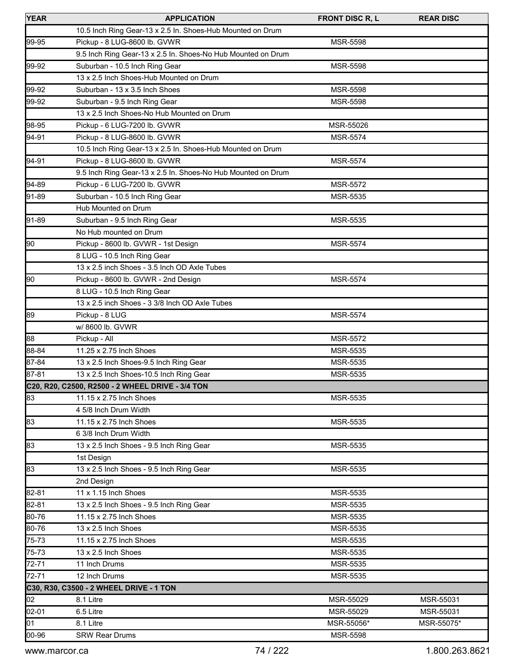| <b>YEAR</b> | <b>APPLICATION</b>                                           | <b>FRONT DISC R, L</b> | <b>REAR DISC</b> |
|-------------|--------------------------------------------------------------|------------------------|------------------|
|             | 10.5 Inch Ring Gear-13 x 2.5 In. Shoes-Hub Mounted on Drum   |                        |                  |
| 99-95       | Pickup - 8 LUG-8600 lb. GVWR                                 | <b>MSR-5598</b>        |                  |
|             | 9.5 Inch Ring Gear-13 x 2.5 In. Shoes-No Hub Mounted on Drum |                        |                  |
| 199-92      | Suburban - 10.5 Inch Ring Gear                               | MSR-5598               |                  |
|             | 13 x 2.5 Inch Shoes-Hub Mounted on Drum                      |                        |                  |
| 99-92       | Suburban - 13 x 3.5 Inch Shoes                               | <b>MSR-5598</b>        |                  |
| 99-92       | Suburban - 9.5 Inch Ring Gear                                | MSR-5598               |                  |
|             | 13 x 2.5 Inch Shoes-No Hub Mounted on Drum                   |                        |                  |
| 98-95       | Pickup - 6 LUG-7200 lb. GVWR                                 | MSR-55026              |                  |
| 94-91       | Pickup - 8 LUG-8600 lb. GVWR                                 | <b>MSR-5574</b>        |                  |
|             | 10.5 Inch Ring Gear-13 x 2.5 In. Shoes-Hub Mounted on Drum   |                        |                  |
| 94-91       | Pickup - 8 LUG-8600 lb. GVWR                                 | <b>MSR-5574</b>        |                  |
|             | 9.5 Inch Ring Gear-13 x 2.5 In. Shoes-No Hub Mounted on Drum |                        |                  |
| 94-89       | Pickup - 6 LUG-7200 lb. GVWR                                 | <b>MSR-5572</b>        |                  |
| 91-89       | Suburban - 10.5 Inch Ring Gear                               | MSR-5535               |                  |
|             | Hub Mounted on Drum                                          |                        |                  |
| $91-89$     | Suburban - 9.5 Inch Ring Gear                                | MSR-5535               |                  |
|             | No Hub mounted on Drum                                       |                        |                  |
| 90          | Pickup - 8600 lb. GVWR - 1st Design                          | <b>MSR-5574</b>        |                  |
|             | 8 LUG - 10.5 Inch Ring Gear                                  |                        |                  |
|             | 13 x 2.5 inch Shoes - 3.5 Inch OD Axle Tubes                 |                        |                  |
| 90          | Pickup - 8600 lb. GVWR - 2nd Design                          | <b>MSR-5574</b>        |                  |
|             | 8 LUG - 10.5 Inch Ring Gear                                  |                        |                  |
|             | 13 x 2.5 inch Shoes - 3 3/8 Inch OD Axle Tubes               |                        |                  |
| 89          | Pickup - 8 LUG                                               | <b>MSR-5574</b>        |                  |
|             | w/ 8600 lb. GVWR                                             |                        |                  |
| 88          | Pickup - All                                                 | MSR-5572               |                  |
| 88-84       | 11.25 x 2.75 Inch Shoes                                      | <b>MSR-5535</b>        |                  |
| 87-84       | 13 x 2.5 Inch Shoes-9.5 Inch Ring Gear                       | MSR-5535               |                  |
| 87-81       | 13 x 2.5 Inch Shoes-10.5 Inch Ring Gear                      | MSR-5535               |                  |
|             | C20, R20, C2500, R2500 - 2 WHEEL DRIVE - 3/4 TON             |                        |                  |
| 83          | 11.15 x 2.75 Inch Shoes                                      | MSR-5535               |                  |
|             | 4 5/8 Inch Drum Width                                        |                        |                  |
| 83          | 11.15 x 2.75 Inch Shoes                                      | <b>MSR-5535</b>        |                  |
|             | 6 3/8 Inch Drum Width                                        |                        |                  |
| 83          | 13 x 2.5 Inch Shoes - 9.5 Inch Ring Gear                     | MSR-5535               |                  |
|             | 1st Design                                                   |                        |                  |
| 83          | 13 x 2.5 Inch Shoes - 9.5 Inch Ring Gear                     | <b>MSR-5535</b>        |                  |
|             | 2nd Design                                                   |                        |                  |
| 82-81       | 11 x 1.15 Inch Shoes                                         | MSR-5535               |                  |
| 82-81       | 13 x 2.5 Inch Shoes - 9.5 Inch Ring Gear                     | MSR-5535               |                  |
| 80-76       | 11.15 x 2.75 Inch Shoes                                      | MSR-5535               |                  |
| 80-76       | 13 x 2.5 Inch Shoes                                          | MSR-5535               |                  |
| 75-73       | 11.15 x 2.75 Inch Shoes                                      | MSR-5535               |                  |
| 75-73       | 13 x 2.5 Inch Shoes                                          | MSR-5535               |                  |
| 72-71       | 11 Inch Drums                                                | MSR-5535               |                  |
| 72-71       | 12 Inch Drums                                                | MSR-5535               |                  |
|             | C30, R30, C3500 - 2 WHEEL DRIVE - 1 TON                      |                        |                  |
| 02          | 8.1 Litre                                                    | MSR-55029              | MSR-55031        |
| 02-01       | 6.5 Litre                                                    | MSR-55029              | MSR-55031        |
| 01          | 8.1 Litre                                                    | MSR-55056*             | MSR-55075*       |
| 00-96       | <b>SRW Rear Drums</b>                                        | MSR-5598               |                  |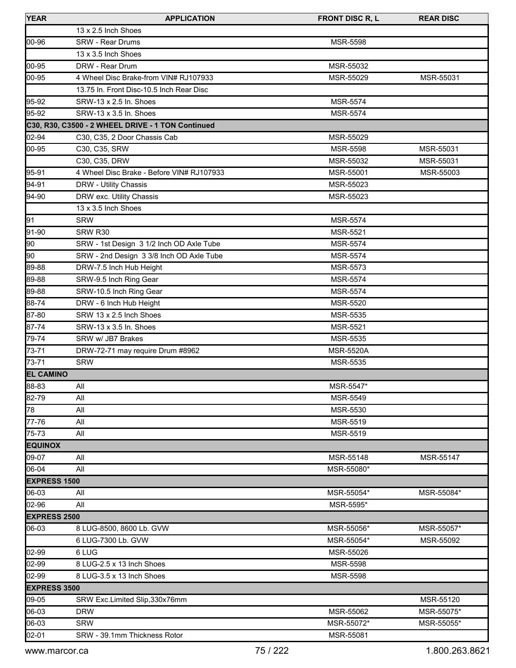| <b>YEAR</b>         | <b>APPLICATION</b>                                | <b>FRONT DISC R, L</b> | <b>REAR DISC</b> |
|---------------------|---------------------------------------------------|------------------------|------------------|
|                     | 13 x 2.5 Inch Shoes                               |                        |                  |
| 00-96               | <b>SRW - Rear Drums</b>                           | <b>MSR-5598</b>        |                  |
|                     | 13 x 3.5 Inch Shoes                               |                        |                  |
| 00-95               | DRW - Rear Drum                                   | MSR-55032              |                  |
| 00-95               | 4 Wheel Disc Brake-from VIN# RJ107933             | MSR-55029              | MSR-55031        |
|                     | 13.75 In. Front Disc-10.5 Inch Rear Disc          |                        |                  |
| 95-92               | SRW-13 x 2.5 In. Shoes                            | <b>MSR-5574</b>        |                  |
| 95-92               | SRW-13 x 3.5 In. Shoes                            | <b>MSR-5574</b>        |                  |
|                     | C30, R30, C3500 - 2 WHEEL DRIVE - 1 TON Continued |                        |                  |
| 02-94               | C30, C35, 2 Door Chassis Cab                      | MSR-55029              |                  |
| 00-95               | C30, C35, SRW                                     | MSR-5598               | MSR-55031        |
|                     | C30, C35, DRW                                     | MSR-55032              | MSR-55031        |
| 95-91               | 4 Wheel Disc Brake - Before VIN# RJ107933         | MSR-55001              | MSR-55003        |
| 94-91               | DRW - Utility Chassis                             | MSR-55023              |                  |
| 94-90               | DRW exc. Utility Chassis                          | MSR-55023              |                  |
|                     | 13 x 3.5 Inch Shoes                               |                        |                  |
| 91                  | <b>SRW</b>                                        | <b>MSR-5574</b>        |                  |
| 91-90               | SRW R30                                           | <b>MSR-5521</b>        |                  |
| 90                  | SRW - 1st Design 3 1/2 Inch OD Axle Tube          | <b>MSR-5574</b>        |                  |
| 90                  | SRW - 2nd Design 3 3/8 Inch OD Axle Tube          | <b>MSR-5574</b>        |                  |
| 89-88               | DRW-7.5 Inch Hub Height                           | MSR-5573               |                  |
| 89-88               | SRW-9.5 Inch Ring Gear                            | <b>MSR-5574</b>        |                  |
| 89-88               | SRW-10.5 Inch Ring Gear                           | <b>MSR-5574</b>        |                  |
| 88-74               | DRW - 6 Inch Hub Height                           | <b>MSR-5520</b>        |                  |
| 87-80               | SRW 13 x 2.5 Inch Shoes                           | MSR-5535               |                  |
| 87-74               | SRW-13 x 3.5 In. Shoes                            | <b>MSR-5521</b>        |                  |
| 79-74               | SRW w/ JB7 Brakes                                 | MSR-5535               |                  |
| 73-71               | DRW-72-71 may require Drum #8962                  | <b>MSR-5520A</b>       |                  |
| 73-71               | <b>SRW</b>                                        | <b>MSR-5535</b>        |                  |
| <b>EL CAMINO</b>    |                                                   |                        |                  |
| 88-83               | All                                               | MSR-5547*              |                  |
| 82-79               | All                                               | MSR-5549               |                  |
| 78                  | All                                               | MSR-5530               |                  |
| 77-76               | All                                               | MSR-5519               |                  |
| 75-73               | All                                               | MSR-5519               |                  |
| <b>EQUINOX</b>      |                                                   |                        |                  |
| 09-07               | All                                               | MSR-55148              | MSR-55147        |
| 06-04               | All                                               | MSR-55080*             |                  |
| <b>EXPRESS 1500</b> |                                                   |                        |                  |
| 06-03               | All                                               | MSR-55054*             | MSR-55084*       |
| 02-96               | All                                               | MSR-5595*              |                  |
| <b>EXPRESS 2500</b> |                                                   |                        |                  |
| 06-03               | 8 LUG-8500, 8600 Lb. GVW                          | MSR-55056*             | MSR-55057*       |
|                     | 6 LUG-7300 Lb. GVW                                | MSR-55054*             | MSR-55092        |
| 02-99               | 6 LUG                                             | MSR-55026              |                  |
| 02-99               | 8 LUG-2.5 x 13 Inch Shoes                         | MSR-5598               |                  |
| 02-99               | 8 LUG-3.5 x 13 Inch Shoes                         | MSR-5598               |                  |
| <b>EXPRESS 3500</b> |                                                   |                        |                  |
| 09-05               | SRW Exc.Limited Slip, 330x76mm                    |                        | MSR-55120        |
| 06-03               | <b>DRW</b>                                        | MSR-55062              | MSR-55075*       |
| 06-03               | <b>SRW</b>                                        | MSR-55072*             | MSR-55055*       |
| 02-01               | SRW - 39.1mm Thickness Rotor                      | MSR-55081              |                  |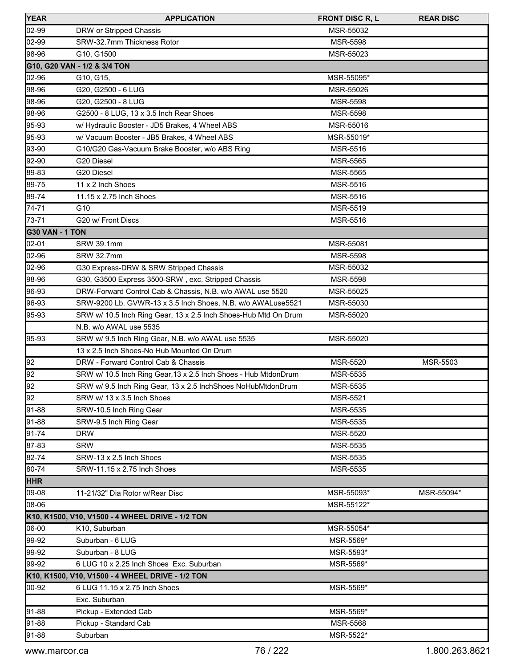| <b>YEAR</b>            | <b>APPLICATION</b>                                              | <b>FRONT DISC R, L</b> | <b>REAR DISC</b> |
|------------------------|-----------------------------------------------------------------|------------------------|------------------|
| 02-99                  | DRW or Stripped Chassis                                         | MSR-55032              |                  |
| 02-99                  | SRW-32.7mm Thickness Rotor                                      | <b>MSR-5598</b>        |                  |
| 98-96                  | G10, G1500                                                      | MSR-55023              |                  |
|                        | G10, G20 VAN - 1/2 & 3/4 TON                                    |                        |                  |
| 02-96                  | G10, G15,                                                       | MSR-55095*             |                  |
| 98-96                  | G20, G2500 - 6 LUG                                              | MSR-55026              |                  |
| 98-96                  | G20, G2500 - 8 LUG                                              | <b>MSR-5598</b>        |                  |
| 98-96                  | G2500 - 8 LUG, 13 x 3.5 Inch Rear Shoes                         | MSR-5598               |                  |
| 95-93                  | w/ Hydraulic Booster - JD5 Brakes, 4 Wheel ABS                  | MSR-55016              |                  |
| 95-93                  | w/ Vacuum Booster - JB5 Brakes, 4 Wheel ABS                     | MSR-55019*             |                  |
| 93-90                  | G10/G20 Gas-Vacuum Brake Booster, w/o ABS Ring                  | MSR-5516               |                  |
| 92-90                  | G20 Diesel                                                      | <b>MSR-5565</b>        |                  |
| 89-83                  | G20 Diesel                                                      | MSR-5565               |                  |
| 89-75                  | 11 x 2 Inch Shoes                                               | MSR-5516               |                  |
| 89-74                  | 11.15 x 2.75 Inch Shoes                                         | <b>MSR-5516</b>        |                  |
| 74-71                  | G10                                                             | MSR-5519               |                  |
| 73-71                  | G20 w/ Front Discs                                              | MSR-5516               |                  |
| <b>G30 VAN - 1 TON</b> |                                                                 |                        |                  |
| 02-01                  | <b>SRW 39.1mm</b>                                               | MSR-55081              |                  |
| 02-96                  | <b>SRW 32.7mm</b>                                               | <b>MSR-5598</b>        |                  |
| 02-96                  | G30 Express-DRW & SRW Stripped Chassis                          | MSR-55032              |                  |
| 98-96                  | G30, G3500 Express 3500-SRW, exc. Stripped Chassis              | MSR-5598               |                  |
| 96-93                  | DRW-Forward Control Cab & Chassis, N.B. w/o AWAL use 5520       | MSR-55025              |                  |
| 96-93                  | SRW-9200 Lb. GVWR-13 x 3.5 Inch Shoes, N.B. w/o AWALuse5521     | MSR-55030              |                  |
| 95-93                  | SRW w/ 10.5 Inch Ring Gear, 13 x 2.5 Inch Shoes-Hub Mtd On Drum | MSR-55020              |                  |
|                        | N.B. w/o AWAL use 5535                                          |                        |                  |
| 95-93                  | SRW w/ 9.5 Inch Ring Gear, N.B. w/o AWAL use 5535               | MSR-55020              |                  |
|                        | 13 x 2.5 Inch Shoes-No Hub Mounted On Drum                      |                        |                  |
| 92                     | DRW - Forward Control Cab & Chassis                             | MSR-5520               | MSR-5503         |
| 92                     | SRW w/ 10.5 Inch Ring Gear, 13 x 2.5 Inch Shoes - Hub MtdonDrum | MSR-5535               |                  |
| 92                     | SRW w/ 9.5 Inch Ring Gear, 13 x 2.5 InchShoes NoHubMtdonDrum    | <b>MSR-5535</b>        |                  |
| 92                     | SRW w/ 13 x 3.5 Inch Shoes                                      | <b>MSR-5521</b>        |                  |
| 91-88                  | SRW-10.5 Inch Ring Gear                                         | MSR-5535               |                  |
| 91-88                  | SRW-9.5 Inch Ring Gear                                          | MSR-5535               |                  |
| 91-74                  | <b>DRW</b>                                                      | MSR-5520               |                  |
| 87-83                  | <b>SRW</b>                                                      | MSR-5535               |                  |
| 82-74                  | SRW-13 x 2.5 Inch Shoes                                         | MSR-5535               |                  |
| 80-74                  | SRW-11.15 x 2.75 Inch Shoes                                     | <b>MSR-5535</b>        |                  |
| <b>HHR</b>             |                                                                 |                        |                  |
| 09-08                  | 11-21/32" Dia Rotor w/Rear Disc                                 | MSR-55093*             | MSR-55094*       |
| 08-06                  |                                                                 | MSR-55122*             |                  |
|                        | K10, K1500, V10, V1500 - 4 WHEEL DRIVE - 1/2 TON                |                        |                  |
| 06-00                  | K10, Suburban                                                   | MSR-55054*             |                  |
| 99-92                  | Suburban - 6 LUG                                                | MSR-5569*              |                  |
| 99-92                  | Suburban - 8 LUG                                                | MSR-5593*              |                  |
| 99-92                  | 6 LUG 10 x 2.25 Inch Shoes Exc. Suburban                        | MSR-5569*              |                  |
|                        | K10, K1500, V10, V1500 - 4 WHEEL DRIVE - 1/2 TON                |                        |                  |
| 00-92                  | 6 LUG 11.15 x 2.75 Inch Shoes                                   | MSR-5569*              |                  |
|                        | Exc. Suburban                                                   |                        |                  |
| 91-88                  | Pickup - Extended Cab                                           | MSR-5569*              |                  |
| 91-88                  | Pickup - Standard Cab                                           | MSR-5568               |                  |
| 91-88                  | Suburban                                                        | MSR-5522*              |                  |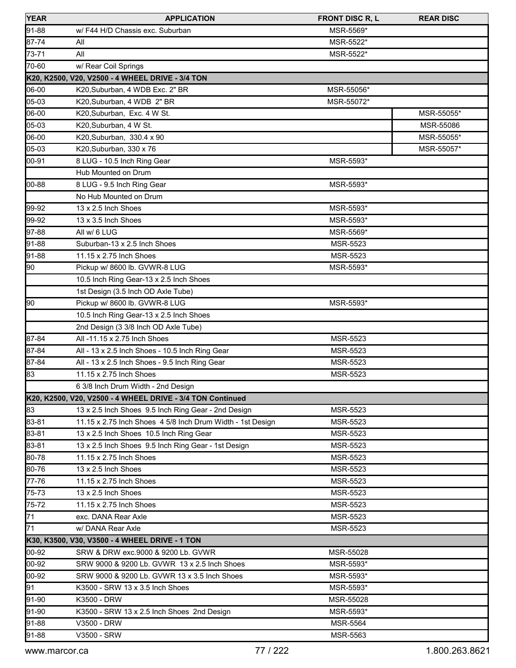| <b>YEAR</b> | <b>APPLICATION</b>                                         | <b>FRONT DISC R, L</b> | <b>REAR DISC</b> |
|-------------|------------------------------------------------------------|------------------------|------------------|
| 91-88       | w/ F44 H/D Chassis exc. Suburban                           | MSR-5569*              |                  |
| 87-74       | All                                                        | MSR-5522*              |                  |
| 73-71       | All                                                        | MSR-5522*              |                  |
| 70-60       | w/ Rear Coil Springs                                       |                        |                  |
|             | K20, K2500, V20, V2500 - 4 WHEEL DRIVE - 3/4 TON           |                        |                  |
| 06-00       | K20, Suburban, 4 WDB Exc. 2" BR                            | MSR-55056*             |                  |
| 05-03       | K20, Suburban, 4 WDB 2" BR                                 | MSR-55072*             |                  |
| 06-00       | K20, Suburban, Exc. 4 W St.                                |                        | MSR-55055*       |
| 05-03       | K20, Suburban, 4 W St.                                     |                        | MSR-55086        |
| 06-00       | K20, Suburban, 330.4 x 90                                  |                        | MSR-55055*       |
| 05-03       | K20, Suburban, 330 x 76                                    |                        | MSR-55057*       |
| 00-91       | 8 LUG - 10.5 Inch Ring Gear                                | MSR-5593*              |                  |
|             | Hub Mounted on Drum                                        |                        |                  |
| 00-88       | 8 LUG - 9.5 Inch Ring Gear                                 | MSR-5593*              |                  |
|             | No Hub Mounted on Drum                                     |                        |                  |
| 99-92       | 13 x 2.5 Inch Shoes                                        | MSR-5593*              |                  |
| 99-92       | 13 x 3.5 Inch Shoes                                        | MSR-5593*              |                  |
| 97-88       | All w/ 6 LUG                                               | MSR-5569*              |                  |
| 91-88       | Suburban-13 x 2.5 Inch Shoes                               | MSR-5523               |                  |
| 91-88       | 11.15 x 2.75 Inch Shoes                                    | MSR-5523               |                  |
| 190         | Pickup w/ 8600 lb. GVWR-8 LUG                              | MSR-5593*              |                  |
|             | 10.5 Inch Ring Gear-13 x 2.5 Inch Shoes                    |                        |                  |
|             | 1st Design (3.5 Inch OD Axle Tube)                         |                        |                  |
| 90          | Pickup w/ 8600 lb. GVWR-8 LUG                              | MSR-5593*              |                  |
|             | 10.5 Inch Ring Gear-13 x 2.5 Inch Shoes                    |                        |                  |
|             | 2nd Design (3 3/8 Inch OD Axle Tube)                       |                        |                  |
| 87-84       | All -11.15 x 2.75 Inch Shoes                               | MSR-5523               |                  |
| 87-84       | All - 13 x 2.5 Inch Shoes - 10.5 Inch Ring Gear            | MSR-5523               |                  |
| 87-84       | All - 13 x 2.5 Inch Shoes - 9.5 Inch Ring Gear             | <b>MSR-5523</b>        |                  |
| 83          | 11.15 x 2.75 Inch Shoes                                    | MSR-5523               |                  |
|             | 6 3/8 Inch Drum Width - 2nd Design                         |                        |                  |
|             | K20, K2500, V20, V2500 - 4 WHEEL DRIVE - 3/4 TON Continued |                        |                  |
| 83          | 13 x 2.5 Inch Shoes 9.5 Inch Ring Gear - 2nd Design        | MSR-5523               |                  |
| 83-81       | 11.15 x 2.75 Inch Shoes 4 5/8 Inch Drum Width - 1st Design | MSR-5523               |                  |
| 83-81       | 13 x 2.5 Inch Shoes 10.5 Inch Ring Gear                    | MSR-5523               |                  |
| 83-81       | 13 x 2.5 Inch Shoes 9.5 Inch Ring Gear - 1st Design        | MSR-5523               |                  |
| 80-78       | 11.15 x 2.75 Inch Shoes                                    | MSR-5523               |                  |
| 80-76       | 13 x 2.5 Inch Shoes                                        | MSR-5523               |                  |
| 77-76       | 11.15 x 2.75 Inch Shoes                                    | MSR-5523               |                  |
| 75-73       | 13 x 2.5 Inch Shoes                                        | MSR-5523               |                  |
| 75-72       | 11.15 x 2.75 Inch Shoes                                    | MSR-5523               |                  |
| 71          | exc. DANA Rear Axle                                        | MSR-5523               |                  |
| 71          | w/ DANA Rear Axle                                          | MSR-5523               |                  |
|             | K30, K3500, V30, V3500 - 4 WHEEL DRIVE - 1 TON             |                        |                  |
| 00-92       | SRW & DRW exc.9000 & 9200 Lb. GVWR                         | MSR-55028              |                  |
| 00-92       | SRW 9000 & 9200 Lb. GVWR 13 x 2.5 Inch Shoes               | MSR-5593*              |                  |
| 00-92       | SRW 9000 & 9200 Lb. GVWR 13 x 3.5 Inch Shoes               | MSR-5593*              |                  |
| 91          | K3500 - SRW 13 x 3.5 Inch Shoes                            | MSR-5593*              |                  |
| 91-90       | K3500 - DRW                                                | MSR-55028              |                  |
| 91-90       | K3500 - SRW 13 x 2.5 Inch Shoes 2nd Design                 | MSR-5593*              |                  |
| 91-88       | V3500 - DRW                                                | MSR-5564               |                  |
| 91-88       | V3500 - SRW                                                | MSR-5563               |                  |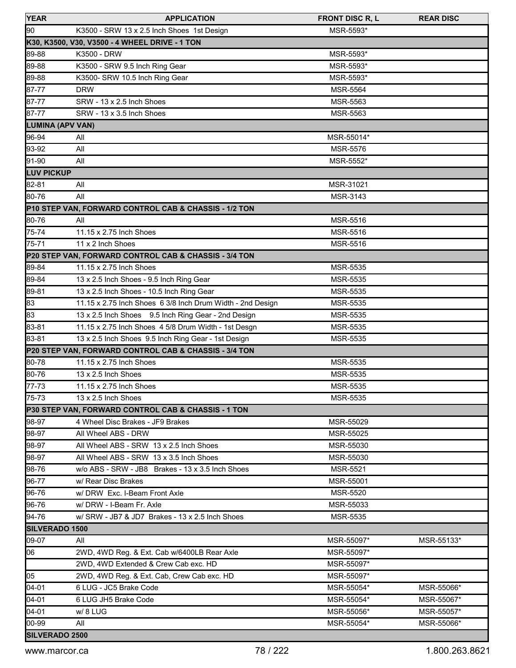| <b>YEAR</b>           | <b>APPLICATION</b>                                         | <b>FRONT DISC R, L</b> | <b>REAR DISC</b> |
|-----------------------|------------------------------------------------------------|------------------------|------------------|
| 90                    | K3500 - SRW 13 x 2.5 Inch Shoes 1st Design                 | MSR-5593*              |                  |
|                       | K30, K3500, V30, V3500 - 4 WHEEL DRIVE - 1 TON             |                        |                  |
| 89-88                 | K3500 - DRW                                                | MSR-5593*              |                  |
| 89-88                 | K3500 - SRW 9.5 Inch Ring Gear                             | MSR-5593*              |                  |
| 89-88                 | K3500- SRW 10.5 Inch Ring Gear                             | MSR-5593*              |                  |
| 87-77                 | <b>DRW</b>                                                 | MSR-5564               |                  |
| 87-77                 | SRW - 13 x 2.5 Inch Shoes                                  | MSR-5563               |                  |
| 87-77                 | SRW - 13 x 3.5 Inch Shoes                                  | MSR-5563               |                  |
| LUMINA (APV VAN)      |                                                            |                        |                  |
| 96-94                 | All                                                        | MSR-55014*             |                  |
| 93-92                 | All                                                        | MSR-5576               |                  |
| 91-90                 | All                                                        | MSR-5552*              |                  |
| <b>LUV PICKUP</b>     |                                                            |                        |                  |
| 82-81                 | All                                                        | MSR-31021              |                  |
| 80-76                 | All                                                        | MSR-3143               |                  |
|                       | P10 STEP VAN, FORWARD CONTROL CAB & CHASSIS - 1/2 TON      |                        |                  |
| 80-76                 | All                                                        | MSR-5516               |                  |
| 75-74                 | 11.15 x 2.75 Inch Shoes                                    | MSR-5516               |                  |
| 75-71                 | 11 x 2 Inch Shoes                                          | MSR-5516               |                  |
|                       | P20 STEP VAN, FORWARD CONTROL CAB & CHASSIS - 3/4 TON      |                        |                  |
| 89-84                 | 11.15 x 2.75 Inch Shoes                                    | MSR-5535               |                  |
| 89-84                 | 13 x 2.5 Inch Shoes - 9.5 Inch Ring Gear                   | MSR-5535               |                  |
| 89-81                 | 13 x 2.5 Inch Shoes - 10.5 Inch Ring Gear                  | MSR-5535               |                  |
| 83                    | 11.15 x 2.75 Inch Shoes 6 3/8 Inch Drum Width - 2nd Design | MSR-5535               |                  |
| $\overline{83}$       | 13 x 2.5 Inch Shoes 9.5 Inch Ring Gear - 2nd Design        | MSR-5535               |                  |
| 83-81                 | 11.15 x 2.75 Inch Shoes 4 5/8 Drum Width - 1st Desgn       | MSR-5535               |                  |
| 83-81                 | 13 x 2.5 Inch Shoes 9.5 Inch Ring Gear - 1st Design        | <b>MSR-5535</b>        |                  |
|                       | P20 STEP VAN, FORWARD CONTROL CAB & CHASSIS - 3/4 TON      |                        |                  |
| 80-78                 | 11.15 x 2.75 Inch Shoes                                    | MSR-5535               |                  |
| 80-76                 | 13 x 2.5 Inch Shoes                                        | MSR-5535               |                  |
| 77-73                 | 11.15 x 2.75 Inch Shoes                                    | MSR-5535               |                  |
| 75-73                 | 13 x 2.5 Inch Shoes                                        | <b>MSR-5535</b>        |                  |
|                       | P30 STEP VAN, FORWARD CONTROL CAB & CHASSIS - 1 TON        |                        |                  |
| 98-97                 | 4 Wheel Disc Brakes - JF9 Brakes                           | MSR-55029              |                  |
| 98-97                 | All Wheel ABS - DRW                                        | MSR-55025              |                  |
| 98-97                 | All Wheel ABS - SRW 13 x 2.5 Inch Shoes                    | MSR-55030              |                  |
| 98-97                 | All Wheel ABS - SRW 13 x 3.5 Inch Shoes                    | MSR-55030              |                  |
| 98-76                 | w/o ABS - SRW - JB8 Brakes - 13 x 3.5 Inch Shoes           | <b>MSR-5521</b>        |                  |
| 96-77                 | w/ Rear Disc Brakes                                        | MSR-55001              |                  |
| 96-76                 | w/DRW Exc. I-Beam Front Axle                               | MSR-5520               |                  |
| 96-76                 | w/DRW - I-Beam Fr. Axle                                    | MSR-55033              |                  |
| 94-76                 | w/ SRW - JB7 & JD7 Brakes - 13 x 2.5 Inch Shoes            | <b>MSR-5535</b>        |                  |
| <b>SILVERADO 1500</b> |                                                            |                        |                  |
| 09-07                 | All                                                        | MSR-55097*             | MSR-55133*       |
| 06                    | 2WD, 4WD Reg. & Ext. Cab w/6400LB Rear Axle                | MSR-55097*             |                  |
|                       | 2WD, 4WD Extended & Crew Cab exc. HD                       | MSR-55097*             |                  |
| 05                    | 2WD, 4WD Reg. & Ext. Cab, Crew Cab exc. HD                 | MSR-55097*             |                  |
| 04-01                 | 6 LUG - JC5 Brake Code                                     | MSR-55054*             | MSR-55066*       |
| $04 - 01$             | 6 LUG JH5 Brake Code                                       | MSR-55054*             | MSR-55067*       |
| 04-01                 | w/8 LUG                                                    | MSR-55056*             | MSR-55057*       |
| 00-99                 | All                                                        | MSR-55054*             | MSR-55066*       |
| SILVERADO 2500        |                                                            |                        |                  |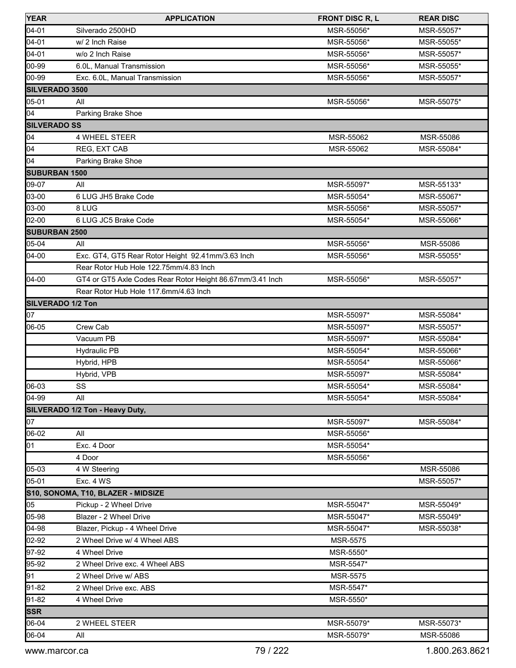| <b>YEAR</b>          | <b>APPLICATION</b>                                        | <b>FRONT DISC R, L</b>   | <b>REAR DISC</b>         |
|----------------------|-----------------------------------------------------------|--------------------------|--------------------------|
| 04-01                | Silverado 2500HD                                          | MSR-55056*               | MSR-55057*               |
| $04 - 01$            | w/ 2 Inch Raise                                           | MSR-55056*               | MSR-55055*               |
| 04-01                | w/o 2 Inch Raise                                          | MSR-55056*               | MSR-55057*               |
| 00-99                | 6.0L, Manual Transmission                                 | MSR-55056*               | MSR-55055*               |
| 00-99                | Exc. 6.0L, Manual Transmission                            | MSR-55056*               | MSR-55057*               |
| SILVERADO 3500       |                                                           |                          |                          |
| 05-01                | All                                                       | MSR-55056*               | MSR-55075*               |
| 04                   | Parking Brake Shoe                                        |                          |                          |
| <b>SILVERADO SS</b>  |                                                           |                          |                          |
| 04                   | 4 WHEEL STEER                                             | MSR-55062                | MSR-55086                |
| 04                   | REG, EXT CAB                                              | MSR-55062                | MSR-55084*               |
| 04                   | Parking Brake Shoe                                        |                          |                          |
| <b>SUBURBAN 1500</b> |                                                           |                          |                          |
| 09-07                | All                                                       | MSR-55097*               | MSR-55133*               |
| 03-00                | 6 LUG JH5 Brake Code                                      | MSR-55054*               | MSR-55067*               |
| 03-00                | 8 LUG                                                     | MSR-55056*               | MSR-55057*               |
| 02-00                | 6 LUG JC5 Brake Code                                      | MSR-55054*               | MSR-55066*               |
| <b>SUBURBAN 2500</b> |                                                           |                          |                          |
| 05-04                | All                                                       | MSR-55056*               | MSR-55086                |
| 04-00                | Exc. GT4, GT5 Rear Rotor Height 92.41mm/3.63 Inch         | MSR-55056*               | MSR-55055*               |
|                      | Rear Rotor Hub Hole 122.75mm/4.83 Inch                    |                          |                          |
| 04-00                | GT4 or GT5 Axle Codes Rear Rotor Height 86.67mm/3.41 Inch | MSR-55056*               | MSR-55057*               |
|                      | Rear Rotor Hub Hole 117.6mm/4.63 Inch                     |                          |                          |
| SILVERADO 1/2 Ton    |                                                           |                          |                          |
| 07                   |                                                           | MSR-55097*               | MSR-55084*               |
| 06-05                | Crew Cab                                                  | MSR-55097*               | MSR-55057*               |
|                      | Vacuum PB                                                 | MSR-55097*               | MSR-55084*               |
|                      | <b>Hydraulic PB</b>                                       | MSR-55054*               | MSR-55066*               |
|                      | Hybrid, HPB                                               | MSR-55054*               | MSR-55066*               |
|                      | Hybrid, VPB                                               | MSR-55097*               | MSR-55084*               |
| 06-03                | SS                                                        | MSR-55054*               | MSR-55084*               |
| $ 04 - 99 $          | All                                                       | MSR-55054*               | MSR-55084*               |
|                      | SILVERADO 1/2 Ton - Heavy Duty,                           |                          |                          |
| 07                   |                                                           | MSR-55097*               | MSR-55084*               |
| 06-02                | All                                                       | MSR-55056*               |                          |
| 01                   | Exc. 4 Door                                               | MSR-55054*               |                          |
|                      | 4 Door                                                    | MSR-55056*               |                          |
| 05-03                | 4 W Steering                                              |                          | MSR-55086                |
| 05-01                | Exc. 4 WS                                                 |                          | MSR-55057*               |
|                      | S10, SONOMA, T10, BLAZER - MIDSIZE                        |                          |                          |
| 05                   | Pickup - 2 Wheel Drive<br>Blazer - 2 Wheel Drive          | MSR-55047*               | MSR-55049*               |
| 05-98<br>04-98       | Blazer, Pickup - 4 Wheel Drive                            | MSR-55047*<br>MSR-55047* | MSR-55049*<br>MSR-55038* |
|                      |                                                           |                          |                          |
| 02-92                | 2 Wheel Drive w/ 4 Wheel ABS                              | <b>MSR-5575</b>          |                          |
| 97-92<br>95-92       | 4 Wheel Drive<br>2 Wheel Drive exc. 4 Wheel ABS           | MSR-5550*<br>MSR-5547*   |                          |
| 91                   | 2 Wheel Drive w/ ABS                                      | MSR-5575                 |                          |
| 91-82                | 2 Wheel Drive exc. ABS                                    | MSR-5547*                |                          |
| $91-82$              | 4 Wheel Drive                                             | MSR-5550*                |                          |
| <b>SSR</b>           |                                                           |                          |                          |
| 06-04                | 2 WHEEL STEER                                             | MSR-55079*               | MSR-55073*               |
| 06-04                | All                                                       | MSR-55079*               | MSR-55086                |
|                      |                                                           |                          |                          |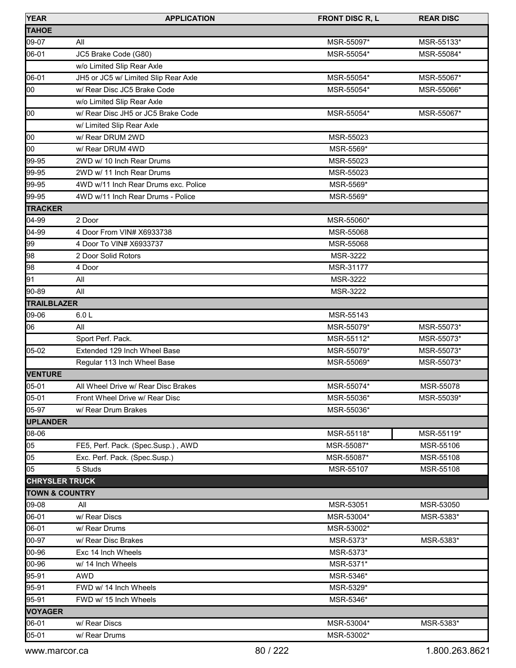| <b>YEAR</b>               | <b>APPLICATION</b>                   | <b>FRONT DISC R, L</b> | <b>REAR DISC</b> |
|---------------------------|--------------------------------------|------------------------|------------------|
| <b>TAHOE</b>              |                                      |                        |                  |
| 09-07                     | All                                  | MSR-55097*             | MSR-55133*       |
| 06-01                     | JC5 Brake Code (G80)                 | MSR-55054*             | MSR-55084*       |
|                           | w/o Limited Slip Rear Axle           |                        |                  |
| 06-01                     | JH5 or JC5 w/ Limited Slip Rear Axle | MSR-55054*             | MSR-55067*       |
| 00                        | w/ Rear Disc JC5 Brake Code          | MSR-55054*             | MSR-55066*       |
|                           | w/o Limited Slip Rear Axle           |                        |                  |
| loo                       | w/ Rear Disc JH5 or JC5 Brake Code   | MSR-55054*             | MSR-55067*       |
|                           | w/ Limited Slip Rear Axle            |                        |                  |
| 00                        | w/ Rear DRUM 2WD                     | MSR-55023              |                  |
| loo                       | w/ Rear DRUM 4WD                     | MSR-5569*              |                  |
| 99-95                     | 2WD w/ 10 Inch Rear Drums            | MSR-55023              |                  |
| 99-95                     | 2WD w/ 11 Inch Rear Drums            | MSR-55023              |                  |
| 99-95                     | 4WD w/11 Inch Rear Drums exc. Police | MSR-5569*              |                  |
| 99-95                     | 4WD w/11 Inch Rear Drums - Police    | MSR-5569*              |                  |
| <b>TRACKER</b>            |                                      |                        |                  |
| 04-99                     | 2 Door                               | MSR-55060*             |                  |
| 04-99                     | 4 Door From VIN# X6933738            | MSR-55068              |                  |
| 99                        | 4 Door To VIN# X6933737              | MSR-55068              |                  |
| 98                        | 2 Door Solid Rotors                  | MSR-3222               |                  |
| 98                        | 4 Door                               | MSR-31177              |                  |
| 91                        | All                                  | MSR-3222               |                  |
| 90-89                     | All                                  | <b>MSR-3222</b>        |                  |
| <b>TRAILBLAZER</b>        |                                      |                        |                  |
| 09-06                     | 6.0 <sub>L</sub>                     | MSR-55143              |                  |
| 06                        | All                                  | MSR-55079*             | MSR-55073*       |
|                           | Sport Perf. Pack.                    | MSR-55112*             | MSR-55073*       |
| 05-02                     | Extended 129 Inch Wheel Base         | MSR-55079*             | MSR-55073*       |
|                           | Regular 113 Inch Wheel Base          | MSR-55069*             | MSR-55073*       |
| <b>VENTURE</b>            |                                      |                        |                  |
| 05-01                     | All Wheel Drive w/ Rear Disc Brakes  | MSR-55074*             | MSR-55078        |
| 05-01                     | Front Wheel Drive w/ Rear Disc       | MSR-55036*             | MSR-55039*       |
| 05-97                     | w/ Rear Drum Brakes                  | MSR-55036*             |                  |
| <b>UPLANDER</b>           |                                      |                        |                  |
| 08-06                     |                                      | MSR-55118*             | MSR-55119*       |
| 05                        | FE5, Perf. Pack. (Spec.Susp.), AWD   | MSR-55087*             | MSR-55106        |
| 05                        | Exc. Perf. Pack. (Spec.Susp.)        | MSR-55087*             | MSR-55108        |
| 05                        | 5 Studs                              | MSR-55107              | MSR-55108        |
| <b>CHRYSLER TRUCK</b>     |                                      |                        |                  |
| <b>TOWN &amp; COUNTRY</b> |                                      |                        |                  |
| 09-08                     | All                                  | MSR-53051              | MSR-53050        |
| 06-01                     | w/ Rear Discs                        | MSR-53004*             | MSR-5383*        |
| 06-01                     | w/ Rear Drums                        | MSR-53002*             |                  |
| 00-97                     | w/ Rear Disc Brakes                  | MSR-5373*              | MSR-5383*        |
| 00-96                     | Exc 14 Inch Wheels                   | MSR-5373*              |                  |
| 00-96                     | w/ 14 Inch Wheels                    | MSR-5371*              |                  |
| 95-91                     | <b>AWD</b>                           | MSR-5346*              |                  |
| 95-91                     | FWD w/ 14 Inch Wheels                | MSR-5329*              |                  |
| 95-91                     | FWD w/ 15 Inch Wheels                | MSR-5346*              |                  |
| <b>VOYAGER</b>            |                                      |                        |                  |
| 06-01                     | w/ Rear Discs                        | MSR-53004*             | MSR-5383*        |
| 05-01                     | w/ Rear Drums                        | MSR-53002*             |                  |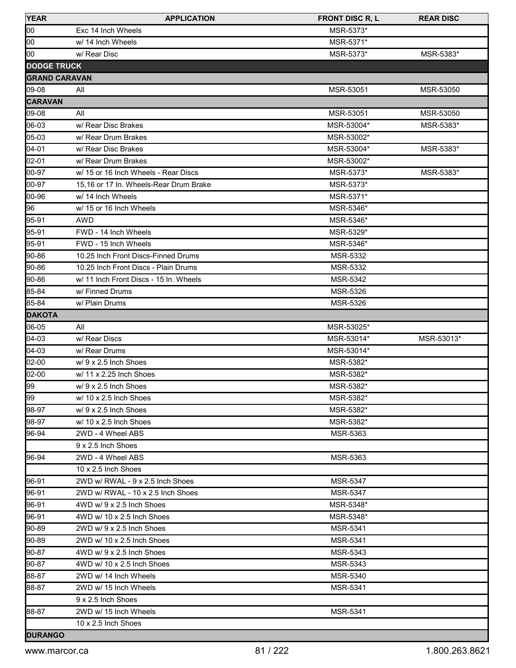| <b>YEAR</b>          | <b>APPLICATION</b>                     | <b>FRONT DISC R, L</b> | <b>REAR DISC</b> |
|----------------------|----------------------------------------|------------------------|------------------|
| 00                   | Exc 14 Inch Wheels                     | MSR-5373*              |                  |
| 00                   | w/ 14 Inch Wheels                      | MSR-5371*              |                  |
| 00                   | w/ Rear Disc                           | MSR-5373*              | MSR-5383*        |
| <b>DODGE TRUCK</b>   |                                        |                        |                  |
| <b>GRAND CARAVAN</b> |                                        |                        |                  |
| 09-08                | All                                    | MSR-53051              | MSR-53050        |
| <b>CARAVAN</b>       |                                        |                        |                  |
| 09-08                | All                                    | MSR-53051              | MSR-53050        |
| 06-03                | w/ Rear Disc Brakes                    | MSR-53004*             | MSR-5383*        |
| 05-03                | w/ Rear Drum Brakes                    | MSR-53002*             |                  |
| $04 - 01$            | w/ Rear Disc Brakes                    | MSR-53004*             | MSR-5383*        |
| 02-01                | w/ Rear Drum Brakes                    | MSR-53002*             |                  |
| 00-97                | w/ 15 or 16 Inch Wheels - Rear Discs   | MSR-5373*              | MSR-5383*        |
| 00-97                | 15,16 or 17 In. Wheels-Rear Drum Brake | MSR-5373*              |                  |
| 00-96                | w/ 14 Inch Wheels                      | MSR-5371*              |                  |
| 96                   | w/ 15 or 16 Inch Wheels                | MSR-5346*              |                  |
| 95-91                | <b>AWD</b>                             | MSR-5346*              |                  |
| 95-91                | FWD - 14 Inch Wheels                   | MSR-5329*              |                  |
| 95-91                | FWD - 15 Inch Wheels                   | MSR-5346*              |                  |
| 90-86                | 10.25 Inch Front Discs-Finned Drums    | MSR-5332               |                  |
| 90-86                | 10.25 Inch Front Discs - Plain Drums   | <b>MSR-5332</b>        |                  |
| 90-86                | w/ 11 Inch Front Discs - 15 In. Wheels | MSR-5342               |                  |
| 85-84                | w/ Finned Drums                        | MSR-5326               |                  |
| 85-84                | w/ Plain Drums                         | <b>MSR-5326</b>        |                  |
| <b>DAKOTA</b>        |                                        |                        |                  |
| 06-05                | All                                    | MSR-53025*             |                  |
| $[04-03]$            | w/ Rear Discs                          | MSR-53014*             | MSR-53013*       |
| $ 04-03 $            | w/ Rear Drums                          | MSR-53014*             |                  |
| 02-00                | $w/9 \times 2.5$ Inch Shoes            | MSR-5382*              |                  |
| 02-00                | $w/$ 11 x 2.25 Inch Shoes              | MSR-5382*              |                  |
| 99                   | w/9 x 2.5 Inch Shoes                   | MSR-5382*              |                  |
| 99                   | $w/$ 10 x 2.5 Inch Shoes               | MSR-5382*              |                  |
| 98-97                | $w/9 \times 2.5$ Inch Shoes            | MSR-5382*              |                  |
| 98-97                | $w/$ 10 x 2.5 Inch Shoes               | MSR-5382*              |                  |
| 96-94                | 2WD - 4 Wheel ABS                      | <b>MSR-5363</b>        |                  |
|                      | 9 x 2.5 Inch Shoes                     |                        |                  |
| 196-94               | 2WD - 4 Wheel ABS                      | MSR-5363               |                  |
|                      | 10 x 2.5 Inch Shoes                    |                        |                  |
| 96-91                | 2WD w/ RWAL - 9 x 2.5 Inch Shoes       | <b>MSR-5347</b>        |                  |
| 96-91                | 2WD w/ RWAL - 10 x 2.5 Inch Shoes      | <b>MSR-5347</b>        |                  |
| 96-91                | 4WD w/ 9 x 2.5 Inch Shoes              | MSR-5348*              |                  |
| 96-91                | 4WD w/ 10 x 2.5 Inch Shoes             | MSR-5348*              |                  |
| 90-89                | 2WD w/ 9 x 2.5 Inch Shoes              | <b>MSR-5341</b>        |                  |
| 90-89                | 2WD w/ 10 x 2.5 Inch Shoes             | <b>MSR-5341</b>        |                  |
| 90-87                | 4WD w/ 9 x 2.5 Inch Shoes              | <b>MSR-5343</b>        |                  |
| 90-87                | 4WD w/ 10 x 2.5 Inch Shoes             | <b>MSR-5343</b>        |                  |
| 88-87                | 2WD w/ 14 Inch Wheels                  | <b>MSR-5340</b>        |                  |
| 88-87                | 2WD w/ 15 Inch Wheels                  | <b>MSR-5341</b>        |                  |
|                      | 9 x 2.5 Inch Shoes                     |                        |                  |
| 88-87                | 2WD w/ 15 Inch Wheels                  | MSR-5341               |                  |
|                      | $10 \times 2.5$ Inch Shoes             |                        |                  |
| <b>DURANGO</b>       |                                        |                        |                  |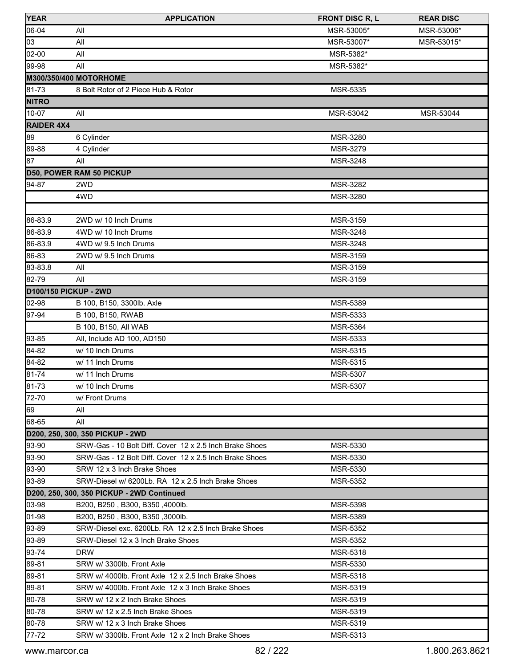| <b>YEAR</b>           | <b>APPLICATION</b>                                      | <b>FRONT DISC R, L</b> | <b>REAR DISC</b> |
|-----------------------|---------------------------------------------------------|------------------------|------------------|
| 06-04                 | All                                                     | MSR-53005*             | MSR-53006*       |
| 03                    | All                                                     | MSR-53007*             | MSR-53015*       |
| 02-00                 | All                                                     | MSR-5382*              |                  |
| 99-98                 | All                                                     | MSR-5382*              |                  |
|                       | M300/350/400 MOTORHOME                                  |                        |                  |
| 81-73                 | 8 Bolt Rotor of 2 Piece Hub & Rotor                     | MSR-5335               |                  |
| <b>NITRO</b>          |                                                         |                        |                  |
| 10-07                 | All                                                     | MSR-53042              | MSR-53044        |
| <b>RAIDER 4X4</b>     |                                                         |                        |                  |
| 89                    | 6 Cylinder                                              | MSR-3280               |                  |
| 89-88                 | 4 Cylinder                                              | MSR-3279               |                  |
| 87                    | All                                                     | MSR-3248               |                  |
|                       | D50, POWER RAM 50 PICKUP                                |                        |                  |
| 94-87                 | 2WD                                                     | MSR-3282               |                  |
|                       | 4WD                                                     | <b>MSR-3280</b>        |                  |
|                       |                                                         |                        |                  |
| 86-83.9               | 2WD w/ 10 Inch Drums                                    | MSR-3159               |                  |
| 86-83.9               | 4WD w/ 10 Inch Drums                                    | <b>MSR-3248</b>        |                  |
| 86-83.9               | 4WD w/ 9.5 Inch Drums                                   | MSR-3248               |                  |
| 86-83                 | 2WD w/ 9.5 Inch Drums                                   | <b>MSR-3159</b>        |                  |
| 83-83.8               | All                                                     | MSR-3159               |                  |
| 82-79                 | All                                                     | MSR-3159               |                  |
| D100/150 PICKUP - 2WD |                                                         |                        |                  |
| 02-98                 | B 100, B150, 3300lb. Axle                               | MSR-5389               |                  |
| 97-94                 | B 100, B150, RWAB                                       | MSR-5333               |                  |
|                       | B 100, B150, All WAB                                    | <b>MSR-5364</b>        |                  |
| 93-85                 | All, Include AD 100, AD150                              | MSR-5333               |                  |
| 84-82                 | w/ 10 Inch Drums                                        | MSR-5315               |                  |
| 84-82                 | w/ 11 Inch Drums                                        | MSR-5315               |                  |
| 81-74                 | w/ 11 Inch Drums                                        | MSR-5307               |                  |
| 81-73                 | w/ 10 Inch Drums                                        | <b>MSR-5307</b>        |                  |
| 72-70                 | w/ Front Drums                                          |                        |                  |
| 69                    | All                                                     |                        |                  |
| 68-65                 | All                                                     |                        |                  |
|                       | D200, 250, 300, 350 PICKUP - 2WD                        |                        |                  |
| 93-90                 | SRW-Gas - 10 Bolt Diff. Cover 12 x 2.5 Inch Brake Shoes | MSR-5330               |                  |
| 93-90                 | SRW-Gas - 12 Bolt Diff. Cover 12 x 2.5 Inch Brake Shoes | MSR-5330               |                  |
| 93-90                 | SRW 12 x 3 Inch Brake Shoes                             | MSR-5330               |                  |
| 93-89                 | SRW-Diesel w/ 6200Lb. RA 12 x 2.5 Inch Brake Shoes      | MSR-5352               |                  |
|                       | D200, 250, 300, 350 PICKUP - 2WD Continued              |                        |                  |
| 03-98                 | B200, B250, B300, B350, 4000lb.                         | <b>MSR-5398</b>        |                  |
| 01-98                 | B200, B250, B300, B350, 3000lb.                         | MSR-5389               |                  |
| 93-89                 | SRW-Diesel exc. 6200Lb. RA 12 x 2.5 Inch Brake Shoes    | MSR-5352               |                  |
| 93-89                 | SRW-Diesel 12 x 3 Inch Brake Shoes                      | <b>MSR-5352</b>        |                  |
| 93-74                 | <b>DRW</b>                                              | MSR-5318               |                  |
| 89-81                 | SRW w/ 3300lb. Front Axle                               | <b>MSR-5330</b>        |                  |
| 89-81                 | SRW w/ 4000lb. Front Axle 12 x 2.5 Inch Brake Shoes     | <b>MSR-5318</b>        |                  |
| 89-81                 | SRW w/ 4000lb. Front Axle 12 x 3 Inch Brake Shoes       | MSR-5319               |                  |
| 80-78                 | SRW w/ 12 x 2 Inch Brake Shoes                          | MSR-5319               |                  |
| 80-78                 | SRW w/ 12 x 2.5 Inch Brake Shoes                        | MSR-5319               |                  |
| 80-78                 | SRW w/ 12 x 3 Inch Brake Shoes                          | MSR-5319               |                  |
| 77-72                 | SRW w/ 3300lb. Front Axle 12 x 2 Inch Brake Shoes       | MSR-5313               |                  |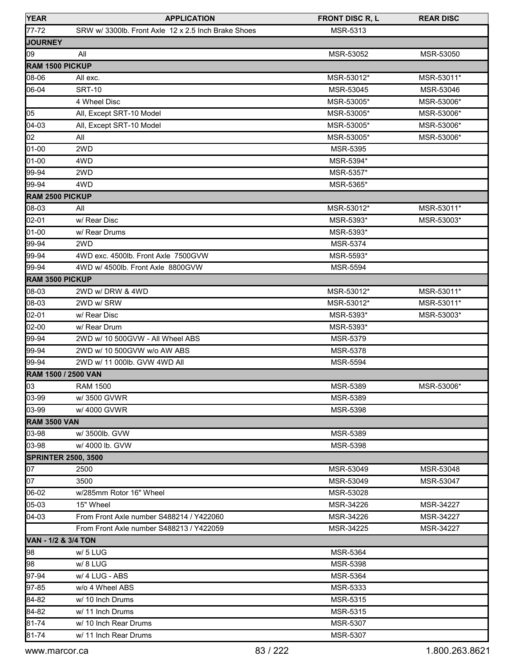| <b>YEAR</b>            | <b>APPLICATION</b>                                  | <b>FRONT DISC R, L</b> | <b>REAR DISC</b> |
|------------------------|-----------------------------------------------------|------------------------|------------------|
| 77-72                  | SRW w/ 3300lb. Front Axle 12 x 2.5 Inch Brake Shoes | MSR-5313               |                  |
| <b>JOURNEY</b>         |                                                     |                        |                  |
| 09                     | All                                                 | MSR-53052              | MSR-53050        |
| <b>RAM 1500 PICKUP</b> |                                                     |                        |                  |
| 08-06                  | All exc.                                            | MSR-53012*             | MSR-53011*       |
| 06-04                  | <b>SRT-10</b>                                       | MSR-53045              | MSR-53046        |
|                        | 4 Wheel Disc                                        | MSR-53005*             | MSR-53006*       |
| 05                     | All, Except SRT-10 Model                            | MSR-53005*             | MSR-53006*       |
| 04-03                  | All, Except SRT-10 Model                            | MSR-53005*             | MSR-53006*       |
| 02                     | All                                                 | MSR-53005*             | MSR-53006*       |
| 01-00                  | 2WD                                                 | <b>MSR-5395</b>        |                  |
| 01-00                  | 4WD                                                 | MSR-5394*              |                  |
| 99-94                  | 2WD                                                 | MSR-5357*              |                  |
| 99-94                  | 4WD                                                 | MSR-5365*              |                  |
| RAM 2500 PICKUP        |                                                     |                        |                  |
| 08-03                  | All                                                 | MSR-53012*             | MSR-53011*       |
| 02-01                  | w/ Rear Disc                                        | MSR-5393*              | MSR-53003*       |
| 01-00                  | w/ Rear Drums                                       | MSR-5393*              |                  |
| 99-94                  | 2WD                                                 | <b>MSR-5374</b>        |                  |
| 99-94                  | 4WD exc. 4500lb. Front Axle 7500GVW                 | MSR-5593*              |                  |
| 99-94                  | 4WD w/ 4500lb. Front Axle 8800GVW                   | <b>MSR-5594</b>        |                  |
| <b>RAM 3500 PICKUP</b> |                                                     |                        |                  |
| 08-03                  | 2WD w/DRW & 4WD                                     | MSR-53012*             | MSR-53011*       |
| 08-03                  | 2WD w/ SRW                                          | MSR-53012*             | MSR-53011*       |
| 02-01                  | w/ Rear Disc                                        | MSR-5393*              | MSR-53003*       |
| 02-00                  | w/ Rear Drum                                        | MSR-5393*              |                  |
| 99-94                  | 2WD w/ 10 500GVW - All Wheel ABS                    | MSR-5379               |                  |
| 99-94                  | 2WD w/ 10 500 GVW w/o AW ABS                        | MSR-5378               |                  |
| 99-94                  | 2WD w/ 11 000lb. GVW 4WD All                        | <b>MSR-5594</b>        |                  |
|                        | <b>RAM 1500 / 2500 VAN</b>                          |                        |                  |
| $\log$                 | <b>RAM 1500</b>                                     | MSR-5389               | MSR-53006*       |
| 03-99                  | w/3500 GVWR                                         | MSR-5389               |                  |
| 03-99                  | w/4000 GVWR                                         | MSR-5398               |                  |
| <b>RAM 3500 VAN</b>    |                                                     |                        |                  |
| 03-98                  | w/ 3500lb. GVW                                      | <b>MSR-5389</b>        |                  |
| 03-98                  | w/ 4000 lb. GVW                                     | MSR-5398               |                  |
|                        | <b>SPRINTER 2500, 3500</b>                          |                        |                  |
| 07                     | 2500                                                | MSR-53049              | MSR-53048        |
| 07                     | 3500                                                | MSR-53049              | MSR-53047        |
| 06-02                  | w/285mm Rotor 16" Wheel                             | MSR-53028              |                  |
| 05-03                  | 15" Wheel                                           | MSR-34226              | MSR-34227        |
| 04-03                  | From Front Axle number S488214 / Y422060            | MSR-34226              | MSR-34227        |
|                        | From Front Axle number S488213 / Y422059            | MSR-34225              | MSR-34227        |
| VAN - 1/2 & 3/4 TON    |                                                     |                        |                  |
| 98                     | w/ 5 LUG                                            | <b>MSR-5364</b>        |                  |
| 98                     | w/8 LUG                                             | MSR-5398               |                  |
| 97-94                  | w/ 4 LUG - ABS                                      | MSR-5364               |                  |
| 97-85                  | w/o 4 Wheel ABS                                     | MSR-5333               |                  |
| 84-82                  | w/ 10 Inch Drums                                    | MSR-5315               |                  |
| 84-82                  | w/ 11 Inch Drums                                    | MSR-5315               |                  |
| 81-74                  | w/ 10 Inch Rear Drums                               | <b>MSR-5307</b>        |                  |
| 81-74                  | w/ 11 Inch Rear Drums                               | MSR-5307               |                  |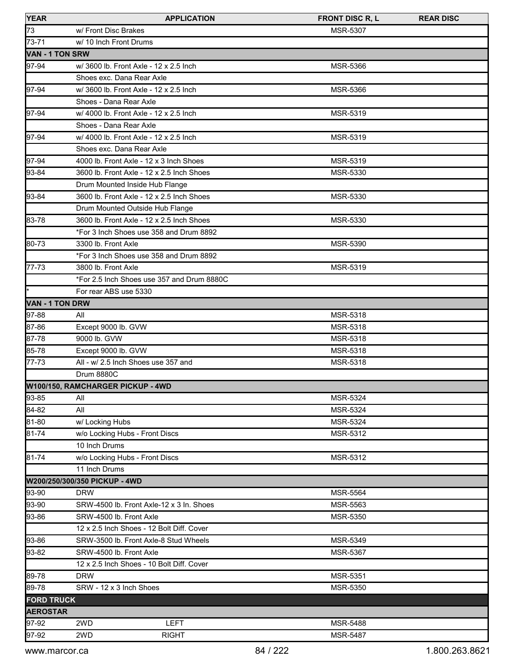| <b>YEAR</b>            | <b>APPLICATION</b>                         | <b>FRONT DISC R, L</b> | <b>REAR DISC</b> |
|------------------------|--------------------------------------------|------------------------|------------------|
| 73                     | w/ Front Disc Brakes                       | <b>MSR-5307</b>        |                  |
| 73-71                  | w/ 10 Inch Front Drums                     |                        |                  |
| <b>VAN - 1 TON SRW</b> |                                            |                        |                  |
| 97-94                  | w/ 3600 lb. Front Axle - 12 x 2.5 Inch     | MSR-5366               |                  |
|                        | Shoes exc. Dana Rear Axle                  |                        |                  |
| 97-94                  | w/ 3600 lb. Front Axle - 12 x 2.5 lnch     | MSR-5366               |                  |
|                        | Shoes - Dana Rear Axle                     |                        |                  |
| 97-94                  | w/ 4000 lb. Front Axle - 12 x 2.5 lnch     | MSR-5319               |                  |
|                        | Shoes - Dana Rear Axle                     |                        |                  |
| 97-94                  | w/ 4000 lb. Front Axle - 12 x 2.5 Inch     | MSR-5319               |                  |
|                        | Shoes exc. Dana Rear Axle                  |                        |                  |
| 97-94                  | 4000 lb. Front Axle - 12 x 3 Inch Shoes    | MSR-5319               |                  |
| 93-84                  | 3600 lb. Front Axle - 12 x 2.5 Inch Shoes  | MSR-5330               |                  |
|                        | Drum Mounted Inside Hub Flange             |                        |                  |
| 93-84                  | 3600 lb. Front Axle - 12 x 2.5 Inch Shoes  | MSR-5330               |                  |
|                        | Drum Mounted Outside Hub Flange            |                        |                  |
| 83-78                  | 3600 lb. Front Axle - 12 x 2.5 Inch Shoes  | MSR-5330               |                  |
|                        | *For 3 Inch Shoes use 358 and Drum 8892    |                        |                  |
| 80-73                  | 3300 lb. Front Axle                        | MSR-5390               |                  |
|                        | *For 3 Inch Shoes use 358 and Drum 8892    |                        |                  |
| 77-73                  | 3800 lb. Front Axle                        | MSR-5319               |                  |
|                        | *For 2.5 Inch Shoes use 357 and Drum 8880C |                        |                  |
| ŀ                      | For rear ABS use 5330                      |                        |                  |
| <b>VAN - 1 TON DRW</b> |                                            |                        |                  |
| 97-88                  | All                                        | MSR-5318               |                  |
| 87-86                  | Except 9000 lb. GVW                        | MSR-5318               |                  |
| 87-78                  | 9000 lb. GVW                               | MSR-5318               |                  |
| 85-78                  | Except 9000 lb. GVW                        | MSR-5318               |                  |
| 77-73                  | All - w/ 2.5 Inch Shoes use 357 and        | MSR-5318               |                  |
|                        | <b>Drum 8880C</b>                          |                        |                  |
|                        | W100/150, RAMCHARGER PICKUP - 4WD          |                        |                  |
| 93-85                  | All                                        | <b>MSR-5324</b>        |                  |
| 84-82                  | All                                        | MSR-5324               |                  |
| 81-80                  | w/ Locking Hubs                            | MSR-5324               |                  |
| 81-74                  | w/o Locking Hubs - Front Discs             | MSR-5312               |                  |
|                        | 10 Inch Drums                              |                        |                  |
| 81-74                  | w/o Locking Hubs - Front Discs             | MSR-5312               |                  |
|                        | 11 Inch Drums                              |                        |                  |
|                        | W200/250/300/350 PICKUP - 4WD              |                        |                  |
| 93-90                  | <b>DRW</b>                                 | MSR-5564               |                  |
| 93-90                  | SRW-4500 lb. Front Axle-12 x 3 In. Shoes   | MSR-5563               |                  |
| 93-86                  | SRW-4500 lb. Front Axle                    | MSR-5350               |                  |
|                        | 12 x 2.5 Inch Shoes - 12 Bolt Diff. Cover  |                        |                  |
| 93-86                  | SRW-3500 lb. Front Axle-8 Stud Wheels      | MSR-5349               |                  |
| 93-82                  | SRW-4500 lb. Front Axle                    | MSR-5367               |                  |
|                        | 12 x 2.5 Inch Shoes - 10 Bolt Diff. Cover  |                        |                  |
|                        |                                            |                        |                  |
| 89-78<br>89-78         | <b>DRW</b>                                 | MSR-5351               |                  |
|                        | SRW - 12 x 3 Inch Shoes                    | MSR-5350               |                  |
| <b>FORD TRUCK</b>      |                                            |                        |                  |
| <b>AEROSTAR</b>        |                                            |                        |                  |
| 97-92                  | 2WD<br><b>LEFT</b>                         | MSR-5488               |                  |
| 97-92                  | 2WD<br><b>RIGHT</b>                        | <b>MSR-5487</b>        |                  |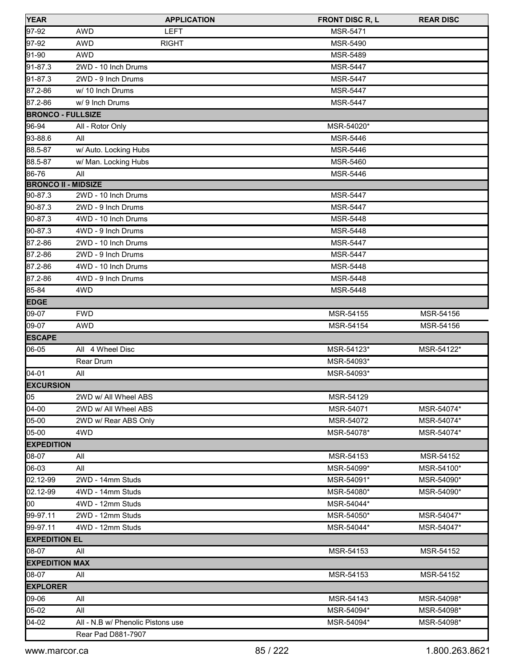| <b>YEAR</b>                | <b>APPLICATION</b>                | <b>FRONT DISC R, L</b> | <b>REAR DISC</b> |
|----------------------------|-----------------------------------|------------------------|------------------|
| 97-92                      | <b>AWD</b><br><b>LEFT</b>         | <b>MSR-5471</b>        |                  |
| $97-92$                    | <b>AWD</b><br><b>RIGHT</b>        | <b>MSR-5490</b>        |                  |
| 91-90                      | <b>AWD</b>                        | <b>MSR-5489</b>        |                  |
| 91-87.3                    | 2WD - 10 Inch Drums               | <b>MSR-5447</b>        |                  |
| 91-87.3                    | 2WD - 9 Inch Drums                | <b>MSR-5447</b>        |                  |
| 87.2-86                    | w/ 10 Inch Drums                  | <b>MSR-5447</b>        |                  |
| 87.2-86                    | w/ 9 Inch Drums                   | <b>MSR-5447</b>        |                  |
| <b>BRONCO - FULLSIZE</b>   |                                   |                        |                  |
| 96-94                      | All - Rotor Only                  | MSR-54020*             |                  |
| 93-88.6                    | All                               | MSR-5446               |                  |
| 88.5-87                    | w/ Auto. Locking Hubs             | <b>MSR-5446</b>        |                  |
| 88.5-87                    | w/ Man. Locking Hubs              | <b>MSR-5460</b>        |                  |
| 86-76                      | All                               | MSR-5446               |                  |
| <b>BRONCO II - MIDSIZE</b> |                                   |                        |                  |
| 90-87.3                    | 2WD - 10 Inch Drums               | <b>MSR-5447</b>        |                  |
| 90-87.3                    | 2WD - 9 Inch Drums                | <b>MSR-5447</b>        |                  |
| 90-87.3                    | 4WD - 10 Inch Drums               | <b>MSR-5448</b>        |                  |
| 90-87.3                    | 4WD - 9 Inch Drums                | MSR-5448               |                  |
| 87.2-86                    | 2WD - 10 Inch Drums               | <b>MSR-5447</b>        |                  |
| 87.2-86                    | 2WD - 9 Inch Drums                | <b>MSR-5447</b>        |                  |
| 87.2-86                    | 4WD - 10 Inch Drums               | MSR-5448               |                  |
| 87.2-86                    | 4WD - 9 Inch Drums                | <b>MSR-5448</b>        |                  |
| 85-84                      | 4WD                               | MSR-5448               |                  |
| <b>EDGE</b>                |                                   |                        |                  |
| 09-07                      | <b>FWD</b>                        | MSR-54155              | MSR-54156        |
| 09-07                      | <b>AWD</b>                        | MSR-54154              | MSR-54156        |
| <b>ESCAPE</b>              |                                   |                        |                  |
| 06-05                      | All 4 Wheel Disc                  | MSR-54123*             | MSR-54122*       |
|                            | Rear Drum                         | MSR-54093*             |                  |
| 04-01                      | All                               | MSR-54093*             |                  |
| <b>EXCURSION</b>           |                                   |                        |                  |
| 05                         | 2WD w/ All Wheel ABS              | MSR-54129              |                  |
| $04-00$                    | 2WD w/ All Wheel ABS              | MSR-54071              | MSR-54074*       |
| 05-00                      | 2WD w/ Rear ABS Only              | MSR-54072              | MSR-54074*       |
| 05-00                      | 4WD                               | MSR-54078*             | MSR-54074*       |
| <b>EXPEDITION</b>          |                                   |                        |                  |
| 08-07                      | All                               | MSR-54153              | MSR-54152        |
| 06-03                      | All                               | MSR-54099*             | MSR-54100*       |
| 02.12-99                   | 2WD - 14mm Studs                  | MSR-54091*             | MSR-54090*       |
| 02.12-99                   | 4WD - 14mm Studs                  | MSR-54080*             | MSR-54090*       |
| loo                        | 4WD - 12mm Studs                  | MSR-54044*             |                  |
| 99-97.11                   | 2WD - 12mm Studs                  | MSR-54050*             | MSR-54047*       |
| 99-97.11                   | 4WD - 12mm Studs                  | MSR-54044*             | MSR-54047*       |
| <b>EXPEDITION EL</b>       |                                   |                        |                  |
| 08-07                      | All                               | MSR-54153              | MSR-54152        |
| <b>EXPEDITION MAX</b>      |                                   |                        |                  |
| 08-07                      | All                               | MSR-54153              | MSR-54152        |
| <b>EXPLORER</b>            |                                   |                        |                  |
| 09-06                      | All                               | MSR-54143              | MSR-54098*       |
| 05-02                      | All                               | MSR-54094*             | MSR-54098*       |
| 04-02                      | All - N.B w/ Phenolic Pistons use | MSR-54094*             | MSR-54098*       |
|                            | Rear Pad D881-7907                |                        |                  |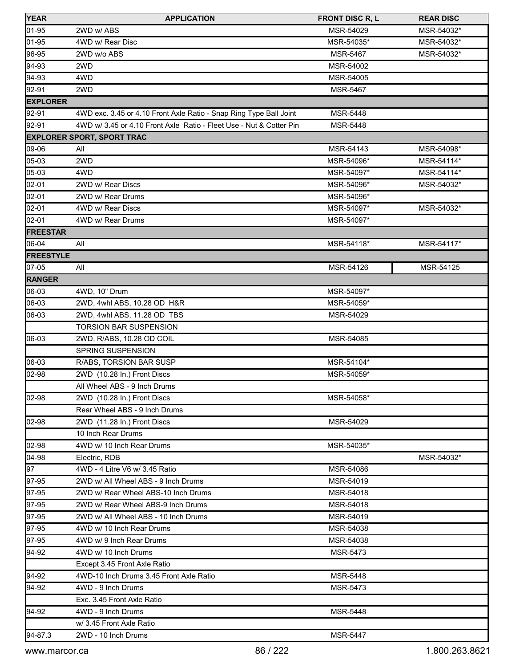| <b>YEAR</b>      | <b>APPLICATION</b>                                                  | <b>FRONT DISC R, L</b> | <b>REAR DISC</b> |
|------------------|---------------------------------------------------------------------|------------------------|------------------|
| 01-95            | 2WD w/ ABS                                                          | MSR-54029              | MSR-54032*       |
| 01-95            | 4WD w/ Rear Disc                                                    | MSR-54035*             | MSR-54032*       |
| 96-95            | 2WD w/o ABS                                                         | <b>MSR-5467</b>        | MSR-54032*       |
| 94-93            | 2WD                                                                 | MSR-54002              |                  |
| 94-93            | 4WD                                                                 | MSR-54005              |                  |
| 92-91            | 2WD                                                                 | <b>MSR-5467</b>        |                  |
| <b>EXPLORER</b>  |                                                                     |                        |                  |
| 92-91            | 4WD exc. 3.45 or 4.10 Front Axle Ratio - Snap Ring Type Ball Joint  | <b>MSR-5448</b>        |                  |
| 92-91            | 4WD w/ 3.45 or 4.10 Front Axle Ratio - Fleet Use - Nut & Cotter Pin | <b>MSR-5448</b>        |                  |
|                  | <b>EXPLORER SPORT, SPORT TRAC</b>                                   |                        |                  |
| 09-06            | All                                                                 | MSR-54143              | MSR-54098*       |
| 05-03            | 2WD                                                                 | MSR-54096*             | MSR-54114*       |
| 05-03            | 4WD                                                                 | MSR-54097*             | MSR-54114*       |
| 02-01            | 2WD w/ Rear Discs                                                   | MSR-54096*             | MSR-54032*       |
| 02-01            | 2WD w/ Rear Drums                                                   | MSR-54096*             |                  |
| 02-01            | 4WD w/ Rear Discs                                                   | MSR-54097*             | MSR-54032*       |
| 02-01            | 4WD w/ Rear Drums                                                   | MSR-54097*             |                  |
| <b>FREESTAR</b>  |                                                                     |                        |                  |
| 06-04            | All                                                                 | MSR-54118*             | MSR-54117*       |
| <b>FREESTYLE</b> |                                                                     |                        |                  |
| 07-05            | All                                                                 | MSR-54126              | MSR-54125        |
| <b>RANGER</b>    |                                                                     |                        |                  |
| 06-03            | 4WD, 10" Drum                                                       | MSR-54097*             |                  |
| 06-03            | 2WD, 4whl ABS, 10.28 OD H&R                                         | MSR-54059*             |                  |
| 06-03            | 2WD, 4whl ABS, 11.28 OD TBS                                         | MSR-54029              |                  |
|                  | <b>TORSION BAR SUSPENSION</b>                                       |                        |                  |
| 06-03            | 2WD, R/ABS, 10.28 OD COIL                                           | MSR-54085              |                  |
|                  | SPRING SUSPENSION                                                   |                        |                  |
| 06-03            | R/ABS, TORSION BAR SUSP                                             | MSR-54104*             |                  |
| 02-98            | 2WD (10.28 In.) Front Discs                                         | MSR-54059*             |                  |
|                  | All Wheel ABS - 9 Inch Drums                                        |                        |                  |
| 02-98            | 2WD (10.28 In.) Front Discs                                         | MSR-54058*             |                  |
|                  | Rear Wheel ABS - 9 Inch Drums                                       |                        |                  |
| 02-98            | 2WD (11.28 In.) Front Discs                                         | MSR-54029              |                  |
|                  | 10 Inch Rear Drums                                                  |                        |                  |
| 02-98            | 4WD w/ 10 Inch Rear Drums                                           | MSR-54035*             |                  |
| $04 - 98$        | Electric, RDB                                                       |                        | MSR-54032*       |
| 97               | 4WD - 4 Litre V6 w/ 3.45 Ratio                                      | MSR-54086              |                  |
| 97-95            | 2WD w/ All Wheel ABS - 9 Inch Drums                                 | MSR-54019              |                  |
| 97-95            | 2WD w/ Rear Wheel ABS-10 Inch Drums                                 | MSR-54018              |                  |
| 97-95            | 2WD w/ Rear Wheel ABS-9 Inch Drums                                  | MSR-54018              |                  |
| 97-95            | 2WD w/ All Wheel ABS - 10 Inch Drums                                | MSR-54019              |                  |
| 97-95            | 4WD w/ 10 Inch Rear Drums                                           | MSR-54038              |                  |
| 97-95            | 4WD w/ 9 Inch Rear Drums                                            | MSR-54038              |                  |
| 94-92            | 4WD w/ 10 Inch Drums                                                | <b>MSR-5473</b>        |                  |
|                  | Except 3.45 Front Axle Ratio                                        |                        |                  |
| 94-92            | 4WD-10 Inch Drums 3.45 Front Axle Ratio                             | <b>MSR-5448</b>        |                  |
| 94-92            | 4WD - 9 Inch Drums                                                  | <b>MSR-5473</b>        |                  |
|                  | Exc. 3.45 Front Axle Ratio                                          |                        |                  |
| 94-92            | 4WD - 9 Inch Drums                                                  | <b>MSR-5448</b>        |                  |
|                  | w/ 3.45 Front Axle Ratio                                            |                        |                  |
| 94-87.3          | 2WD - 10 Inch Drums                                                 | <b>MSR-5447</b>        |                  |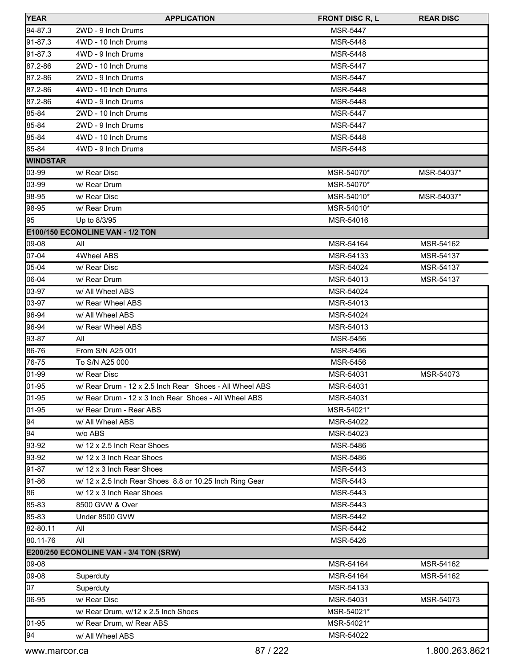| <b>YEAR</b>     | <b>APPLICATION</b>                                      | <b>FRONT DISC R, L</b> | <b>REAR DISC</b> |
|-----------------|---------------------------------------------------------|------------------------|------------------|
| 94-87.3         | 2WD - 9 Inch Drums                                      | <b>MSR-5447</b>        |                  |
| 91-87.3         | 4WD - 10 Inch Drums                                     | <b>MSR-5448</b>        |                  |
| 91-87.3         | 4WD - 9 Inch Drums                                      | MSR-5448               |                  |
| 87.2-86         | 2WD - 10 Inch Drums                                     | <b>MSR-5447</b>        |                  |
| 87.2-86         | 2WD - 9 Inch Drums                                      | <b>MSR-5447</b>        |                  |
| 87.2-86         | 4WD - 10 Inch Drums                                     | <b>MSR-5448</b>        |                  |
| 87.2-86         | 4WD - 9 Inch Drums                                      | <b>MSR-5448</b>        |                  |
| 85-84           | 2WD - 10 Inch Drums                                     | <b>MSR-5447</b>        |                  |
| 85-84           | 2WD - 9 Inch Drums                                      | <b>MSR-5447</b>        |                  |
| 85-84           | 4WD - 10 Inch Drums                                     | <b>MSR-5448</b>        |                  |
| 85-84           | 4WD - 9 Inch Drums                                      | <b>MSR-5448</b>        |                  |
| <b>WINDSTAR</b> |                                                         |                        |                  |
| 03-99           | w/ Rear Disc                                            | MSR-54070*             | MSR-54037*       |
| 03-99           | w/ Rear Drum                                            | MSR-54070*             |                  |
| 98-95           | w/ Rear Disc                                            | MSR-54010*             | MSR-54037*       |
| 98-95           | w/ Rear Drum                                            | MSR-54010*             |                  |
| 195             | Up to 8/3/95                                            | MSR-54016              |                  |
|                 | E100/150 ECONOLINE VAN - 1/2 TON                        |                        |                  |
| $ 09-08 $       | All                                                     | MSR-54164              | MSR-54162        |
| $ 07 - 04 $     | 4Wheel ABS                                              | MSR-54133              | MSR-54137        |
| 05-04           | w/ Rear Disc                                            | MSR-54024              | MSR-54137        |
| 06-04           | w/ Rear Drum                                            | MSR-54013              | MSR-54137        |
| 03-97           | w/ All Wheel ABS                                        | MSR-54024              |                  |
| 03-97           | w/ Rear Wheel ABS                                       | MSR-54013              |                  |
| 196-94          | w/ All Wheel ABS                                        | MSR-54024              |                  |
| 96-94           | w/ Rear Wheel ABS                                       | MSR-54013              |                  |
| 93-87           | All                                                     | <b>MSR-5456</b>        |                  |
| 86-76           | From S/N A25 001                                        | <b>MSR-5456</b>        |                  |
| 76-75           | To S/N A25 000                                          | <b>MSR-5456</b>        |                  |
| 01-99           | w/ Rear Disc                                            | MSR-54031              | MSR-54073        |
| 01-95           | w/ Rear Drum - 12 x 2.5 Inch Rear Shoes - All Wheel ABS | MSR-54031              |                  |
| 01-95           | w/ Rear Drum - 12 x 3 Inch Rear Shoes - All Wheel ABS   | MSR-54031              |                  |
| 01-95           | w/ Rear Drum - Rear ABS                                 | MSR-54021*             |                  |
| 94              | w/ All Wheel ABS                                        | MSR-54022              |                  |
| 94              | w/o ABS                                                 | MSR-54023              |                  |
| 93-92           | w/ 12 x 2.5 Inch Rear Shoes                             | <b>MSR-5486</b>        |                  |
| 93-92           | w/ 12 x 3 Inch Rear Shoes                               | MSR-5486               |                  |
| 91-87           | w/ 12 x 3 Inch Rear Shoes                               | MSR-5443               |                  |
| 91-86           | w/ 12 x 2.5 Inch Rear Shoes 8.8 or 10.25 Inch Ring Gear | MSR-5443               |                  |
| 86              | w/ 12 x 3 Inch Rear Shoes                               | MSR-5443               |                  |
| 85-83           | 8500 GVW & Over                                         | MSR-5443               |                  |
| 85-83           | Under 8500 GVW                                          | MSR-5442               |                  |
| 82-80.11        | All                                                     | MSR-5442               |                  |
| 80.11-76        | All                                                     | MSR-5426               |                  |
|                 | E200/250 ECONOLINE VAN - 3/4 TON (SRW)                  |                        |                  |
| 09-08           |                                                         | MSR-54164              | MSR-54162        |
| 09-08           | Superduty                                               | MSR-54164              | MSR-54162        |
| 07              | Superduty                                               | MSR-54133              |                  |
| 06-95           | w/ Rear Disc                                            | MSR-54031              | MSR-54073        |
|                 | w/ Rear Drum, w/12 x 2.5 Inch Shoes                     | MSR-54021*             |                  |
| 01-95           | w/ Rear Drum, w/ Rear ABS                               | MSR-54021*             |                  |
| 94              | w/ All Wheel ABS                                        | MSR-54022              |                  |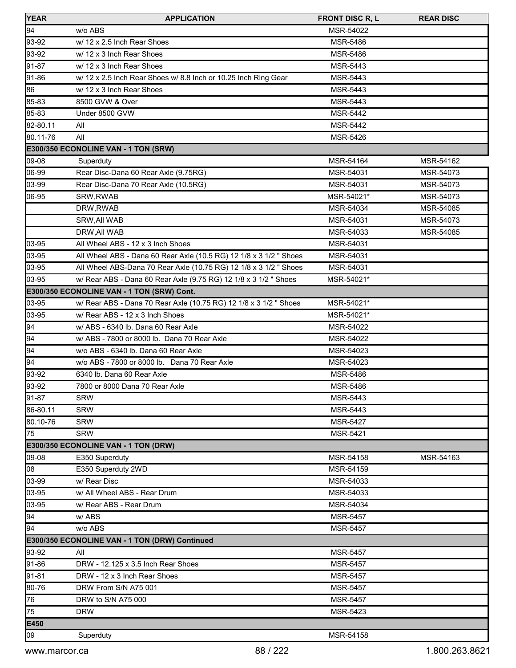| <b>YEAR</b> | <b>APPLICATION</b>                                                 | <b>FRONT DISC R, L</b> | <b>REAR DISC</b> |
|-------------|--------------------------------------------------------------------|------------------------|------------------|
| 94          | w/o ABS                                                            | MSR-54022              |                  |
| 93-92       | w/ 12 x 2.5 Inch Rear Shoes                                        | <b>MSR-5486</b>        |                  |
| 93-92       | w/ 12 x 3 Inch Rear Shoes                                          | MSR-5486               |                  |
| 91-87       | w/ 12 x 3 Inch Rear Shoes                                          | MSR-5443               |                  |
| 91-86       | w/ 12 x 2.5 Inch Rear Shoes w/ 8.8 Inch or 10.25 Inch Ring Gear    | MSR-5443               |                  |
| 86          | w/ 12 x 3 Inch Rear Shoes                                          | <b>MSR-5443</b>        |                  |
| 85-83       | 8500 GVW & Over                                                    | MSR-5443               |                  |
| 85-83       | Under 8500 GVW                                                     | MSR-5442               |                  |
| 82-80.11    | All                                                                | MSR-5442               |                  |
| 80.11-76    | All                                                                | MSR-5426               |                  |
|             | E300/350 ECONOLINE VAN - 1 TON (SRW)                               |                        |                  |
| 09-08       | Superduty                                                          | MSR-54164              | MSR-54162        |
| 06-99       | Rear Disc-Dana 60 Rear Axle (9.75RG)                               | MSR-54031              | MSR-54073        |
| 03-99       | Rear Disc-Dana 70 Rear Axle (10.5RG)                               | MSR-54031              | MSR-54073        |
| 06-95       | SRW, RWAB                                                          | MSR-54021*             | MSR-54073        |
|             | DRW, RWAB                                                          | MSR-54034              | MSR-54085        |
|             | SRW, All WAB                                                       | MSR-54031              | MSR-54073        |
|             | DRW, All WAB                                                       | MSR-54033              | MSR-54085        |
| 03-95       | All Wheel ABS - 12 x 3 Inch Shoes                                  | MSR-54031              |                  |
| 03-95       | All Wheel ABS - Dana 60 Rear Axle (10.5 RG) 12 1/8 x 3 1/2 " Shoes | MSR-54031              |                  |
| 03-95       | All Wheel ABS-Dana 70 Rear Axle (10.75 RG) 12 1/8 x 3 1/2 " Shoes  | MSR-54031              |                  |
| 03-95       | w/ Rear ABS - Dana 60 Rear Axle (9.75 RG) 12 1/8 x 3 1/2 " Shoes   | MSR-54021*             |                  |
|             | E300/350 ECONOLINE VAN - 1 TON (SRW) Cont.                         |                        |                  |
| 03-95       | w/ Rear ABS - Dana 70 Rear Axle (10.75 RG) 12 1/8 x 3 1/2 " Shoes  | MSR-54021*             |                  |
| 03-95       | w/ Rear ABS - 12 x 3 Inch Shoes                                    | MSR-54021*             |                  |
| 94          | w/ ABS - 6340 lb. Dana 60 Rear Axle                                | MSR-54022              |                  |
| 94          | w/ ABS - 7800 or 8000 lb. Dana 70 Rear Axle                        | MSR-54022              |                  |
| 94          | w/o ABS - 6340 lb. Dana 60 Rear Axle                               | MSR-54023              |                  |
| 94          | w/o ABS - 7800 or 8000 lb. Dana 70 Rear Axle                       | MSR-54023              |                  |
| 93-92       | 6340 lb. Dana 60 Rear Axle                                         | <b>MSR-5486</b>        |                  |
| 93-92       | 7800 or 8000 Dana 70 Rear Axle                                     | <b>MSR-5486</b>        |                  |
| 91-87       | <b>SRW</b>                                                         | MSR-5443               |                  |
| 86-80.11    | <b>SRW</b>                                                         | MSR-5443               |                  |
| 80.10-76    | <b>SRW</b>                                                         | <b>MSR-5427</b>        |                  |
| 75          | <b>SRW</b>                                                         | <b>MSR-5421</b>        |                  |
|             | E300/350 ECONOLINE VAN - 1 TON (DRW)                               |                        |                  |
| 09-08       | E350 Superduty                                                     | MSR-54158              | MSR-54163        |
| 08          | E350 Superduty 2WD                                                 | MSR-54159              |                  |
| 03-99       | w/ Rear Disc                                                       | MSR-54033              |                  |
| 03-95       | w/ All Wheel ABS - Rear Drum                                       | MSR-54033              |                  |
| 03-95       | w/ Rear ABS - Rear Drum                                            | MSR-54034              |                  |
| 94          | w/ABS                                                              | MSR-5457               |                  |
| 94          | w/o ABS                                                            | <b>MSR-5457</b>        |                  |
|             | E300/350 ECONOLINE VAN - 1 TON (DRW) Continued                     |                        |                  |
| 93-92       | All                                                                | <b>MSR-5457</b>        |                  |
| 91-86       | DRW - 12.125 x 3.5 Inch Rear Shoes                                 | <b>MSR-5457</b>        |                  |
| 91-81       | DRW - 12 x 3 Inch Rear Shoes                                       | <b>MSR-5457</b>        |                  |
| 80-76       | DRW From S/N A75 001                                               | <b>MSR-5457</b>        |                  |
| 76          | DRW to S/N A75 000                                                 | MSR-5457               |                  |
| 75          | <b>DRW</b>                                                         | MSR-5423               |                  |
| E450        |                                                                    |                        |                  |
| 09          | Superduty                                                          | MSR-54158              |                  |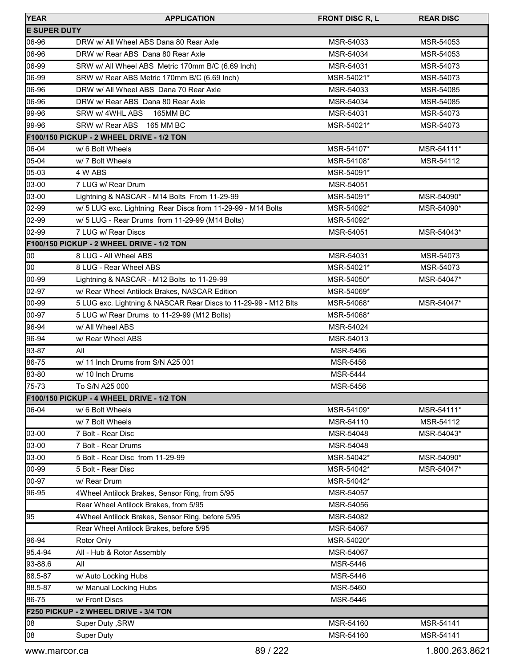| <b>YEAR</b>         | <b>APPLICATION</b>                                              | <b>FRONT DISC R, L</b> | <b>REAR DISC</b> |
|---------------------|-----------------------------------------------------------------|------------------------|------------------|
| <b>E SUPER DUTY</b> |                                                                 |                        |                  |
| 06-96               | DRW w/ All Wheel ABS Dana 80 Rear Axle                          | MSR-54033              | MSR-54053        |
| 06-96               | DRW w/ Rear ABS Dana 80 Rear Axle                               | MSR-54034              | MSR-54053        |
| 06-99               | SRW w/ All Wheel ABS Metric 170mm B/C (6.69 Inch)               | MSR-54031              | MSR-54073        |
| 06-99               | SRW w/ Rear ABS Metric 170mm B/C (6.69 Inch)                    | MSR-54021*             | MSR-54073        |
| 06-96               | DRW w/ All Wheel ABS Dana 70 Rear Axle                          | MSR-54033              | MSR-54085        |
| 06-96               | DRW w/ Rear ABS Dana 80 Rear Axle                               | MSR-54034              | MSR-54085        |
| 99-96               | SRW w/ 4WHL ABS<br><b>165MM BC</b>                              | MSR-54031              | MSR-54073        |
| 99-96               | SRW w/ Rear ABS 165 MM BC                                       | MSR-54021*             | MSR-54073        |
|                     | F100/150 PICKUP - 2 WHEEL DRIVE - 1/2 TON                       |                        |                  |
| 06-04               | w/ 6 Bolt Wheels                                                | MSR-54107*             | MSR-54111*       |
| 05-04               | w/ 7 Bolt Wheels                                                | MSR-54108*             | MSR-54112        |
| 05-03               | 4 W ABS                                                         | MSR-54091*             |                  |
| 03-00               | 7 LUG w/ Rear Drum                                              | MSR-54051              |                  |
| 03-00               | Lightning & NASCAR - M14 Bolts From 11-29-99                    | MSR-54091*             | MSR-54090*       |
| 02-99               | w/ 5 LUG exc. Lightning Rear Discs from 11-29-99 - M14 Bolts    | MSR-54092*             | MSR-54090*       |
| 02-99               | w/ 5 LUG - Rear Drums from 11-29-99 (M14 Bolts)                 | MSR-54092*             |                  |
| 02-99               | 7 LUG w/ Rear Discs                                             | MSR-54051              | MSR-54043*       |
|                     | <b>F100/150 PICKUP - 2 WHEEL DRIVE - 1/2 TON</b>                |                        |                  |
| 00                  | 8 LUG - All Wheel ABS                                           | MSR-54031              | MSR-54073        |
| 00                  | 8 LUG - Rear Wheel ABS                                          | MSR-54021*             | MSR-54073        |
| 00-99               | Lightning & NASCAR - M12 Bolts to 11-29-99                      | MSR-54050*             | MSR-54047*       |
| 02-97               | w/ Rear Wheel Antilock Brakes, NASCAR Edition                   | MSR-54069*             |                  |
| 00-99               | 5 LUG exc. Lightning & NASCAR Rear Discs to 11-29-99 - M12 Blts | MSR-54068*             | MSR-54047*       |
| 00-97               | 5 LUG w/ Rear Drums to 11-29-99 (M12 Bolts)                     | MSR-54068*             |                  |
| 96-94               | w/ All Wheel ABS                                                | MSR-54024              |                  |
| 96-94               | w/ Rear Wheel ABS                                               | MSR-54013              |                  |
| 93-87               | All                                                             | <b>MSR-5456</b>        |                  |
| 86-75               | w/ 11 Inch Drums from S/N A25 001                               | MSR-5456               |                  |
| 83-80               | w/ 10 Inch Drums                                                | <b>MSR-5444</b>        |                  |
| 75-73               | To S/N A25 000                                                  | <b>MSR-5456</b>        |                  |
|                     | F100/150 PICKUP - 4 WHEEL DRIVE - 1/2 TON                       |                        |                  |
| 06-04               | w/ 6 Bolt Wheels                                                | MSR-54109*             | MSR-54111*       |
|                     | w/7 Bolt Wheels                                                 | MSR-54110              | MSR-54112        |
| 03-00               | 7 Bolt - Rear Disc                                              | MSR-54048              | MSR-54043*       |
| 03-00               | 7 Bolt - Rear Drums                                             | MSR-54048              |                  |
| 03-00               | 5 Bolt - Rear Disc from 11-29-99                                | MSR-54042*             | MSR-54090*       |
| 00-99               | 5 Bolt - Rear Disc                                              | MSR-54042*             | MSR-54047*       |
| 00-97               | w/ Rear Drum                                                    | MSR-54042*             |                  |
| 96-95               | 4Wheel Antilock Brakes, Sensor Ring, from 5/95                  | MSR-54057              |                  |
|                     | Rear Wheel Antilock Brakes, from 5/95                           | MSR-54056              |                  |
| 95                  | 4Wheel Antilock Brakes, Sensor Ring, before 5/95                | MSR-54082              |                  |
|                     | Rear Wheel Antilock Brakes, before 5/95                         | MSR-54067              |                  |
| 96-94               | Rotor Only                                                      | MSR-54020*             |                  |
| 95.4-94             | All - Hub & Rotor Assembly                                      | MSR-54067              |                  |
| 93-88.6             | All                                                             | MSR-5446               |                  |
| 88.5-87             | w/ Auto Locking Hubs                                            | MSR-5446               |                  |
| 88.5-87             | w/ Manual Locking Hubs                                          | MSR-5460               |                  |
| 86-75               | w/ Front Discs                                                  | MSR-5446               |                  |
|                     | F250 PICKUP - 2 WHEEL DRIVE - 3/4 TON                           |                        |                  |
| 08                  | Super Duty, SRW                                                 | MSR-54160              | MSR-54141        |
| 08                  | Super Duty                                                      | MSR-54160              | MSR-54141        |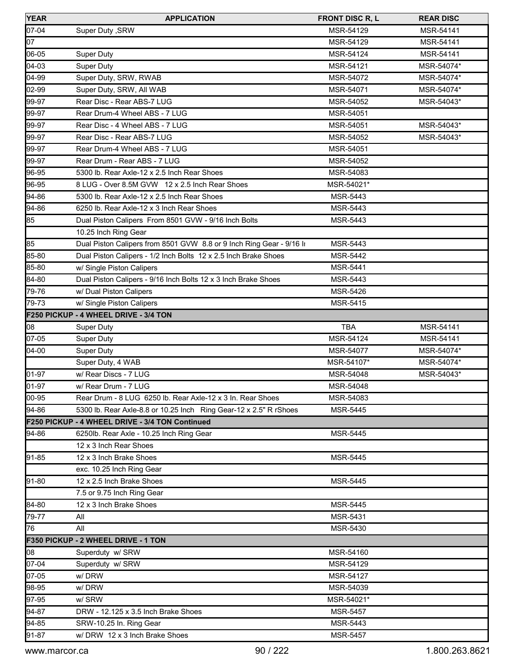| <b>YEAR</b> | <b>APPLICATION</b>                                                   | <b>FRONT DISC R, L</b> | <b>REAR DISC</b> |
|-------------|----------------------------------------------------------------------|------------------------|------------------|
| 07-04       | Super Duty, SRW                                                      | MSR-54129              | MSR-54141        |
| 07          |                                                                      | MSR-54129              | MSR-54141        |
| 06-05       | Super Duty                                                           | MSR-54124              | MSR-54141        |
| 04-03       | Super Duty                                                           | MSR-54121              | MSR-54074*       |
| 04-99       | Super Duty, SRW, RWAB                                                | MSR-54072              | MSR-54074*       |
| 02-99       | Super Duty, SRW, All WAB                                             | MSR-54071              | MSR-54074*       |
| 99-97       | Rear Disc - Rear ABS-7 LUG                                           | MSR-54052              | MSR-54043*       |
| 99-97       | Rear Drum-4 Wheel ABS - 7 LUG                                        | MSR-54051              |                  |
| 99-97       | Rear Disc - 4 Wheel ABS - 7 LUG                                      | MSR-54051              | MSR-54043*       |
| 99-97       | Rear Disc - Rear ABS-7 LUG                                           | MSR-54052              | MSR-54043*       |
| 99-97       | Rear Drum-4 Wheel ABS - 7 LUG                                        | MSR-54051              |                  |
| 99-97       | Rear Drum - Rear ABS - 7 LUG                                         | MSR-54052              |                  |
| 96-95       | 5300 lb. Rear Axle-12 x 2.5 Inch Rear Shoes                          | MSR-54083              |                  |
| 96-95       | 8 LUG - Over 8.5M GVW 12 x 2.5 Inch Rear Shoes                       | MSR-54021*             |                  |
| 94-86       | 5300 lb. Rear Axle-12 x 2.5 Inch Rear Shoes                          | MSR-5443               |                  |
| 94-86       | 6250 lb. Rear Axle-12 x 3 Inch Rear Shoes                            | MSR-5443               |                  |
| 85          | Dual Piston Calipers From 8501 GVW - 9/16 Inch Bolts                 | <b>MSR-5443</b>        |                  |
|             | 10.25 Inch Ring Gear                                                 |                        |                  |
| 85          | Dual Piston Calipers from 8501 GVW 8.8 or 9 Inch Ring Gear - 9/16 lt | MSR-5443               |                  |
| 85-80       | Dual Piston Calipers - 1/2 Inch Bolts 12 x 2.5 Inch Brake Shoes      | MSR-5442               |                  |
| 85-80       | w/ Single Piston Calipers                                            | MSR-5441               |                  |
| 84-80       | Dual Piston Calipers - 9/16 Inch Bolts 12 x 3 Inch Brake Shoes       | MSR-5443               |                  |
| 79-76       | w/ Dual Piston Calipers                                              | MSR-5426               |                  |
| 179-73      | w/ Single Piston Calipers                                            | MSR-5415               |                  |
|             | F250 PICKUP - 4 WHEEL DRIVE - 3/4 TON                                |                        |                  |
| 08          | <b>Super Duty</b>                                                    | <b>TBA</b>             | MSR-54141        |
| 07-05       | Super Duty                                                           | MSR-54124              | MSR-54141        |
| $04-00$     | Super Duty                                                           | MSR-54077              | MSR-54074*       |
|             | Super Duty, 4 WAB                                                    | MSR-54107*             | MSR-54074*       |
| 01-97       | w/ Rear Discs - 7 LUG                                                | MSR-54048              | MSR-54043*       |
| 01-97       | w/ Rear Drum - 7 LUG                                                 | MSR-54048              |                  |
| 00-95       | Rear Drum - 8 LUG 6250 lb. Rear Axle-12 x 3 ln. Rear Shoes           | MSR-54083              |                  |
| 94-86       | 5300 lb. Rear Axle-8.8 or 10.25 lnch Ring Gear-12 x 2.5" R rShoes    | MSR-5445               |                  |
|             | F250 PICKUP - 4 WHEEL DRIVE - 3/4 TON Continued                      |                        |                  |
| 94-86       | 6250lb. Rear Axle - 10.25 Inch Ring Gear                             | <b>MSR-5445</b>        |                  |
|             | 12 x 3 Inch Rear Shoes                                               |                        |                  |
| 91-85       | 12 x 3 Inch Brake Shoes                                              | <b>MSR-5445</b>        |                  |
|             | exc. 10.25 Inch Ring Gear                                            |                        |                  |
| 91-80       | 12 x 2.5 Inch Brake Shoes                                            | MSR-5445               |                  |
|             | 7.5 or 9.75 Inch Ring Gear                                           |                        |                  |
| 84-80       | 12 x 3 Inch Brake Shoes                                              | MSR-5445               |                  |
| 79-77       | All                                                                  | MSR-5431               |                  |
| 176         | All                                                                  | MSR-5430               |                  |
|             | F350 PICKUP - 2 WHEEL DRIVE - 1 TON                                  |                        |                  |
| 08          | Superduty w/ SRW                                                     | MSR-54160              |                  |
| 07-04       | Superduty w/ SRW                                                     | MSR-54129              |                  |
| 07-05       | w/DRW                                                                | MSR-54127              |                  |
| 98-95       | w/DRW                                                                | MSR-54039              |                  |
| 97-95       | w/ SRW                                                               | MSR-54021*             |                  |
| 94-87       | DRW - 12.125 x 3.5 Inch Brake Shoes                                  | MSR-5457               |                  |
| 94-85       | SRW-10.25 In. Ring Gear                                              | MSR-5443               |                  |
| 91-87       | w/DRW 12 x 3 Inch Brake Shoes                                        | MSR-5457               |                  |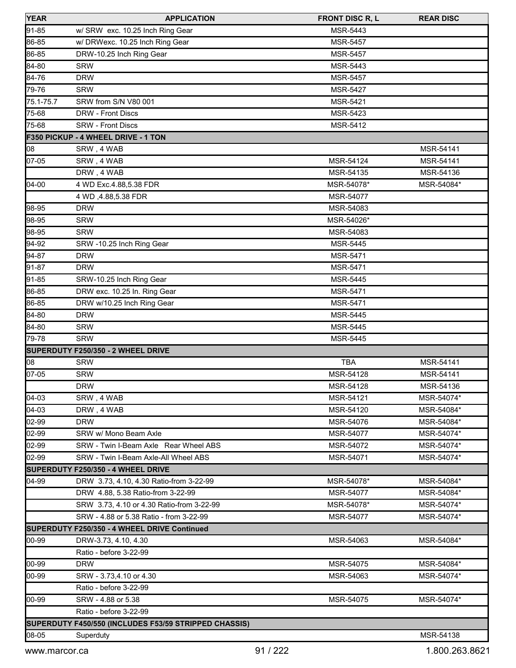| <b>YEAR</b> | <b>APPLICATION</b>                                    | <b>FRONT DISC R, L</b> | <b>REAR DISC</b> |
|-------------|-------------------------------------------------------|------------------------|------------------|
| 91-85       | w/ SRW exc. 10.25 Inch Ring Gear                      | MSR-5443               |                  |
| 86-85       | w/ DRWexc. 10.25 Inch Ring Gear                       | <b>MSR-5457</b>        |                  |
| 86-85       | DRW-10.25 Inch Ring Gear                              | MSR-5457               |                  |
| 84-80       | <b>SRW</b>                                            | <b>MSR-5443</b>        |                  |
| 84-76       | <b>DRW</b>                                            | MSR-5457               |                  |
| 79-76       | <b>SRW</b>                                            | MSR-5427               |                  |
| 75.1-75.7   | SRW from S/N V80 001                                  | <b>MSR-5421</b>        |                  |
| 75-68       | <b>DRW - Front Discs</b>                              | MSR-5423               |                  |
| 75-68       | <b>SRW - Front Discs</b>                              | MSR-5412               |                  |
|             | F350 PICKUP - 4 WHEEL DRIVE - 1 TON                   |                        |                  |
| 08          | SRW, 4 WAB                                            |                        | MSR-54141        |
| 07-05       | SRW, 4 WAB                                            | MSR-54124              | MSR-54141        |
|             | DRW, 4 WAB                                            | MSR-54135              | MSR-54136        |
| 04-00       | 4 WD Exc.4.88,5.38 FDR                                | MSR-54078*             | MSR-54084*       |
|             | 4 WD , 4.88, 5.38 FDR                                 | MSR-54077              |                  |
| 98-95       | <b>DRW</b>                                            | MSR-54083              |                  |
| 98-95       | <b>SRW</b>                                            | MSR-54026*             |                  |
| 98-95       | <b>SRW</b>                                            | MSR-54083              |                  |
| 94-92       | SRW -10.25 Inch Ring Gear                             | <b>MSR-5445</b>        |                  |
| 94-87       | <b>DRW</b>                                            | <b>MSR-5471</b>        |                  |
| 91-87       | <b>DRW</b>                                            | MSR-5471               |                  |
| 91-85       | SRW-10.25 Inch Ring Gear                              | MSR-5445               |                  |
| 86-85       | DRW exc. 10.25 In. Ring Gear                          | <b>MSR-5471</b>        |                  |
| 86-85       | DRW w/10.25 Inch Ring Gear                            | <b>MSR-5471</b>        |                  |
| 84-80       | <b>DRW</b>                                            | MSR-5445               |                  |
| 84-80       | <b>SRW</b>                                            | <b>MSR-5445</b>        |                  |
| 79-78       | <b>SRW</b>                                            | <b>MSR-5445</b>        |                  |
|             | SUPERDUTY F250/350 - 2 WHEEL DRIVE                    |                        |                  |
| $\log$      | <b>SRW</b>                                            | <b>TBA</b>             | MSR-54141        |
| 07-05       | <b>SRW</b>                                            | MSR-54128              | MSR-54141        |
|             | <b>DRW</b>                                            | MSR-54128              | MSR-54136        |
| $104 - 03$  | SRW, 4 WAB                                            | MSR-54121              | MSR-54074*       |
| 04-03       | DRW, 4 WAB                                            | MSR-54120              | MSR-54084*       |
| 02-99       | <b>DRW</b>                                            | MSR-54076              | MSR-54084*       |
| 02-99       | SRW w/ Mono Beam Axle                                 | MSR-54077              | MSR-54074*       |
| 02-99       | SRW - Twin I-Beam Axle Rear Wheel ABS                 | MSR-54072              | MSR-54074*       |
| 02-99       | SRW - Twin I-Beam Axle-All Wheel ABS                  | MSR-54071              | MSR-54074*       |
|             | SUPERDUTY F250/350 - 4 WHEEL DRIVE                    |                        |                  |
| 04-99       | DRW 3.73, 4.10, 4.30 Ratio-from 3-22-99               | MSR-54078*             | MSR-54084*       |
|             | DRW 4.88, 5.38 Ratio-from 3-22-99                     | MSR-54077              | MSR-54084*       |
|             | SRW 3.73, 4.10 or 4.30 Ratio-from 3-22-99             | MSR-54078*             | MSR-54074*       |
|             | SRW - 4.88 or 5.38 Ratio - from 3-22-99               | MSR-54077              | MSR-54074*       |
|             | SUPERDUTY F250/350 - 4 WHEEL DRIVE Continued          |                        |                  |
| 00-99       | DRW-3.73, 4.10, 4.30                                  | MSR-54063              | MSR-54084*       |
|             | Ratio - before 3-22-99                                |                        |                  |
| 00-99       | <b>DRW</b>                                            | MSR-54075              | MSR-54084*       |
| 00-99       | SRW - 3.73,4.10 or 4.30                               | MSR-54063              | MSR-54074*       |
|             | Ratio - before 3-22-99                                |                        |                  |
| 00-99       | SRW - 4.88 or 5.38                                    | MSR-54075              | MSR-54074*       |
|             | Ratio - before 3-22-99                                |                        |                  |
|             | SUPERDUTY F450/550 (INCLUDES F53/59 STRIPPED CHASSIS) |                        |                  |
| 08-05       | Superduty                                             |                        | MSR-54138        |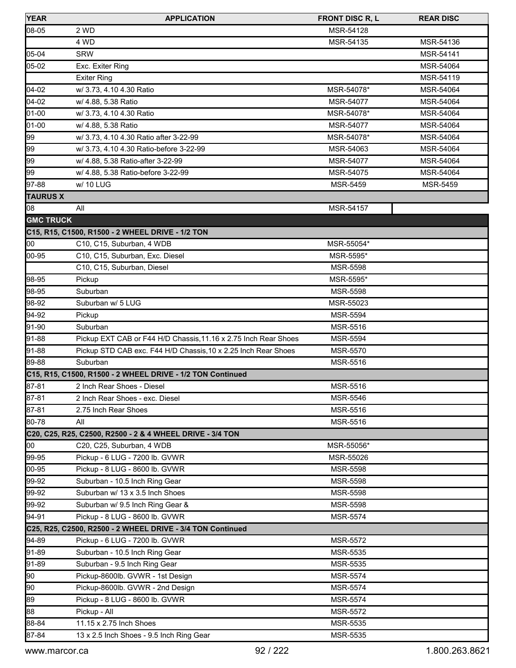| <b>YEAR</b>      | <b>APPLICATION</b>                                              | <b>FRONT DISC R, L</b> | <b>REAR DISC</b> |
|------------------|-----------------------------------------------------------------|------------------------|------------------|
| 08-05            | 2 WD                                                            | MSR-54128              |                  |
|                  | 4 WD                                                            | MSR-54135              | MSR-54136        |
| 05-04            | <b>SRW</b>                                                      |                        | MSR-54141        |
| 05-02            | Exc. Exiter Ring                                                |                        | MSR-54064        |
|                  | <b>Exiter Ring</b>                                              |                        | MSR-54119        |
| 04-02            | w/ 3.73, 4.10 4.30 Ratio                                        | MSR-54078*             | MSR-54064        |
| 04-02            | w/ 4.88, 5.38 Ratio                                             | MSR-54077              | MSR-54064        |
| 01-00            | w/ 3.73, 4.10 4.30 Ratio                                        | MSR-54078*             | MSR-54064        |
| 01-00            | w/ 4.88, 5.38 Ratio                                             | MSR-54077              | MSR-54064        |
| 99               | w/ 3.73, 4.10 4.30 Ratio after 3-22-99                          | MSR-54078*             | MSR-54064        |
| 99               | w/ 3.73, 4.10 4.30 Ratio-before 3-22-99                         | MSR-54063              | MSR-54064        |
| 99               | w/ 4.88, 5.38 Ratio-after 3-22-99                               | MSR-54077              | MSR-54064        |
| 99               | w/ 4.88, 5.38 Ratio-before 3-22-99                              | MSR-54075              | MSR-54064        |
| 97-88            | w/ 10 LUG                                                       | MSR-5459               | MSR-5459         |
| <b>TAURUS X</b>  |                                                                 |                        |                  |
| 08               | All                                                             | MSR-54157              |                  |
| <b>GMC TRUCK</b> |                                                                 |                        |                  |
|                  | C15, R15, C1500, R1500 - 2 WHEEL DRIVE - 1/2 TON                |                        |                  |
| 00               | C10, C15, Suburban, 4 WDB                                       | MSR-55054*             |                  |
| 00-95            | C10, C15, Suburban, Exc. Diesel                                 | MSR-5595*              |                  |
|                  | C10, C15, Suburban, Diesel                                      | <b>MSR-5598</b>        |                  |
| 98-95            | Pickup                                                          | MSR-5595*              |                  |
| 98-95            | Suburban                                                        | <b>MSR-5598</b>        |                  |
| 98-92            | Suburban w/ 5 LUG                                               | MSR-55023              |                  |
| 94-92            | Pickup                                                          | <b>MSR-5594</b>        |                  |
| 91-90            | Suburban                                                        | <b>MSR-5516</b>        |                  |
| 91-88            | Pickup EXT CAB or F44 H/D Chassis, 11.16 x 2.75 Inch Rear Shoes | MSR-5594               |                  |
| 91-88            | Pickup STD CAB exc. F44 H/D Chassis, 10 x 2.25 Inch Rear Shoes  | MSR-5570               |                  |
| 89-88            | Suburban                                                        | <b>MSR-5516</b>        |                  |
|                  | C15, R15, C1500, R1500 - 2 WHEEL DRIVE - 1/2 TON Continued      |                        |                  |
| 87-81            | 2 Inch Rear Shoes - Diesel                                      | MSR-5516               |                  |
| 87-81            | 2 Inch Rear Shoes - exc. Diesel                                 | MSR-5546               |                  |
| 87-81            | 2.75 Inch Rear Shoes                                            | MSR-5516               |                  |
| 80-78            | All                                                             | MSR-5516               |                  |
|                  | C20, C25, R25, C2500, R2500 - 2 & 4 WHEEL DRIVE - 3/4 TON       |                        |                  |
| 00               | C20, C25, Suburban, 4 WDB                                       | MSR-55056*             |                  |
| 99-95            | Pickup - 6 LUG - 7200 lb. GVWR                                  | MSR-55026              |                  |
| 00-95            | Pickup - 8 LUG - 8600 lb. GVWR                                  | <b>MSR-5598</b>        |                  |
| 99-92            | Suburban - 10.5 Inch Ring Gear                                  | <b>MSR-5598</b>        |                  |
| 99-92            | Suburban w/ 13 x 3.5 Inch Shoes                                 | MSR-5598               |                  |
| 99-92            | Suburban w/ 9.5 Inch Ring Gear &                                | <b>MSR-5598</b>        |                  |
| 94-91            | Pickup - 8 LUG - 8600 lb. GVWR                                  | <b>MSR-5574</b>        |                  |
|                  | C25, R25, C2500, R2500 - 2 WHEEL DRIVE - 3/4 TON Continued      |                        |                  |
| 94-89            | Pickup - 6 LUG - 7200 lb. GVWR                                  | MSR-5572               |                  |
| 91-89            | Suburban - 10.5 Inch Ring Gear                                  | MSR-5535               |                  |
| 91-89            | Suburban - 9.5 Inch Ring Gear                                   | MSR-5535               |                  |
| 90               | Pickup-8600lb. GVWR - 1st Design                                | MSR-5574               |                  |
| 90               | Pickup-8600lb. GVWR - 2nd Design                                | <b>MSR-5574</b>        |                  |
| 89               | Pickup - 8 LUG - 8600 lb. GVWR                                  | <b>MSR-5574</b>        |                  |
| 88               | Pickup - All                                                    | MSR-5572               |                  |
| 88-84            | 11.15 x 2.75 Inch Shoes                                         | MSR-5535               |                  |
| 87-84            | 13 x 2.5 Inch Shoes - 9.5 Inch Ring Gear                        | MSR-5535               |                  |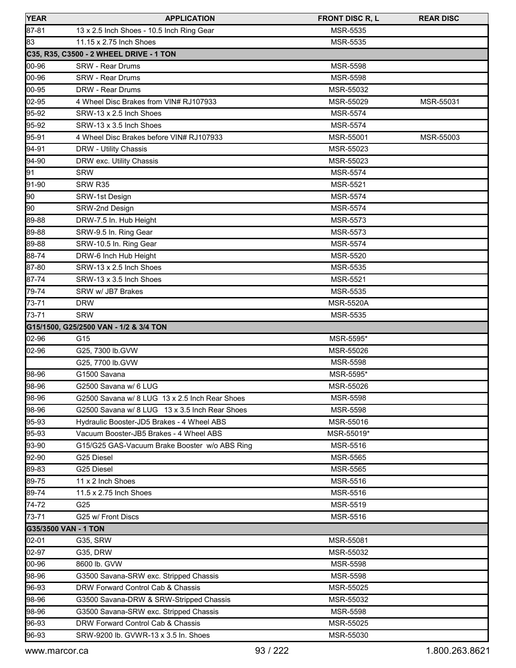| <b>YEAR</b>          | <b>APPLICATION</b>                             | <b>FRONT DISC R, L</b> | <b>REAR DISC</b> |
|----------------------|------------------------------------------------|------------------------|------------------|
| 87-81                | 13 x 2.5 Inch Shoes - 10.5 Inch Ring Gear      | <b>MSR-5535</b>        |                  |
| 83                   | 11.15 x 2.75 Inch Shoes                        | MSR-5535               |                  |
|                      | C35, R35, C3500 - 2 WHEEL DRIVE - 1 TON        |                        |                  |
| 00-96                | <b>SRW - Rear Drums</b>                        | MSR-5598               |                  |
| 00-96                | <b>SRW - Rear Drums</b>                        | <b>MSR-5598</b>        |                  |
| 00-95                | DRW - Rear Drums                               | MSR-55032              |                  |
| 02-95                | 4 Wheel Disc Brakes from VIN# RJ107933         | MSR-55029              | MSR-55031        |
| 95-92                | SRW-13 x 2.5 Inch Shoes                        | <b>MSR-5574</b>        |                  |
| 95-92                | SRW-13 x 3.5 Inch Shoes                        | <b>MSR-5574</b>        |                  |
| 95-91                | 4 Wheel Disc Brakes before VIN# RJ107933       | MSR-55001              | MSR-55003        |
| 94-91                | DRW - Utility Chassis                          | MSR-55023              |                  |
| 94-90                | DRW exc. Utility Chassis                       | MSR-55023              |                  |
| 91                   | <b>SRW</b>                                     | <b>MSR-5574</b>        |                  |
| 91-90                | SRW R35                                        | MSR-5521               |                  |
| 90                   | SRW-1st Design                                 | <b>MSR-5574</b>        |                  |
| 90                   | SRW-2nd Design                                 | <b>MSR-5574</b>        |                  |
| 89-88                | DRW-7.5 In. Hub Height                         | MSR-5573               |                  |
| 89-88                | SRW-9.5 In. Ring Gear                          | <b>MSR-5573</b>        |                  |
| 89-88                | SRW-10.5 In. Ring Gear                         | <b>MSR-5574</b>        |                  |
| 88-74                | DRW-6 Inch Hub Height                          | MSR-5520               |                  |
| 87-80                | SRW-13 x 2.5 Inch Shoes                        | <b>MSR-5535</b>        |                  |
| 87-74                | SRW-13 x 3.5 Inch Shoes                        | MSR-5521               |                  |
| 79-74                | SRW w/ JB7 Brakes                              | MSR-5535               |                  |
| 73-71                | <b>DRW</b>                                     | <b>MSR-5520A</b>       |                  |
| 73-71                | <b>SRW</b>                                     | MSR-5535               |                  |
|                      | G15/1500, G25/2500 VAN - 1/2 & 3/4 TON         |                        |                  |
| 02-96                | G15                                            | MSR-5595*              |                  |
| 02-96                | G25, 7300 lb.GVW                               | MSR-55026              |                  |
|                      | G25, 7700 lb.GVW                               | MSR-5598               |                  |
| 98-96                | G1500 Savana                                   | MSR-5595*              |                  |
| 98-96                | G2500 Savana w/ 6 LUG                          | MSR-55026              |                  |
| 98-96                | G2500 Savana w/ 8 LUG 13 x 2.5 Inch Rear Shoes | MSR-5598               |                  |
| 98-96                | G2500 Savana w/ 8 LUG 13 x 3.5 Inch Rear Shoes | MSR-5598               |                  |
| 95-93                | Hydraulic Booster-JD5 Brakes - 4 Wheel ABS     | MSR-55016              |                  |
| 95-93                | Vacuum Booster-JB5 Brakes - 4 Wheel ABS        | MSR-55019*             |                  |
| 93-90                | G15/G25 GAS-Vacuum Brake Booster w/o ABS Ring  | MSR-5516               |                  |
| 92-90                | G25 Diesel                                     | <b>MSR-5565</b>        |                  |
| 89-83                | G25 Diesel                                     | <b>MSR-5565</b>        |                  |
| 89-75                | 11 x 2 Inch Shoes                              | MSR-5516               |                  |
| 89-74                | 11.5 x 2.75 Inch Shoes                         | MSR-5516               |                  |
| 74-72                | G25                                            | <b>MSR-5519</b>        |                  |
| 73-71                | G25 w/ Front Discs                             | MSR-5516               |                  |
| G35/3500 VAN - 1 TON |                                                |                        |                  |
| 02-01                | <b>G35, SRW</b>                                | MSR-55081              |                  |
| 02-97                | <b>G35, DRW</b>                                | MSR-55032              |                  |
| 00-96                | 8600 lb. GVW                                   | MSR-5598               |                  |
| 98-96                | G3500 Savana-SRW exc. Stripped Chassis         | MSR-5598               |                  |
| 96-93                | DRW Forward Control Cab & Chassis              | MSR-55025              |                  |
| 98-96                | G3500 Savana-DRW & SRW-Stripped Chassis        | MSR-55032              |                  |
| 98-96                | G3500 Savana-SRW exc. Stripped Chassis         | MSR-5598               |                  |
| 96-93                | DRW Forward Control Cab & Chassis              | MSR-55025              |                  |
| 96-93                | SRW-9200 lb. GVWR-13 x 3.5 ln. Shoes           | MSR-55030              |                  |
|                      |                                                |                        |                  |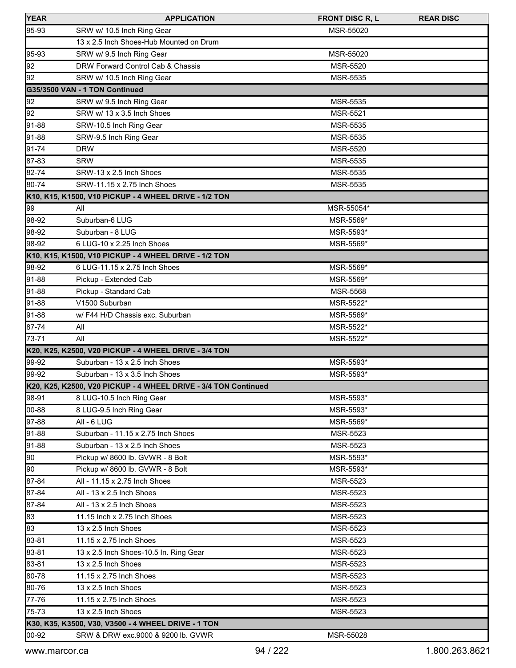| 95-93<br>SRW w/ 10.5 Inch Ring Gear<br>MSR-55020<br>13 x 2.5 Inch Shoes-Hub Mounted on Drum<br>MSR-55020<br>SRW w/ 9.5 Inch Ring Gear<br>92<br>DRW Forward Control Cab & Chassis<br>MSR-5520<br>92<br>SRW w/ 10.5 Inch Ring Gear<br>MSR-5535<br>G35/3500 VAN - 1 TON Continued<br>92<br>SRW w/ 9.5 Inch Ring Gear<br><b>MSR-5535</b><br>92<br>SRW w/ 13 x 3.5 Inch Shoes<br><b>MSR-5521</b><br>SRW-10.5 Inch Ring Gear<br><b>MSR-5535</b><br>MSR-5535<br>SRW-9.5 Inch Ring Gear<br><b>DRW</b><br>MSR-5520<br><b>SRW</b><br>MSR-5535<br>SRW-13 x 2.5 Inch Shoes<br>MSR-5535<br>SRW-11.15 x 2.75 Inch Shoes<br>MSR-5535<br>MSR-55054*<br>99<br>All<br>98-92<br>Suburban-6 LUG<br>MSR-5569*<br>Suburban - 8 LUG<br>MSR-5593*<br>6 LUG-10 x 2.25 Inch Shoes<br>MSR-5569*<br>6 LUG-11.15 x 2.75 Inch Shoes<br>MSR-5569*<br>MSR-5569*<br>Pickup - Extended Cab<br>Pickup - Standard Cab<br>MSR-5568<br>V1500 Suburban<br>MSR-5522*<br>w/ F44 H/D Chassis exc. Suburban<br>MSR-5569*<br>All<br>MSR-5522*<br>All<br>MSR-5522*<br>Suburban - 13 x 2.5 Inch Shoes<br>MSR-5593*<br>MSR-5593*<br>Suburban - 13 x 3.5 Inch Shoes<br>8 LUG-10.5 Inch Ring Gear<br>MSR-5593*<br>00-88<br>MSR-5593*<br>8 LUG-9.5 Inch Ring Gear<br>All - 6 LUG<br>MSR-5569*<br>Suburban - 11.15 x 2.75 Inch Shoes<br>MSR-5523<br>91-88<br>Suburban - 13 x 2.5 Inch Shoes<br>MSR-5523<br>Pickup w/ 8600 lb. GVWR - 8 Bolt<br>90<br>MSR-5593*<br>90<br>Pickup w/ 8600 lb. GVWR - 8 Bolt<br>MSR-5593*<br>87-84<br>All - 11.15 x 2.75 Inch Shoes<br>MSR-5523<br>All - 13 x 2.5 Inch Shoes<br>MSR-5523<br>All - 13 x 2.5 Inch Shoes<br>MSR-5523<br>11.15 Inch x 2.75 Inch Shoes<br>MSR-5523<br>83<br>13 x 2.5 Inch Shoes<br>MSR-5523<br>11.15 x 2.75 Inch Shoes<br>MSR-5523<br>83-81<br>13 x 2.5 Inch Shoes-10.5 In. Ring Gear<br>MSR-5523<br>13 x 2.5 Inch Shoes<br>MSR-5523<br>11.15 x 2.75 Inch Shoes<br><b>MSR-5523</b> | <b>YEAR</b> | <b>APPLICATION</b> | <b>FRONT DISC R, L</b> | <b>REAR DISC</b> |
|----------------------------------------------------------------------------------------------------------------------------------------------------------------------------------------------------------------------------------------------------------------------------------------------------------------------------------------------------------------------------------------------------------------------------------------------------------------------------------------------------------------------------------------------------------------------------------------------------------------------------------------------------------------------------------------------------------------------------------------------------------------------------------------------------------------------------------------------------------------------------------------------------------------------------------------------------------------------------------------------------------------------------------------------------------------------------------------------------------------------------------------------------------------------------------------------------------------------------------------------------------------------------------------------------------------------------------------------------------------------------------------------------------------------------------------------------------------------------------------------------------------------------------------------------------------------------------------------------------------------------------------------------------------------------------------------------------------------------------------------------------------------------------------------------------------------------------------------------------------------------------------|-------------|--------------------|------------------------|------------------|
| 95-93<br>91-88<br>91-88<br>91-74<br>87-83<br>82-74                                                                                                                                                                                                                                                                                                                                                                                                                                                                                                                                                                                                                                                                                                                                                                                                                                                                                                                                                                                                                                                                                                                                                                                                                                                                                                                                                                                                                                                                                                                                                                                                                                                                                                                                                                                                                                     |             |                    |                        |                  |
|                                                                                                                                                                                                                                                                                                                                                                                                                                                                                                                                                                                                                                                                                                                                                                                                                                                                                                                                                                                                                                                                                                                                                                                                                                                                                                                                                                                                                                                                                                                                                                                                                                                                                                                                                                                                                                                                                        |             |                    |                        |                  |
|                                                                                                                                                                                                                                                                                                                                                                                                                                                                                                                                                                                                                                                                                                                                                                                                                                                                                                                                                                                                                                                                                                                                                                                                                                                                                                                                                                                                                                                                                                                                                                                                                                                                                                                                                                                                                                                                                        |             |                    |                        |                  |
|                                                                                                                                                                                                                                                                                                                                                                                                                                                                                                                                                                                                                                                                                                                                                                                                                                                                                                                                                                                                                                                                                                                                                                                                                                                                                                                                                                                                                                                                                                                                                                                                                                                                                                                                                                                                                                                                                        |             |                    |                        |                  |
|                                                                                                                                                                                                                                                                                                                                                                                                                                                                                                                                                                                                                                                                                                                                                                                                                                                                                                                                                                                                                                                                                                                                                                                                                                                                                                                                                                                                                                                                                                                                                                                                                                                                                                                                                                                                                                                                                        |             |                    |                        |                  |
|                                                                                                                                                                                                                                                                                                                                                                                                                                                                                                                                                                                                                                                                                                                                                                                                                                                                                                                                                                                                                                                                                                                                                                                                                                                                                                                                                                                                                                                                                                                                                                                                                                                                                                                                                                                                                                                                                        |             |                    |                        |                  |
|                                                                                                                                                                                                                                                                                                                                                                                                                                                                                                                                                                                                                                                                                                                                                                                                                                                                                                                                                                                                                                                                                                                                                                                                                                                                                                                                                                                                                                                                                                                                                                                                                                                                                                                                                                                                                                                                                        |             |                    |                        |                  |
|                                                                                                                                                                                                                                                                                                                                                                                                                                                                                                                                                                                                                                                                                                                                                                                                                                                                                                                                                                                                                                                                                                                                                                                                                                                                                                                                                                                                                                                                                                                                                                                                                                                                                                                                                                                                                                                                                        |             |                    |                        |                  |
|                                                                                                                                                                                                                                                                                                                                                                                                                                                                                                                                                                                                                                                                                                                                                                                                                                                                                                                                                                                                                                                                                                                                                                                                                                                                                                                                                                                                                                                                                                                                                                                                                                                                                                                                                                                                                                                                                        |             |                    |                        |                  |
|                                                                                                                                                                                                                                                                                                                                                                                                                                                                                                                                                                                                                                                                                                                                                                                                                                                                                                                                                                                                                                                                                                                                                                                                                                                                                                                                                                                                                                                                                                                                                                                                                                                                                                                                                                                                                                                                                        |             |                    |                        |                  |
|                                                                                                                                                                                                                                                                                                                                                                                                                                                                                                                                                                                                                                                                                                                                                                                                                                                                                                                                                                                                                                                                                                                                                                                                                                                                                                                                                                                                                                                                                                                                                                                                                                                                                                                                                                                                                                                                                        |             |                    |                        |                  |
|                                                                                                                                                                                                                                                                                                                                                                                                                                                                                                                                                                                                                                                                                                                                                                                                                                                                                                                                                                                                                                                                                                                                                                                                                                                                                                                                                                                                                                                                                                                                                                                                                                                                                                                                                                                                                                                                                        |             |                    |                        |                  |
| 80-74<br>K10, K15, K1500, V10 PICKUP - 4 WHEEL DRIVE - 1/2 TON<br>98-92<br>98-92<br>K10, K15, K1500, V10 PICKUP - 4 WHEEL DRIVE - 1/2 TON<br>98-92<br>91-88<br>91-88<br>91-88<br>91-88<br>87-74<br>73-71<br>K20, K25, K2500, V20 PICKUP - 4 WHEEL DRIVE - 3/4 TON<br>99-92<br>99-92<br>K20, K25, K2500, V20 PICKUP - 4 WHEEL DRIVE - 3/4 TON Continued<br>98-91<br>97-88<br>91-88<br>87-84<br>87-84<br>83<br>83-81<br>83-81<br>80-78                                                                                                                                                                                                                                                                                                                                                                                                                                                                                                                                                                                                                                                                                                                                                                                                                                                                                                                                                                                                                                                                                                                                                                                                                                                                                                                                                                                                                                                   |             |                    |                        |                  |
|                                                                                                                                                                                                                                                                                                                                                                                                                                                                                                                                                                                                                                                                                                                                                                                                                                                                                                                                                                                                                                                                                                                                                                                                                                                                                                                                                                                                                                                                                                                                                                                                                                                                                                                                                                                                                                                                                        |             |                    |                        |                  |
|                                                                                                                                                                                                                                                                                                                                                                                                                                                                                                                                                                                                                                                                                                                                                                                                                                                                                                                                                                                                                                                                                                                                                                                                                                                                                                                                                                                                                                                                                                                                                                                                                                                                                                                                                                                                                                                                                        |             |                    |                        |                  |
|                                                                                                                                                                                                                                                                                                                                                                                                                                                                                                                                                                                                                                                                                                                                                                                                                                                                                                                                                                                                                                                                                                                                                                                                                                                                                                                                                                                                                                                                                                                                                                                                                                                                                                                                                                                                                                                                                        |             |                    |                        |                  |
|                                                                                                                                                                                                                                                                                                                                                                                                                                                                                                                                                                                                                                                                                                                                                                                                                                                                                                                                                                                                                                                                                                                                                                                                                                                                                                                                                                                                                                                                                                                                                                                                                                                                                                                                                                                                                                                                                        |             |                    |                        |                  |
|                                                                                                                                                                                                                                                                                                                                                                                                                                                                                                                                                                                                                                                                                                                                                                                                                                                                                                                                                                                                                                                                                                                                                                                                                                                                                                                                                                                                                                                                                                                                                                                                                                                                                                                                                                                                                                                                                        |             |                    |                        |                  |
|                                                                                                                                                                                                                                                                                                                                                                                                                                                                                                                                                                                                                                                                                                                                                                                                                                                                                                                                                                                                                                                                                                                                                                                                                                                                                                                                                                                                                                                                                                                                                                                                                                                                                                                                                                                                                                                                                        |             |                    |                        |                  |
|                                                                                                                                                                                                                                                                                                                                                                                                                                                                                                                                                                                                                                                                                                                                                                                                                                                                                                                                                                                                                                                                                                                                                                                                                                                                                                                                                                                                                                                                                                                                                                                                                                                                                                                                                                                                                                                                                        |             |                    |                        |                  |
|                                                                                                                                                                                                                                                                                                                                                                                                                                                                                                                                                                                                                                                                                                                                                                                                                                                                                                                                                                                                                                                                                                                                                                                                                                                                                                                                                                                                                                                                                                                                                                                                                                                                                                                                                                                                                                                                                        |             |                    |                        |                  |
|                                                                                                                                                                                                                                                                                                                                                                                                                                                                                                                                                                                                                                                                                                                                                                                                                                                                                                                                                                                                                                                                                                                                                                                                                                                                                                                                                                                                                                                                                                                                                                                                                                                                                                                                                                                                                                                                                        |             |                    |                        |                  |
|                                                                                                                                                                                                                                                                                                                                                                                                                                                                                                                                                                                                                                                                                                                                                                                                                                                                                                                                                                                                                                                                                                                                                                                                                                                                                                                                                                                                                                                                                                                                                                                                                                                                                                                                                                                                                                                                                        |             |                    |                        |                  |
|                                                                                                                                                                                                                                                                                                                                                                                                                                                                                                                                                                                                                                                                                                                                                                                                                                                                                                                                                                                                                                                                                                                                                                                                                                                                                                                                                                                                                                                                                                                                                                                                                                                                                                                                                                                                                                                                                        |             |                    |                        |                  |
|                                                                                                                                                                                                                                                                                                                                                                                                                                                                                                                                                                                                                                                                                                                                                                                                                                                                                                                                                                                                                                                                                                                                                                                                                                                                                                                                                                                                                                                                                                                                                                                                                                                                                                                                                                                                                                                                                        |             |                    |                        |                  |
|                                                                                                                                                                                                                                                                                                                                                                                                                                                                                                                                                                                                                                                                                                                                                                                                                                                                                                                                                                                                                                                                                                                                                                                                                                                                                                                                                                                                                                                                                                                                                                                                                                                                                                                                                                                                                                                                                        |             |                    |                        |                  |
|                                                                                                                                                                                                                                                                                                                                                                                                                                                                                                                                                                                                                                                                                                                                                                                                                                                                                                                                                                                                                                                                                                                                                                                                                                                                                                                                                                                                                                                                                                                                                                                                                                                                                                                                                                                                                                                                                        |             |                    |                        |                  |
|                                                                                                                                                                                                                                                                                                                                                                                                                                                                                                                                                                                                                                                                                                                                                                                                                                                                                                                                                                                                                                                                                                                                                                                                                                                                                                                                                                                                                                                                                                                                                                                                                                                                                                                                                                                                                                                                                        |             |                    |                        |                  |
|                                                                                                                                                                                                                                                                                                                                                                                                                                                                                                                                                                                                                                                                                                                                                                                                                                                                                                                                                                                                                                                                                                                                                                                                                                                                                                                                                                                                                                                                                                                                                                                                                                                                                                                                                                                                                                                                                        |             |                    |                        |                  |
|                                                                                                                                                                                                                                                                                                                                                                                                                                                                                                                                                                                                                                                                                                                                                                                                                                                                                                                                                                                                                                                                                                                                                                                                                                                                                                                                                                                                                                                                                                                                                                                                                                                                                                                                                                                                                                                                                        |             |                    |                        |                  |
|                                                                                                                                                                                                                                                                                                                                                                                                                                                                                                                                                                                                                                                                                                                                                                                                                                                                                                                                                                                                                                                                                                                                                                                                                                                                                                                                                                                                                                                                                                                                                                                                                                                                                                                                                                                                                                                                                        |             |                    |                        |                  |
|                                                                                                                                                                                                                                                                                                                                                                                                                                                                                                                                                                                                                                                                                                                                                                                                                                                                                                                                                                                                                                                                                                                                                                                                                                                                                                                                                                                                                                                                                                                                                                                                                                                                                                                                                                                                                                                                                        |             |                    |                        |                  |
|                                                                                                                                                                                                                                                                                                                                                                                                                                                                                                                                                                                                                                                                                                                                                                                                                                                                                                                                                                                                                                                                                                                                                                                                                                                                                                                                                                                                                                                                                                                                                                                                                                                                                                                                                                                                                                                                                        |             |                    |                        |                  |
|                                                                                                                                                                                                                                                                                                                                                                                                                                                                                                                                                                                                                                                                                                                                                                                                                                                                                                                                                                                                                                                                                                                                                                                                                                                                                                                                                                                                                                                                                                                                                                                                                                                                                                                                                                                                                                                                                        |             |                    |                        |                  |
|                                                                                                                                                                                                                                                                                                                                                                                                                                                                                                                                                                                                                                                                                                                                                                                                                                                                                                                                                                                                                                                                                                                                                                                                                                                                                                                                                                                                                                                                                                                                                                                                                                                                                                                                                                                                                                                                                        |             |                    |                        |                  |
|                                                                                                                                                                                                                                                                                                                                                                                                                                                                                                                                                                                                                                                                                                                                                                                                                                                                                                                                                                                                                                                                                                                                                                                                                                                                                                                                                                                                                                                                                                                                                                                                                                                                                                                                                                                                                                                                                        |             |                    |                        |                  |
|                                                                                                                                                                                                                                                                                                                                                                                                                                                                                                                                                                                                                                                                                                                                                                                                                                                                                                                                                                                                                                                                                                                                                                                                                                                                                                                                                                                                                                                                                                                                                                                                                                                                                                                                                                                                                                                                                        |             |                    |                        |                  |
|                                                                                                                                                                                                                                                                                                                                                                                                                                                                                                                                                                                                                                                                                                                                                                                                                                                                                                                                                                                                                                                                                                                                                                                                                                                                                                                                                                                                                                                                                                                                                                                                                                                                                                                                                                                                                                                                                        |             |                    |                        |                  |
|                                                                                                                                                                                                                                                                                                                                                                                                                                                                                                                                                                                                                                                                                                                                                                                                                                                                                                                                                                                                                                                                                                                                                                                                                                                                                                                                                                                                                                                                                                                                                                                                                                                                                                                                                                                                                                                                                        |             |                    |                        |                  |
|                                                                                                                                                                                                                                                                                                                                                                                                                                                                                                                                                                                                                                                                                                                                                                                                                                                                                                                                                                                                                                                                                                                                                                                                                                                                                                                                                                                                                                                                                                                                                                                                                                                                                                                                                                                                                                                                                        |             |                    |                        |                  |
|                                                                                                                                                                                                                                                                                                                                                                                                                                                                                                                                                                                                                                                                                                                                                                                                                                                                                                                                                                                                                                                                                                                                                                                                                                                                                                                                                                                                                                                                                                                                                                                                                                                                                                                                                                                                                                                                                        |             |                    |                        |                  |
|                                                                                                                                                                                                                                                                                                                                                                                                                                                                                                                                                                                                                                                                                                                                                                                                                                                                                                                                                                                                                                                                                                                                                                                                                                                                                                                                                                                                                                                                                                                                                                                                                                                                                                                                                                                                                                                                                        |             |                    |                        |                  |
|                                                                                                                                                                                                                                                                                                                                                                                                                                                                                                                                                                                                                                                                                                                                                                                                                                                                                                                                                                                                                                                                                                                                                                                                                                                                                                                                                                                                                                                                                                                                                                                                                                                                                                                                                                                                                                                                                        |             |                    |                        |                  |
|                                                                                                                                                                                                                                                                                                                                                                                                                                                                                                                                                                                                                                                                                                                                                                                                                                                                                                                                                                                                                                                                                                                                                                                                                                                                                                                                                                                                                                                                                                                                                                                                                                                                                                                                                                                                                                                                                        |             |                    |                        |                  |
|                                                                                                                                                                                                                                                                                                                                                                                                                                                                                                                                                                                                                                                                                                                                                                                                                                                                                                                                                                                                                                                                                                                                                                                                                                                                                                                                                                                                                                                                                                                                                                                                                                                                                                                                                                                                                                                                                        |             |                    |                        |                  |
|                                                                                                                                                                                                                                                                                                                                                                                                                                                                                                                                                                                                                                                                                                                                                                                                                                                                                                                                                                                                                                                                                                                                                                                                                                                                                                                                                                                                                                                                                                                                                                                                                                                                                                                                                                                                                                                                                        |             |                    |                        |                  |
|                                                                                                                                                                                                                                                                                                                                                                                                                                                                                                                                                                                                                                                                                                                                                                                                                                                                                                                                                                                                                                                                                                                                                                                                                                                                                                                                                                                                                                                                                                                                                                                                                                                                                                                                                                                                                                                                                        |             |                    |                        |                  |
| 80-76<br>13 x 2.5 Inch Shoes<br>MSR-5523                                                                                                                                                                                                                                                                                                                                                                                                                                                                                                                                                                                                                                                                                                                                                                                                                                                                                                                                                                                                                                                                                                                                                                                                                                                                                                                                                                                                                                                                                                                                                                                                                                                                                                                                                                                                                                               |             |                    |                        |                  |
| 77-76<br>11.15 x 2.75 Inch Shoes<br>MSR-5523                                                                                                                                                                                                                                                                                                                                                                                                                                                                                                                                                                                                                                                                                                                                                                                                                                                                                                                                                                                                                                                                                                                                                                                                                                                                                                                                                                                                                                                                                                                                                                                                                                                                                                                                                                                                                                           |             |                    |                        |                  |
| 75-73<br>13 x 2.5 Inch Shoes<br><b>MSR-5523</b>                                                                                                                                                                                                                                                                                                                                                                                                                                                                                                                                                                                                                                                                                                                                                                                                                                                                                                                                                                                                                                                                                                                                                                                                                                                                                                                                                                                                                                                                                                                                                                                                                                                                                                                                                                                                                                        |             |                    |                        |                  |
| K30, K35, K3500, V30, V3500 - 4 WHEEL DRIVE - 1 TON                                                                                                                                                                                                                                                                                                                                                                                                                                                                                                                                                                                                                                                                                                                                                                                                                                                                                                                                                                                                                                                                                                                                                                                                                                                                                                                                                                                                                                                                                                                                                                                                                                                                                                                                                                                                                                    |             |                    |                        |                  |
| 00-92<br>SRW & DRW exc.9000 & 9200 lb. GVWR<br>MSR-55028                                                                                                                                                                                                                                                                                                                                                                                                                                                                                                                                                                                                                                                                                                                                                                                                                                                                                                                                                                                                                                                                                                                                                                                                                                                                                                                                                                                                                                                                                                                                                                                                                                                                                                                                                                                                                               |             |                    |                        |                  |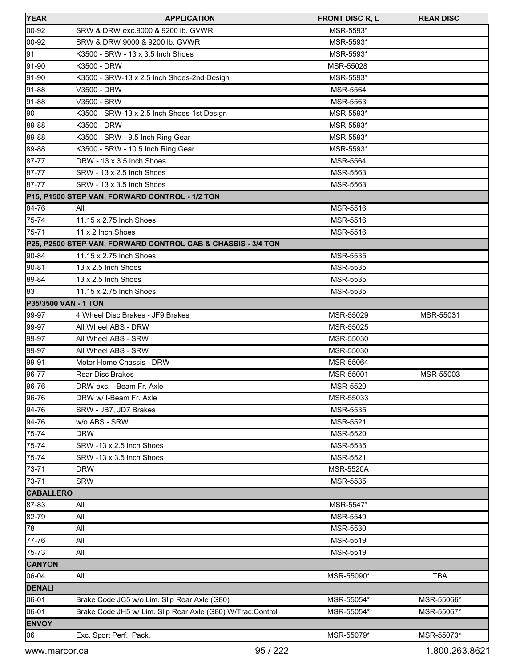| <b>YEAR</b>          | <b>APPLICATION</b>                                           | <b>FRONT DISC R, L</b> | <b>REAR DISC</b> |
|----------------------|--------------------------------------------------------------|------------------------|------------------|
| 00-92                | SRW & DRW exc.9000 & 9200 lb. GVWR                           | MSR-5593*              |                  |
| 00-92                | SRW & DRW 9000 & 9200 lb. GVWR                               | MSR-5593*              |                  |
| 91                   | K3500 - SRW - 13 x 3.5 Inch Shoes                            | MSR-5593*              |                  |
| 91-90                | K3500 - DRW                                                  | MSR-55028              |                  |
| 91-90                | K3500 - SRW-13 x 2.5 Inch Shoes-2nd Design                   | MSR-5593*              |                  |
| 91-88                | V3500 - DRW                                                  | MSR-5564               |                  |
| 91-88                | V3500 - SRW                                                  | MSR-5563               |                  |
| 90                   | K3500 - SRW-13 x 2.5 Inch Shoes-1st Design                   | MSR-5593*              |                  |
| 89-88                | K3500 - DRW                                                  | MSR-5593*              |                  |
| 89-88                | K3500 - SRW - 9.5 Inch Ring Gear                             | MSR-5593*              |                  |
| 89-88                | K3500 - SRW - 10.5 Inch Ring Gear                            | MSR-5593*              |                  |
| 87-77                | DRW - 13 x 3.5 Inch Shoes                                    | MSR-5564               |                  |
| 87-77                | SRW - 13 x 2.5 Inch Shoes                                    | MSR-5563               |                  |
| 87-77                | SRW - 13 x 3.5 Inch Shoes                                    | MSR-5563               |                  |
|                      | P15, P1500 STEP VAN, FORWARD CONTROL - 1/2 TON               |                        |                  |
| 84-76                | All                                                          | MSR-5516               |                  |
| 75-74                | 11.15 x 2.75 Inch Shoes                                      | MSR-5516               |                  |
| 75-71                | 11 x 2 Inch Shoes                                            | <b>MSR-5516</b>        |                  |
|                      | P25, P2500 STEP VAN, FORWARD CONTROL CAB & CHASSIS - 3/4 TON |                        |                  |
| 90-84                | 11.15 x 2.75 Inch Shoes                                      | MSR-5535               |                  |
| 90-81                | 13 x 2.5 Inch Shoes                                          | <b>MSR-5535</b>        |                  |
| 89-84                | 13 x 2.5 Inch Shoes                                          | MSR-5535               |                  |
| 83                   | 11.15 x 2.75 Inch Shoes                                      | MSR-5535               |                  |
| P35/3500 VAN - 1 TON |                                                              |                        |                  |
| 99-97                | 4 Wheel Disc Brakes - JF9 Brakes                             | MSR-55029              | MSR-55031        |
| 99-97                | All Wheel ABS - DRW                                          | MSR-55025              |                  |
| 99-97                | All Wheel ABS - SRW                                          | MSR-55030              |                  |
| 99-97                | All Wheel ABS - SRW                                          | MSR-55030              |                  |
| 99-91                | Motor Home Chassis - DRW                                     | MSR-55064              |                  |
| 96-77                | Rear Disc Brakes                                             | MSR-55001              | MSR-55003        |
| 96-76                | DRW exc. I-Beam Fr. Axle                                     | <b>MSR-5520</b>        |                  |
| 96-76                | DRW w/ I-Beam Fr. Axle                                       | MSR-55033              |                  |
| 94-76                | SRW - JB7, JD7 Brakes                                        | MSR-5535               |                  |
| 94-76                | w/o ABS - SRW                                                | MSR-5521               |                  |
| 75-74                | <b>DRW</b>                                                   | MSR-5520               |                  |
| 75-74                | SRW -13 x 2.5 Inch Shoes                                     | MSR-5535               |                  |
| 75-74                | SRW -13 x 3.5 Inch Shoes                                     | <b>MSR-5521</b>        |                  |
| 73-71                | <b>DRW</b>                                                   | <b>MSR-5520A</b>       |                  |
| 73-71                | <b>SRW</b>                                                   | MSR-5535               |                  |
| <b>CABALLERO</b>     |                                                              |                        |                  |
| 87-83                | All                                                          | MSR-5547*              |                  |
| 82-79                | All                                                          | MSR-5549               |                  |
| 78                   | All                                                          | MSR-5530               |                  |
| 77-76                | All                                                          | MSR-5519               |                  |
| 75-73                | aii                                                          | MSR-5519               |                  |
| <b>CANYON</b>        |                                                              |                        |                  |
| 06-04                | All                                                          | MSR-55090*             | <b>TBA</b>       |
| DENALI               |                                                              |                        |                  |
| 06-01                | Brake Code JC5 w/o Lim. Slip Rear Axle (G80)                 | MSR-55054*             | MSR-55066*       |
| 06-01                | Brake Code JH5 w/ Lim. Slip Rear Axle (G80) W/Trac.Control   | MSR-55054*             | MSR-55067*       |
| <b>ENVOY</b>         |                                                              |                        |                  |
| 06                   | Exc. Sport Perf. Pack.                                       | MSR-55079*             | MSR-55073*       |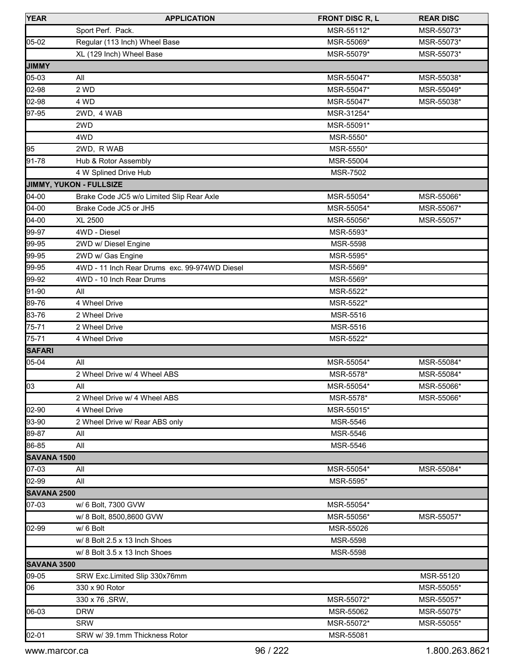| <b>YEAR</b>        | <b>APPLICATION</b>                            | <b>FRONT DISC R, L</b> | <b>REAR DISC</b> |
|--------------------|-----------------------------------------------|------------------------|------------------|
|                    | Sport Perf. Pack.                             | MSR-55112*             | MSR-55073*       |
| $ 05-02 $          | Regular (113 Inch) Wheel Base                 | MSR-55069*             | MSR-55073*       |
|                    | XL (129 Inch) Wheel Base                      | MSR-55079*             | MSR-55073*       |
| <b>JIMMY</b>       |                                               |                        |                  |
| 05-03              | All                                           | MSR-55047*             | MSR-55038*       |
| 02-98              | 2 WD                                          | MSR-55047*             | MSR-55049*       |
| 02-98              | 4 WD                                          | MSR-55047*             | MSR-55038*       |
| 97-95              | 2WD, 4 WAB                                    | MSR-31254*             |                  |
|                    | 2WD                                           | MSR-55091*             |                  |
|                    | 4WD                                           | MSR-5550*              |                  |
| 95                 | 2WD, R WAB                                    | MSR-5550*              |                  |
| 91-78              | Hub & Rotor Assembly                          | MSR-55004              |                  |
|                    | 4 W Splined Drive Hub                         | <b>MSR-7502</b>        |                  |
|                    | JIMMY, YUKON - FULLSIZE                       |                        |                  |
| 04-00              | Brake Code JC5 w/o Limited Slip Rear Axle     | MSR-55054*             | MSR-55066*       |
| $04-00$            | Brake Code JC5 or JH5                         | MSR-55054*             | MSR-55067*       |
| $04-00$            | <b>XL 2500</b>                                | MSR-55056*             | MSR-55057*       |
| 99-97              | 4WD - Diesel                                  | MSR-5593*              |                  |
| 99-95              | 2WD w/ Diesel Engine                          | <b>MSR-5598</b>        |                  |
| 99-95              | 2WD w/ Gas Engine                             | MSR-5595*              |                  |
| 99-95              | 4WD - 11 Inch Rear Drums exc. 99-974WD Diesel | MSR-5569*              |                  |
| 99-92              | 4WD - 10 Inch Rear Drums                      | MSR-5569*              |                  |
| 91-90              | All                                           | MSR-5522*              |                  |
| 89-76              | 4 Wheel Drive                                 | MSR-5522*              |                  |
| 83-76              | 2 Wheel Drive                                 | MSR-5516               |                  |
| 75-71              | 2 Wheel Drive                                 | MSR-5516               |                  |
| 75-71              | 4 Wheel Drive                                 | MSR-5522*              |                  |
| <b>SAFARI</b>      |                                               |                        |                  |
| 05-04              | All                                           | MSR-55054*             | MSR-55084*       |
|                    | 2 Wheel Drive w/ 4 Wheel ABS                  | MSR-5578*              | MSR-55084*       |
| 03                 | All                                           | MSR-55054*             | MSR-55066*       |
|                    | 2 Wheel Drive w/ 4 Wheel ABS                  | MSR-5578*              | MSR-55066*       |
| 02-90              | 4 Wheel Drive                                 | MSR-55015*             |                  |
| 93-90              | 2 Wheel Drive w/ Rear ABS only                | <b>MSR-5546</b>        |                  |
| 89-87              | All                                           | <b>MSR-5546</b>        |                  |
| 86-85              | All                                           | MSR-5546               |                  |
| <b>SAVANA 1500</b> |                                               |                        |                  |
| 07-03              | All                                           | MSR-55054*             | MSR-55084*       |
| 02-99              | All                                           | MSR-5595*              |                  |
| <b>SAVANA 2500</b> |                                               |                        |                  |
| 07-03              | w/ 6 Bolt, 7300 GVW                           | MSR-55054*             |                  |
|                    | w/ 8 Bolt, 8500,8600 GVW                      | MSR-55056*             | MSR-55057*       |
| 02-99              | w/ 6 Bolt                                     | MSR-55026              |                  |
|                    | w/ 8 Bolt 2.5 x 13 Inch Shoes                 | <b>MSR-5598</b>        |                  |
|                    | w/ 8 Bolt 3.5 x 13 Inch Shoes                 | MSR-5598               |                  |
| <b>SAVANA 3500</b> |                                               |                        |                  |
| 09-05              | SRW Exc.Limited Slip 330x76mm                 |                        | MSR-55120        |
| 106                | 330 x 90 Rotor                                |                        | MSR-55055*       |
|                    | 330 x 76, SRW,                                | MSR-55072*             | MSR-55057*       |
| 06-03              | <b>DRW</b>                                    | MSR-55062              | MSR-55075*       |
|                    | <b>SRW</b>                                    | MSR-55072*             | MSR-55055*       |
| 02-01              | SRW w/ 39.1mm Thickness Rotor                 | MSR-55081              |                  |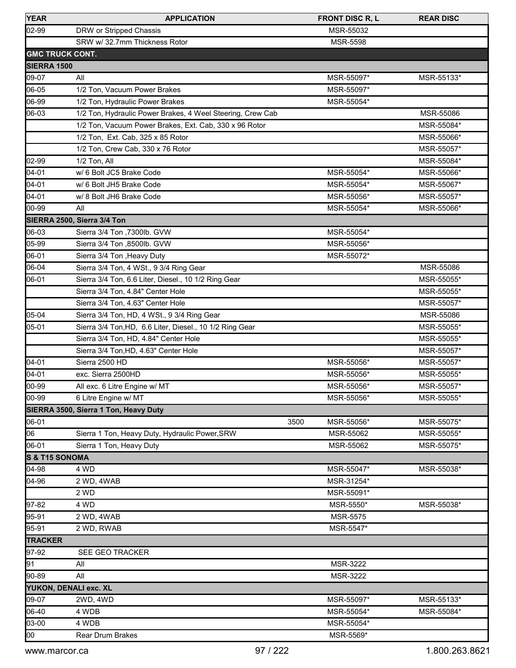| <b>YEAR</b>               | <b>APPLICATION</b>                                         | <b>FRONT DISC R, L</b> | <b>REAR DISC</b> |
|---------------------------|------------------------------------------------------------|------------------------|------------------|
| 02-99                     | DRW or Stripped Chassis                                    | MSR-55032              |                  |
|                           | SRW w/ 32.7mm Thickness Rotor                              | <b>MSR-5598</b>        |                  |
|                           | <b>GMC TRUCK CONT.</b>                                     |                        |                  |
| <b>ISIERRA 1500</b>       |                                                            |                        |                  |
| 09-07                     | All                                                        | MSR-55097*             | MSR-55133*       |
| 06-05                     | 1/2 Ton, Vacuum Power Brakes                               | MSR-55097*             |                  |
| 06-99                     | 1/2 Ton, Hydraulic Power Brakes                            | MSR-55054*             |                  |
| 06-03                     | 1/2 Ton, Hydraulic Power Brakes, 4 Weel Steering, Crew Cab |                        | MSR-55086        |
|                           | 1/2 Ton, Vacuum Power Brakes, Ext. Cab, 330 x 96 Rotor     |                        | MSR-55084*       |
|                           | 1/2 Ton, Ext. Cab, 325 x 85 Rotor                          |                        | MSR-55066*       |
|                           | 1/2 Ton, Crew Cab, 330 x 76 Rotor                          |                        | MSR-55057*       |
| 02-99                     | 1/2 Ton, All                                               |                        | MSR-55084*       |
| 04-01                     | w/ 6 Bolt JC5 Brake Code                                   | MSR-55054*             | MSR-55066*       |
| 04-01                     | w/ 6 Bolt JH5 Brake Code                                   | MSR-55054*             | MSR-55067*       |
| 04-01                     | w/ 8 Bolt JH6 Brake Code                                   | MSR-55056*             | MSR-55057*       |
| 00-99                     | All                                                        | MSR-55054*             | MSR-55066*       |
|                           | SIERRA 2500, Sierra 3/4 Ton                                |                        |                  |
| 06-03                     | Sierra 3/4 Ton , 7300lb. GVW                               | MSR-55054*             |                  |
| 05-99                     | Sierra 3/4 Ton ,8500lb. GVW                                | MSR-55056*             |                  |
| 06-01                     | Sierra 3/4 Ton , Heavy Duty                                | MSR-55072*             |                  |
| 06-04                     | Sierra 3/4 Ton, 4 WSt., 9 3/4 Ring Gear                    |                        | MSR-55086        |
| 06-01                     | Sierra 3/4 Ton, 6.6 Liter, Diesel., 10 1/2 Ring Gear       |                        | MSR-55055*       |
|                           | Sierra 3/4 Ton, 4.84" Center Hole                          |                        | MSR-55055*       |
|                           | Sierra 3/4 Ton, 4.63" Center Hole                          |                        | MSR-55057*       |
| 05-04                     | Sierra 3/4 Ton, HD, 4 WSt., 9 3/4 Ring Gear                |                        | MSR-55086        |
| 05-01                     | Sierra 3/4 Ton, HD, 6.6 Liter, Diesel., 10 1/2 Ring Gear   |                        | MSR-55055*       |
|                           | Sierra 3/4 Ton, HD, 4.84" Center Hole                      |                        | MSR-55055*       |
|                           | Sierra 3/4 Ton, HD, 4.63" Center Hole                      |                        | MSR-55057*       |
| 04-01                     | Sierra 2500 HD                                             | MSR-55056*             | MSR-55057*       |
| 04-01                     | exc. Sierra 2500HD                                         | MSR-55056*             | MSR-55055*       |
| 00-99                     | All exc. 6 Litre Engine w/ MT                              | MSR-55056*             | MSR-55057*       |
| 00-99                     | 6 Litre Engine w/ MT                                       | MSR-55056*             | MSR-55055*       |
|                           | SIERRA 3500, Sierra 1 Ton, Heavy Duty                      |                        |                  |
| 06-01                     |                                                            | 3500<br>MSR-55056*     | MSR-55075*       |
| 06                        | Sierra 1 Ton, Heavy Duty, Hydraulic Power, SRW             | MSR-55062              | MSR-55055*       |
| 06-01                     | Sierra 1 Ton, Heavy Duty                                   | MSR-55062              | MSR-55075*       |
| <b>S &amp; T15 SONOMA</b> |                                                            |                        |                  |
| 04-98                     | 4 WD                                                       | MSR-55047*             | MSR-55038*       |
| 04-96                     | 2 WD, 4WAB                                                 | MSR-31254*             |                  |
|                           | 2 WD                                                       | MSR-55091*             |                  |
| 97-82                     | 4 WD                                                       | MSR-5550*              | MSR-55038*       |
| 95-91                     | 2 WD, 4WAB                                                 | MSR-5575               |                  |
| 95-91                     | 2 WD, RWAB                                                 | MSR-5547*              |                  |
| <b>TRACKER</b>            |                                                            |                        |                  |
| 97-92                     | SEE GEO TRACKER                                            |                        |                  |
| 91                        | All                                                        | MSR-3222               |                  |
| 90-89                     | All                                                        | MSR-3222               |                  |
|                           | YUKON, DENALI exc. XL                                      |                        |                  |
| 09-07                     | 2WD, 4WD                                                   | MSR-55097*             | MSR-55133*       |
| 06-40                     | 4 WDB                                                      | MSR-55054*             | MSR-55084*       |
| 03-00                     | 4 WDB                                                      | MSR-55054*             |                  |
| loo                       | Rear Drum Brakes                                           | MSR-5569*              |                  |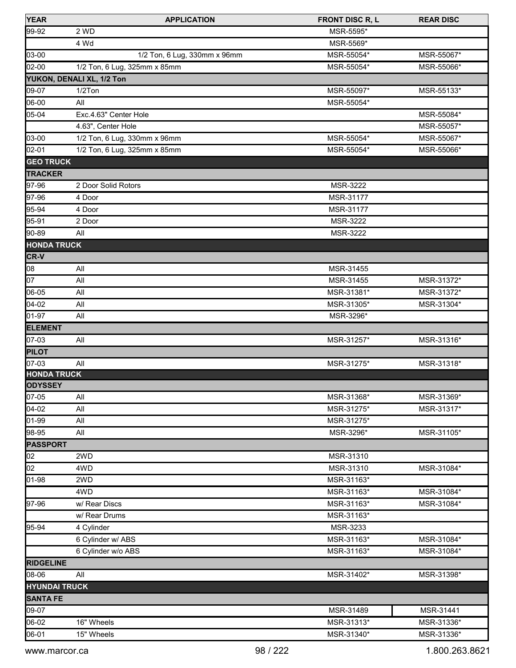| <b>YEAR</b>          | <b>APPLICATION</b>           | <b>FRONT DISC R, L</b> | <b>REAR DISC</b> |
|----------------------|------------------------------|------------------------|------------------|
| 99-92                | 2 WD                         | MSR-5595*              |                  |
|                      | 4 Wd                         | MSR-5569*              |                  |
| 03-00                | 1/2 Ton, 6 Lug, 330mm x 96mm | MSR-55054*             | MSR-55067*       |
| 02-00                | 1/2 Ton, 6 Lug, 325mm x 85mm | MSR-55054*             | MSR-55066*       |
|                      | YUKON, DENALI XL, 1/2 Ton    |                        |                  |
| 09-07                | 1/2Ton                       | MSR-55097*             | MSR-55133*       |
| 06-00                | All                          | MSR-55054*             |                  |
| 05-04                | Exc.4.63" Center Hole        |                        | MSR-55084*       |
|                      | 4.63", Center Hole           |                        | MSR-55057*       |
| 03-00                | 1/2 Ton, 6 Lug, 330mm x 96mm | MSR-55054*             | MSR-55067*       |
| 02-01                | 1/2 Ton, 6 Lug, 325mm x 85mm | MSR-55054*             | MSR-55066*       |
| <b>GEO TRUCK</b>     |                              |                        |                  |
| <b>TRACKER</b>       |                              |                        |                  |
| 97-96                | 2 Door Solid Rotors          | MSR-3222               |                  |
| 97-96                | 4 Door                       | MSR-31177              |                  |
| 95-94                | 4 Door                       | MSR-31177              |                  |
| 95-91                | 2 Door                       | <b>MSR-3222</b>        |                  |
| 90-89                | All                          | MSR-3222               |                  |
| <b>HONDA TRUCK</b>   |                              |                        |                  |
| <b>CR-V</b>          |                              |                        |                  |
| 08                   | All                          | MSR-31455              |                  |
| 07                   | All                          | MSR-31455              | MSR-31372*       |
| 06-05                | All                          | MSR-31381*             | MSR-31372*       |
| 04-02                | All                          | MSR-31305*             | MSR-31304*       |
| 01-97                | All                          | MSR-3296*              |                  |
| <b>ELEMENT</b>       |                              |                        |                  |
| 07-03                | All                          | MSR-31257*             | MSR-31316*       |
| <b>PILOT</b>         |                              |                        |                  |
| 07-03                | All                          | MSR-31275*             | MSR-31318*       |
| <b>HONDA TRUCK</b>   |                              |                        |                  |
| <b>ODYSSEY</b>       |                              |                        |                  |
| $ 07-05 $            | All                          | MSR-31368*             | MSR-31369*       |
| 04-02                | All                          | MSR-31275*             | MSR-31317*       |
| 01-99                | All                          | MSR-31275*             |                  |
| 98-95                | All                          | MSR-3296*              | MSR-31105*       |
| <b>PASSPORT</b>      |                              |                        |                  |
| 02                   | 2WD                          | MSR-31310              |                  |
| 02                   | 4WD                          | MSR-31310              | MSR-31084*       |
| 01-98                | 2WD                          | MSR-31163*             |                  |
|                      | 4WD                          | MSR-31163*             | MSR-31084*       |
| 97-96                | w/ Rear Discs                | MSR-31163*             | MSR-31084*       |
|                      | w/ Rear Drums                | MSR-31163*             |                  |
| 95-94                | 4 Cylinder                   | MSR-3233               |                  |
|                      | 6 Cylinder w/ ABS            | MSR-31163*             | MSR-31084*       |
|                      | 6 Cylinder w/o ABS           | MSR-31163*             | MSR-31084*       |
| <b>RIDGELINE</b>     |                              |                        |                  |
| 08-06                | All                          | MSR-31402*             | MSR-31398*       |
| <b>HYUNDAI TRUCK</b> |                              |                        |                  |
| <b>SANTA FE</b>      |                              |                        |                  |
| 09-07                |                              | MSR-31489              | MSR-31441        |
| 06-02                |                              | MSR-31313*             |                  |
|                      | 16" Wheels                   |                        | MSR-31336*       |
| 06-01                | 15" Wheels                   | MSR-31340*             | MSR-31336*       |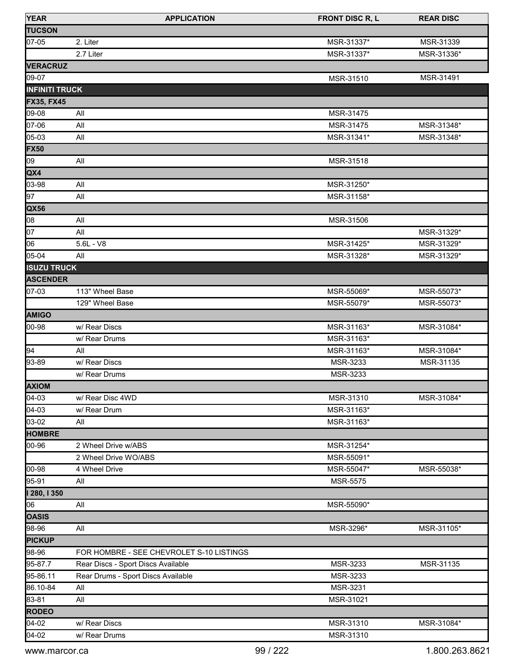| <b>YEAR</b>           | <b>APPLICATION</b>                       | <b>FRONT DISC R, L</b> | <b>REAR DISC</b> |
|-----------------------|------------------------------------------|------------------------|------------------|
| <b>TUCSON</b>         |                                          |                        |                  |
| 07-05                 | 2. Liter                                 | MSR-31337*             | MSR-31339        |
|                       | 2.7 Liter                                | MSR-31337*             | MSR-31336*       |
| <b>VERACRUZ</b>       |                                          |                        |                  |
| 09-07                 |                                          | MSR-31510              | MSR-31491        |
| <b>INFINITI TRUCK</b> |                                          |                        |                  |
| <b>FX35, FX45</b>     |                                          |                        |                  |
| 09-08                 | All                                      | MSR-31475              |                  |
| 07-06                 | All                                      | MSR-31475              | MSR-31348*       |
| 05-03                 | All                                      | MSR-31341*             | MSR-31348*       |
| <b>FX50</b>           |                                          |                        |                  |
| 09                    | All                                      | MSR-31518              |                  |
| QX4                   |                                          |                        |                  |
| 03-98                 | All                                      | MSR-31250*             |                  |
| 97                    | All                                      | MSR-31158*             |                  |
| QX56                  |                                          |                        |                  |
| 08                    | All                                      | MSR-31506              |                  |
| 07                    | All                                      |                        | MSR-31329*       |
| 06                    | $5.6L - V8$                              | MSR-31425*             | MSR-31329*       |
| 05-04                 | All                                      | MSR-31328*             | MSR-31329*       |
| <b>ISUZU TRUCK</b>    |                                          |                        |                  |
| <b>ASCENDER</b>       |                                          |                        |                  |
| 07-03                 | 113" Wheel Base                          | MSR-55069*             | MSR-55073*       |
|                       | 129" Wheel Base                          | MSR-55079*             | MSR-55073*       |
| <b>AMIGO</b>          |                                          |                        |                  |
| 00-98                 | w/ Rear Discs                            | MSR-31163*             | MSR-31084*       |
|                       | w/ Rear Drums                            | MSR-31163*             |                  |
| 94                    | All                                      | MSR-31163*             | MSR-31084*       |
| 93-89                 | w/ Rear Discs                            | MSR-3233               | MSR-31135        |
|                       | w/ Rear Drums                            | MSR-3233               |                  |
| <b>AXIOM</b>          |                                          |                        |                  |
| 04-03                 | w/ Rear Disc 4WD                         | MSR-31310              | MSR-31084*       |
| 04-03                 | w/ Rear Drum                             | MSR-31163*             |                  |
| 03-02                 | All                                      | MSR-31163*             |                  |
| <b>HOMBRE</b>         |                                          |                        |                  |
| 00-96                 | 2 Wheel Drive w/ABS                      | MSR-31254*             |                  |
|                       | 2 Wheel Drive WO/ABS                     | MSR-55091*             |                  |
| 00-98                 | 4 Wheel Drive                            | MSR-55047*             | MSR-55038*       |
| 95-91                 | All                                      | MSR-5575               |                  |
| 1280, 1350            |                                          |                        |                  |
| 06                    | All                                      | MSR-55090*             |                  |
| <b>OASIS</b>          |                                          |                        |                  |
| 98-96                 | All                                      | MSR-3296*              | MSR-31105*       |
| <b>PICKUP</b>         |                                          |                        |                  |
| 98-96                 | FOR HOMBRE - SEE CHEVROLET S-10 LISTINGS |                        |                  |
| 95-87.7               | Rear Discs - Sport Discs Available       | MSR-3233               | MSR-31135        |
| 95-86.11              | Rear Drums - Sport Discs Available       | MSR-3233               |                  |
| 86.10-84              | All                                      | MSR-3231               |                  |
| 83-81                 | All                                      | MSR-31021              |                  |
| <b>RODEO</b>          |                                          |                        |                  |
| 04-02                 | w/ Rear Discs                            | MSR-31310              | MSR-31084*       |
| 04-02                 | w/ Rear Drums                            | MSR-31310              |                  |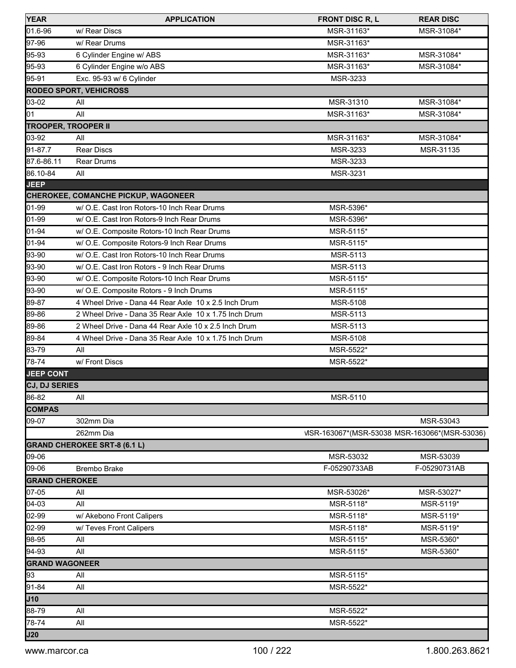| <b>YEAR</b>                    | <b>APPLICATION</b>                                    | <b>FRONT DISC R, L</b>                        | <b>REAR DISC</b> |
|--------------------------------|-------------------------------------------------------|-----------------------------------------------|------------------|
| 01.6-96                        | w/ Rear Discs                                         | MSR-31163*                                    | MSR-31084*       |
| 97-96                          | w/ Rear Drums                                         | MSR-31163*                                    |                  |
| 95-93                          | 6 Cylinder Engine w/ ABS                              | MSR-31163*                                    | MSR-31084*       |
| 95-93                          | 6 Cylinder Engine w/o ABS                             | MSR-31163*                                    | MSR-31084*       |
| 95-91                          | Exc. 95-93 w/ 6 Cylinder                              | MSR-3233                                      |                  |
|                                | <b>RODEO SPORT, VEHICROSS</b>                         |                                               |                  |
| 03-02                          | All                                                   | MSR-31310                                     | MSR-31084*       |
| 01                             | All                                                   | MSR-31163*                                    | MSR-31084*       |
| <b>TROOPER, TROOPER II</b>     |                                                       |                                               |                  |
| 03-92                          | All                                                   | MSR-31163*                                    | MSR-31084*       |
| 91-87.7                        | <b>Rear Discs</b>                                     | MSR-3233                                      | MSR-31135        |
| 87.6-86.11                     | Rear Drums                                            | MSR-3233                                      |                  |
| 86.10-84                       | All                                                   | MSR-3231                                      |                  |
| <b>JEEP</b>                    |                                                       |                                               |                  |
|                                | <b>CHEROKEE, COMANCHE PICKUP, WAGONEER</b>            |                                               |                  |
| 01-99                          | w/ O.E. Cast Iron Rotors-10 Inch Rear Drums           | MSR-5396*                                     |                  |
| 01-99                          | w/ O.E. Cast Iron Rotors-9 Inch Rear Drums            | MSR-5396*                                     |                  |
| 01-94                          | w/ O.E. Composite Rotors-10 Inch Rear Drums           | MSR-5115*                                     |                  |
| 01-94                          | w/ O.E. Composite Rotors-9 Inch Rear Drums            | MSR-5115*                                     |                  |
| 93-90                          | w/ O.E. Cast Iron Rotors-10 Inch Rear Drums           | MSR-5113                                      |                  |
| 93-90                          | w/ O.E. Cast Iron Rotors - 9 Inch Rear Drums          | MSR-5113                                      |                  |
| 93-90                          | w/ O.E. Composite Rotors-10 Inch Rear Drums           | MSR-5115*                                     |                  |
| 93-90                          | w/ O.E. Composite Rotors - 9 Inch Drums               | MSR-5115*                                     |                  |
| 89-87                          | 4 Wheel Drive - Dana 44 Rear Axle 10 x 2.5 Inch Drum  | MSR-5108                                      |                  |
| 89-86                          | 2 Wheel Drive - Dana 35 Rear Axle 10 x 1.75 Inch Drum | MSR-5113                                      |                  |
| 89-86                          | 2 Wheel Drive - Dana 44 Rear Axle 10 x 2.5 Inch Drum  | MSR-5113                                      |                  |
| 89-84                          | 4 Wheel Drive - Dana 35 Rear Axle 10 x 1.75 Inch Drum | MSR-5108                                      |                  |
| 83-79                          | All                                                   | MSR-5522*                                     |                  |
| 78-74                          | w/ Front Discs                                        | MSR-5522*                                     |                  |
| <b>JEEP CONT</b>               |                                                       |                                               |                  |
| <b>CJ, DJ SERIES</b>           |                                                       |                                               |                  |
| 86-82                          | All                                                   | MSR-5110                                      |                  |
| <b>COMPAS</b>                  |                                                       |                                               |                  |
| 09-07                          | 302mm Dia                                             |                                               | MSR-53043        |
|                                | 262mm Dia                                             | VISR-163067*(MSR-53038 MSR-163066*(MSR-53036) |                  |
|                                | <b>GRAND CHEROKEE SRT-8 (6.1 L)</b>                   |                                               |                  |
| 09-06                          | Brembo Brake                                          | MSR-53032                                     | MSR-53039        |
| 09-06<br><b>GRAND CHEROKEE</b> |                                                       | F-05290733AB                                  | F-05290731AB     |
| 07-05                          | All                                                   | MSR-53026*                                    | MSR-53027*       |
| 04-03                          | All                                                   | MSR-5118*                                     | MSR-5119*        |
| 02-99                          | w/ Akebono Front Calipers                             | MSR-5118*                                     | MSR-5119*        |
| 02-99                          | w/ Teves Front Calipers                               | MSR-5118*                                     | MSR-5119*        |
| 98-95                          | All                                                   | MSR-5115*                                     | MSR-5360*        |
| 94-93                          | All                                                   | MSR-5115*                                     | MSR-5360*        |
| <b>GRAND WAGONEER</b>          |                                                       |                                               |                  |
| 93                             | All                                                   | MSR-5115*                                     |                  |
| 91-84                          | All                                                   | MSR-5522*                                     |                  |
| <b>J10</b>                     |                                                       |                                               |                  |
| 88-79                          | All                                                   | MSR-5522*                                     |                  |
| 78-74                          | All                                                   | MSR-5522*                                     |                  |
| <b>J20</b>                     |                                                       |                                               |                  |
|                                |                                                       |                                               |                  |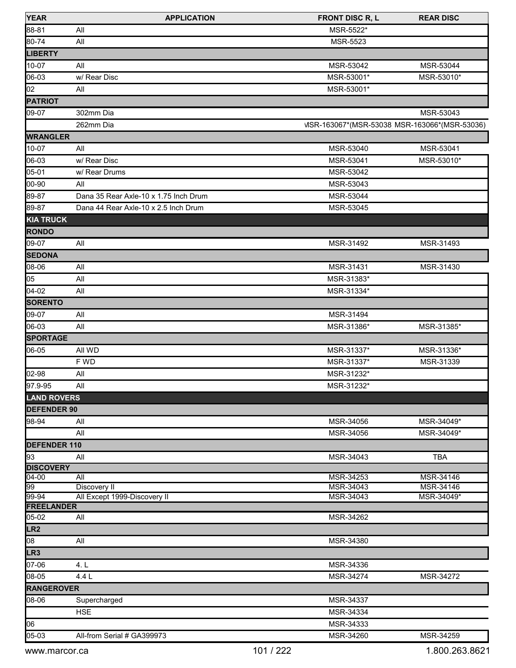| <b>YEAR</b>                | <b>APPLICATION</b>                    | <b>FRONT DISC R, L</b>                        | <b>REAR DISC</b> |
|----------------------------|---------------------------------------|-----------------------------------------------|------------------|
| 88-81                      | All                                   | MSR-5522*                                     |                  |
| 80-74                      | All                                   | <b>MSR-5523</b>                               |                  |
| <b>LIBERTY</b>             |                                       |                                               |                  |
| 10-07                      | All                                   | MSR-53042                                     | MSR-53044        |
| 06-03                      | w/ Rear Disc                          | MSR-53001*                                    | MSR-53010*       |
| $\overline{0}2$            | All                                   | MSR-53001*                                    |                  |
| <b>PATRIOT</b>             |                                       |                                               |                  |
| 09-07                      | 302mm Dia                             |                                               | MSR-53043        |
|                            | 262mm Dia                             | VISR-163067*(MSR-53038 MSR-163066*(MSR-53036) |                  |
| <b>WRANGLER</b>            |                                       |                                               |                  |
| 10-07                      | All                                   | MSR-53040                                     | MSR-53041        |
| 06-03                      | w/ Rear Disc                          | MSR-53041                                     | MSR-53010*       |
| 05-01                      | w/ Rear Drums                         | MSR-53042                                     |                  |
| 00-90                      | All                                   | MSR-53043                                     |                  |
| 89-87                      | Dana 35 Rear Axle-10 x 1.75 Inch Drum | MSR-53044                                     |                  |
| 89-87                      | Dana 44 Rear Axle-10 x 2.5 Inch Drum  | MSR-53045                                     |                  |
|                            |                                       |                                               |                  |
| <b>KIA TRUCK</b>           |                                       |                                               |                  |
| <b>RONDO</b>               |                                       |                                               |                  |
| 09-07                      | All                                   | MSR-31492                                     | MSR-31493        |
| <b>SEDONA</b>              |                                       |                                               |                  |
| 08-06                      | All                                   | MSR-31431                                     | MSR-31430        |
| 05                         | All                                   | MSR-31383*                                    |                  |
| 04-02                      | All                                   | MSR-31334*                                    |                  |
| <b>SORENTO</b>             |                                       |                                               |                  |
| 09-07                      | All                                   | MSR-31494                                     |                  |
| 06-03                      | All                                   | MSR-31386*                                    | MSR-31385*       |
| <b>SPORTAGE</b>            |                                       |                                               |                  |
| 06-05                      | All WD                                | MSR-31337*                                    | MSR-31336*       |
|                            | F WD                                  | MSR-31337*                                    | MSR-31339        |
| 02-98                      | All                                   | MSR-31232*                                    |                  |
| 97.9-95                    | All                                   | MSR-31232*                                    |                  |
| <b>LAND ROVERS</b>         |                                       |                                               |                  |
| <b>DEFENDER 90</b>         |                                       |                                               |                  |
| 98-94                      | All                                   | MSR-34056                                     | MSR-34049*       |
|                            | All                                   | MSR-34056                                     | MSR-34049*       |
| <b>DEFENDER 110</b>        |                                       |                                               |                  |
| 93                         | All                                   | MSR-34043                                     | <b>TBA</b>       |
| <b>DISCOVERY</b>           |                                       |                                               |                  |
| $04 - 00$                  | All                                   | MSR-34253                                     | MSR-34146        |
| 99                         | Discovery II                          | MSR-34043                                     | MSR-34146        |
| 99-94<br><b>FREELANDER</b> | All Except 1999-Discovery II          | MSR-34043                                     | MSR-34049*       |
| 05-02                      | All                                   | MSR-34262                                     |                  |
| LR <sub>2</sub>            |                                       |                                               |                  |
| 08                         | All                                   | MSR-34380                                     |                  |
| LR <sub>3</sub>            |                                       |                                               |                  |
| 07-06                      | 4. L                                  | MSR-34336                                     |                  |
| 08-05                      | 4.4 L                                 | MSR-34274                                     | MSR-34272        |
|                            |                                       |                                               |                  |
| <b>RANGEROVER</b>          |                                       |                                               |                  |
| 08-06                      | Supercharged                          | MSR-34337                                     |                  |
|                            | <b>HSE</b>                            | MSR-34334                                     |                  |
| 06                         |                                       | MSR-34333                                     |                  |
| 05-03                      | All-from Serial # GA399973            | MSR-34260                                     | MSR-34259        |
| www.marcor.ca              |                                       | 101 / 222                                     | 1.800.263.8621   |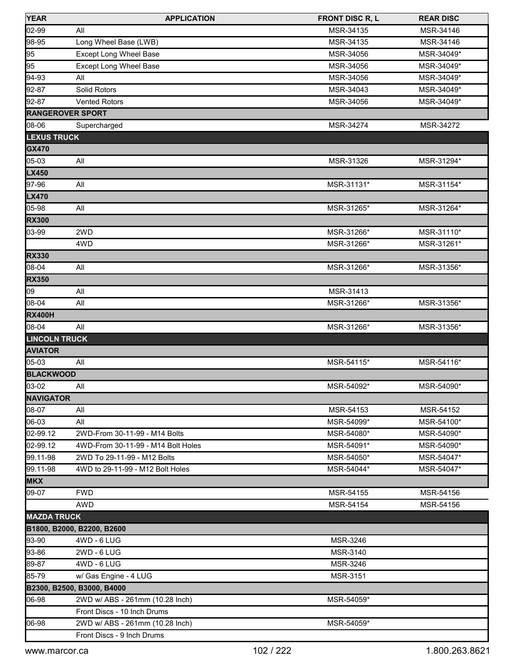| <b>YEAR</b>             | <b>APPLICATION</b>                 | <b>FRONT DISC R, L</b> | <b>REAR DISC</b> |
|-------------------------|------------------------------------|------------------------|------------------|
| 02-99                   | All                                | MSR-34135              | MSR-34146        |
| 98-95                   | Long Wheel Base (LWB)              | MSR-34135              | MSR-34146        |
| 95                      | <b>Except Long Wheel Base</b>      | MSR-34056              | MSR-34049*       |
| 95                      | <b>Except Long Wheel Base</b>      | MSR-34056              | MSR-34049*       |
| 94-93                   | All                                | MSR-34056              | MSR-34049*       |
| 92-87                   | Solid Rotors                       | MSR-34043              | MSR-34049*       |
| 92-87                   | <b>Vented Rotors</b>               | MSR-34056              | MSR-34049*       |
| <b>RANGEROVER SPORT</b> |                                    |                        |                  |
| 08-06                   | Supercharged                       | MSR-34274              | MSR-34272        |
| <b>LEXUS TRUCK</b>      |                                    |                        |                  |
| <b>GX470</b>            |                                    |                        |                  |
| 05-03                   | All                                | MSR-31326              | MSR-31294*       |
| <b>LX450</b>            |                                    |                        |                  |
| 97-96                   | All                                | MSR-31131*             | MSR-31154*       |
| <b>LX470</b>            |                                    |                        |                  |
| 05-98                   | All                                | MSR-31265*             | MSR-31264*       |
| <b>RX300</b>            |                                    |                        |                  |
| 03-99                   | 2WD                                | MSR-31266*             | MSR-31110*       |
|                         | 4WD                                | MSR-31266*             | MSR-31261*       |
| <b>RX330</b>            |                                    |                        |                  |
| 08-04                   | All                                | MSR-31266*             | MSR-31356*       |
| <b>RX350</b>            |                                    |                        |                  |
| 09                      | All                                | MSR-31413              |                  |
| 08-04                   | All                                | MSR-31266*             | MSR-31356*       |
| <b>RX400H</b>           |                                    |                        |                  |
| 08-04                   | All                                | MSR-31266*             | MSR-31356*       |
| <b>LINCOLN TRUCK</b>    |                                    |                        |                  |
| <b>AVIATOR</b>          |                                    |                        |                  |
| 05-03                   | All                                | MSR-54115*             | MSR-54116*       |
| <b>BLACKWOOD</b>        |                                    |                        |                  |
| 03-02                   | All                                | MSR-54092*             | MSR-54090*       |
| <b>NAVIGATOR</b>        |                                    |                        |                  |
| 08-07                   | All                                | MSR-54153              | MSR-54152        |
| 06-03                   | All                                | MSR-54099*             | MSR-54100*       |
| 02-99.12                | 2WD-From 30-11-99 - M14 Bolts      | MSR-54080*             | MSR-54090*       |
| 02-99.12                | 4WD-From 30-11-99 - M14 Bolt Holes | MSR-54091*             | MSR-54090*       |
| 99.11-98                | 2WD To 29-11-99 - M12 Bolts        | MSR-54050*             | MSR-54047*       |
| 99.11-98                | 4WD to 29-11-99 - M12 Bolt Holes   | MSR-54044*             | MSR-54047*       |
| <b>MKX</b>              |                                    |                        |                  |
| 09-07                   | <b>FWD</b>                         | MSR-54155              | MSR-54156        |
|                         | AWD                                | MSR-54154              | MSR-54156        |
| <b>MAZDA TRUCK</b>      |                                    |                        |                  |
|                         | B1800, B2000, B2200, B2600         |                        |                  |
| 93-90                   | 4WD - 6 LUG                        | MSR-3246               |                  |
| 93-86                   | 2WD - 6 LUG                        | MSR-3140               |                  |
| 89-87                   | 4WD - 6 LUG                        | MSR-3246               |                  |
| 85-79                   | w/ Gas Engine - 4 LUG              | MSR-3151               |                  |
|                         | B2300, B2500, B3000, B4000         |                        |                  |
| 06-98                   | 2WD w/ ABS - 261mm (10.28 Inch)    | MSR-54059*             |                  |
|                         | Front Discs - 10 Inch Drums        |                        |                  |
| 06-98                   | 2WD w/ ABS - 261mm (10.28 Inch)    | MSR-54059*             |                  |
|                         | Front Discs - 9 Inch Drums         |                        |                  |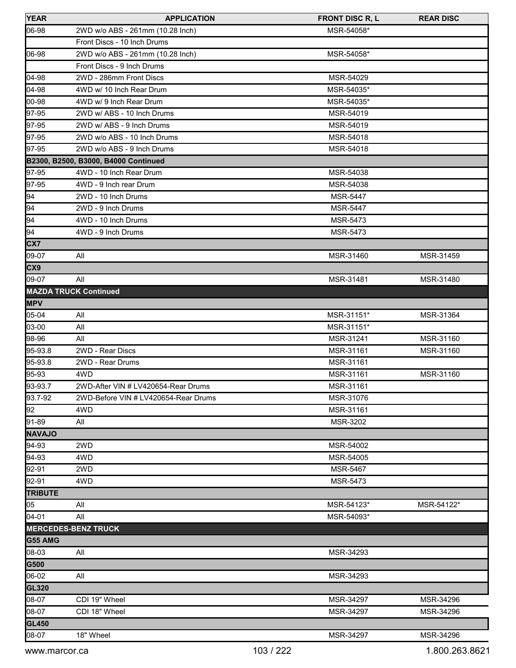| <b>YEAR</b>     | <b>APPLICATION</b>                   | <b>FRONT DISC R, L</b> | <b>REAR DISC</b> |
|-----------------|--------------------------------------|------------------------|------------------|
| 06-98           | 2WD w/o ABS - 261mm (10.28 Inch)     | MSR-54058*             |                  |
|                 | Front Discs - 10 Inch Drums          |                        |                  |
| 06-98           | 2WD w/o ABS - 261mm (10.28 Inch)     | MSR-54058*             |                  |
|                 | Front Discs - 9 Inch Drums           |                        |                  |
| 04-98           | 2WD - 286mm Front Discs              | MSR-54029              |                  |
| 04-98           | 4WD w/ 10 Inch Rear Drum             | MSR-54035*             |                  |
| 00-98           | 4WD w/ 9 Inch Rear Drum              | MSR-54035*             |                  |
| 97-95           | 2WD w/ ABS - 10 Inch Drums           | MSR-54019              |                  |
| 97-95           | 2WD w/ ABS - 9 Inch Drums            | MSR-54019              |                  |
| 97-95           | 2WD w/o ABS - 10 Inch Drums          | MSR-54018              |                  |
| 97-95           | 2WD w/o ABS - 9 Inch Drums           | MSR-54018              |                  |
|                 | B2300, B2500, B3000, B4000 Continued |                        |                  |
| 97-95           | 4WD - 10 Inch Rear Drum              | MSR-54038              |                  |
| 97-95           | 4WD - 9 Inch rear Drum               | MSR-54038              |                  |
| 94              | 2WD - 10 Inch Drums                  | <b>MSR-5447</b>        |                  |
| $\overline{94}$ | 2WD - 9 Inch Drums                   | <b>MSR-5447</b>        |                  |
| $\sqrt{94}$     | 4WD - 10 Inch Drums                  | MSR-5473               |                  |
| 94              | 4WD - 9 Inch Drums                   | MSR-5473               |                  |
| CX7             |                                      |                        |                  |
| 09-07           | All                                  | MSR-31460              | MSR-31459        |
| CX9             |                                      |                        |                  |
| 09-07           | All                                  | MSR-31481              | MSR-31480        |
|                 | <b>MAZDA TRUCK Continued</b>         |                        |                  |
| <b>MPV</b>      |                                      |                        |                  |
| 05-04           | All                                  | MSR-31151*             | MSR-31364        |
| 03-00           | All                                  | MSR-31151*             |                  |
| 98-96           | All                                  | MSR-31241              | MSR-31160        |
| 95-93.8         | 2WD - Rear Discs                     | MSR-31161              | MSR-31160        |
| 95-93.8         | 2WD - Rear Drums                     | MSR-31161              |                  |
| 95-93           | 4WD                                  | MSR-31161              | MSR-31160        |
| 93-93.7         | 2WD-After VIN # LV420654-Rear Drums  | MSR-31161              |                  |
| 93.7-92         | 2WD-Before VIN # LV420654-Rear Drums | MSR-31076              |                  |
| $\overline{92}$ | 4WD                                  | MSR-31161              |                  |
| 91-89           | All                                  | MSR-3202               |                  |
| <b>NAVAJO</b>   |                                      |                        |                  |
| 94-93           | 2WD                                  | MSR-54002              |                  |
| 94-93           | 4WD                                  | MSR-54005              |                  |
| 92-91           | 2WD                                  | <b>MSR-5467</b>        |                  |
| 92-91           | 4WD                                  | MSR-5473               |                  |
| <b>TRIBUTE</b>  |                                      |                        |                  |
| 05              | All                                  | MSR-54123*             | MSR-54122*       |
| 04-01           | All                                  | MSR-54093*             |                  |
|                 | <b>MERCEDES-BENZ TRUCK</b>           |                        |                  |
| G55 AMG         |                                      |                        |                  |
| 08-03           | All                                  | MSR-34293              |                  |
| G500            |                                      |                        |                  |
| 06-02           | All                                  | MSR-34293              |                  |
| <b>GL320</b>    |                                      |                        |                  |
| 08-07           | CDI 19" Wheel                        | MSR-34297              | MSR-34296        |
| 08-07           | CDI 18" Wheel                        | MSR-34297              | MSR-34296        |
| <b>GL450</b>    |                                      |                        |                  |
| 08-07           | 18" Wheel                            | MSR-34297              | MSR-34296        |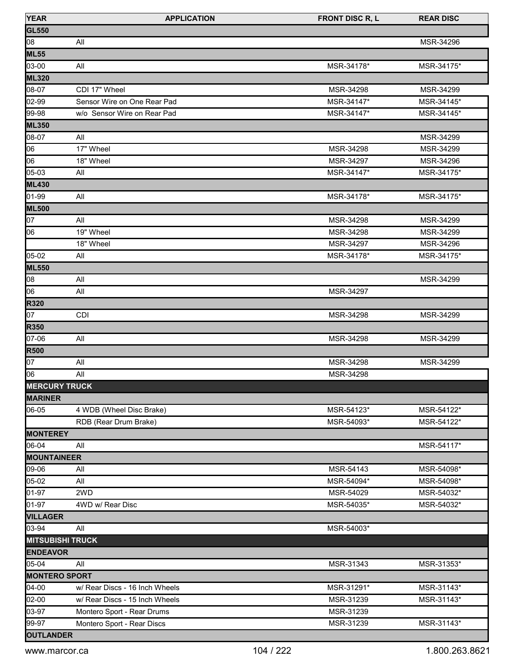| <b>YEAR</b>             | <b>APPLICATION</b>             | <b>FRONT DISC R, L</b> | <b>REAR DISC</b> |
|-------------------------|--------------------------------|------------------------|------------------|
| <b>GL550</b>            |                                |                        |                  |
| 08                      | All                            |                        | MSR-34296        |
| <b>ML55</b>             |                                |                        |                  |
| 03-00                   | All                            | MSR-34178*             | MSR-34175*       |
| <b>ML320</b>            |                                |                        |                  |
| 08-07                   | CDI 17" Wheel                  | MSR-34298              | MSR-34299        |
| 02-99                   | Sensor Wire on One Rear Pad    | MSR-34147*             | MSR-34145*       |
| 99-98                   | w/o Sensor Wire on Rear Pad    | MSR-34147*             | MSR-34145*       |
| <b>ML350</b>            |                                |                        |                  |
| 08-07                   | All                            |                        | MSR-34299        |
| 06                      | 17" Wheel                      | MSR-34298              | MSR-34299        |
| 06                      | 18" Wheel                      | MSR-34297              | MSR-34296        |
| 05-03                   | All                            | MSR-34147*             | MSR-34175*       |
| <b>ML430</b>            |                                |                        |                  |
| 01-99                   | All                            | MSR-34178*             | MSR-34175*       |
| <b>ML500</b>            |                                |                        |                  |
| 07                      | All                            | MSR-34298              | MSR-34299        |
| 06                      | 19" Wheel                      | MSR-34298              | MSR-34299        |
|                         | 18" Wheel                      | MSR-34297              | MSR-34296        |
| 05-02                   | All                            | MSR-34178*             | MSR-34175*       |
| <b>ML550</b>            |                                |                        |                  |
| 08                      | All                            |                        | MSR-34299        |
| 06                      | All                            | MSR-34297              |                  |
| <b>R320</b>             |                                |                        |                  |
| 07                      | <b>CDI</b>                     | MSR-34298              | MSR-34299        |
| <b>R350</b>             |                                |                        |                  |
| 07-06                   | All                            | MSR-34298              | MSR-34299        |
| <b>R500</b>             |                                |                        |                  |
| 07                      | All                            | MSR-34298              | MSR-34299        |
| 106                     | All                            | MSR-34298              |                  |
| <b>MERCURY TRUCK</b>    |                                |                        |                  |
| <b>MARINER</b>          |                                |                        |                  |
| 06-05                   | 4 WDB (Wheel Disc Brake)       | MSR-54123*             | MSR-54122*       |
|                         | RDB (Rear Drum Brake)          | MSR-54093*             | MSR-54122*       |
| <b>MONTEREY</b>         |                                |                        |                  |
| 06-04                   | All                            |                        | MSR-54117*       |
| <b>MOUNTAINEER</b>      |                                |                        |                  |
| 09-06                   | All                            | MSR-54143              | MSR-54098*       |
| 05-02                   | All                            | MSR-54094*             | MSR-54098*       |
| 01-97                   | 2WD                            | MSR-54029              | MSR-54032*       |
| 01-97                   | 4WD w/ Rear Disc               | MSR-54035*             | MSR-54032*       |
| <b>VILLAGER</b>         |                                |                        |                  |
| 03-94                   | All                            | MSR-54003*             |                  |
| <b>MITSUBISHI TRUCK</b> |                                |                        |                  |
| <b>ENDEAVOR</b>         |                                |                        |                  |
| 05-04                   | All                            | MSR-31343              | MSR-31353*       |
| <b>MONTERO SPORT</b>    |                                |                        |                  |
| $04 - 00$               | w/ Rear Discs - 16 Inch Wheels | MSR-31291*             | MSR-31143*       |
| 02-00                   | w/ Rear Discs - 15 Inch Wheels | MSR-31239              | MSR-31143*       |
| 03-97                   | Montero Sport - Rear Drums     | MSR-31239              |                  |
| 99-97                   | Montero Sport - Rear Discs     | MSR-31239              | MSR-31143*       |
| <b>OUTLANDER</b>        |                                |                        |                  |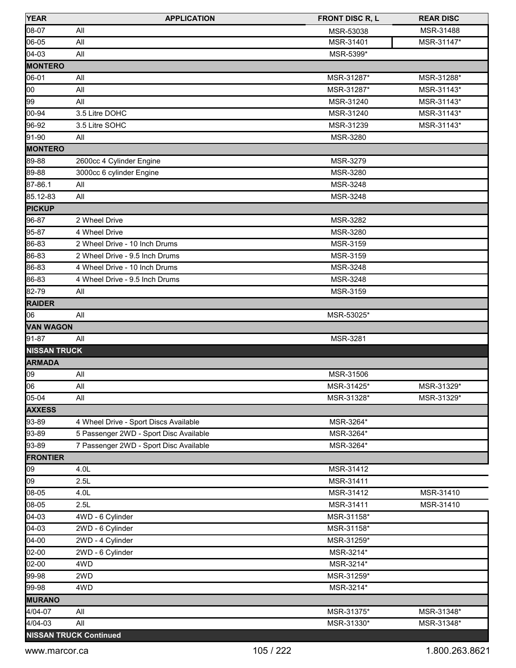| <b>YEAR</b>         | <b>APPLICATION</b>                     | <b>FRONT DISC R, L</b> | <b>REAR DISC</b> |
|---------------------|----------------------------------------|------------------------|------------------|
| 08-07               | All                                    | MSR-53038              | MSR-31488        |
| 06-05               | All                                    | MSR-31401              | MSR-31147*       |
| 04-03               | All                                    | MSR-5399*              |                  |
| <b>MONTERO</b>      |                                        |                        |                  |
| 06-01               | All                                    | MSR-31287*             | MSR-31288*       |
| 00                  | All                                    | MSR-31287*             | MSR-31143*       |
| 99                  | All                                    | MSR-31240              | MSR-31143*       |
| 00-94               | 3.5 Litre DOHC                         | MSR-31240              | MSR-31143*       |
| 96-92               | 3.5 Litre SOHC                         | MSR-31239              | MSR-31143*       |
| 91-90               | All                                    | MSR-3280               |                  |
| <b>MONTERO</b>      |                                        |                        |                  |
| 89-88               | 2600cc 4 Cylinder Engine               | MSR-3279               |                  |
| 89-88               | 3000cc 6 cylinder Engine               | MSR-3280               |                  |
| 87-86.1             | All                                    | MSR-3248               |                  |
| 85.12-83            | All                                    | MSR-3248               |                  |
| <b>PICKUP</b>       |                                        |                        |                  |
| 96-87               | 2 Wheel Drive                          | MSR-3282               |                  |
| 95-87               | 4 Wheel Drive                          | MSR-3280               |                  |
| 86-83               | 2 Wheel Drive - 10 Inch Drums          | MSR-3159               |                  |
| 86-83               | 2 Wheel Drive - 9.5 Inch Drums         | MSR-3159               |                  |
| 86-83               | 4 Wheel Drive - 10 Inch Drums          | MSR-3248               |                  |
| 86-83               | 4 Wheel Drive - 9.5 Inch Drums         | MSR-3248               |                  |
| 82-79               | All                                    | MSR-3159               |                  |
| <b>RAIDER</b>       |                                        |                        |                  |
| 106                 | All                                    | MSR-53025*             |                  |
| <b>VAN WAGON</b>    |                                        |                        |                  |
| 91-87               | All                                    | MSR-3281               |                  |
| <b>NISSAN TRUCK</b> |                                        |                        |                  |
| <b>ARMADA</b>       |                                        |                        |                  |
| 09                  | All                                    | MSR-31506              |                  |
| 06                  | All                                    | MSR-31425*             | MSR-31329*       |
| 05-04               | All                                    | MSR-31328*             | MSR-31329*       |
| <b>AXXESS</b>       |                                        |                        |                  |
| 93-89               | 4 Wheel Drive - Sport Discs Available  | MSR-3264*              |                  |
| 93-89               | 5 Passenger 2WD - Sport Disc Available | MSR-3264*              |                  |
| 93-89               | 7 Passenger 2WD - Sport Disc Available | MSR-3264*              |                  |
| <b>FRONTIER</b>     |                                        |                        |                  |
| 09                  | 4.0 <sub>L</sub>                       | MSR-31412              |                  |
| 09                  | 2.5L                                   | MSR-31411              |                  |
| 08-05               | 4.0L                                   | MSR-31412              | MSR-31410        |
| 08-05               | 2.5L                                   | MSR-31411              | MSR-31410        |
| $04-03$             | 4WD - 6 Cylinder                       | MSR-31158*             |                  |
| $04-03$             | 2WD - 6 Cylinder                       | MSR-31158*             |                  |
| 04-00               | 2WD - 4 Cylinder                       | MSR-31259*             |                  |
| 02-00               | 2WD - 6 Cylinder                       | MSR-3214*              |                  |
| 02-00               | 4WD                                    | MSR-3214*              |                  |
| 99-98               | 2WD                                    | MSR-31259*             |                  |
| 99-98               | 4WD                                    | MSR-3214*              |                  |
| <b>MURANO</b>       |                                        |                        |                  |
| 4/04-07             | All                                    | MSR-31375*             | MSR-31348*       |
| 4/04-03             | All                                    | MSR-31330*             | MSR-31348*       |
|                     | <b>NISSAN TRUCK Continued</b>          |                        |                  |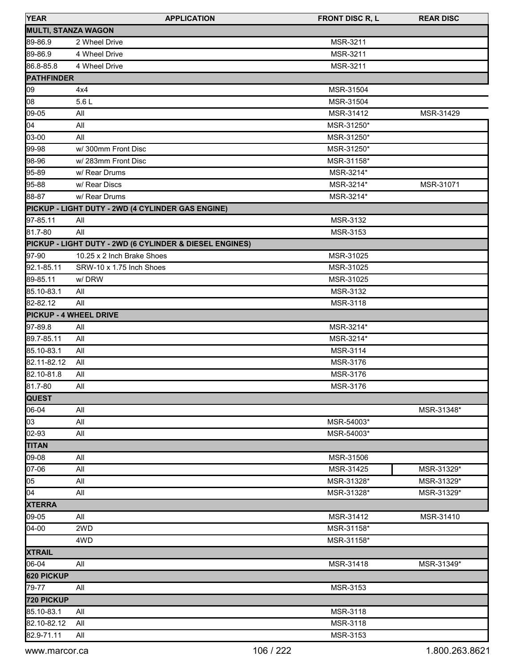| <b>YEAR</b>                   | <b>APPLICATION</b>                                      | <b>FRONT DISC R, L</b> | <b>REAR DISC</b> |
|-------------------------------|---------------------------------------------------------|------------------------|------------------|
| <b>MULTI, STANZA WAGON</b>    |                                                         |                        |                  |
| 89-86.9                       | 2 Wheel Drive                                           | MSR-3211               |                  |
| 89-86.9                       | 4 Wheel Drive                                           | MSR-3211               |                  |
| 86.8-85.8                     | 4 Wheel Drive                                           | MSR-3211               |                  |
| <b>PATHFINDER</b>             |                                                         |                        |                  |
| 09                            | 4x4                                                     | MSR-31504              |                  |
| 08                            | 5.6L                                                    | MSR-31504              |                  |
| $09 - 05$                     | All                                                     | MSR-31412              | MSR-31429        |
| 04                            | All                                                     | MSR-31250*             |                  |
| 03-00                         | All                                                     | MSR-31250*             |                  |
| 99-98                         | w/ 300mm Front Disc                                     | MSR-31250*             |                  |
| 98-96                         | w/283mm Front Disc                                      | MSR-31158*             |                  |
| 95-89                         | w/ Rear Drums                                           | MSR-3214*              |                  |
| 95-88                         | w/ Rear Discs                                           | MSR-3214*              | MSR-31071        |
| 88-87                         | w/ Rear Drums                                           | MSR-3214*              |                  |
|                               | PICKUP - LIGHT DUTY - 2WD (4 CYLINDER GAS ENGINE)       |                        |                  |
| 97-85.11                      | All                                                     | MSR-3132               |                  |
| 81.7-80                       | All                                                     | MSR-3153               |                  |
|                               | PICKUP - LIGHT DUTY - 2WD (6 CYLINDER & DIESEL ENGINES) |                        |                  |
| 97-90                         | 10.25 x 2 Inch Brake Shoes                              | MSR-31025              |                  |
| 92.1-85.11                    | SRW-10 x 1.75 Inch Shoes                                | MSR-31025              |                  |
| 89-85.11                      | w/DRW                                                   | MSR-31025              |                  |
| 85.10-83.1                    | All                                                     | MSR-3132               |                  |
| 82-82.12                      | All                                                     | MSR-3118               |                  |
| <b>PICKUP - 4 WHEEL DRIVE</b> |                                                         |                        |                  |
| 97-89.8                       | All                                                     | MSR-3214*              |                  |
| 89.7-85.11                    | All                                                     | MSR-3214*              |                  |
| 85.10-83.1                    | All                                                     | MSR-3114               |                  |
| 82.11-82.12                   | All                                                     | MSR-3176               |                  |
| 82.10-81.8                    | All                                                     | MSR-3176               |                  |
| 81.7-80                       | All                                                     | MSR-3176               |                  |
| <b>QUEST</b>                  |                                                         |                        |                  |
| 06-04                         | All                                                     |                        | MSR-31348*       |
| 03                            | All                                                     | MSR-54003*             |                  |
| 02-93                         | All                                                     | MSR-54003*             |                  |
| <b>TITAN</b>                  |                                                         |                        |                  |
| 09-08                         | All                                                     | MSR-31506              |                  |
| 07-06                         | All                                                     | MSR-31425              | MSR-31329*       |
| 05                            | All                                                     | MSR-31328*             | MSR-31329*       |
| 04                            | All                                                     | MSR-31328*             | MSR-31329*       |
| <b>XTERRA</b>                 |                                                         |                        |                  |
| 09-05                         | All                                                     | MSR-31412              | MSR-31410        |
| $04-00$                       | 2WD                                                     | MSR-31158*             |                  |
|                               | 4WD                                                     | MSR-31158*             |                  |
| <b>XTRAIL</b>                 |                                                         |                        |                  |
| 06-04                         | All                                                     | MSR-31418              | MSR-31349*       |
| 620 PICKUP                    |                                                         |                        |                  |
| 79-77                         | All                                                     | MSR-3153               |                  |
| 720 PICKUP                    |                                                         |                        |                  |
| 85.10-83.1                    | All                                                     | MSR-3118               |                  |
| 82.10-82.12                   | All                                                     | MSR-3118               |                  |
| 82.9-71.11                    | All                                                     | MSR-3153               |                  |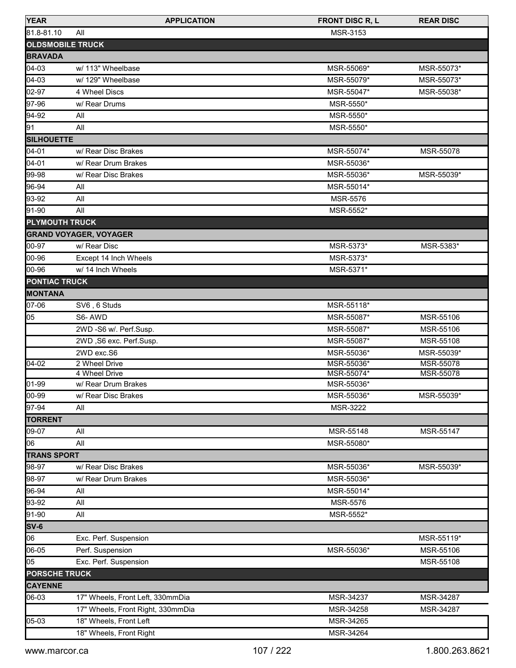| <b>YEAR</b>             | <b>APPLICATION</b>                | <b>FRONT DISC R, L</b> | <b>REAR DISC</b> |
|-------------------------|-----------------------------------|------------------------|------------------|
| 81.8-81.10              | All                               | MSR-3153               |                  |
| <b>OLDSMOBILE TRUCK</b> |                                   |                        |                  |
| <b>BRAVADA</b>          |                                   |                        |                  |
| 04-03                   | w/ 113" Wheelbase                 | MSR-55069*             | MSR-55073*       |
| 04-03                   | w/ 129" Wheelbase                 | MSR-55079*             | MSR-55073*       |
| 02-97                   | 4 Wheel Discs                     | MSR-55047*             | MSR-55038*       |
| 97-96                   | w/ Rear Drums                     | MSR-5550*              |                  |
| 94-92                   | All                               | MSR-5550*              |                  |
| 91                      | All                               | MSR-5550*              |                  |
| <b>SILHOUETTE</b>       |                                   |                        |                  |
| $04 - 01$               | w/ Rear Disc Brakes               | MSR-55074*             | MSR-55078        |
| $04 - 01$               | w/ Rear Drum Brakes               | MSR-55036*             |                  |
|                         |                                   |                        |                  |
| 99-98                   | w/ Rear Disc Brakes               | MSR-55036*             | MSR-55039*       |
| 96-94                   | All                               | MSR-55014*             |                  |
| 93-92                   | All                               | <b>MSR-5576</b>        |                  |
| 91-90                   | All                               | MSR-5552*              |                  |
| <b>PLYMOUTH TRUCK</b>   |                                   |                        |                  |
|                         | <b>GRAND VOYAGER, VOYAGER</b>     |                        |                  |
| 00-97                   | w/ Rear Disc                      | MSR-5373*              | MSR-5383*        |
| 00-96                   | Except 14 Inch Wheels             | MSR-5373*              |                  |
| 00-96                   | w/ 14 Inch Wheels                 | MSR-5371*              |                  |
| <b>PONTIAC TRUCK</b>    |                                   |                        |                  |
| <b>MONTANA</b>          |                                   |                        |                  |
| 07-06                   | SV6, 6 Studs                      | MSR-55118*             |                  |
| 05                      | S6-AWD                            | MSR-55087*             | MSR-55106        |
|                         | 2WD -S6 w/. Perf.Susp.            | MSR-55087*             | MSR-55106        |
|                         | 2WD, S6 exc. Perf.Susp.           | MSR-55087*             | MSR-55108        |
|                         | 2WD exc.S6                        | MSR-55036*             | MSR-55039*       |
| $04 - 02$               | 2 Wheel Drive                     | MSR-55036*             | MSR-55078        |
|                         | 4 Wheel Drive                     | MSR-55074*             | MSR-55078        |
| 01-99                   | w/ Rear Drum Brakes               | MSR-55036*             |                  |
| 100-99                  | w/ Rear Disc Brakes               | MSR-55036*             | MSR-55039*       |
| 97-94                   | All                               | <b>MSR-3222</b>        |                  |
| <b>TORRENT</b>          |                                   |                        |                  |
| 09-07                   | All                               | MSR-55148              | MSR-55147        |
| 06                      | All                               | MSR-55080*             |                  |
| <b>TRANS SPORT</b>      |                                   |                        |                  |
| 98-97                   | w/ Rear Disc Brakes               | MSR-55036*             | MSR-55039*       |
| 98-97                   | w/ Rear Drum Brakes               | MSR-55036*             |                  |
| 96-94                   | All                               | MSR-55014*             |                  |
| 93-92                   | All                               | <b>MSR-5576</b>        |                  |
| 91-90                   | All                               | MSR-5552*              |                  |
| SV-6                    |                                   |                        |                  |
| 06                      | Exc. Perf. Suspension             |                        | MSR-55119*       |
| 06-05                   | Perf. Suspension                  | MSR-55036*             | MSR-55106        |
| 05                      | Exc. Perf. Suspension             |                        | MSR-55108        |
| <b>PORSCHE TRUCK</b>    |                                   |                        |                  |
| <b>CAYENNE</b>          |                                   |                        |                  |
| 06-03                   | 17" Wheels, Front Left, 330mmDia  | MSR-34237              | MSR-34287        |
|                         | 17" Wheels, Front Right, 330mmDia | MSR-34258              | MSR-34287        |
| 05-03                   |                                   | MSR-34265              |                  |
|                         | 18" Wheels, Front Left            |                        |                  |
|                         | 18" Wheels, Front Right           | MSR-34264              |                  |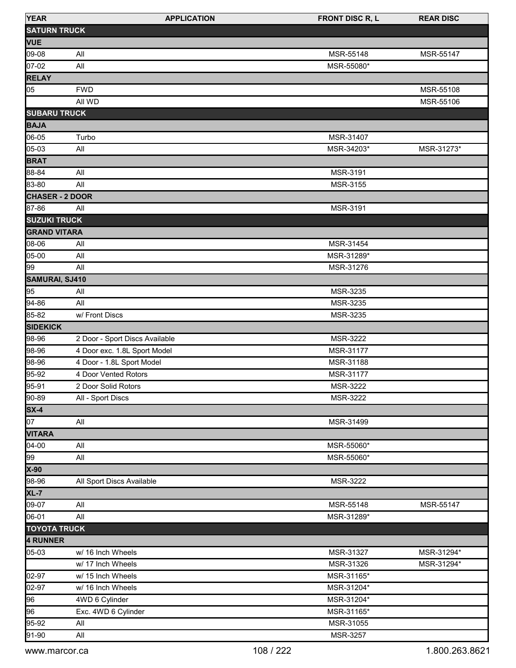| <b>YEAR</b>            | <b>APPLICATION</b>             | <b>FRONT DISC R, L</b> | <b>REAR DISC</b> |
|------------------------|--------------------------------|------------------------|------------------|
| <b>SATURN TRUCK</b>    |                                |                        |                  |
| <b>VUE</b>             |                                |                        |                  |
| 09-08                  | All                            | MSR-55148              | MSR-55147        |
| 07-02                  | All                            | MSR-55080*             |                  |
| <b>RELAY</b>           |                                |                        |                  |
| 05                     | <b>FWD</b>                     |                        | MSR-55108        |
|                        | All WD                         |                        | MSR-55106        |
| <b>SUBARU TRUCK</b>    |                                |                        |                  |
| <b>BAJA</b>            |                                |                        |                  |
| 06-05                  | Turbo                          | MSR-31407              |                  |
| 05-03                  | All                            | MSR-34203*             | MSR-31273*       |
| <b>BRAT</b>            |                                |                        |                  |
| 88-84                  | All                            | MSR-3191               |                  |
| 83-80                  | All                            | MSR-3155               |                  |
| <b>CHASER - 2 DOOR</b> |                                |                        |                  |
| 87-86                  | All                            | MSR-3191               |                  |
| <b>SUZUKI TRUCK</b>    |                                |                        |                  |
| <b>GRAND VITARA</b>    |                                |                        |                  |
| 08-06                  | All                            | MSR-31454              |                  |
| 05-00                  | All                            | MSR-31289*             |                  |
| 99                     | All                            | MSR-31276              |                  |
| SAMURAI, SJ410         |                                |                        |                  |
| 95                     | All                            | MSR-3235               |                  |
| 94-86                  | All                            | MSR-3235               |                  |
| 85-82                  | w/ Front Discs                 | MSR-3235               |                  |
| <b>SIDEKICK</b>        |                                |                        |                  |
| 98-96                  | 2 Door - Sport Discs Available | MSR-3222               |                  |
| 98-96                  | 4 Door exc. 1.8L Sport Model   | MSR-31177              |                  |
| 98-96                  | 4 Door - 1.8L Sport Model      | MSR-31188              |                  |
| 95-92                  | 4 Door Vented Rotors           | MSR-31177              |                  |
| 95-91                  | 2 Door Solid Rotors            | <b>MSR-3222</b>        |                  |
| 90-89                  | All - Sport Discs              | MSR-3222               |                  |
| $SX-4$                 |                                |                        |                  |
| 07                     | All                            | MSR-31499              |                  |
| <b>VITARA</b>          |                                |                        |                  |
| 04-00                  | All                            | MSR-55060*             |                  |
| 99                     | All                            | MSR-55060*             |                  |
| X-90                   |                                |                        |                  |
| 98-96                  | All Sport Discs Available      | MSR-3222               |                  |
| $XL-7$                 |                                |                        |                  |
| 09-07                  | All                            | MSR-55148              | MSR-55147        |
| 06-01                  | All                            | MSR-31289*             |                  |
| <b>TOYOTA TRUCK</b>    |                                |                        |                  |
| 4 RUNNER               |                                |                        |                  |
| 05-03                  | w/ 16 Inch Wheels              | MSR-31327              | MSR-31294*       |
|                        | w/ 17 Inch Wheels              | MSR-31326              | MSR-31294*       |
| 02-97                  | w/ 15 Inch Wheels              | MSR-31165*             |                  |
| 02-97                  | w/ 16 Inch Wheels              | MSR-31204*             |                  |
| 96                     | 4WD 6 Cylinder                 | MSR-31204*             |                  |
| 96                     | Exc. 4WD 6 Cylinder            | MSR-31165*             |                  |
| 95-92                  | All                            | MSR-31055              |                  |
| 91-90                  | All                            | MSR-3257               |                  |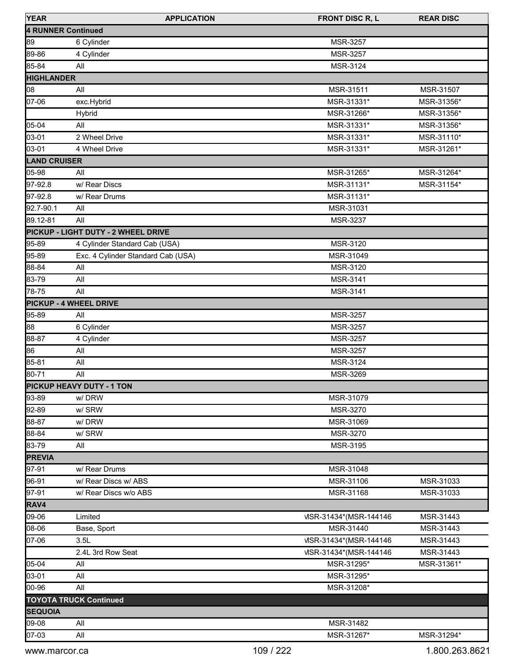| <b>YEAR</b>         | <b>APPLICATION</b>                  | <b>FRONT DISC R, L</b>  | <b>REAR DISC</b> |
|---------------------|-------------------------------------|-------------------------|------------------|
| 4 RUNNER Continued  |                                     |                         |                  |
| 89                  | 6 Cylinder                          | MSR-3257                |                  |
| 89-86               | 4 Cylinder                          | MSR-3257                |                  |
| 85-84               | All                                 | MSR-3124                |                  |
| <b>HIGHLANDER</b>   |                                     |                         |                  |
| 08                  | All                                 | MSR-31511               | MSR-31507        |
| 07-06               | exc.Hybrid                          | MSR-31331*              | MSR-31356*       |
|                     | Hybrid                              | MSR-31266*              | MSR-31356*       |
| 05-04               | All                                 | MSR-31331*              | MSR-31356*       |
| 03-01               | 2 Wheel Drive                       | MSR-31331*              | MSR-31110*       |
| 03-01               | 4 Wheel Drive                       | MSR-31331*              | MSR-31261*       |
| <b>LAND CRUISER</b> |                                     |                         |                  |
| 05-98               | All                                 | MSR-31265*              | MSR-31264*       |
| 97-92.8             | w/ Rear Discs                       | MSR-31131*              | MSR-31154*       |
| 97-92.8             | w/ Rear Drums                       | MSR-31131*              |                  |
| 92.7-90.1           | All                                 | MSR-31031               |                  |
| 89.12-81            | All                                 | MSR-3237                |                  |
|                     | PICKUP - LIGHT DUTY - 2 WHEEL DRIVE |                         |                  |
| 95-89               | 4 Cylinder Standard Cab (USA)       | MSR-3120                |                  |
| 95-89               | Exc. 4 Cylinder Standard Cab (USA)  | MSR-31049               |                  |
| 88-84               | All                                 | MSR-3120                |                  |
| 83-79               | All                                 | MSR-3141                |                  |
| 78-75               | All                                 | MSR-3141                |                  |
|                     | <b>PICKUP - 4 WHEEL DRIVE</b>       |                         |                  |
| 95-89               | All                                 | MSR-3257                |                  |
| 88                  | 6 Cylinder                          | MSR-3257                |                  |
| 88-87               | 4 Cylinder                          | MSR-3257                |                  |
| 86                  | All                                 | MSR-3257                |                  |
| 85-81               | All                                 | MSR-3124                |                  |
| 80-71               | All                                 | MSR-3269                |                  |
|                     | <b>PICKUP HEAVY DUTY - 1 TON</b>    |                         |                  |
| 93-89               | w/DRW                               | MSR-31079               |                  |
| 92-89               | w/SRW                               | MSR-3270                |                  |
| 88-87               | w/DRW                               | MSR-31069               |                  |
| 88-84               | w/SRW                               | MSR-3270                |                  |
| 83-79               | All                                 | MSR-3195                |                  |
| <b>PREVIA</b>       |                                     |                         |                  |
| 97-91               | w/ Rear Drums                       | MSR-31048               |                  |
| 96-91               | w/ Rear Discs w/ ABS                | MSR-31106               | MSR-31033        |
| 97-91               | w/ Rear Discs w/o ABS               | MSR-31168               | MSR-31033        |
| RAV4                |                                     |                         |                  |
| 09-06               | Limited                             | VISR-31434*(MSR-144146) | MSR-31443        |
| 08-06               | Base, Sport                         | MSR-31440               | MSR-31443        |
|                     |                                     |                         |                  |
| 07-06               | 3.5L                                | VISR-31434*(MSR-144146) | MSR-31443        |
|                     | 2.4L 3rd Row Seat                   | VISR-31434*(MSR-144146) | MSR-31443        |
| 05-04               | All                                 | MSR-31295*              | MSR-31361*       |
| 03-01               | All                                 | MSR-31295*              |                  |
| 00-96               | All                                 | MSR-31208*              |                  |
|                     | <b>TOYOTA TRUCK Continued</b>       |                         |                  |
| <b>SEQUOIA</b>      |                                     |                         |                  |
| 09-08               | All                                 | MSR-31482               |                  |
| 07-03               | All                                 | MSR-31267*              | MSR-31294*       |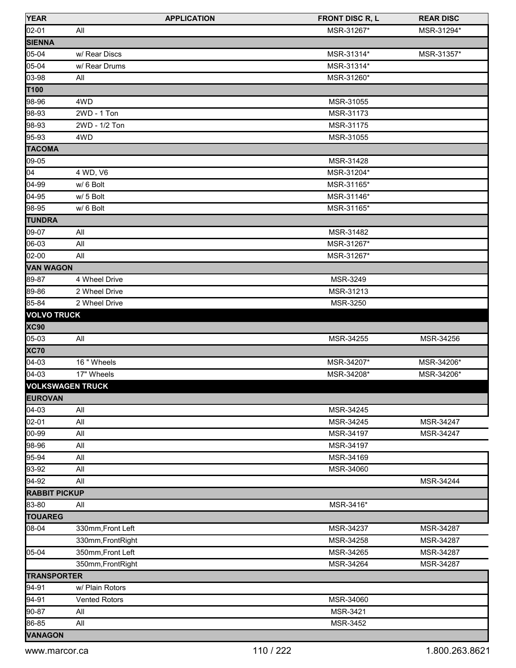| <b>YEAR</b>             | <b>APPLICATION</b>   | <b>FRONT DISC R, L</b> | <b>REAR DISC</b> |
|-------------------------|----------------------|------------------------|------------------|
| 02-01                   | All                  | MSR-31267*             | MSR-31294*       |
| <b>SIENNA</b>           |                      |                        |                  |
| 05-04                   | w/ Rear Discs        | MSR-31314*             | MSR-31357*       |
| 05-04                   | w/ Rear Drums        | MSR-31314*             |                  |
| 03-98                   | All                  | MSR-31260*             |                  |
| T100                    |                      |                        |                  |
| 98-96                   | 4WD                  | MSR-31055              |                  |
| 98-93                   | 2WD - 1 Ton          | MSR-31173              |                  |
| 98-93                   | 2WD - 1/2 Ton        | MSR-31175              |                  |
| 95-93                   | 4WD                  | MSR-31055              |                  |
| <b>TACOMA</b>           |                      |                        |                  |
| 09-05                   |                      | MSR-31428              |                  |
| 04                      | 4 WD, V6             | MSR-31204*             |                  |
| 04-99                   | w/ 6 Bolt            | MSR-31165*             |                  |
| 04-95                   | w/ 5 Bolt            | MSR-31146*             |                  |
| 98-95                   | w/ 6 Bolt            | MSR-31165*             |                  |
| <b>TUNDRA</b>           |                      |                        |                  |
| 09-07                   | All                  | MSR-31482              |                  |
| 06-03                   | All                  | MSR-31267*             |                  |
| 02-00                   | All                  | MSR-31267*             |                  |
| <b>VAN WAGON</b>        |                      |                        |                  |
| 89-87                   | 4 Wheel Drive        | MSR-3249               |                  |
| 89-86                   | 2 Wheel Drive        | MSR-31213              |                  |
| 85-84                   | 2 Wheel Drive        | MSR-3250               |                  |
| <b>VOLVO TRUCK</b>      |                      |                        |                  |
| <b>XC90</b>             |                      |                        |                  |
| 05-03                   | All                  | MSR-34255              | MSR-34256        |
| <b>XC70</b>             |                      |                        |                  |
| $04-03$                 | 16 " Wheels          | MSR-34207*             | MSR-34206*       |
| $[04-03]$               | 17" Wheels           | MSR-34208*             | MSR-34206*       |
| <b>VOLKSWAGEN TRUCK</b> |                      |                        |                  |
| <b>EUROVAN</b>          |                      |                        |                  |
| 04-03                   | All                  | MSR-34245              |                  |
| 02-01                   | All                  | MSR-34245              | MSR-34247        |
| 00-99                   | All                  | MSR-34197              | MSR-34247        |
| 98-96                   | All                  | MSR-34197              |                  |
| 95-94                   | All                  | MSR-34169              |                  |
| 93-92                   | All                  | MSR-34060              |                  |
| 94-92                   | All                  |                        | MSR-34244        |
| <b>RABBIT PICKUP</b>    |                      |                        |                  |
| 83-80                   | All                  | MSR-3416*              |                  |
| <b>TOUAREG</b>          |                      |                        |                  |
| 08-04                   | 330mm, Front Left    | MSR-34237              | MSR-34287        |
|                         | 330mm, FrontRight    | MSR-34258              | MSR-34287        |
| 05-04                   | 350mm, Front Left    | MSR-34265              | MSR-34287        |
|                         | 350mm, FrontRight    | MSR-34264              | MSR-34287        |
| <b>TRANSPORTER</b>      |                      |                        |                  |
| 94-91                   | w/ Plain Rotors      |                        |                  |
| 94-91                   | <b>Vented Rotors</b> | MSR-34060              |                  |
| 90-87                   | All                  | MSR-3421               |                  |
| 86-85                   | All                  | MSR-3452               |                  |
| <b>VANAGON</b>          |                      |                        |                  |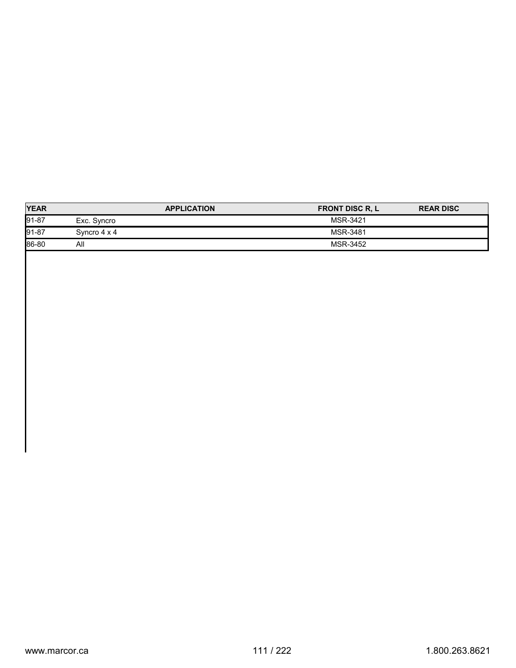|              | <b>APPLICATION</b> | <b>FRONT DISC R, L</b> | <b>REAR DISC</b> |
|--------------|--------------------|------------------------|------------------|
| Exc. Syncro  |                    | MSR-3421               |                  |
| Syncro 4 x 4 |                    | MSR-3481               |                  |
| All          |                    | MSR-3452               |                  |
|              |                    |                        |                  |
|              |                    |                        |                  |
|              |                    |                        |                  |